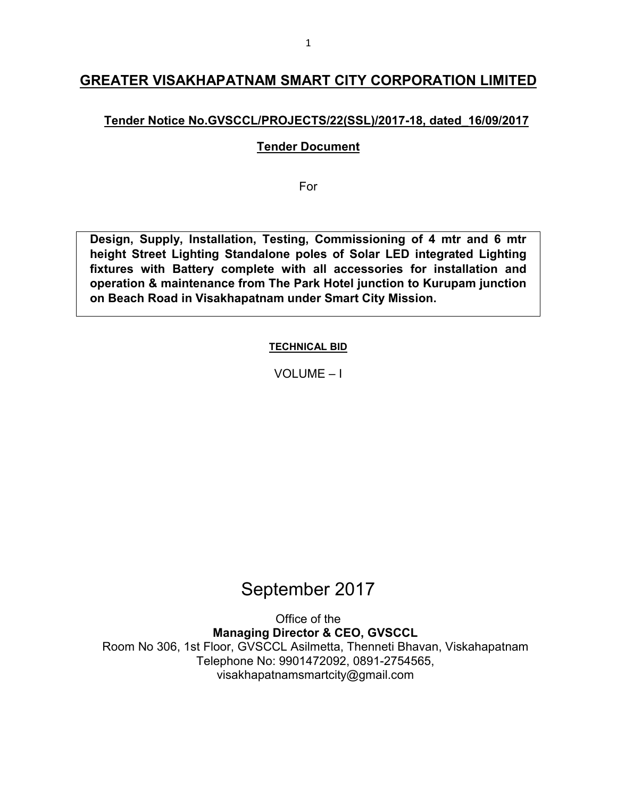# **GREATER VISAKHAPATNAM SMART CITY CORPORATION LIMITED**

# **Tender Notice No.GVSCCL/PROJECTS/22(SSL)/2017-18, dated\_16/09/2017**

### **Tender Document**

For

**Design, Supply, Installation, Testing, Commissioning of 4 mtr and 6 mtr height Street Lighting Standalone poles of Solar LED integrated Lighting fixtures with Battery complete with all accessories for installation and operation & maintenance from The Park Hotel junction to Kurupam junction on Beach Road in Visakhapatnam under Smart City Mission.** 

### **TECHNICAL BID**

VOLUME – I

# September 2017

Office of the **Managing Director & CEO, GVSCCL**  Room No 306, 1st Floor, GVSCCL Asilmetta, Thenneti Bhavan, Viskahapatnam Telephone No: 9901472092, 0891-2754565, visakhapatnamsmartcity@gmail.com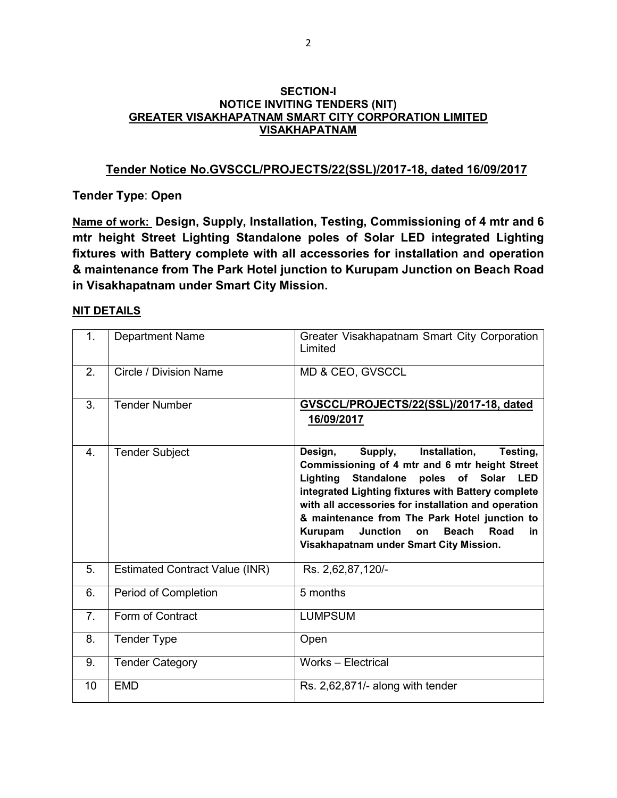#### **SECTION-I NOTICE INVITING TENDERS (NIT) GREATER VISAKHAPATNAM SMART CITY CORPORATION LIMITED VISAKHAPATNAM**

#### **Tender Notice No.GVSCCL/PROJECTS/22(SSL)/2017-18, dated 16/09/2017**

**Tender Type**: **Open**

**Name of work: Design, Supply, Installation, Testing, Commissioning of 4 mtr and 6 mtr height Street Lighting Standalone poles of Solar LED integrated Lighting fixtures with Battery complete with all accessories for installation and operation & maintenance from The Park Hotel junction to Kurupam Junction on Beach Road in Visakhapatnam under Smart City Mission.** 

#### **NIT DETAILS**

| 1.             | <b>Department Name</b>                | Greater Visakhapatnam Smart City Corporation<br>Limited                                                                                                                                                                                                                                                                                                                                                                                        |
|----------------|---------------------------------------|------------------------------------------------------------------------------------------------------------------------------------------------------------------------------------------------------------------------------------------------------------------------------------------------------------------------------------------------------------------------------------------------------------------------------------------------|
| 2.             | Circle / Division Name                | MD & CEO, GVSCCL                                                                                                                                                                                                                                                                                                                                                                                                                               |
| 3.             | <b>Tender Number</b>                  | GVSCCL/PROJECTS/22(SSL)/2017-18, dated<br>16/09/2017                                                                                                                                                                                                                                                                                                                                                                                           |
| 4.             | <b>Tender Subject</b>                 | Supply,<br>Installation,<br>Testing,<br>Design,<br>Commissioning of 4 mtr and 6 mtr height Street<br>Lighting<br><b>Standalone</b><br>poles of Solar<br><b>LED</b><br>integrated Lighting fixtures with Battery complete<br>with all accessories for installation and operation<br>& maintenance from The Park Hotel junction to<br><b>Beach</b><br>Kurupam<br><b>Junction</b><br>Road<br>on<br>in.<br>Visakhapatnam under Smart City Mission. |
| 5.             | <b>Estimated Contract Value (INR)</b> | Rs. 2,62,87,120/-                                                                                                                                                                                                                                                                                                                                                                                                                              |
| 6.             | Period of Completion                  | 5 months                                                                                                                                                                                                                                                                                                                                                                                                                                       |
| 7 <sub>1</sub> | Form of Contract                      | <b>LUMPSUM</b>                                                                                                                                                                                                                                                                                                                                                                                                                                 |
| 8.             | <b>Tender Type</b>                    | Open                                                                                                                                                                                                                                                                                                                                                                                                                                           |
| 9.             | <b>Tender Category</b>                | Works - Electrical                                                                                                                                                                                                                                                                                                                                                                                                                             |
| 10             | <b>EMD</b>                            | Rs. 2,62,871/- along with tender                                                                                                                                                                                                                                                                                                                                                                                                               |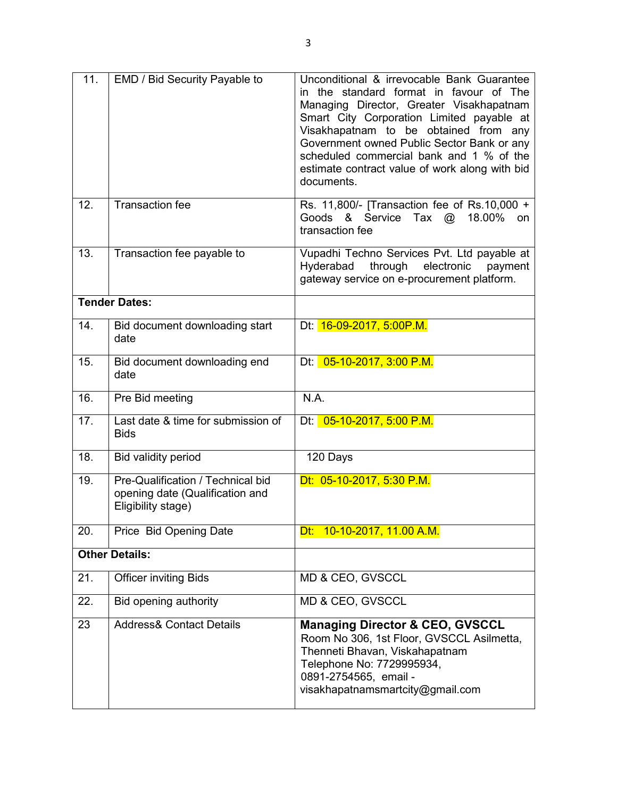| 11. | EMD / Bid Security Payable to                                                              | Unconditional & irrevocable Bank Guarantee<br>in the standard format in favour of The<br>Managing Director, Greater Visakhapatnam<br>Smart City Corporation Limited payable at<br>Visakhapatnam to be obtained from any<br>Government owned Public Sector Bank or any<br>scheduled commercial bank and 1 % of the<br>estimate contract value of work along with bid<br>documents. |
|-----|--------------------------------------------------------------------------------------------|-----------------------------------------------------------------------------------------------------------------------------------------------------------------------------------------------------------------------------------------------------------------------------------------------------------------------------------------------------------------------------------|
| 12. | <b>Transaction fee</b>                                                                     | Rs. 11,800/- [Transaction fee of Rs.10,000 +<br>Goods & Service<br>Tax<br>18.00%<br>$\omega$<br>on.<br>transaction fee                                                                                                                                                                                                                                                            |
| 13. | Transaction fee payable to                                                                 | Vupadhi Techno Services Pvt. Ltd payable at<br>Hyderabad<br>through<br>electronic<br>payment<br>gateway service on e-procurement platform.                                                                                                                                                                                                                                        |
|     | <b>Tender Dates:</b>                                                                       |                                                                                                                                                                                                                                                                                                                                                                                   |
| 14. | Bid document downloading start<br>date                                                     | Dt: 16-09-2017, 5:00P.M.                                                                                                                                                                                                                                                                                                                                                          |
| 15. | Bid document downloading end<br>date                                                       | Dt: 05-10-2017, 3:00 P.M.                                                                                                                                                                                                                                                                                                                                                         |
| 16. | Pre Bid meeting                                                                            | N.A.                                                                                                                                                                                                                                                                                                                                                                              |
| 17. | Last date & time for submission of<br><b>Bids</b>                                          | Dt: 05-10-2017, 5:00 P.M.                                                                                                                                                                                                                                                                                                                                                         |
| 18. | Bid validity period                                                                        | 120 Days                                                                                                                                                                                                                                                                                                                                                                          |
| 19. | Pre-Qualification / Technical bid<br>opening date (Qualification and<br>Eligibility stage) | Dt: 05-10-2017, 5:30 P.M.                                                                                                                                                                                                                                                                                                                                                         |
| 20. | Price Bid Opening Date                                                                     | Dt: $10-10-2017$ , 11.00 A.M.                                                                                                                                                                                                                                                                                                                                                     |
|     | <b>Other Details:</b>                                                                      |                                                                                                                                                                                                                                                                                                                                                                                   |
| 21. | <b>Officer inviting Bids</b>                                                               | MD & CEO, GVSCCL                                                                                                                                                                                                                                                                                                                                                                  |
| 22. | Bid opening authority                                                                      | MD & CEO, GVSCCL                                                                                                                                                                                                                                                                                                                                                                  |
| 23  | <b>Address&amp; Contact Details</b>                                                        | <b>Managing Director &amp; CEO, GVSCCL</b><br>Room No 306, 1st Floor, GVSCCL Asilmetta,<br>Thenneti Bhavan, Viskahapatnam<br>Telephone No: 7729995934,<br>0891-2754565, email -<br>visakhapatnamsmartcity@gmail.com                                                                                                                                                               |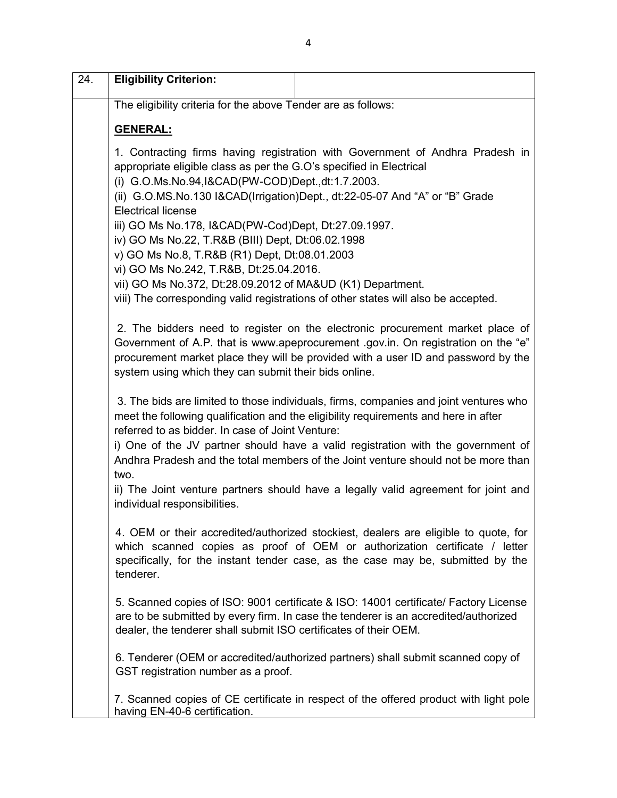| $\overline{24}$ . | <b>Eligibility Criterion:</b>                                                                         |                                                                                                                                                                                                                                                                                                                                                       |
|-------------------|-------------------------------------------------------------------------------------------------------|-------------------------------------------------------------------------------------------------------------------------------------------------------------------------------------------------------------------------------------------------------------------------------------------------------------------------------------------------------|
|                   | The eligibility criteria for the above Tender are as follows:                                         |                                                                                                                                                                                                                                                                                                                                                       |
|                   | <b>GENERAL:</b>                                                                                       |                                                                                                                                                                                                                                                                                                                                                       |
|                   | appropriate eligible class as per the G.O's specified in Electrical                                   | 1. Contracting firms having registration with Government of Andhra Pradesh in                                                                                                                                                                                                                                                                         |
|                   | (i) G.O.Ms.No.94,I&CAD(PW-COD)Dept.,dt:1.7.2003.                                                      | (ii) G.O.MS.No.130 I&CAD(Irrigation)Dept., dt:22-05-07 And "A" or "B" Grade                                                                                                                                                                                                                                                                           |
|                   | <b>Electrical license</b><br>iii) GO Ms No.178, I&CAD(PW-Cod)Dept, Dt:27.09.1997.                     |                                                                                                                                                                                                                                                                                                                                                       |
|                   | iv) GO Ms No.22, T.R&B (BIII) Dept, Dt:06.02.1998                                                     |                                                                                                                                                                                                                                                                                                                                                       |
|                   | v) GO Ms No.8, T.R&B (R1) Dept, Dt:08.01.2003                                                         |                                                                                                                                                                                                                                                                                                                                                       |
|                   | vi) GO Ms No.242, T.R&B, Dt:25.04.2016.<br>vii) GO Ms No.372, Dt:28.09.2012 of MA&UD (K1) Department. |                                                                                                                                                                                                                                                                                                                                                       |
|                   |                                                                                                       | viii) The corresponding valid registrations of other states will also be accepted.                                                                                                                                                                                                                                                                    |
|                   | system using which they can submit their bids online.                                                 | 2. The bidders need to register on the electronic procurement market place of<br>Government of A.P. that is www.apeprocurement .gov.in. On registration on the "e"<br>procurement market place they will be provided with a user ID and password by the                                                                                               |
|                   | referred to as bidder. In case of Joint Venture:                                                      | 3. The bids are limited to those individuals, firms, companies and joint ventures who<br>meet the following qualification and the eligibility requirements and here in after<br>i) One of the JV partner should have a valid registration with the government of<br>Andhra Pradesh and the total members of the Joint venture should not be more than |
|                   | two.<br>individual responsibilities.                                                                  | ii) The Joint venture partners should have a legally valid agreement for joint and                                                                                                                                                                                                                                                                    |
|                   | tenderer.                                                                                             | 4. OEM or their accredited/authorized stockiest, dealers are eligible to quote, for<br>which scanned copies as proof of OEM or authorization certificate / letter<br>specifically, for the instant tender case, as the case may be, submitted by the                                                                                                  |
|                   | dealer, the tenderer shall submit ISO certificates of their OEM.                                      | 5. Scanned copies of ISO: 9001 certificate & ISO: 14001 certificate/ Factory License<br>are to be submitted by every firm. In case the tenderer is an accredited/authorized                                                                                                                                                                           |
|                   | GST registration number as a proof.                                                                   | 6. Tenderer (OEM or accredited/authorized partners) shall submit scanned copy of                                                                                                                                                                                                                                                                      |
|                   | having EN-40-6 certification.                                                                         | 7. Scanned copies of CE certificate in respect of the offered product with light pole                                                                                                                                                                                                                                                                 |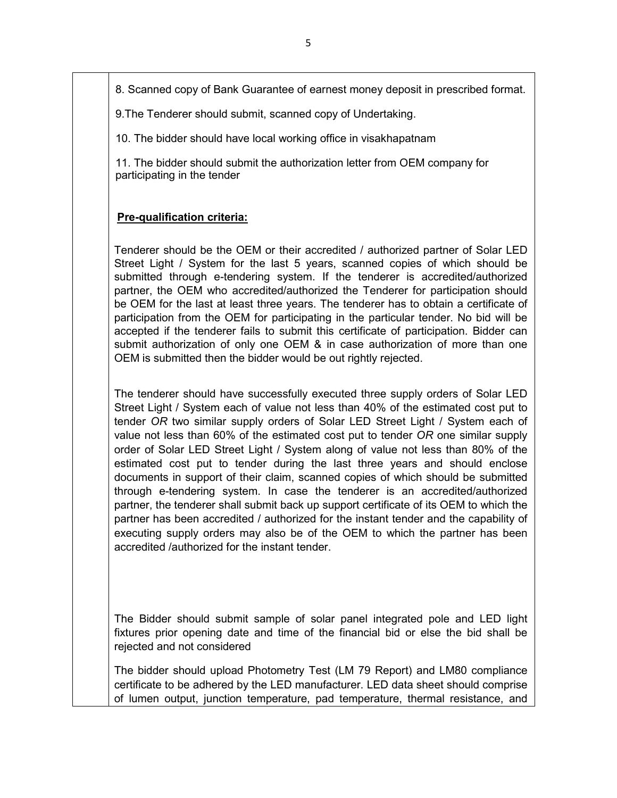8. Scanned copy of Bank Guarantee of earnest money deposit in prescribed format.

9.The Tenderer should submit, scanned copy of Undertaking.

10. The bidder should have local working office in visakhapatnam

11. The bidder should submit the authorization letter from OEM company for participating in the tender

#### **Pre-qualification criteria:**

Tenderer should be the OEM or their accredited / authorized partner of Solar LED Street Light / System for the last 5 years, scanned copies of which should be submitted through e-tendering system. If the tenderer is accredited/authorized partner, the OEM who accredited/authorized the Tenderer for participation should be OEM for the last at least three years. The tenderer has to obtain a certificate of participation from the OEM for participating in the particular tender. No bid will be accepted if the tenderer fails to submit this certificate of participation. Bidder can submit authorization of only one OEM & in case authorization of more than one OEM is submitted then the bidder would be out rightly rejected.

The tenderer should have successfully executed three supply orders of Solar LED Street Light / System each of value not less than 40% of the estimated cost put to tender *OR* two similar supply orders of Solar LED Street Light / System each of value not less than 60% of the estimated cost put to tender *OR* one similar supply order of Solar LED Street Light / System along of value not less than 80% of the estimated cost put to tender during the last three years and should enclose documents in support of their claim, scanned copies of which should be submitted through e-tendering system. In case the tenderer is an accredited/authorized partner, the tenderer shall submit back up support certificate of its OEM to which the partner has been accredited / authorized for the instant tender and the capability of executing supply orders may also be of the OEM to which the partner has been accredited /authorized for the instant tender.

The Bidder should submit sample of solar panel integrated pole and LED light fixtures prior opening date and time of the financial bid or else the bid shall be rejected and not considered

The bidder should upload Photometry Test (LM 79 Report) and LM80 compliance certificate to be adhered by the LED manufacturer. LED data sheet should comprise of lumen output, junction temperature, pad temperature, thermal resistance, and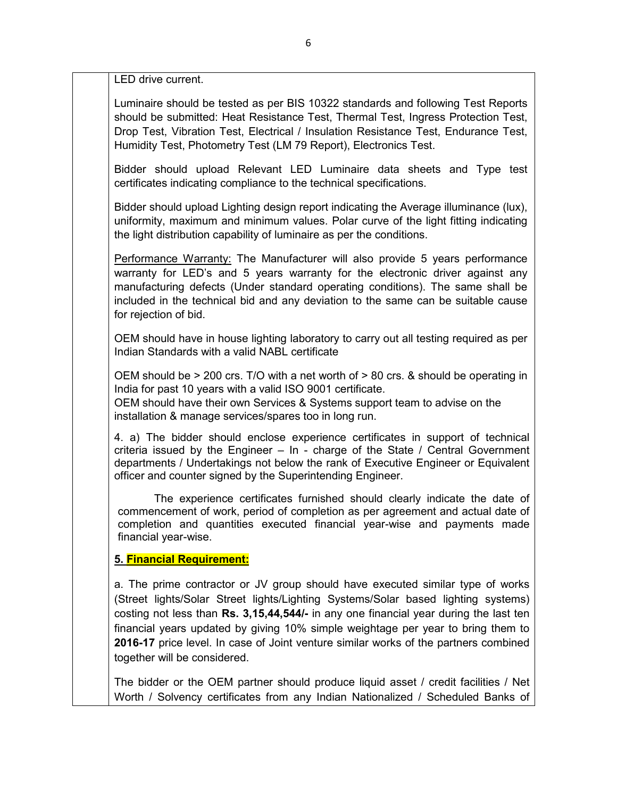LED drive current.

Luminaire should be tested as per BIS 10322 standards and following Test Reports should be submitted: Heat Resistance Test, Thermal Test, Ingress Protection Test, Drop Test, Vibration Test, Electrical / Insulation Resistance Test, Endurance Test, Humidity Test, Photometry Test (LM 79 Report), Electronics Test.

Bidder should upload Relevant LED Luminaire data sheets and Type test certificates indicating compliance to the technical specifications.

Bidder should upload Lighting design report indicating the Average illuminance (lux), uniformity, maximum and minimum values. Polar curve of the light fitting indicating the light distribution capability of luminaire as per the conditions.

Performance Warranty: The Manufacturer will also provide 5 years performance warranty for LED's and 5 years warranty for the electronic driver against any manufacturing defects (Under standard operating conditions). The same shall be included in the technical bid and any deviation to the same can be suitable cause for rejection of bid.

OEM should have in house lighting laboratory to carry out all testing required as per Indian Standards with a valid NABL certificate

OEM should be  $> 200$  crs. T/O with a net worth of  $> 80$  crs. & should be operating in India for past 10 years with a valid ISO 9001 certificate.

OEM should have their own Services & Systems support team to advise on the installation & manage services/spares too in long run.

4. a) The bidder should enclose experience certificates in support of technical criteria issued by the Engineer – In - charge of the State / Central Government departments / Undertakings not below the rank of Executive Engineer or Equivalent officer and counter signed by the Superintending Engineer.

The experience certificates furnished should clearly indicate the date of commencement of work, period of completion as per agreement and actual date of completion and quantities executed financial year-wise and payments made financial year-wise.

#### **5. Financial Requirement:**

a. The prime contractor or JV group should have executed similar type of works (Street lights/Solar Street lights/Lighting Systems/Solar based lighting systems) costing not less than **Rs. 3,15,44,544/-** in any one financial year during the last ten financial years updated by giving 10% simple weightage per year to bring them to **2016-17** price level. In case of Joint venture similar works of the partners combined together will be considered.

The bidder or the OEM partner should produce liquid asset / credit facilities / Net Worth / Solvency certificates from any Indian Nationalized / Scheduled Banks of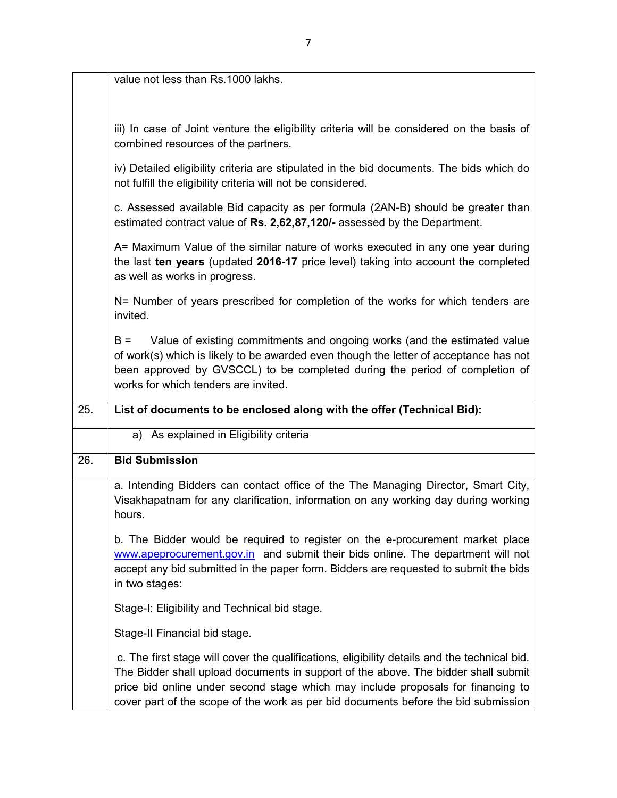|     | value not less than Rs.1000 lakhs.                                                                                                                                                                                                                                                                                                                           |
|-----|--------------------------------------------------------------------------------------------------------------------------------------------------------------------------------------------------------------------------------------------------------------------------------------------------------------------------------------------------------------|
|     | iii) In case of Joint venture the eligibility criteria will be considered on the basis of<br>combined resources of the partners.                                                                                                                                                                                                                             |
|     | iv) Detailed eligibility criteria are stipulated in the bid documents. The bids which do<br>not fulfill the eligibility criteria will not be considered.                                                                                                                                                                                                     |
|     | c. Assessed available Bid capacity as per formula (2AN-B) should be greater than<br>estimated contract value of Rs. 2,62,87,120/- assessed by the Department.                                                                                                                                                                                                |
|     | A= Maximum Value of the similar nature of works executed in any one year during<br>the last ten years (updated 2016-17 price level) taking into account the completed<br>as well as works in progress.                                                                                                                                                       |
|     | N= Number of years prescribed for completion of the works for which tenders are<br>invited.                                                                                                                                                                                                                                                                  |
|     | Value of existing commitments and ongoing works (and the estimated value<br>$B =$<br>of work(s) which is likely to be awarded even though the letter of acceptance has not<br>been approved by GVSCCL) to be completed during the period of completion of<br>works for which tenders are invited.                                                            |
| 25. | List of documents to be enclosed along with the offer (Technical Bid):                                                                                                                                                                                                                                                                                       |
|     | a) As explained in Eligibility criteria                                                                                                                                                                                                                                                                                                                      |
| 26. | <b>Bid Submission</b>                                                                                                                                                                                                                                                                                                                                        |
|     | a. Intending Bidders can contact office of the The Managing Director, Smart City,<br>Visakhapatnam for any clarification, information on any working day during working<br>hours.                                                                                                                                                                            |
|     | b. The Bidder would be required to register on the e-procurement market place<br>www.apeprocurement.gov.in and submit their bids online. The department will not<br>accept any bid submitted in the paper form. Bidders are requested to submit the bids<br>in two stages:                                                                                   |
|     | Stage-I: Eligibility and Technical bid stage.                                                                                                                                                                                                                                                                                                                |
|     | Stage-II Financial bid stage.                                                                                                                                                                                                                                                                                                                                |
|     | c. The first stage will cover the qualifications, eligibility details and the technical bid.<br>The Bidder shall upload documents in support of the above. The bidder shall submit<br>price bid online under second stage which may include proposals for financing to<br>cover part of the scope of the work as per bid documents before the bid submission |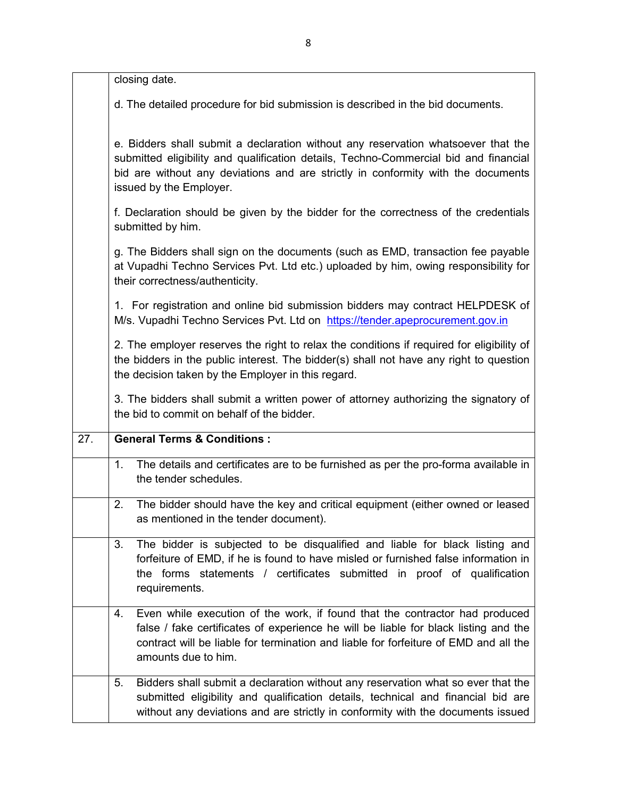|                   | closing date.                                                                                                                                                                                                                                                                            |
|-------------------|------------------------------------------------------------------------------------------------------------------------------------------------------------------------------------------------------------------------------------------------------------------------------------------|
|                   | d. The detailed procedure for bid submission is described in the bid documents.                                                                                                                                                                                                          |
|                   | e. Bidders shall submit a declaration without any reservation whatsoever that the<br>submitted eligibility and qualification details, Techno-Commercial bid and financial<br>bid are without any deviations and are strictly in conformity with the documents<br>issued by the Employer. |
|                   | f. Declaration should be given by the bidder for the correctness of the credentials<br>submitted by him.                                                                                                                                                                                 |
|                   | g. The Bidders shall sign on the documents (such as EMD, transaction fee payable<br>at Vupadhi Techno Services Pvt. Ltd etc.) uploaded by him, owing responsibility for<br>their correctness/authenticity.                                                                               |
|                   | 1. For registration and online bid submission bidders may contract HELPDESK of<br>M/s. Vupadhi Techno Services Pvt. Ltd on https://tender.apeprocurement.gov.in                                                                                                                          |
|                   | 2. The employer reserves the right to relax the conditions if required for eligibility of<br>the bidders in the public interest. The bidder(s) shall not have any right to question<br>the decision taken by the Employer in this regard.                                                |
|                   | 3. The bidders shall submit a written power of attorney authorizing the signatory of<br>the bid to commit on behalf of the bidder.                                                                                                                                                       |
| $\overline{27}$ . | <b>General Terms &amp; Conditions:</b>                                                                                                                                                                                                                                                   |
|                   | The details and certificates are to be furnished as per the pro-forma available in<br>1.<br>the tender schedules.                                                                                                                                                                        |
|                   | The bidder should have the key and critical equipment (either owned or leased<br>2.<br>as mentioned in the tender document).                                                                                                                                                             |
|                   | The bidder is subjected to be disqualified and liable for black listing and<br>3.<br>forfeiture of EMD, if he is found to have misled or furnished false information in<br>the forms statements / certificates submitted in proof of qualification<br>requirements.                      |
|                   | Even while execution of the work, if found that the contractor had produced<br>4.<br>false / fake certificates of experience he will be liable for black listing and the<br>contract will be liable for termination and liable for forfeiture of EMD and all the<br>amounts due to him.  |
|                   | Bidders shall submit a declaration without any reservation what so ever that the<br>5.<br>submitted eligibility and qualification details, technical and financial bid are<br>without any deviations and are strictly in conformity with the documents issued                            |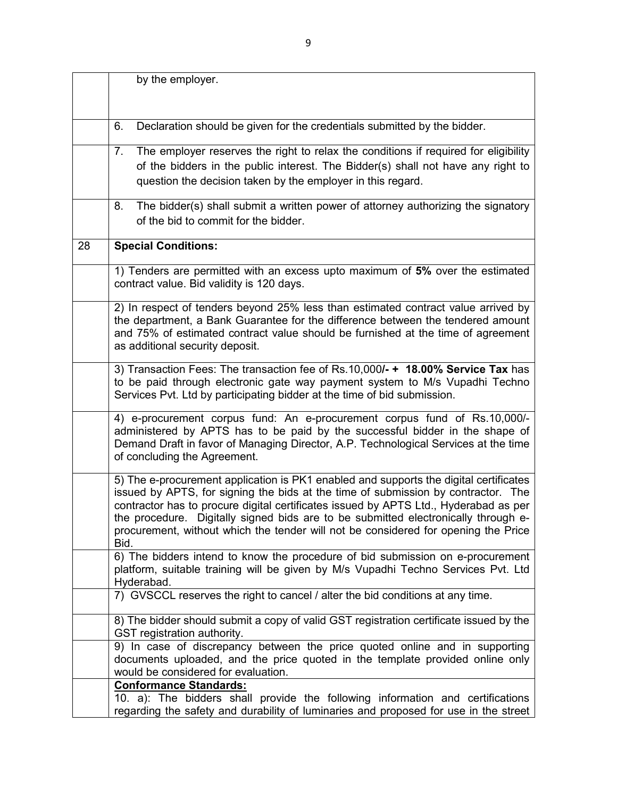|    | by the employer.                                                                                                                                                                                                                                                                                                                                                                                                                                       |
|----|--------------------------------------------------------------------------------------------------------------------------------------------------------------------------------------------------------------------------------------------------------------------------------------------------------------------------------------------------------------------------------------------------------------------------------------------------------|
|    |                                                                                                                                                                                                                                                                                                                                                                                                                                                        |
|    |                                                                                                                                                                                                                                                                                                                                                                                                                                                        |
|    | Declaration should be given for the credentials submitted by the bidder.<br>6.                                                                                                                                                                                                                                                                                                                                                                         |
|    | The employer reserves the right to relax the conditions if required for eligibility<br>7.<br>of the bidders in the public interest. The Bidder(s) shall not have any right to<br>question the decision taken by the employer in this regard.                                                                                                                                                                                                           |
|    | The bidder(s) shall submit a written power of attorney authorizing the signatory<br>8.<br>of the bid to commit for the bidder.                                                                                                                                                                                                                                                                                                                         |
| 28 | <b>Special Conditions:</b>                                                                                                                                                                                                                                                                                                                                                                                                                             |
|    | 1) Tenders are permitted with an excess upto maximum of 5% over the estimated<br>contract value. Bid validity is 120 days.                                                                                                                                                                                                                                                                                                                             |
|    | 2) In respect of tenders beyond 25% less than estimated contract value arrived by<br>the department, a Bank Guarantee for the difference between the tendered amount<br>and 75% of estimated contract value should be furnished at the time of agreement<br>as additional security deposit.                                                                                                                                                            |
|    | 3) Transaction Fees: The transaction fee of Rs.10,000/- + 18.00% Service Tax has<br>to be paid through electronic gate way payment system to M/s Vupadhi Techno<br>Services Pvt. Ltd by participating bidder at the time of bid submission.                                                                                                                                                                                                            |
|    | 4) e-procurement corpus fund: An e-procurement corpus fund of Rs.10,000/-<br>administered by APTS has to be paid by the successful bidder in the shape of<br>Demand Draft in favor of Managing Director, A.P. Technological Services at the time<br>of concluding the Agreement.                                                                                                                                                                       |
|    | 5) The e-procurement application is PK1 enabled and supports the digital certificates<br>issued by APTS, for signing the bids at the time of submission by contractor. The<br>contractor has to procure digital certificates issued by APTS Ltd., Hyderabad as per<br>the procedure. Digitally signed bids are to be submitted electronically through e-<br>procurement, without which the tender will not be considered for opening the Price<br>Bid. |
|    | 6) The bidders intend to know the procedure of bid submission on e-procurement<br>platform, suitable training will be given by M/s Vupadhi Techno Services Pvt. Ltd<br>Hyderabad.                                                                                                                                                                                                                                                                      |
|    | 7) GVSCCL reserves the right to cancel / alter the bid conditions at any time.                                                                                                                                                                                                                                                                                                                                                                         |
|    | 8) The bidder should submit a copy of valid GST registration certificate issued by the<br>GST registration authority.                                                                                                                                                                                                                                                                                                                                  |
|    | 9) In case of discrepancy between the price quoted online and in supporting<br>documents uploaded, and the price quoted in the template provided online only<br>would be considered for evaluation.                                                                                                                                                                                                                                                    |
|    | <b>Conformance Standards:</b><br>10. a): The bidders shall provide the following information and certifications<br>regarding the safety and durability of luminaries and proposed for use in the street                                                                                                                                                                                                                                                |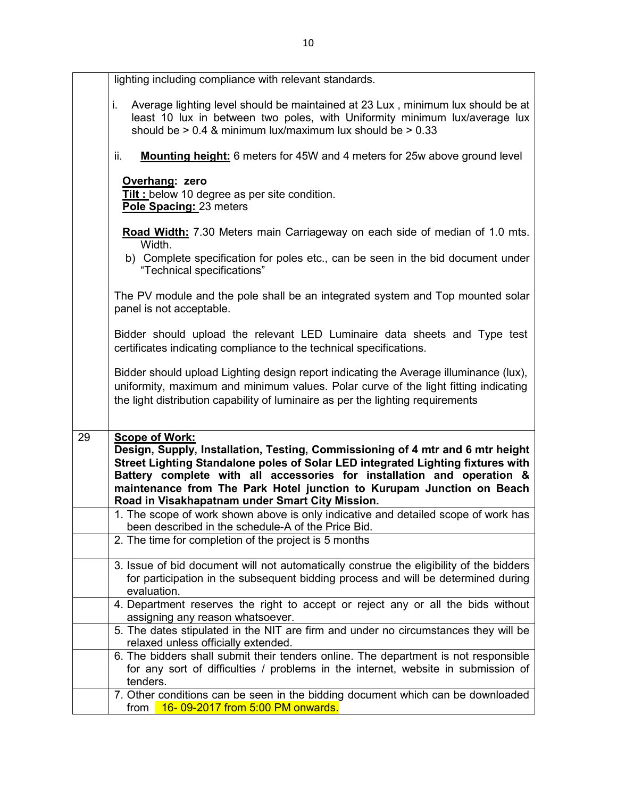|    | lighting including compliance with relevant standards.                                                                                                                                                                                                                                                                                                                                           |
|----|--------------------------------------------------------------------------------------------------------------------------------------------------------------------------------------------------------------------------------------------------------------------------------------------------------------------------------------------------------------------------------------------------|
|    | Average lighting level should be maintained at 23 Lux, minimum lux should be at<br>Ĺ.<br>least 10 lux in between two poles, with Uniformity minimum lux/average lux<br>should be $> 0.4$ & minimum lux/maximum lux should be $> 0.33$                                                                                                                                                            |
|    | ii.<br><b>Mounting height:</b> 6 meters for 45W and 4 meters for 25w above ground level                                                                                                                                                                                                                                                                                                          |
|    | Overhang: zero<br>Tilt : below 10 degree as per site condition.<br>Pole Spacing: 23 meters                                                                                                                                                                                                                                                                                                       |
|    | Road Width: 7.30 Meters main Carriageway on each side of median of 1.0 mts.                                                                                                                                                                                                                                                                                                                      |
|    | Width.<br>b) Complete specification for poles etc., can be seen in the bid document under<br>"Technical specifications"                                                                                                                                                                                                                                                                          |
|    | The PV module and the pole shall be an integrated system and Top mounted solar<br>panel is not acceptable.                                                                                                                                                                                                                                                                                       |
|    | Bidder should upload the relevant LED Luminaire data sheets and Type test<br>certificates indicating compliance to the technical specifications.                                                                                                                                                                                                                                                 |
|    | Bidder should upload Lighting design report indicating the Average illuminance (lux),<br>uniformity, maximum and minimum values. Polar curve of the light fitting indicating                                                                                                                                                                                                                     |
|    | the light distribution capability of luminaire as per the lighting requirements                                                                                                                                                                                                                                                                                                                  |
|    |                                                                                                                                                                                                                                                                                                                                                                                                  |
| 29 | <b>Scope of Work:</b><br>Design, Supply, Installation, Testing, Commissioning of 4 mtr and 6 mtr height<br>Street Lighting Standalone poles of Solar LED integrated Lighting fixtures with<br>Battery complete with all accessories for installation and operation &<br>maintenance from The Park Hotel junction to Kurupam Junction on Beach<br>Road in Visakhapatnam under Smart City Mission. |
|    | 1. The scope of work shown above is only indicative and detailed scope of work has<br>been described in the schedule-A of the Price Bid.                                                                                                                                                                                                                                                         |
|    | 2. The time for completion of the project is 5 months                                                                                                                                                                                                                                                                                                                                            |
|    | 3. Issue of bid document will not automatically construe the eligibility of the bidders<br>for participation in the subsequent bidding process and will be determined during<br>evaluation.                                                                                                                                                                                                      |
|    | 4. Department reserves the right to accept or reject any or all the bids without                                                                                                                                                                                                                                                                                                                 |
|    | assigning any reason whatsoever.<br>5. The dates stipulated in the NIT are firm and under no circumstances they will be                                                                                                                                                                                                                                                                          |
|    | relaxed unless officially extended.                                                                                                                                                                                                                                                                                                                                                              |
|    | 6. The bidders shall submit their tenders online. The department is not responsible<br>for any sort of difficulties / problems in the internet, website in submission of<br>tenders.                                                                                                                                                                                                             |
|    | 7. Other conditions can be seen in the bidding document which can be downloaded                                                                                                                                                                                                                                                                                                                  |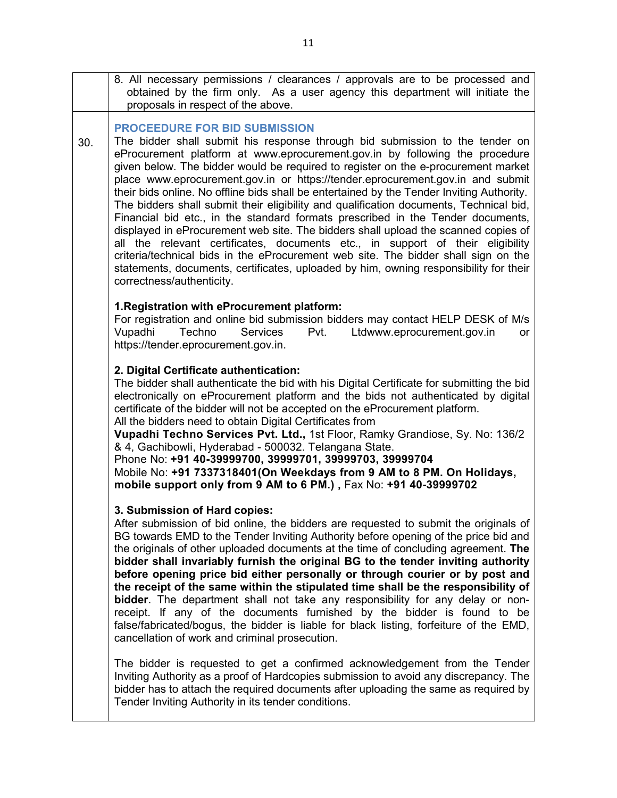|     | 8. All necessary permissions / clearances / approvals are to be processed and<br>obtained by the firm only. As a user agency this department will initiate the<br>proposals in respect of the above.                                                                                                                                                                                                                                                                                                                                                                                                                                                                                                                                                                                                                                                                                                                                                                                                                                     |
|-----|------------------------------------------------------------------------------------------------------------------------------------------------------------------------------------------------------------------------------------------------------------------------------------------------------------------------------------------------------------------------------------------------------------------------------------------------------------------------------------------------------------------------------------------------------------------------------------------------------------------------------------------------------------------------------------------------------------------------------------------------------------------------------------------------------------------------------------------------------------------------------------------------------------------------------------------------------------------------------------------------------------------------------------------|
| 30. | <b>PROCEEDURE FOR BID SUBMISSION</b><br>The bidder shall submit his response through bid submission to the tender on<br>eProcurement platform at www.eprocurement.gov.in by following the procedure<br>given below. The bidder would be required to register on the e-procurement market<br>place www.eprocurement.gov.in or https://tender.eprocurement.gov.in and submit<br>their bids online. No offline bids shall be entertained by the Tender Inviting Authority.<br>The bidders shall submit their eligibility and qualification documents, Technical bid,<br>Financial bid etc., in the standard formats prescribed in the Tender documents,<br>displayed in eProcurement web site. The bidders shall upload the scanned copies of<br>all the relevant certificates, documents etc., in support of their eligibility<br>criteria/technical bids in the eProcurement web site. The bidder shall sign on the<br>statements, documents, certificates, uploaded by him, owning responsibility for their<br>correctness/authenticity. |

#### **1.Registration with eProcurement platform:**

For registration and online bid submission bidders may contact HELP DESK of M/s Vupadhi Techno Services Pvt. Ltdwww.eprocurement.gov.in or https://tender.eprocurement.gov.in.

#### **2. Digital Certificate authentication:**

The bidder shall authenticate the bid with his Digital Certificate for submitting the bid electronically on eProcurement platform and the bids not authenticated by digital certificate of the bidder will not be accepted on the eProcurement platform. All the bidders need to obtain Digital Certificates from

**Vupadhi Techno Services Pvt. Ltd.,** 1st Floor, Ramky Grandiose, Sy. No: 136/2 & 4, Gachibowli, Hyderabad - 500032. Telangana State.

Phone No: **+91 40-39999700, 39999701, 39999703, 39999704** Mobile No: **+91 7337318401(On Weekdays from 9 AM to 8 PM. On Holidays, mobile support only from 9 AM to 6 PM.) ,** Fax No: **+91 40-39999702**

#### **3. Submission of Hard copies:**

After submission of bid online, the bidders are requested to submit the originals of BG towards EMD to the Tender Inviting Authority before opening of the price bid and the originals of other uploaded documents at the time of concluding agreement. **The bidder shall invariably furnish the original BG to the tender inviting authority before opening price bid either personally or through courier or by post and the receipt of the same within the stipulated time shall be the responsibility of bidder**. The department shall not take any responsibility for any delay or nonreceipt. If any of the documents furnished by the bidder is found to be false/fabricated/bogus, the bidder is liable for black listing, forfeiture of the EMD, cancellation of work and criminal prosecution.

The bidder is requested to get a confirmed acknowledgement from the Tender Inviting Authority as a proof of Hardcopies submission to avoid any discrepancy. The bidder has to attach the required documents after uploading the same as required by Tender Inviting Authority in its tender conditions.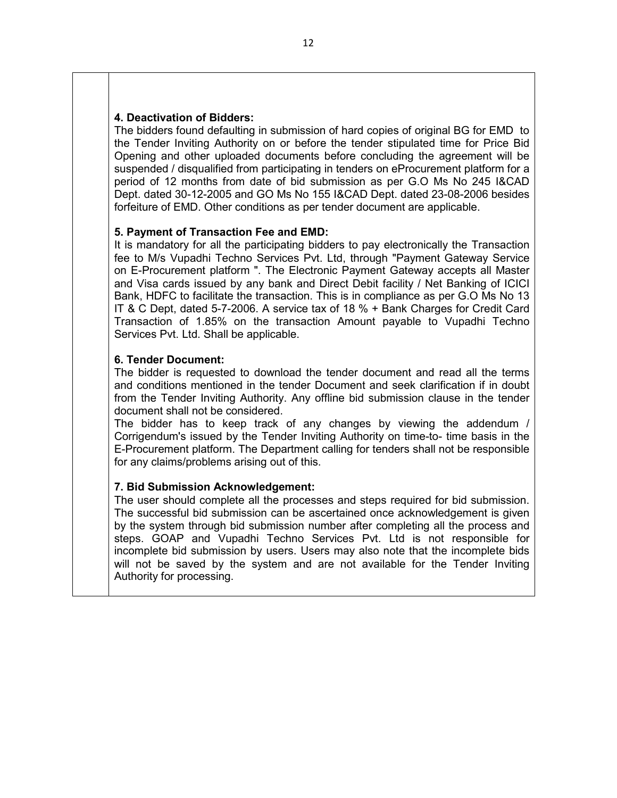#### **4. Deactivation of Bidders:**

The bidders found defaulting in submission of hard copies of original BG for EMD to the Tender Inviting Authority on or before the tender stipulated time for Price Bid Opening and other uploaded documents before concluding the agreement will be suspended / disqualified from participating in tenders on eProcurement platform for a period of 12 months from date of bid submission as per G.O Ms No 245 I&CAD Dept. dated 30-12-2005 and GO Ms No 155 I&CAD Dept. dated 23-08-2006 besides forfeiture of EMD. Other conditions as per tender document are applicable.

#### **5. Payment of Transaction Fee and EMD:**

It is mandatory for all the participating bidders to pay electronically the Transaction fee to M/s Vupadhi Techno Services Pvt. Ltd, through "Payment Gateway Service on E-Procurement platform ". The Electronic Payment Gateway accepts all Master and Visa cards issued by any bank and Direct Debit facility / Net Banking of ICICI Bank, HDFC to facilitate the transaction. This is in compliance as per G.O Ms No 13 IT & C Dept, dated 5-7-2006. A service tax of 18 % + Bank Charges for Credit Card Transaction of 1.85% on the transaction Amount payable to Vupadhi Techno Services Pvt. Ltd. Shall be applicable.

#### **6. Tender Document:**

The bidder is requested to download the tender document and read all the terms and conditions mentioned in the tender Document and seek clarification if in doubt from the Tender Inviting Authority. Any offline bid submission clause in the tender document shall not be considered.

The bidder has to keep track of any changes by viewing the addendum / Corrigendum's issued by the Tender Inviting Authority on time-to- time basis in the E-Procurement platform. The Department calling for tenders shall not be responsible for any claims/problems arising out of this.

#### **7. Bid Submission Acknowledgement:**

The user should complete all the processes and steps required for bid submission. The successful bid submission can be ascertained once acknowledgement is given by the system through bid submission number after completing all the process and steps. GOAP and Vupadhi Techno Services Pvt. Ltd is not responsible for incomplete bid submission by users. Users may also note that the incomplete bids will not be saved by the system and are not available for the Tender Inviting Authority for processing.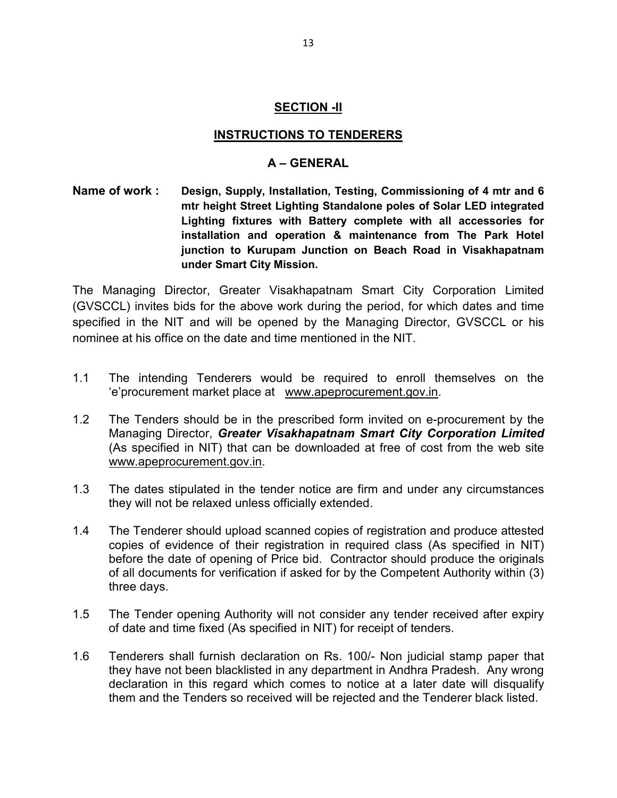#### **SECTION -II**

#### **INSTRUCTIONS TO TENDERERS**

#### **A – GENERAL**

**Name of work : Design, Supply, Installation, Testing, Commissioning of 4 mtr and 6 mtr height Street Lighting Standalone poles of Solar LED integrated Lighting fixtures with Battery complete with all accessories for installation and operation & maintenance from The Park Hotel junction to Kurupam Junction on Beach Road in Visakhapatnam under Smart City Mission.** 

The Managing Director, Greater Visakhapatnam Smart City Corporation Limited (GVSCCL) invites bids for the above work during the period, for which dates and time specified in the NIT and will be opened by the Managing Director, GVSCCL or his nominee at his office on the date and time mentioned in the NIT.

- 1.1 The intending Tenderers would be required to enroll themselves on the 'e'procurement market place at www.apeprocurement.gov.in.
- 1.2 The Tenders should be in the prescribed form invited on e-procurement by the Managing Director, *Greater Visakhapatnam Smart City Corporation Limited*  (As specified in NIT) that can be downloaded at free of cost from the web site www.apeprocurement.gov.in.
- 1.3 The dates stipulated in the tender notice are firm and under any circumstances they will not be relaxed unless officially extended.
- 1.4 The Tenderer should upload scanned copies of registration and produce attested copies of evidence of their registration in required class (As specified in NIT) before the date of opening of Price bid. Contractor should produce the originals of all documents for verification if asked for by the Competent Authority within (3) three days.
- 1.5 The Tender opening Authority will not consider any tender received after expiry of date and time fixed (As specified in NIT) for receipt of tenders.
- 1.6 Tenderers shall furnish declaration on Rs. 100/- Non judicial stamp paper that they have not been blacklisted in any department in Andhra Pradesh. Any wrong declaration in this regard which comes to notice at a later date will disqualify them and the Tenders so received will be rejected and the Tenderer black listed.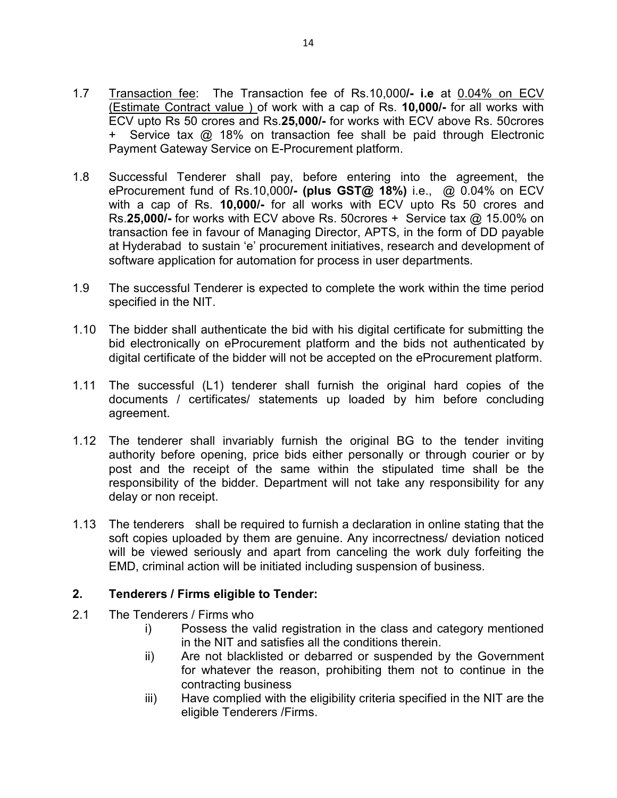- 1.7 Transaction fee: The Transaction fee of Rs.10,000**/- i.e** at 0.04% on ECV (Estimate Contract value ) of work with a cap of Rs. **10,000/-** for all works with ECV upto Rs 50 crores and Rs.**25,000/-** for works with ECV above Rs. 50crores + Service tax @ 18% on transaction fee shall be paid through Electronic Payment Gateway Service on E-Procurement platform.
- 1.8 Successful Tenderer shall pay, before entering into the agreement, the eProcurement fund of Rs.10,000**/- (plus GST@ 18%)** i.e., @ 0.04% on ECV with a cap of Rs. **10,000/-** for all works with ECV upto Rs 50 crores and Rs.**25,000/-** for works with ECV above Rs. 50crores + Service tax @ 15.00% on transaction fee in favour of Managing Director, APTS, in the form of DD payable at Hyderabad to sustain 'e' procurement initiatives, research and development of software application for automation for process in user departments.
- 1.9 The successful Tenderer is expected to complete the work within the time period specified in the NIT.
- 1.10 The bidder shall authenticate the bid with his digital certificate for submitting the bid electronically on eProcurement platform and the bids not authenticated by digital certificate of the bidder will not be accepted on the eProcurement platform.
- 1.11 The successful (L1) tenderer shall furnish the original hard copies of the documents / certificates/ statements up loaded by him before concluding agreement.
- 1.12 The tenderer shall invariably furnish the original BG to the tender inviting authority before opening, price bids either personally or through courier or by post and the receipt of the same within the stipulated time shall be the responsibility of the bidder. Department will not take any responsibility for any delay or non receipt.
- 1.13 The tenderers shall be required to furnish a declaration in online stating that the soft copies uploaded by them are genuine. Any incorrectness/ deviation noticed will be viewed seriously and apart from canceling the work duly forfeiting the EMD, criminal action will be initiated including suspension of business.

### **2. Tenderers / Firms eligible to Tender:**

- 2.1 The Tenderers / Firms who
	- i) Possess the valid registration in the class and category mentioned in the NIT and satisfies all the conditions therein.
	- ii) Are not blacklisted or debarred or suspended by the Government for whatever the reason, prohibiting them not to continue in the contracting business
	- iii) Have complied with the eligibility criteria specified in the NIT are the eligible Tenderers /Firms.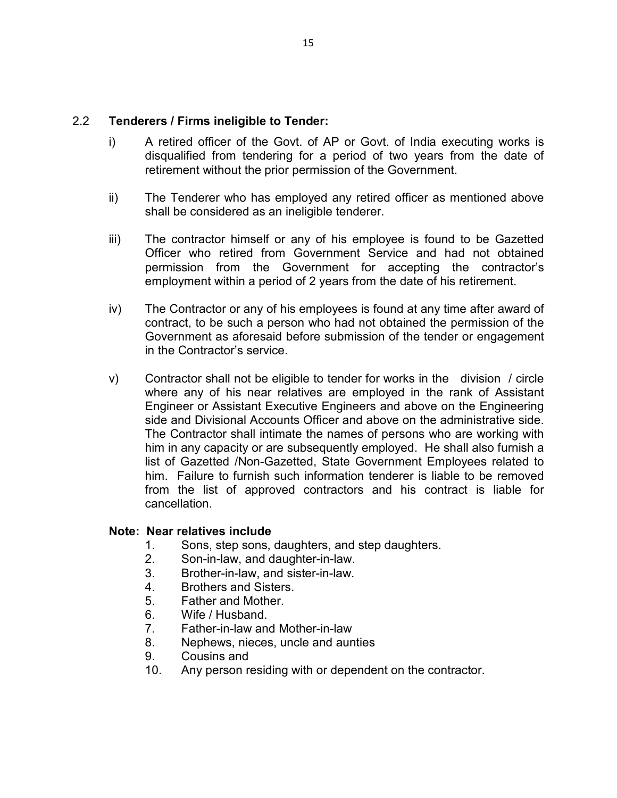#### 2.2 **Tenderers / Firms ineligible to Tender:**

- i) A retired officer of the Govt. of AP or Govt. of India executing works is disqualified from tendering for a period of two years from the date of retirement without the prior permission of the Government.
- ii) The Tenderer who has employed any retired officer as mentioned above shall be considered as an ineligible tenderer.
- iii) The contractor himself or any of his employee is found to be Gazetted Officer who retired from Government Service and had not obtained permission from the Government for accepting the contractor's employment within a period of 2 years from the date of his retirement.
- iv) The Contractor or any of his employees is found at any time after award of contract, to be such a person who had not obtained the permission of the Government as aforesaid before submission of the tender or engagement in the Contractor's service.
- v) Contractor shall not be eligible to tender for works in the division / circle where any of his near relatives are employed in the rank of Assistant Engineer or Assistant Executive Engineers and above on the Engineering side and Divisional Accounts Officer and above on the administrative side. The Contractor shall intimate the names of persons who are working with him in any capacity or are subsequently employed. He shall also furnish a list of Gazetted /Non-Gazetted, State Government Employees related to him. Failure to furnish such information tenderer is liable to be removed from the list of approved contractors and his contract is liable for cancellation.

#### **Note: Near relatives include**

- 1. Sons, step sons, daughters, and step daughters.
- 2. Son-in-law, and daughter-in-law.
- 3. Brother-in-law, and sister-in-law.
- 4. Brothers and Sisters.
- 5. Father and Mother.
- 6. Wife / Husband.
- 7. Father-in-law and Mother-in-law
- 8. Nephews, nieces, uncle and aunties
- 9. Cousins and
- 10. Any person residing with or dependent on the contractor.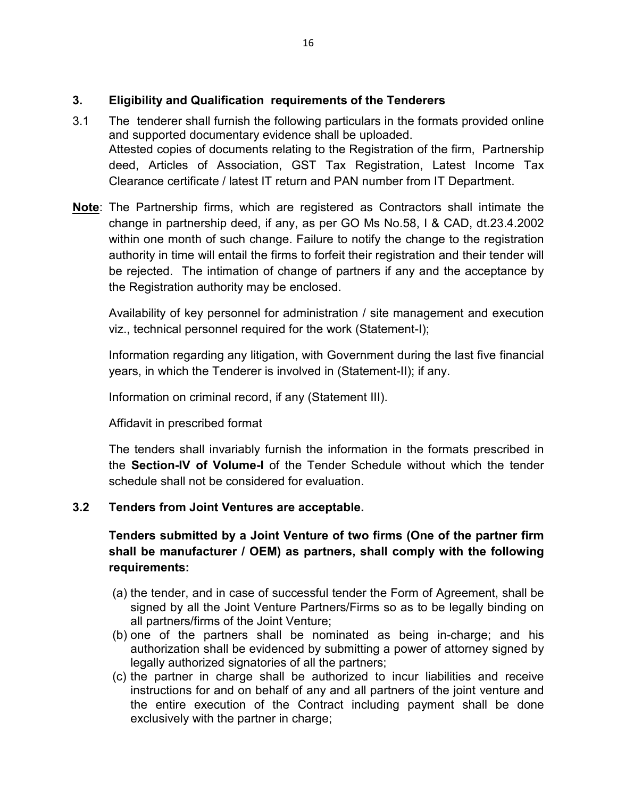### **3. Eligibility and Qualification requirements of the Tenderers**

- 3.1 The tenderer shall furnish the following particulars in the formats provided online and supported documentary evidence shall be uploaded. Attested copies of documents relating to the Registration of the firm, Partnership deed, Articles of Association, GST Tax Registration, Latest Income Tax Clearance certificate / latest IT return and PAN number from IT Department.
- **Note**: The Partnership firms, which are registered as Contractors shall intimate the change in partnership deed, if any, as per GO Ms No.58, I & CAD, dt.23.4.2002 within one month of such change. Failure to notify the change to the registration authority in time will entail the firms to forfeit their registration and their tender will be rejected. The intimation of change of partners if any and the acceptance by the Registration authority may be enclosed.

Availability of key personnel for administration / site management and execution viz., technical personnel required for the work (Statement-I);

Information regarding any litigation, with Government during the last five financial years, in which the Tenderer is involved in (Statement-II); if any.

Information on criminal record, if any (Statement III).

Affidavit in prescribed format

The tenders shall invariably furnish the information in the formats prescribed in the **Section-IV of Volume-I** of the Tender Schedule without which the tender schedule shall not be considered for evaluation.

### **3.2 Tenders from Joint Ventures are acceptable.**

# **Tenders submitted by a Joint Venture of two firms (One of the partner firm shall be manufacturer / OEM) as partners, shall comply with the following requirements:**

- (a) the tender, and in case of successful tender the Form of Agreement, shall be signed by all the Joint Venture Partners/Firms so as to be legally binding on all partners/firms of the Joint Venture;
- (b) one of the partners shall be nominated as being in-charge; and his authorization shall be evidenced by submitting a power of attorney signed by legally authorized signatories of all the partners;
- (c) the partner in charge shall be authorized to incur liabilities and receive instructions for and on behalf of any and all partners of the joint venture and the entire execution of the Contract including payment shall be done exclusively with the partner in charge;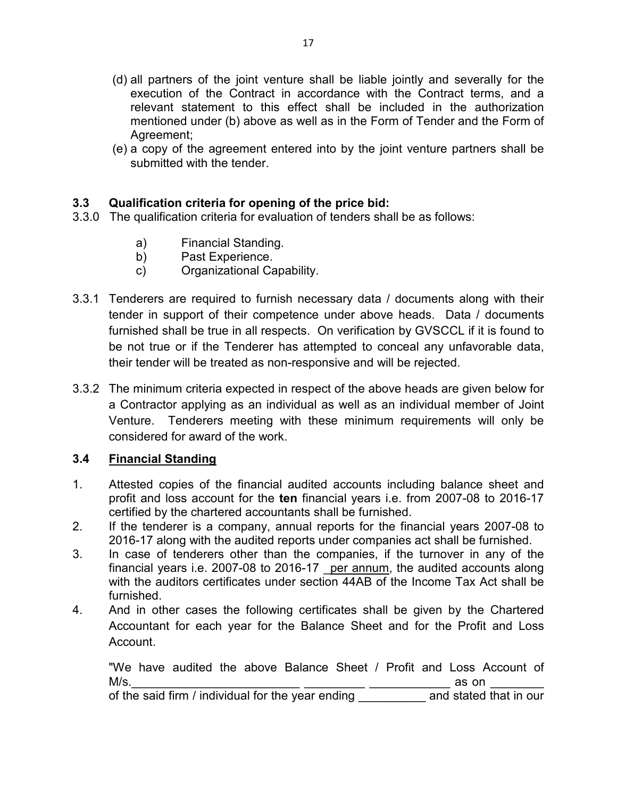- (d) all partners of the joint venture shall be liable jointly and severally for the execution of the Contract in accordance with the Contract terms, and a relevant statement to this effect shall be included in the authorization mentioned under (b) above as well as in the Form of Tender and the Form of Agreement;
- (e) a copy of the agreement entered into by the joint venture partners shall be submitted with the tender.

# **3.3 Qualification criteria for opening of the price bid:**

- 3.3.0 The qualification criteria for evaluation of tenders shall be as follows:
	- a) Financial Standing.
	- b) Past Experience.
	- c) Organizational Capability.
- 3.3.1 Tenderers are required to furnish necessary data / documents along with their tender in support of their competence under above heads. Data / documents furnished shall be true in all respects. On verification by GVSCCL if it is found to be not true or if the Tenderer has attempted to conceal any unfavorable data, their tender will be treated as non-responsive and will be rejected.
- 3.3.2 The minimum criteria expected in respect of the above heads are given below for a Contractor applying as an individual as well as an individual member of Joint Venture. Tenderers meeting with these minimum requirements will only be considered for award of the work.

### **3.4 Financial Standing**

- 1. Attested copies of the financial audited accounts including balance sheet and profit and loss account for the **ten** financial years i.e. from 2007-08 to 2016-17 certified by the chartered accountants shall be furnished.
- 2. If the tenderer is a company, annual reports for the financial years 2007-08 to 2016-17 along with the audited reports under companies act shall be furnished.
- 3. In case of tenderers other than the companies, if the turnover in any of the financial years i.e. 2007-08 to 2016-17  $per annum$ , the audited accounts along with the auditors certificates under section 44AB of the Income Tax Act shall be furnished.
- 4. And in other cases the following certificates shall be given by the Chartered Accountant for each year for the Balance Sheet and for the Profit and Loss Account.

"We have audited the above Balance Sheet / Profit and Loss Account of M/s.\_\_\_\_\_\_\_\_\_\_\_\_\_\_\_\_\_\_\_\_\_\_\_\_\_ \_\_\_\_\_\_\_\_\_ \_\_\_\_\_\_\_\_\_\_\_\_ as on \_\_\_\_\_\_\_\_

of the said firm / individual for the year ending \_\_\_\_\_\_\_\_\_\_\_ and stated that in our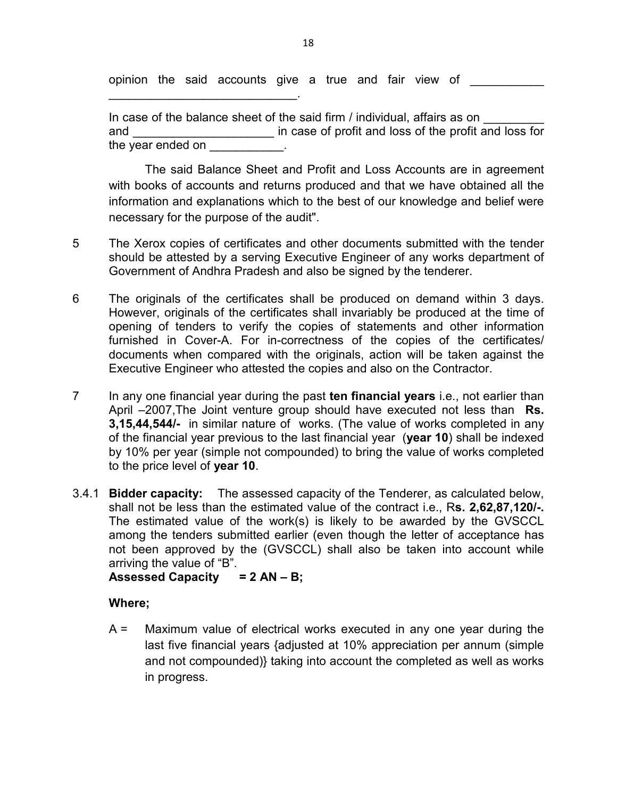opinion the said accounts give a true and fair view of

 $\mathcal{L}=\{1,2,3,4,5\}$ 

In case of the balance sheet of the said firm / individual, affairs as on and **and and and in case of profit and loss of the profit and loss for** the year ended on

The said Balance Sheet and Profit and Loss Accounts are in agreement with books of accounts and returns produced and that we have obtained all the information and explanations which to the best of our knowledge and belief were necessary for the purpose of the audit".

- 5 The Xerox copies of certificates and other documents submitted with the tender should be attested by a serving Executive Engineer of any works department of Government of Andhra Pradesh and also be signed by the tenderer.
- 6 The originals of the certificates shall be produced on demand within 3 days. However, originals of the certificates shall invariably be produced at the time of opening of tenders to verify the copies of statements and other information furnished in Cover-A. For in-correctness of the copies of the certificates/ documents when compared with the originals, action will be taken against the Executive Engineer who attested the copies and also on the Contractor.
- 7 In any one financial year during the past **ten financial years** i.e., not earlier than April –2007,The Joint venture group should have executed not less than **Rs. 3,15,44,544/-** in similar nature of works. (The value of works completed in any of the financial year previous to the last financial year (**year 10**) shall be indexed by 10% per year (simple not compounded) to bring the value of works completed to the price level of **year 10**.
- 3.4.1 **Bidder capacity:** The assessed capacity of the Tenderer, as calculated below, shall not be less than the estimated value of the contract i.e., R**s. 2,62,87,120/-.**  The estimated value of the work(s) is likely to be awarded by the GVSCCL among the tenders submitted earlier (even though the letter of acceptance has not been approved by the (GVSCCL) shall also be taken into account while arriving the value of "B".

**Assessed Capacity = 2 AN – B;** 

### **Where;**

A = Maximum value of electrical works executed in any one year during the last five financial years {adjusted at 10% appreciation per annum (simple and not compounded)} taking into account the completed as well as works in progress.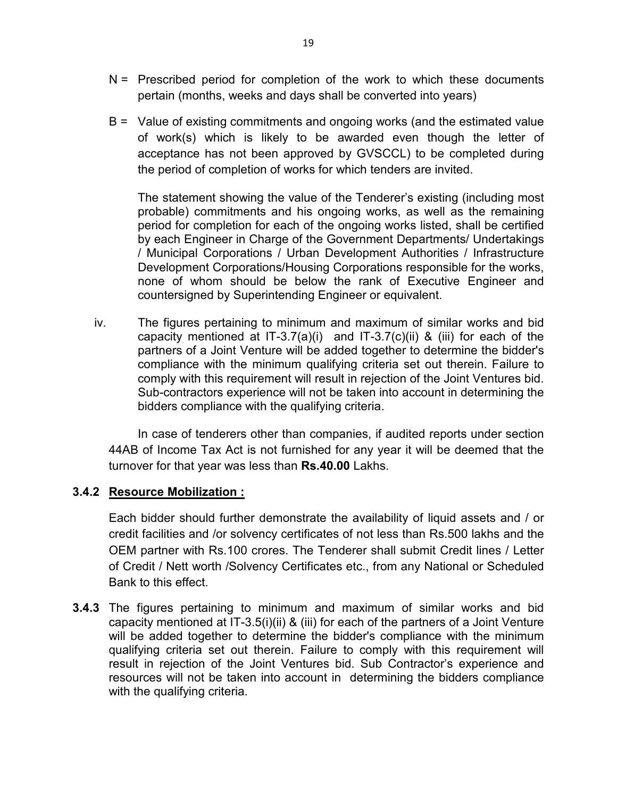- $N =$  Prescribed period for completion of the work to which these documents pertain (months, weeks and days shall be converted into years)
- B = Value of existing commitments and ongoing works (and the estimated value of work(s) which is likely to be awarded even though the letter of acceptance has not been approved by GVSCCL) to be completed during the period of completion of works for which tenders are invited.

The statement showing the value of the Tenderer's existing (including most probable) commitments and his ongoing works, as well as the remaining period for completion for each of the ongoing works listed, shall be certified by each Engineer in Charge of the Government Departments/ Undertakings / Municipal Corporations / Urban Development Authorities / Infrastructure Development Corporations/Housing Corporations responsible for the works, none of whom should be below the rank of Executive Engineer and countersigned by Superintending Engineer or equivalent.

iv. The figures pertaining to minimum and maximum of similar works and bid capacity mentioned at  $IT-3.7(a)(i)$  and  $IT-3.7(c)(ii)$  & (iii) for each of the partners of a Joint Venture will be added together to determine the bidder's compliance with the minimum qualifying criteria set out therein. Failure to comply with this requirement will result in rejection of the Joint Ventures bid. Sub-contractors experience will not be taken into account in determining the bidders compliance with the qualifying criteria.

In case of tenderers other than companies, if audited reports under section 44AB of Income Tax Act is not furnished for any year it will be deemed that the turnover for that year was less than **Rs.40.00** Lakhs.

### **3.4.2 Resource Mobilization :**

Each bidder should further demonstrate the availability of liquid assets and / or credit facilities and /or solvency certificates of not less than Rs.500 lakhs and the OEM partner with Rs.100 crores. The Tenderer shall submit Credit lines / Letter of Credit / Nett worth /Solvency Certificates etc., from any National or Scheduled Bank to this effect.

**3.4.3** The figures pertaining to minimum and maximum of similar works and bid capacity mentioned at IT-3.5(i)(ii) & (iii) for each of the partners of a Joint Venture will be added together to determine the bidder's compliance with the minimum qualifying criteria set out therein. Failure to comply with this requirement will result in rejection of the Joint Ventures bid. Sub Contractor's experience and resources will not be taken into account in determining the bidders compliance with the qualifying criteria.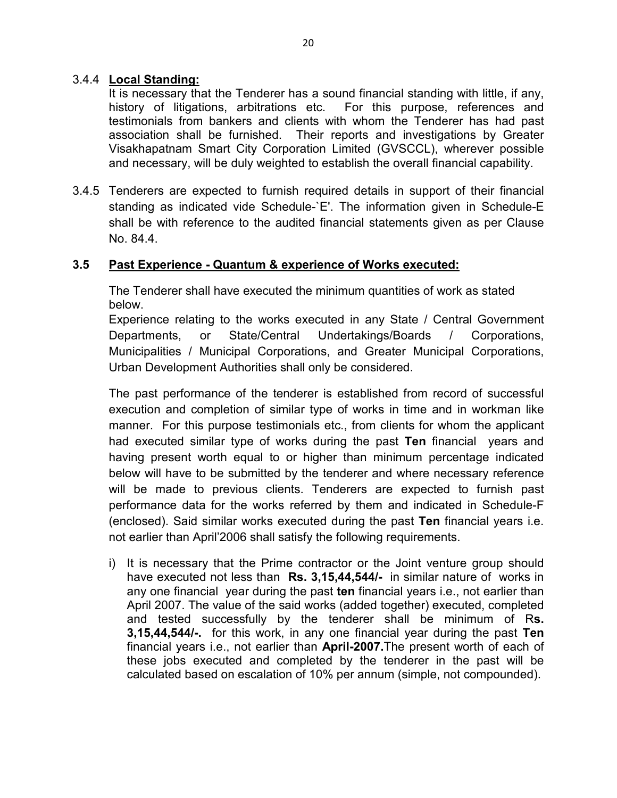#### 3.4.4 **Local Standing:**

It is necessary that the Tenderer has a sound financial standing with little, if any, history of litigations, arbitrations etc. For this purpose, references and testimonials from bankers and clients with whom the Tenderer has had past association shall be furnished. Their reports and investigations by Greater Visakhapatnam Smart City Corporation Limited (GVSCCL), wherever possible and necessary, will be duly weighted to establish the overall financial capability.

3.4.5 Tenderers are expected to furnish required details in support of their financial standing as indicated vide Schedule-`E'. The information given in Schedule-E shall be with reference to the audited financial statements given as per Clause No. 84.4.

#### **3.5 Past Experience - Quantum & experience of Works executed:**

The Tenderer shall have executed the minimum quantities of work as stated below.

Experience relating to the works executed in any State / Central Government Departments, or State/Central Undertakings/Boards / Corporations, Municipalities / Municipal Corporations, and Greater Municipal Corporations, Urban Development Authorities shall only be considered.

The past performance of the tenderer is established from record of successful execution and completion of similar type of works in time and in workman like manner. For this purpose testimonials etc., from clients for whom the applicant had executed similar type of works during the past **Ten** financial years and having present worth equal to or higher than minimum percentage indicated below will have to be submitted by the tenderer and where necessary reference will be made to previous clients. Tenderers are expected to furnish past performance data for the works referred by them and indicated in Schedule-F (enclosed). Said similar works executed during the past **Ten** financial years i.e. not earlier than April'2006 shall satisfy the following requirements.

i) It is necessary that the Prime contractor or the Joint venture group should have executed not less than **Rs. 3,15,44,544/-** in similar nature of works in any one financial year during the past **ten** financial years i.e., not earlier than April 2007. The value of the said works (added together) executed, completed and tested successfully by the tenderer shall be minimum of R**s. 3,15,44,544/-.** for this work, in any one financial year during the past **Ten** financial years i.e., not earlier than **April-2007.**The present worth of each of these jobs executed and completed by the tenderer in the past will be calculated based on escalation of 10% per annum (simple, not compounded).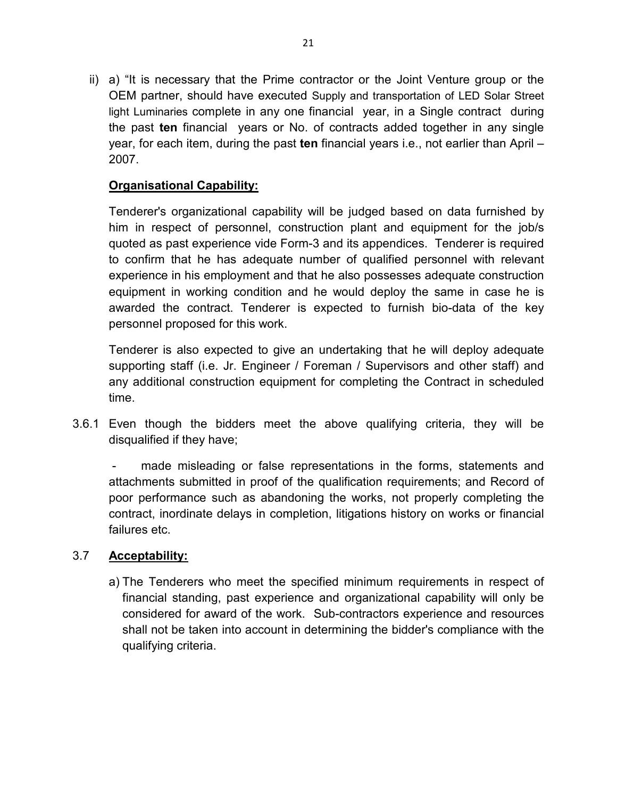ii) a) "It is necessary that the Prime contractor or the Joint Venture group or the OEM partner, should have executed Supply and transportation of LED Solar Street light Luminaries complete in any one financial year, in a Single contract during the past **ten** financial years or No. of contracts added together in any single year, for each item, during the past **ten** financial years i.e., not earlier than April – 2007.

# **Organisational Capability:**

Tenderer's organizational capability will be judged based on data furnished by him in respect of personnel, construction plant and equipment for the job/s quoted as past experience vide Form-3 and its appendices. Tenderer is required to confirm that he has adequate number of qualified personnel with relevant experience in his employment and that he also possesses adequate construction equipment in working condition and he would deploy the same in case he is awarded the contract. Tenderer is expected to furnish bio-data of the key personnel proposed for this work.

Tenderer is also expected to give an undertaking that he will deploy adequate supporting staff (i.e. Jr. Engineer / Foreman / Supervisors and other staff) and any additional construction equipment for completing the Contract in scheduled time.

3.6.1 Even though the bidders meet the above qualifying criteria, they will be disqualified if they have;

made misleading or false representations in the forms, statements and attachments submitted in proof of the qualification requirements; and Record of poor performance such as abandoning the works, not properly completing the contract, inordinate delays in completion, litigations history on works or financial failures etc.

### 3.7 **Acceptability:**

a) The Tenderers who meet the specified minimum requirements in respect of financial standing, past experience and organizational capability will only be considered for award of the work. Sub-contractors experience and resources shall not be taken into account in determining the bidder's compliance with the qualifying criteria.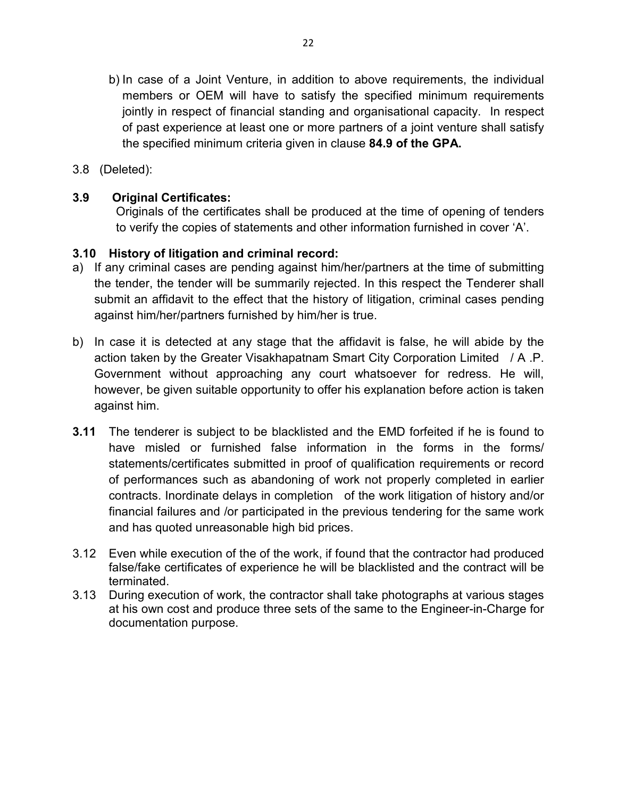- b) In case of a Joint Venture, in addition to above requirements, the individual members or OEM will have to satisfy the specified minimum requirements jointly in respect of financial standing and organisational capacity. In respect of past experience at least one or more partners of a joint venture shall satisfy the specified minimum criteria given in clause **84.9 of the GPA.**
- 3.8 (Deleted):

### **3.9 Original Certificates:**

Originals of the certificates shall be produced at the time of opening of tenders to verify the copies of statements and other information furnished in cover 'A'.

#### **3.10 History of litigation and criminal record:**

- a) If any criminal cases are pending against him/her/partners at the time of submitting the tender, the tender will be summarily rejected. In this respect the Tenderer shall submit an affidavit to the effect that the history of litigation, criminal cases pending against him/her/partners furnished by him/her is true.
- b) In case it is detected at any stage that the affidavit is false, he will abide by the action taken by the Greater Visakhapatnam Smart City Corporation Limited / A .P. Government without approaching any court whatsoever for redress. He will, however, be given suitable opportunity to offer his explanation before action is taken against him.
- **3.11** The tenderer is subject to be blacklisted and the EMD forfeited if he is found to have misled or furnished false information in the forms in the forms/ statements/certificates submitted in proof of qualification requirements or record of performances such as abandoning of work not properly completed in earlier contracts. Inordinate delays in completion of the work litigation of history and/or financial failures and /or participated in the previous tendering for the same work and has quoted unreasonable high bid prices.
- 3.12 Even while execution of the of the work, if found that the contractor had produced false/fake certificates of experience he will be blacklisted and the contract will be terminated.
- 3.13 During execution of work, the contractor shall take photographs at various stages at his own cost and produce three sets of the same to the Engineer-in-Charge for documentation purpose.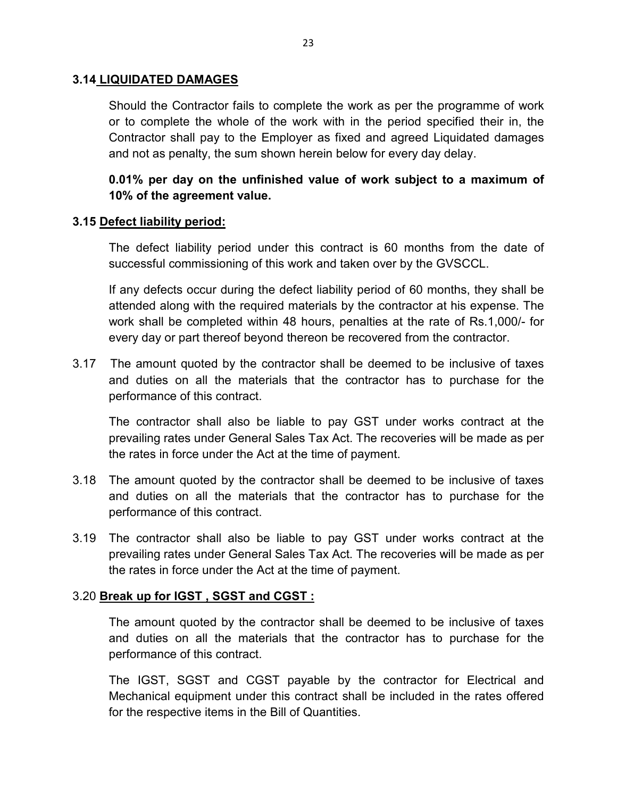#### **3.14 LIQUIDATED DAMAGES**

Should the Contractor fails to complete the work as per the programme of work or to complete the whole of the work with in the period specified their in, the Contractor shall pay to the Employer as fixed and agreed Liquidated damages and not as penalty, the sum shown herein below for every day delay.

**0.01% per day on the unfinished value of work subject to a maximum of 10% of the agreement value.** 

#### **3.15 Defect liability period:**

The defect liability period under this contract is 60 months from the date of successful commissioning of this work and taken over by the GVSCCL.

If any defects occur during the defect liability period of 60 months, they shall be attended along with the required materials by the contractor at his expense. The work shall be completed within 48 hours, penalties at the rate of Rs.1,000/- for every day or part thereof beyond thereon be recovered from the contractor.

3.17 The amount quoted by the contractor shall be deemed to be inclusive of taxes and duties on all the materials that the contractor has to purchase for the performance of this contract.

The contractor shall also be liable to pay GST under works contract at the prevailing rates under General Sales Tax Act. The recoveries will be made as per the rates in force under the Act at the time of payment.

- 3.18 The amount quoted by the contractor shall be deemed to be inclusive of taxes and duties on all the materials that the contractor has to purchase for the performance of this contract.
- 3.19 The contractor shall also be liable to pay GST under works contract at the prevailing rates under General Sales Tax Act. The recoveries will be made as per the rates in force under the Act at the time of payment.

#### 3.20 **Break up for IGST , SGST and CGST :**

The amount quoted by the contractor shall be deemed to be inclusive of taxes and duties on all the materials that the contractor has to purchase for the performance of this contract.

The IGST, SGST and CGST payable by the contractor for Electrical and Mechanical equipment under this contract shall be included in the rates offered for the respective items in the Bill of Quantities.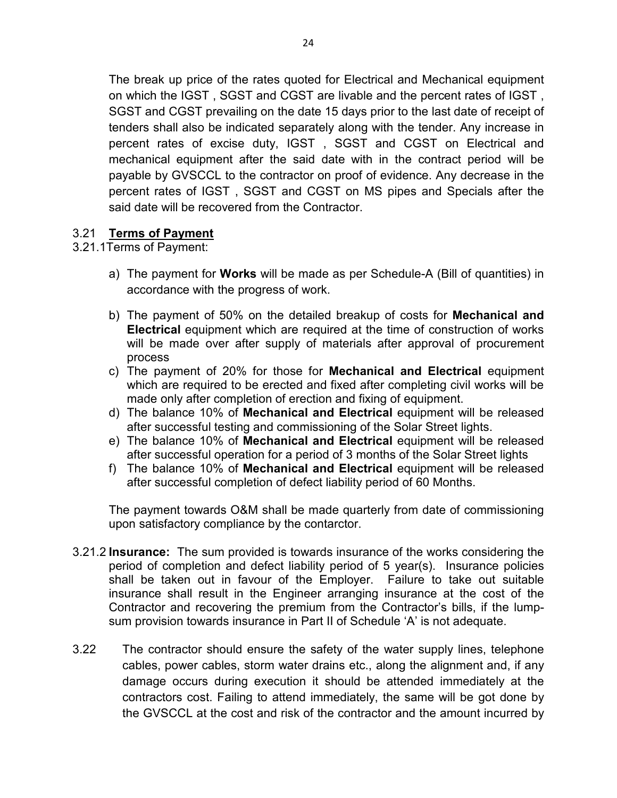The break up price of the rates quoted for Electrical and Mechanical equipment on which the IGST , SGST and CGST are livable and the percent rates of IGST , SGST and CGST prevailing on the date 15 days prior to the last date of receipt of tenders shall also be indicated separately along with the tender. Any increase in percent rates of excise duty, IGST , SGST and CGST on Electrical and mechanical equipment after the said date with in the contract period will be payable by GVSCCL to the contractor on proof of evidence. Any decrease in the percent rates of IGST , SGST and CGST on MS pipes and Specials after the said date will be recovered from the Contractor.

#### 3.21 **Terms of Payment**

3.21.1Terms of Payment:

- a) The payment for **Works** will be made as per Schedule-A (Bill of quantities) in accordance with the progress of work.
- b) The payment of 50% on the detailed breakup of costs for **Mechanical and Electrical** equipment which are required at the time of construction of works will be made over after supply of materials after approval of procurement process
- c) The payment of 20% for those for **Mechanical and Electrical** equipment which are required to be erected and fixed after completing civil works will be made only after completion of erection and fixing of equipment.
- d) The balance 10% of **Mechanical and Electrical** equipment will be released after successful testing and commissioning of the Solar Street lights.
- e) The balance 10% of **Mechanical and Electrical** equipment will be released after successful operation for a period of 3 months of the Solar Street lights
- f) The balance 10% of **Mechanical and Electrical** equipment will be released after successful completion of defect liability period of 60 Months.

The payment towards O&M shall be made quarterly from date of commissioning upon satisfactory compliance by the contarctor.

- 3.21.2 **Insurance:** The sum provided is towards insurance of the works considering the period of completion and defect liability period of 5 year(s). Insurance policies shall be taken out in favour of the Employer. Failure to take out suitable insurance shall result in the Engineer arranging insurance at the cost of the Contractor and recovering the premium from the Contractor's bills, if the lumpsum provision towards insurance in Part II of Schedule 'A' is not adequate.
- 3.22 The contractor should ensure the safety of the water supply lines, telephone cables, power cables, storm water drains etc., along the alignment and, if any damage occurs during execution it should be attended immediately at the contractors cost. Failing to attend immediately, the same will be got done by the GVSCCL at the cost and risk of the contractor and the amount incurred by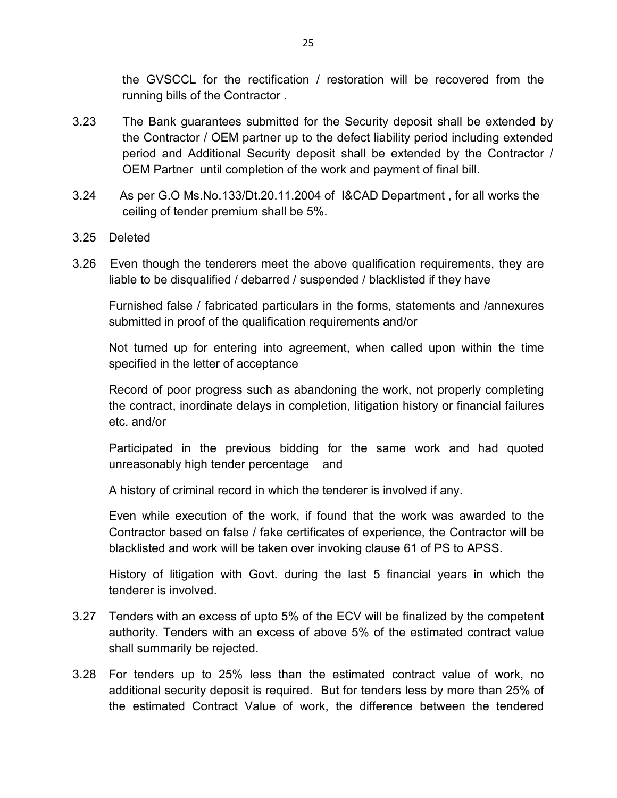the GVSCCL for the rectification / restoration will be recovered from the running bills of the Contractor .

- 3.23 The Bank guarantees submitted for the Security deposit shall be extended by the Contractor / OEM partner up to the defect liability period including extended period and Additional Security deposit shall be extended by the Contractor / OEM Partner until completion of the work and payment of final bill.
- 3.24 As per G.O Ms.No.133/Dt.20.11.2004 of I&CAD Department , for all works the ceiling of tender premium shall be 5%.
- 3.25 Deleted
- 3.26 Even though the tenderers meet the above qualification requirements, they are liable to be disqualified / debarred / suspended / blacklisted if they have

Furnished false / fabricated particulars in the forms, statements and /annexures submitted in proof of the qualification requirements and/or

Not turned up for entering into agreement, when called upon within the time specified in the letter of acceptance

Record of poor progress such as abandoning the work, not properly completing the contract, inordinate delays in completion, litigation history or financial failures etc. and/or

Participated in the previous bidding for the same work and had quoted unreasonably high tender percentage and

A history of criminal record in which the tenderer is involved if any.

Even while execution of the work, if found that the work was awarded to the Contractor based on false / fake certificates of experience, the Contractor will be blacklisted and work will be taken over invoking clause 61 of PS to APSS.

History of litigation with Govt. during the last 5 financial years in which the tenderer is involved.

- 3.27 Tenders with an excess of upto 5% of the ECV will be finalized by the competent authority. Tenders with an excess of above 5% of the estimated contract value shall summarily be rejected.
- 3.28 For tenders up to 25% less than the estimated contract value of work, no additional security deposit is required. But for tenders less by more than 25% of the estimated Contract Value of work, the difference between the tendered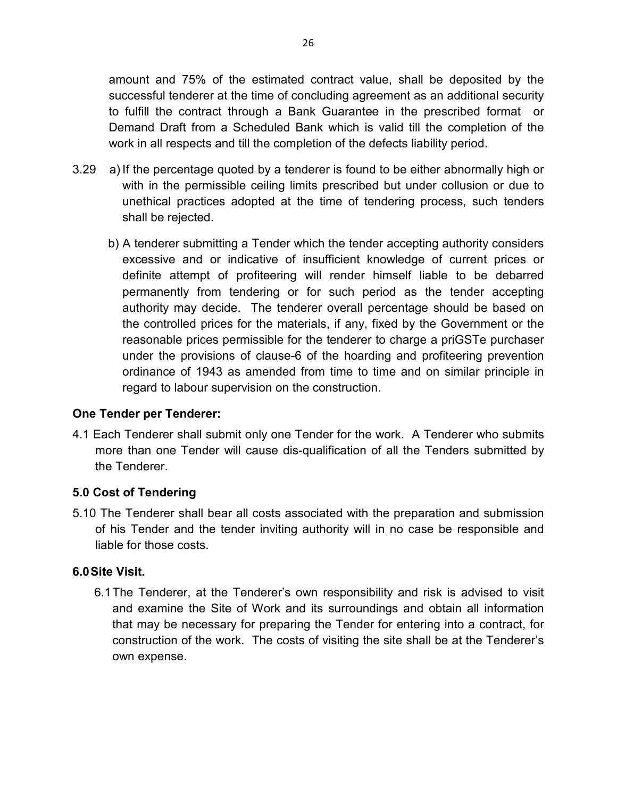amount and 75% of the estimated contract value, shall be deposited by the successful tenderer at the time of concluding agreement as an additional security to fulfill the contract through a Bank Guarantee in the prescribed format or Demand Draft from a Scheduled Bank which is valid till the completion of the work in all respects and till the completion of the defects liability period.

- 3.29 a) If the percentage quoted by a tenderer is found to be either abnormally high or with in the permissible ceiling limits prescribed but under collusion or due to unethical practices adopted at the time of tendering process, such tenders shall be rejected.
	- b) A tenderer submitting a Tender which the tender accepting authority considers excessive and or indicative of insufficient knowledge of current prices or definite attempt of profiteering will render himself liable to be debarred permanently from tendering or for such period as the tender accepting authority may decide. The tenderer overall percentage should be based on the controlled prices for the materials, if any, fixed by the Government or the reasonable prices permissible for the tenderer to charge a priGSTe purchaser under the provisions of clause-6 of the hoarding and profiteering prevention ordinance of 1943 as amended from time to time and on similar principle in regard to labour supervision on the construction.

### **One Tender per Tenderer:**

4.1 Each Tenderer shall submit only one Tender for the work. A Tenderer who submits more than one Tender will cause dis-qualification of all the Tenders submitted by the Tenderer.

### **5.0 Cost of Tendering**

5.10 The Tenderer shall bear all costs associated with the preparation and submission of his Tender and the tender inviting authority will in no case be responsible and liable for those costs.

#### **6.0 Site Visit.**

6.1 The Tenderer, at the Tenderer's own responsibility and risk is advised to visit and examine the Site of Work and its surroundings and obtain all information that may be necessary for preparing the Tender for entering into a contract, for construction of the work. The costs of visiting the site shall be at the Tenderer's own expense.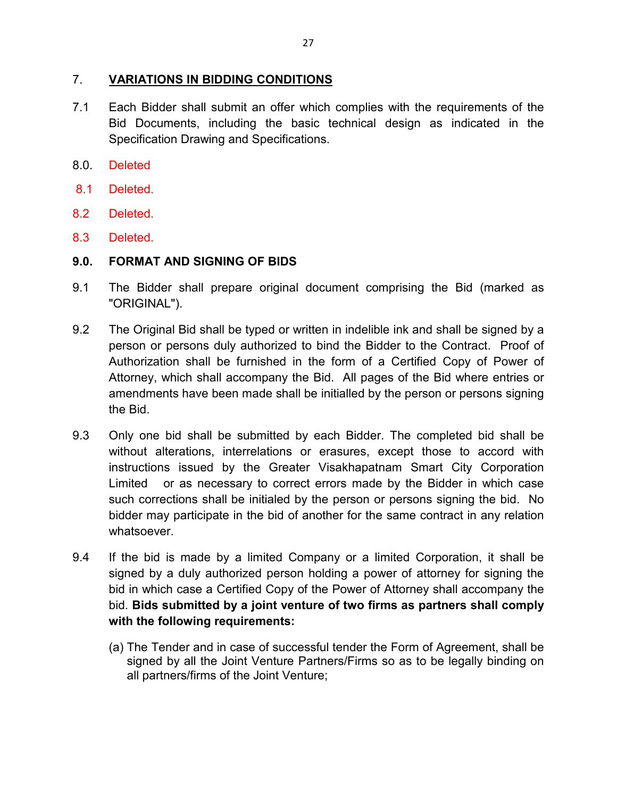#### 7. **VARIATIONS IN BIDDING CONDITIONS**

- 7.1 Each Bidder shall submit an offer which complies with the requirements of the Bid Documents, including the basic technical design as indicated in the Specification Drawing and Specifications.
- 8.0. Deleted
- 8.1 Deleted.
- 8.2 Deleted.
- 8.3 Deleted.

#### **9.0. FORMAT AND SIGNING OF BIDS**

- 9.1 The Bidder shall prepare original document comprising the Bid (marked as "ORIGINAL").
- 9.2 The Original Bid shall be typed or written in indelible ink and shall be signed by a person or persons duly authorized to bind the Bidder to the Contract. Proof of Authorization shall be furnished in the form of a Certified Copy of Power of Attorney, which shall accompany the Bid. All pages of the Bid where entries or amendments have been made shall be initialled by the person or persons signing the Bid.
- 9.3 Only one bid shall be submitted by each Bidder. The completed bid shall be without alterations, interrelations or erasures, except those to accord with instructions issued by the Greater Visakhapatnam Smart City Corporation Limited or as necessary to correct errors made by the Bidder in which case such corrections shall be initialed by the person or persons signing the bid. No bidder may participate in the bid of another for the same contract in any relation whatsoever.
- 9.4 If the bid is made by a limited Company or a limited Corporation, it shall be signed by a duly authorized person holding a power of attorney for signing the bid in which case a Certified Copy of the Power of Attorney shall accompany the bid. **Bids submitted by a joint venture of two firms as partners shall comply with the following requirements:** 
	- (a) The Tender and in case of successful tender the Form of Agreement, shall be signed by all the Joint Venture Partners/Firms so as to be legally binding on all partners/firms of the Joint Venture;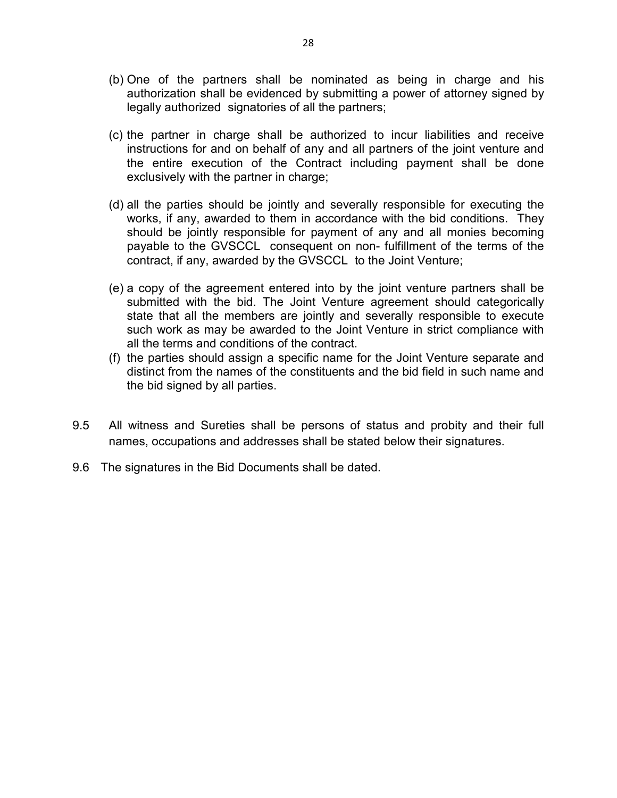- (b) One of the partners shall be nominated as being in charge and his authorization shall be evidenced by submitting a power of attorney signed by legally authorized signatories of all the partners;
- (c) the partner in charge shall be authorized to incur liabilities and receive instructions for and on behalf of any and all partners of the joint venture and the entire execution of the Contract including payment shall be done exclusively with the partner in charge;
- (d) all the parties should be jointly and severally responsible for executing the works, if any, awarded to them in accordance with the bid conditions. They should be jointly responsible for payment of any and all monies becoming payable to the GVSCCL consequent on non- fulfillment of the terms of the contract, if any, awarded by the GVSCCL to the Joint Venture;
- (e) a copy of the agreement entered into by the joint venture partners shall be submitted with the bid. The Joint Venture agreement should categorically state that all the members are jointly and severally responsible to execute such work as may be awarded to the Joint Venture in strict compliance with all the terms and conditions of the contract.
- (f) the parties should assign a specific name for the Joint Venture separate and distinct from the names of the constituents and the bid field in such name and the bid signed by all parties.
- 9.5 All witness and Sureties shall be persons of status and probity and their full names, occupations and addresses shall be stated below their signatures.
- 9.6 The signatures in the Bid Documents shall be dated.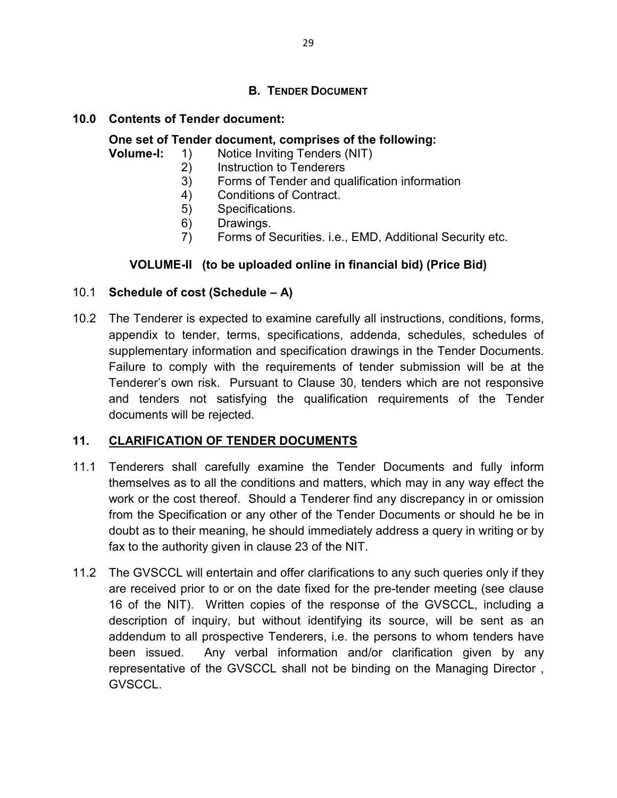### **B. TENDER DOCUMENT**

### **10.0 Contents of Tender document:**

#### **One set of Tender document, comprises of the following:**

#### **Volume-I:** 1) Notice Inviting Tenders (NIT)

- 2) Instruction to Tenderers
- 3) Forms of Tender and qualification information
- 4) Conditions of Contract.
- 5) Specifications.
- 6) Drawings.
- 7) Forms of Securities. i.e., EMD, Additional Security etc.

### **VOLUME-II (to be uploaded online in financial bid) (Price Bid)**

#### 10.1 **Schedule of cost (Schedule – A)**

10.2 The Tenderer is expected to examine carefully all instructions, conditions, forms, appendix to tender, terms, specifications, addenda, schedules, schedules of supplementary information and specification drawings in the Tender Documents. Failure to comply with the requirements of tender submission will be at the Tenderer's own risk. Pursuant to Clause 30, tenders which are not responsive and tenders not satisfying the qualification requirements of the Tender documents will be rejected.

#### **11. CLARIFICATION OF TENDER DOCUMENTS**

- 11.1 Tenderers shall carefully examine the Tender Documents and fully inform themselves as to all the conditions and matters, which may in any way effect the work or the cost thereof. Should a Tenderer find any discrepancy in or omission from the Specification or any other of the Tender Documents or should he be in doubt as to their meaning, he should immediately address a query in writing or by fax to the authority given in clause 23 of the NIT.
- 11.2 The GVSCCL will entertain and offer clarifications to any such queries only if they are received prior to or on the date fixed for the pre-tender meeting (see clause 16 of the NIT). Written copies of the response of the GVSCCL, including a description of inquiry, but without identifying its source, will be sent as an addendum to all prospective Tenderers, i.e. the persons to whom tenders have been issued. Any verbal information and/or clarification given by any representative of the GVSCCL shall not be binding on the Managing Director , GVSCCL.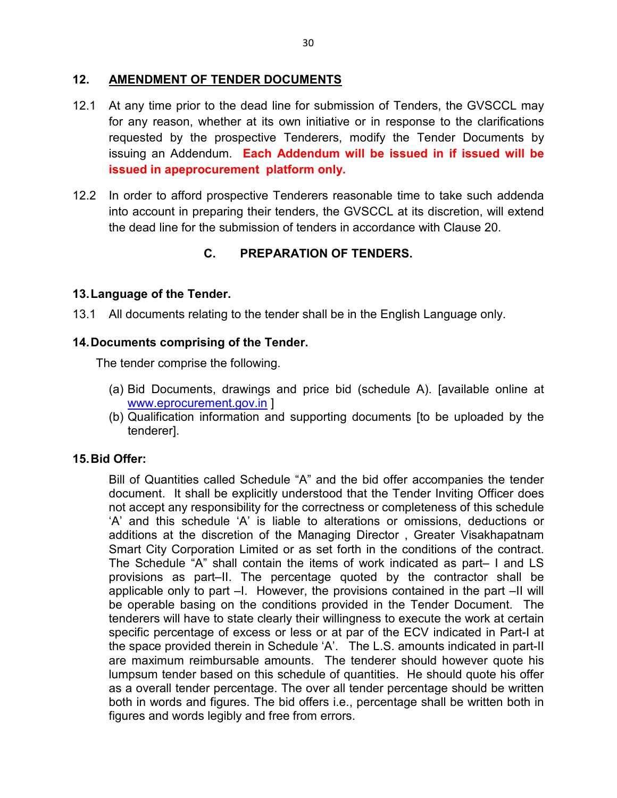#### **12. AMENDMENT OF TENDER DOCUMENTS**

- 12.1 At any time prior to the dead line for submission of Tenders, the GVSCCL may for any reason, whether at its own initiative or in response to the clarifications requested by the prospective Tenderers, modify the Tender Documents by issuing an Addendum. **Each Addendum will be issued in if issued will be issued in apeprocurement platform only.**
- 12.2 In order to afford prospective Tenderers reasonable time to take such addenda into account in preparing their tenders, the GVSCCL at its discretion, will extend the dead line for the submission of tenders in accordance with Clause 20.

# **C. PREPARATION OF TENDERS.**

### **13. Language of the Tender.**

13.1 All documents relating to the tender shall be in the English Language only.

### **14. Documents comprising of the Tender.**

The tender comprise the following.

- (a) Bid Documents, drawings and price bid (schedule A). [available online at www.eprocurement.gov.in ]
- (b) Qualification information and supporting documents [to be uploaded by the tenderer].

### **15. Bid Offer:**

Bill of Quantities called Schedule "A" and the bid offer accompanies the tender document. It shall be explicitly understood that the Tender Inviting Officer does not accept any responsibility for the correctness or completeness of this schedule 'A' and this schedule 'A' is liable to alterations or omissions, deductions or additions at the discretion of the Managing Director , Greater Visakhapatnam Smart City Corporation Limited or as set forth in the conditions of the contract. The Schedule "A" shall contain the items of work indicated as part– I and LS provisions as part–II. The percentage quoted by the contractor shall be applicable only to part –I. However, the provisions contained in the part –II will be operable basing on the conditions provided in the Tender Document. The tenderers will have to state clearly their willingness to execute the work at certain specific percentage of excess or less or at par of the ECV indicated in Part-I at the space provided therein in Schedule 'A'. The L.S. amounts indicated in part-II are maximum reimbursable amounts. The tenderer should however quote his lumpsum tender based on this schedule of quantities. He should quote his offer as a overall tender percentage. The over all tender percentage should be written both in words and figures. The bid offers i.e., percentage shall be written both in figures and words legibly and free from errors.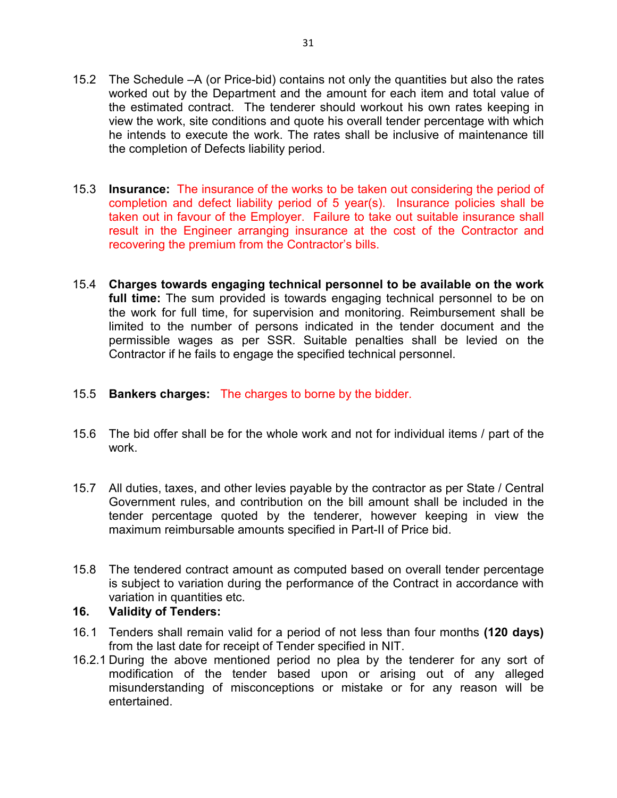- 15.2 The Schedule –A (or Price-bid) contains not only the quantities but also the rates worked out by the Department and the amount for each item and total value of the estimated contract. The tenderer should workout his own rates keeping in view the work, site conditions and quote his overall tender percentage with which he intends to execute the work. The rates shall be inclusive of maintenance till the completion of Defects liability period.
- 15.3 **Insurance:** The insurance of the works to be taken out considering the period of completion and defect liability period of 5 year(s). Insurance policies shall be taken out in favour of the Employer. Failure to take out suitable insurance shall result in the Engineer arranging insurance at the cost of the Contractor and recovering the premium from the Contractor's bills.
- 15.4 **Charges towards engaging technical personnel to be available on the work full time:** The sum provided is towards engaging technical personnel to be on the work for full time, for supervision and monitoring. Reimbursement shall be limited to the number of persons indicated in the tender document and the permissible wages as per SSR. Suitable penalties shall be levied on the Contractor if he fails to engage the specified technical personnel.

### 15.5 **Bankers charges:** The charges to borne by the bidder.

- 15.6 The bid offer shall be for the whole work and not for individual items / part of the work.
- 15.7 All duties, taxes, and other levies payable by the contractor as per State / Central Government rules, and contribution on the bill amount shall be included in the tender percentage quoted by the tenderer, however keeping in view the maximum reimbursable amounts specified in Part-II of Price bid.
- 15.8 The tendered contract amount as computed based on overall tender percentage is subject to variation during the performance of the Contract in accordance with variation in quantities etc.

### **16. Validity of Tenders:**

- 16. 1 Tenders shall remain valid for a period of not less than four months **(120 days)** from the last date for receipt of Tender specified in NIT.
- 16.2.1 During the above mentioned period no plea by the tenderer for any sort of modification of the tender based upon or arising out of any alleged misunderstanding of misconceptions or mistake or for any reason will be entertained.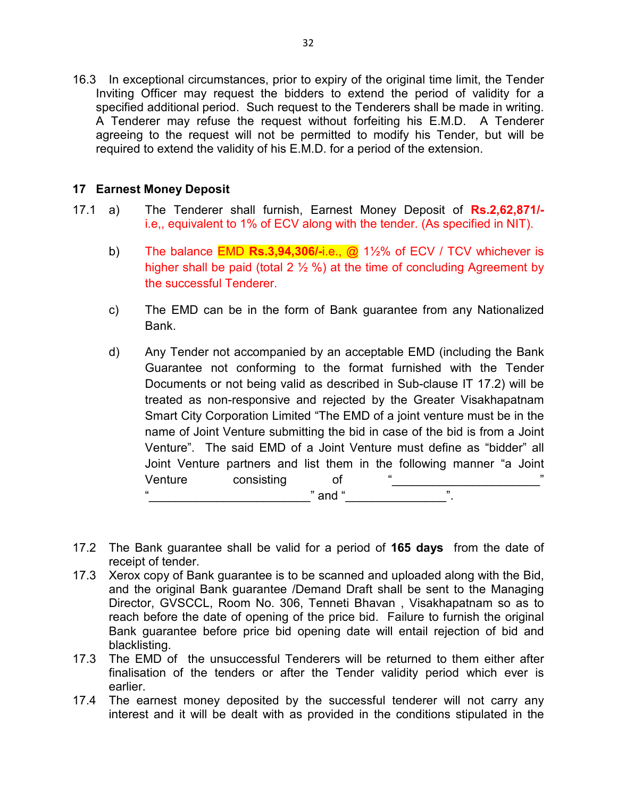16.3 In exceptional circumstances, prior to expiry of the original time limit, the Tender Inviting Officer may request the bidders to extend the period of validity for a specified additional period. Such request to the Tenderers shall be made in writing. A Tenderer may refuse the request without forfeiting his E.M.D. A Tenderer agreeing to the request will not be permitted to modify his Tender, but will be required to extend the validity of his E.M.D. for a period of the extension.

#### **17 Earnest Money Deposit**

- 17.1 a) The Tenderer shall furnish, Earnest Money Deposit of **Rs.2,62,871/** i.e,, equivalent to 1% of ECV along with the tender. (As specified in NIT).
	- b) The balance EMD **Rs.3,94,306/-**i.e., @ 1½% of ECV / TCV whichever is higher shall be paid (total 2  $\frac{1}{2}$  %) at the time of concluding Agreement by the successful Tenderer.
	- c) The EMD can be in the form of Bank guarantee from any Nationalized Bank.
	- d) Any Tender not accompanied by an acceptable EMD (including the Bank Guarantee not conforming to the format furnished with the Tender Documents or not being valid as described in Sub-clause IT 17.2) will be treated as non-responsive and rejected by the Greater Visakhapatnam Smart City Corporation Limited "The EMD of a joint venture must be in the name of Joint Venture submitting the bid in case of the bid is from a Joint Venture". The said EMD of a Joint Venture must define as "bidder" all Joint Venture partners and list them in the following manner "a Joint Venture consisting of "\_\_\_\_\_\_\_\_\_\_\_\_\_\_\_\_\_\_\_\_\_\_" " $and "$
- 17.2 The Bank guarantee shall be valid for a period of **165 days** from the date of receipt of tender.
- 17.3 Xerox copy of Bank guarantee is to be scanned and uploaded along with the Bid, and the original Bank guarantee /Demand Draft shall be sent to the Managing Director, GVSCCL, Room No. 306, Tenneti Bhavan , Visakhapatnam so as to reach before the date of opening of the price bid. Failure to furnish the original Bank guarantee before price bid opening date will entail rejection of bid and blacklisting.
- 17.3 The EMD of the unsuccessful Tenderers will be returned to them either after finalisation of the tenders or after the Tender validity period which ever is earlier.
- 17.4 The earnest money deposited by the successful tenderer will not carry any interest and it will be dealt with as provided in the conditions stipulated in the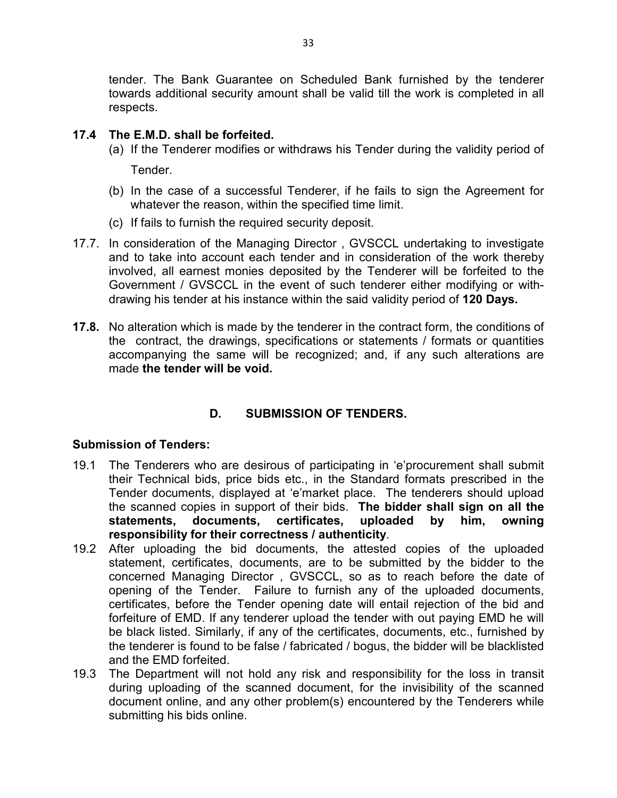tender. The Bank Guarantee on Scheduled Bank furnished by the tenderer towards additional security amount shall be valid till the work is completed in all respects.

#### **17.4 The E.M.D. shall be forfeited.**

- (a) If the Tenderer modifies or withdraws his Tender during the validity period of Tender.
- (b) In the case of a successful Tenderer, if he fails to sign the Agreement for whatever the reason, within the specified time limit.
- (c) If fails to furnish the required security deposit.
- 17.7. In consideration of the Managing Director , GVSCCL undertaking to investigate and to take into account each tender and in consideration of the work thereby involved, all earnest monies deposited by the Tenderer will be forfeited to the Government / GVSCCL in the event of such tenderer either modifying or withdrawing his tender at his instance within the said validity period of **120 Days.**
- **17.8.** No alteration which is made by the tenderer in the contract form, the conditions of the contract, the drawings, specifications or statements / formats or quantities accompanying the same will be recognized; and, if any such alterations are made **the tender will be void.**

# **D. SUBMISSION OF TENDERS.**

#### **Submission of Tenders:**

- 19.1 The Tenderers who are desirous of participating in 'e'procurement shall submit their Technical bids, price bids etc., in the Standard formats prescribed in the Tender documents, displayed at 'e'market place. The tenderers should upload the scanned copies in support of their bids. **The bidder shall sign on all the statements, documents, certificates, uploaded by him, owning responsibility for their correctness / authenticity**.
- 19.2 After uploading the bid documents, the attested copies of the uploaded statement, certificates, documents, are to be submitted by the bidder to the concerned Managing Director , GVSCCL, so as to reach before the date of opening of the Tender. Failure to furnish any of the uploaded documents, certificates, before the Tender opening date will entail rejection of the bid and forfeiture of EMD. If any tenderer upload the tender with out paying EMD he will be black listed. Similarly, if any of the certificates, documents, etc., furnished by the tenderer is found to be false / fabricated / bogus, the bidder will be blacklisted and the EMD forfeited.
- 19.3 The Department will not hold any risk and responsibility for the loss in transit during uploading of the scanned document, for the invisibility of the scanned document online, and any other problem(s) encountered by the Tenderers while submitting his bids online.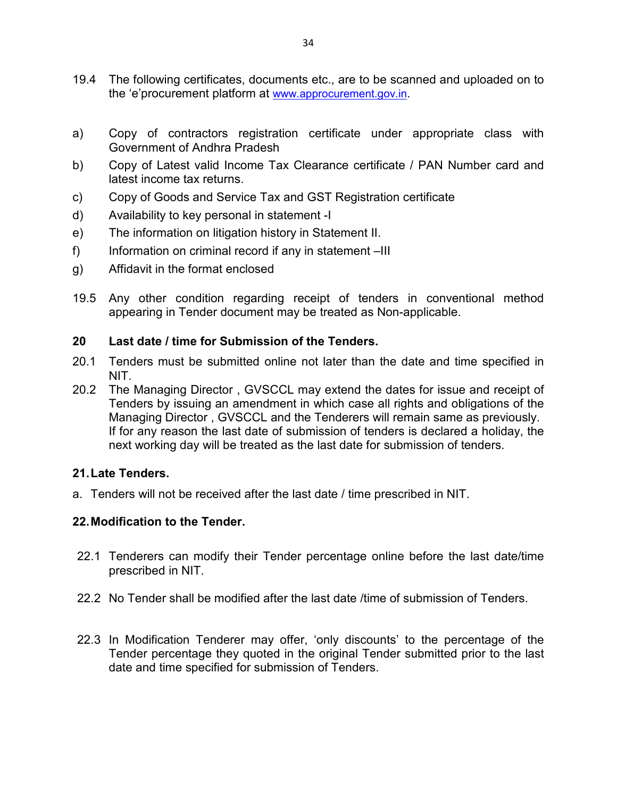- 19.4 The following certificates, documents etc., are to be scanned and uploaded on to the 'e'procurement platform at www.approcurement.gov.in.
- a) Copy of contractors registration certificate under appropriate class with Government of Andhra Pradesh
- b) Copy of Latest valid Income Tax Clearance certificate / PAN Number card and latest income tax returns.
- c) Copy of Goods and Service Tax and GST Registration certificate
- d) Availability to key personal in statement -I
- e) The information on litigation history in Statement II.
- f) Information on criminal record if any in statement –III
- g) Affidavit in the format enclosed
- 19.5 Any other condition regarding receipt of tenders in conventional method appearing in Tender document may be treated as Non-applicable.

#### **20 Last date / time for Submission of the Tenders.**

- 20.1 Tenders must be submitted online not later than the date and time specified in NIT.
- 20.2 The Managing Director , GVSCCL may extend the dates for issue and receipt of Tenders by issuing an amendment in which case all rights and obligations of the Managing Director , GVSCCL and the Tenderers will remain same as previously. If for any reason the last date of submission of tenders is declared a holiday, the next working day will be treated as the last date for submission of tenders.

#### **21. Late Tenders.**

a. Tenders will not be received after the last date / time prescribed in NIT.

#### **22. Modification to the Tender.**

- 22.1 Tenderers can modify their Tender percentage online before the last date/time prescribed in NIT.
- 22.2 No Tender shall be modified after the last date /time of submission of Tenders.
- 22.3 In Modification Tenderer may offer, 'only discounts' to the percentage of the Tender percentage they quoted in the original Tender submitted prior to the last date and time specified for submission of Tenders.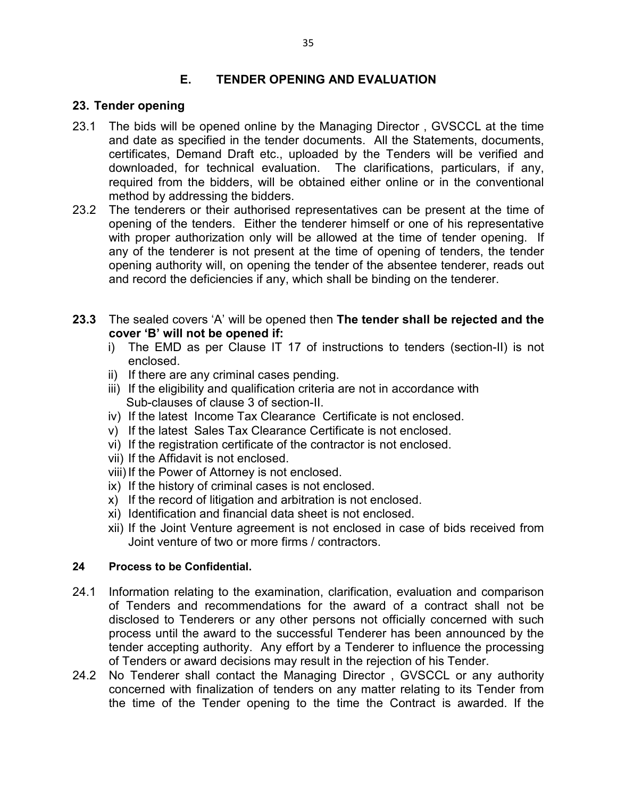#### **E. TENDER OPENING AND EVALUATION**

#### **23. Tender opening**

- 23.1 The bids will be opened online by the Managing Director , GVSCCL at the time and date as specified in the tender documents. All the Statements, documents, certificates, Demand Draft etc., uploaded by the Tenders will be verified and downloaded, for technical evaluation. The clarifications, particulars, if any, required from the bidders, will be obtained either online or in the conventional method by addressing the bidders.
- 23.2 The tenderers or their authorised representatives can be present at the time of opening of the tenders. Either the tenderer himself or one of his representative with proper authorization only will be allowed at the time of tender opening. If any of the tenderer is not present at the time of opening of tenders, the tender opening authority will, on opening the tender of the absentee tenderer, reads out and record the deficiencies if any, which shall be binding on the tenderer.
- **23.3** The sealed covers 'A' will be opened then **The tender shall be rejected and the cover 'B' will not be opened if:** 
	- i) The EMD as per Clause IT 17 of instructions to tenders (section-II) is not enclosed.
	- ii) If there are any criminal cases pending.
	- iii) If the eligibility and qualification criteria are not in accordance with Sub-clauses of clause 3 of section-II.
	- iv) If the latest Income Tax Clearance Certificate is not enclosed.
	- v) If the latest Sales Tax Clearance Certificate is not enclosed.
	- vi) If the registration certificate of the contractor is not enclosed.
	- vii) If the Affidavit is not enclosed.
	- viii) If the Power of Attorney is not enclosed.
	- ix) If the history of criminal cases is not enclosed.
	- x) If the record of litigation and arbitration is not enclosed.
	- xi) Identification and financial data sheet is not enclosed.
	- xii) If the Joint Venture agreement is not enclosed in case of bids received from Joint venture of two or more firms / contractors.

#### **24 Process to be Confidential.**

- 24.1 Information relating to the examination, clarification, evaluation and comparison of Tenders and recommendations for the award of a contract shall not be disclosed to Tenderers or any other persons not officially concerned with such process until the award to the successful Tenderer has been announced by the tender accepting authority. Any effort by a Tenderer to influence the processing of Tenders or award decisions may result in the rejection of his Tender.
- 24.2 No Tenderer shall contact the Managing Director , GVSCCL or any authority concerned with finalization of tenders on any matter relating to its Tender from the time of the Tender opening to the time the Contract is awarded. If the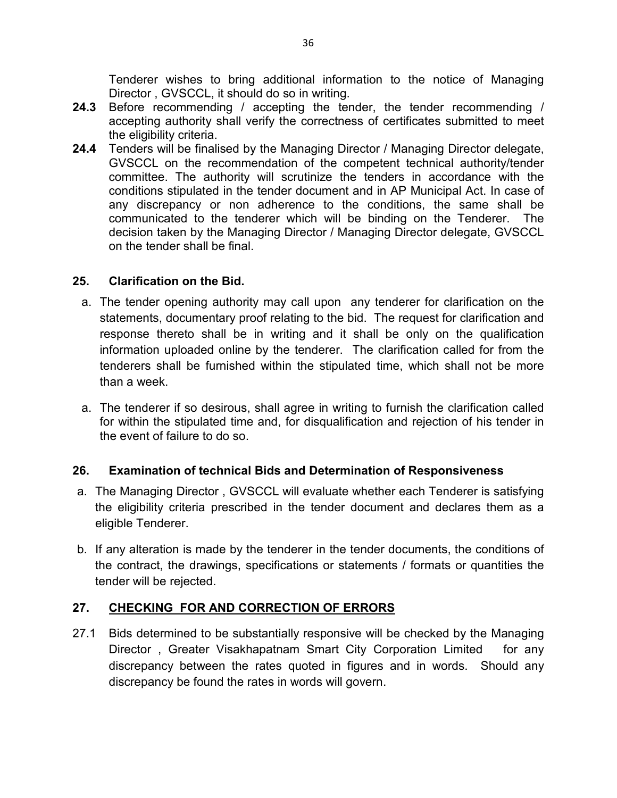Tenderer wishes to bring additional information to the notice of Managing Director , GVSCCL, it should do so in writing.

- **24.3** Before recommending / accepting the tender, the tender recommending / accepting authority shall verify the correctness of certificates submitted to meet the eligibility criteria.
- **24.4** Tenders will be finalised by the Managing Director / Managing Director delegate, GVSCCL on the recommendation of the competent technical authority/tender committee. The authority will scrutinize the tenders in accordance with the conditions stipulated in the tender document and in AP Municipal Act. In case of any discrepancy or non adherence to the conditions, the same shall be communicated to the tenderer which will be binding on the Tenderer. The decision taken by the Managing Director / Managing Director delegate, GVSCCL on the tender shall be final.

#### **25. Clarification on the Bid.**

- a. The tender opening authority may call upon any tenderer for clarification on the statements, documentary proof relating to the bid. The request for clarification and response thereto shall be in writing and it shall be only on the qualification information uploaded online by the tenderer. The clarification called for from the tenderers shall be furnished within the stipulated time, which shall not be more than a week.
- a. The tenderer if so desirous, shall agree in writing to furnish the clarification called for within the stipulated time and, for disqualification and rejection of his tender in the event of failure to do so.

### **26. Examination of technical Bids and Determination of Responsiveness**

- a. The Managing Director , GVSCCL will evaluate whether each Tenderer is satisfying the eligibility criteria prescribed in the tender document and declares them as a eligible Tenderer.
- b. If any alteration is made by the tenderer in the tender documents, the conditions of the contract, the drawings, specifications or statements / formats or quantities the tender will be rejected.

### **27. CHECKING FOR AND CORRECTION OF ERRORS**

27.1 Bids determined to be substantially responsive will be checked by the Managing Director, Greater Visakhapatnam Smart City Corporation Limited for any discrepancy between the rates quoted in figures and in words. Should any discrepancy be found the rates in words will govern.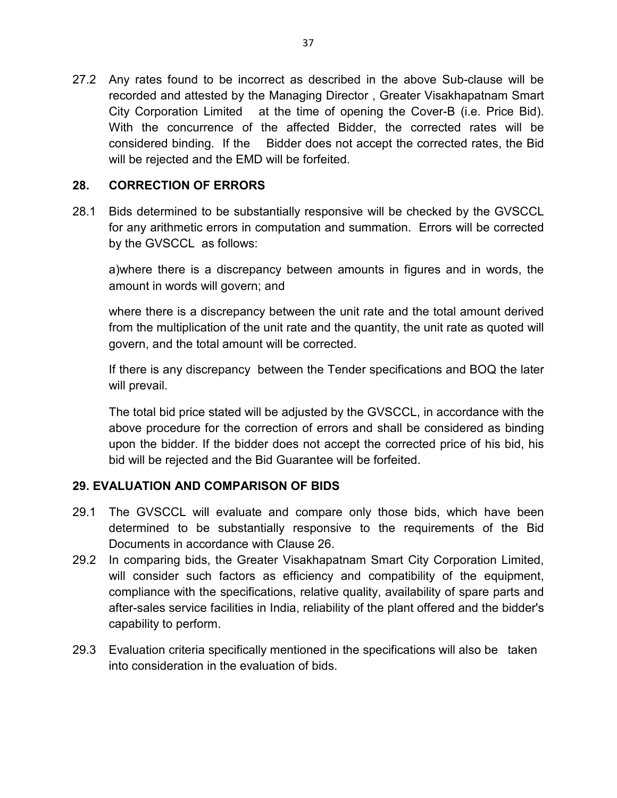27.2 Any rates found to be incorrect as described in the above Sub-clause will be recorded and attested by the Managing Director , Greater Visakhapatnam Smart City Corporation Limited at the time of opening the Cover-B (i.e. Price Bid). With the concurrence of the affected Bidder, the corrected rates will be considered binding. If the Bidder does not accept the corrected rates, the Bid will be rejected and the EMD will be forfeited.

## **28. CORRECTION OF ERRORS**

28.1 Bids determined to be substantially responsive will be checked by the GVSCCL for any arithmetic errors in computation and summation. Errors will be corrected by the GVSCCL as follows:

 a)where there is a discrepancy between amounts in figures and in words, the amount in words will govern; and

where there is a discrepancy between the unit rate and the total amount derived from the multiplication of the unit rate and the quantity, the unit rate as quoted will govern, and the total amount will be corrected.

If there is any discrepancy between the Tender specifications and BOQ the later will prevail.

 The total bid price stated will be adjusted by the GVSCCL, in accordance with the above procedure for the correction of errors and shall be considered as binding upon the bidder. If the bidder does not accept the corrected price of his bid, his bid will be rejected and the Bid Guarantee will be forfeited.

# **29. EVALUATION AND COMPARISON OF BIDS**

- 29.1 The GVSCCL will evaluate and compare only those bids, which have been determined to be substantially responsive to the requirements of the Bid Documents in accordance with Clause 26.
- 29.2 In comparing bids, the Greater Visakhapatnam Smart City Corporation Limited, will consider such factors as efficiency and compatibility of the equipment, compliance with the specifications, relative quality, availability of spare parts and after-sales service facilities in India, reliability of the plant offered and the bidder's capability to perform.
- 29.3 Evaluation criteria specifically mentioned in the specifications will also be taken into consideration in the evaluation of bids.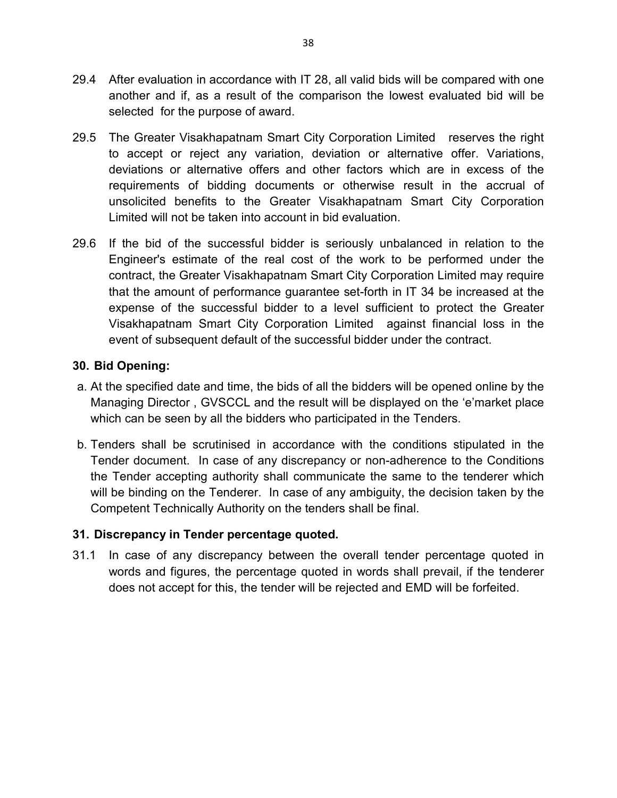- 29.4 After evaluation in accordance with IT 28, all valid bids will be compared with one another and if, as a result of the comparison the lowest evaluated bid will be selected for the purpose of award.
- 29.5 The Greater Visakhapatnam Smart City Corporation Limited reserves the right to accept or reject any variation, deviation or alternative offer. Variations, deviations or alternative offers and other factors which are in excess of the requirements of bidding documents or otherwise result in the accrual of unsolicited benefits to the Greater Visakhapatnam Smart City Corporation Limited will not be taken into account in bid evaluation.
- 29.6 If the bid of the successful bidder is seriously unbalanced in relation to the Engineer's estimate of the real cost of the work to be performed under the contract, the Greater Visakhapatnam Smart City Corporation Limited may require that the amount of performance guarantee set-forth in IT 34 be increased at the expense of the successful bidder to a level sufficient to protect the Greater Visakhapatnam Smart City Corporation Limited against financial loss in the event of subsequent default of the successful bidder under the contract.

## **30. Bid Opening:**

- a. At the specified date and time, the bids of all the bidders will be opened online by the Managing Director , GVSCCL and the result will be displayed on the 'e'market place which can be seen by all the bidders who participated in the Tenders.
- b. Tenders shall be scrutinised in accordance with the conditions stipulated in the Tender document. In case of any discrepancy or non-adherence to the Conditions the Tender accepting authority shall communicate the same to the tenderer which will be binding on the Tenderer. In case of any ambiguity, the decision taken by the Competent Technically Authority on the tenders shall be final.

#### **31. Discrepancy in Tender percentage quoted.**

31.1 In case of any discrepancy between the overall tender percentage quoted in words and figures, the percentage quoted in words shall prevail, if the tenderer does not accept for this, the tender will be rejected and EMD will be forfeited.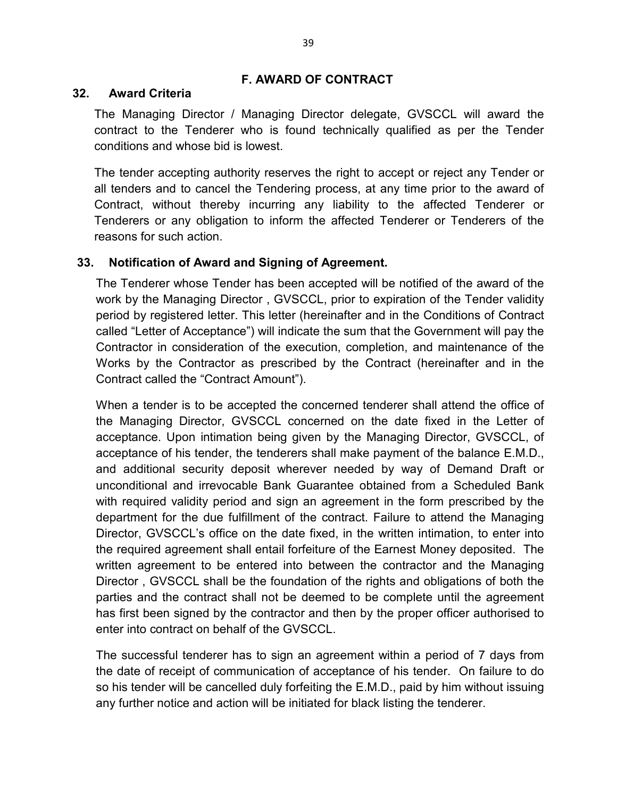#### **F. AWARD OF CONTRACT**

#### **32. Award Criteria**

The Managing Director / Managing Director delegate, GVSCCL will award the contract to the Tenderer who is found technically qualified as per the Tender conditions and whose bid is lowest.

The tender accepting authority reserves the right to accept or reject any Tender or all tenders and to cancel the Tendering process, at any time prior to the award of Contract, without thereby incurring any liability to the affected Tenderer or Tenderers or any obligation to inform the affected Tenderer or Tenderers of the reasons for such action.

## **33. Notification of Award and Signing of Agreement.**

 The Tenderer whose Tender has been accepted will be notified of the award of the work by the Managing Director , GVSCCL, prior to expiration of the Tender validity period by registered letter. This letter (hereinafter and in the Conditions of Contract called "Letter of Acceptance") will indicate the sum that the Government will pay the Contractor in consideration of the execution, completion, and maintenance of the Works by the Contractor as prescribed by the Contract (hereinafter and in the Contract called the "Contract Amount").

When a tender is to be accepted the concerned tenderer shall attend the office of the Managing Director, GVSCCL concerned on the date fixed in the Letter of acceptance. Upon intimation being given by the Managing Director, GVSCCL, of acceptance of his tender, the tenderers shall make payment of the balance E.M.D., and additional security deposit wherever needed by way of Demand Draft or unconditional and irrevocable Bank Guarantee obtained from a Scheduled Bank with required validity period and sign an agreement in the form prescribed by the department for the due fulfillment of the contract. Failure to attend the Managing Director, GVSCCL's office on the date fixed, in the written intimation, to enter into the required agreement shall entail forfeiture of the Earnest Money deposited. The written agreement to be entered into between the contractor and the Managing Director , GVSCCL shall be the foundation of the rights and obligations of both the parties and the contract shall not be deemed to be complete until the agreement has first been signed by the contractor and then by the proper officer authorised to enter into contract on behalf of the GVSCCL.

The successful tenderer has to sign an agreement within a period of 7 days from the date of receipt of communication of acceptance of his tender. On failure to do so his tender will be cancelled duly forfeiting the E.M.D., paid by him without issuing any further notice and action will be initiated for black listing the tenderer.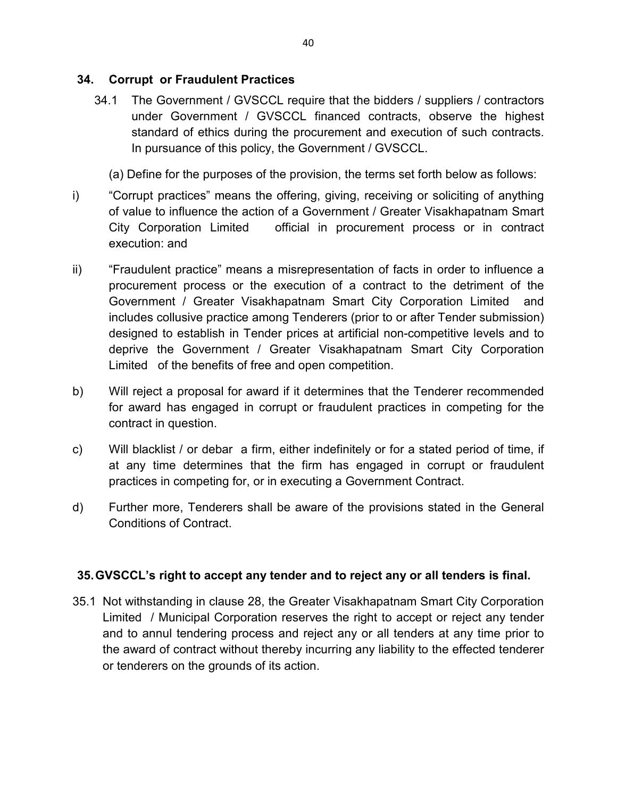#### **34. Corrupt or Fraudulent Practices**

34.1 The Government / GVSCCL require that the bidders / suppliers / contractors under Government / GVSCCL financed contracts, observe the highest standard of ethics during the procurement and execution of such contracts. In pursuance of this policy, the Government / GVSCCL.

(a) Define for the purposes of the provision, the terms set forth below as follows:

- i) "Corrupt practices" means the offering, giving, receiving or soliciting of anything of value to influence the action of a Government / Greater Visakhapatnam Smart City Corporation Limited official in procurement process or in contract execution: and
- ii) "Fraudulent practice" means a misrepresentation of facts in order to influence a procurement process or the execution of a contract to the detriment of the Government / Greater Visakhapatnam Smart City Corporation Limited and includes collusive practice among Tenderers (prior to or after Tender submission) designed to establish in Tender prices at artificial non-competitive levels and to deprive the Government / Greater Visakhapatnam Smart City Corporation Limited of the benefits of free and open competition.
- b) Will reject a proposal for award if it determines that the Tenderer recommended for award has engaged in corrupt or fraudulent practices in competing for the contract in question.
- c) Will blacklist / or debar a firm, either indefinitely or for a stated period of time, if at any time determines that the firm has engaged in corrupt or fraudulent practices in competing for, or in executing a Government Contract.
- d) Further more, Tenderers shall be aware of the provisions stated in the General Conditions of Contract.

## **35. GVSCCL's right to accept any tender and to reject any or all tenders is final.**

35.1 Not withstanding in clause 28, the Greater Visakhapatnam Smart City Corporation Limited / Municipal Corporation reserves the right to accept or reject any tender and to annul tendering process and reject any or all tenders at any time prior to the award of contract without thereby incurring any liability to the effected tenderer or tenderers on the grounds of its action.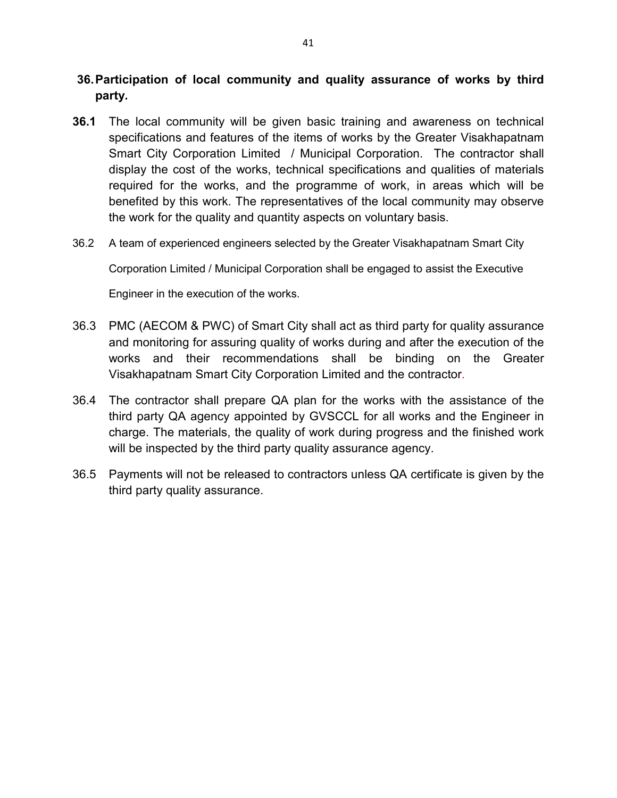## **36. Participation of local community and quality assurance of works by third party.**

- **36.1** The local community will be given basic training and awareness on technical specifications and features of the items of works by the Greater Visakhapatnam Smart City Corporation Limited / Municipal Corporation. The contractor shall display the cost of the works, technical specifications and qualities of materials required for the works, and the programme of work, in areas which will be benefited by this work. The representatives of the local community may observe the work for the quality and quantity aspects on voluntary basis.
- 36.2 A team of experienced engineers selected by the Greater Visakhapatnam Smart City

Corporation Limited / Municipal Corporation shall be engaged to assist the Executive

Engineer in the execution of the works.

- 36.3 PMC (AECOM & PWC) of Smart City shall act as third party for quality assurance and monitoring for assuring quality of works during and after the execution of the works and their recommendations shall be binding on the Greater Visakhapatnam Smart City Corporation Limited and the contractor.
- 36.4 The contractor shall prepare QA plan for the works with the assistance of the third party QA agency appointed by GVSCCL for all works and the Engineer in charge. The materials, the quality of work during progress and the finished work will be inspected by the third party quality assurance agency.
- 36.5 Payments will not be released to contractors unless QA certificate is given by the third party quality assurance.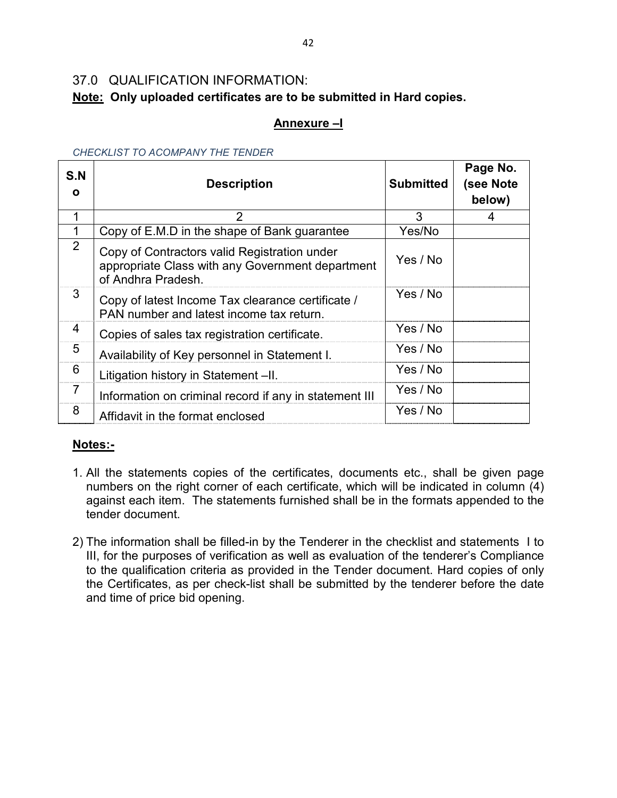# 37.0 QUALIFICATION INFORMATION:

# **Note: Only uploaded certificates are to be submitted in Hard copies.**

# **Annexure –I**

| S.N<br>O       | <b>Description</b>                                                                                                     | <b>Submitted</b> | Page No.<br>(see Note<br>below) |
|----------------|------------------------------------------------------------------------------------------------------------------------|------------------|---------------------------------|
|                | 2                                                                                                                      | 3                | 4                               |
|                | Copy of E.M.D in the shape of Bank guarantee                                                                           | Yes/No           |                                 |
| $\overline{2}$ | Copy of Contractors valid Registration under<br>appropriate Class with any Government department<br>of Andhra Pradesh. | Yes / No         |                                 |
| 3              | Copy of latest Income Tax clearance certificate /<br>PAN number and latest income tax return.                          | Yes / No         |                                 |
| 4              | Copies of sales tax registration certificate.                                                                          | Yes / No         |                                 |
| 5              | Availability of Key personnel in Statement I.                                                                          | Yes / No         |                                 |
| 6              | Litigation history in Statement -II.                                                                                   | Yes / No         |                                 |
| 7              | Information on criminal record if any in statement III                                                                 | Yes / No         |                                 |
| 8              | Affidavit in the format enclosed                                                                                       | Yes / No         |                                 |

#### *CHECKLIST TO ACOMPANY THE TENDER*

## **Notes:-**

- 1. All the statements copies of the certificates, documents etc., shall be given page numbers on the right corner of each certificate, which will be indicated in column (4) against each item. The statements furnished shall be in the formats appended to the tender document.
- 2) The information shall be filled-in by the Tenderer in the checklist and statements I to III, for the purposes of verification as well as evaluation of the tenderer's Compliance to the qualification criteria as provided in the Tender document. Hard copies of only the Certificates, as per check-list shall be submitted by the tenderer before the date and time of price bid opening.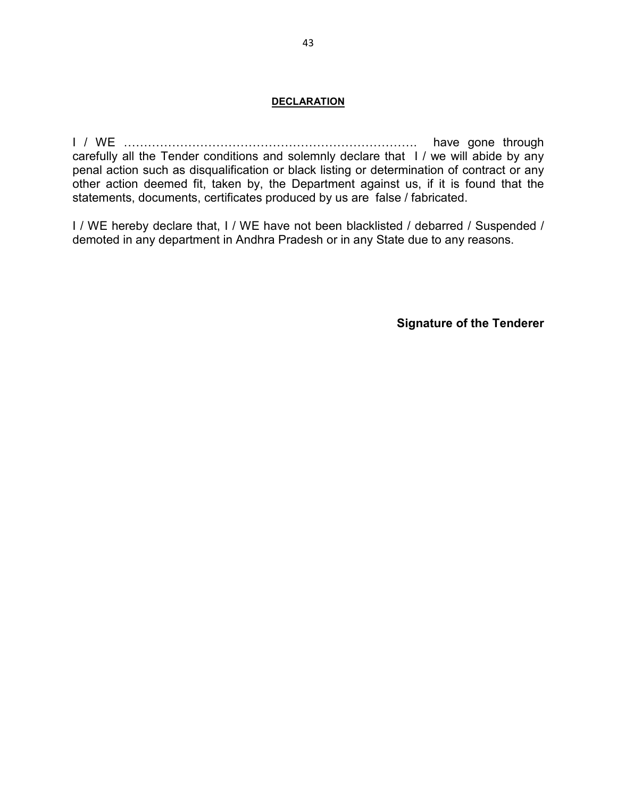#### **DECLARATION**

I / WE ………………………………………………………………. have gone through carefully all the Tender conditions and solemnly declare that I / we will abide by any penal action such as disqualification or black listing or determination of contract or any other action deemed fit, taken by, the Department against us, if it is found that the statements, documents, certificates produced by us are false / fabricated.

I / WE hereby declare that, I / WE have not been blacklisted / debarred / Suspended / demoted in any department in Andhra Pradesh or in any State due to any reasons.

**Signature of the Tenderer**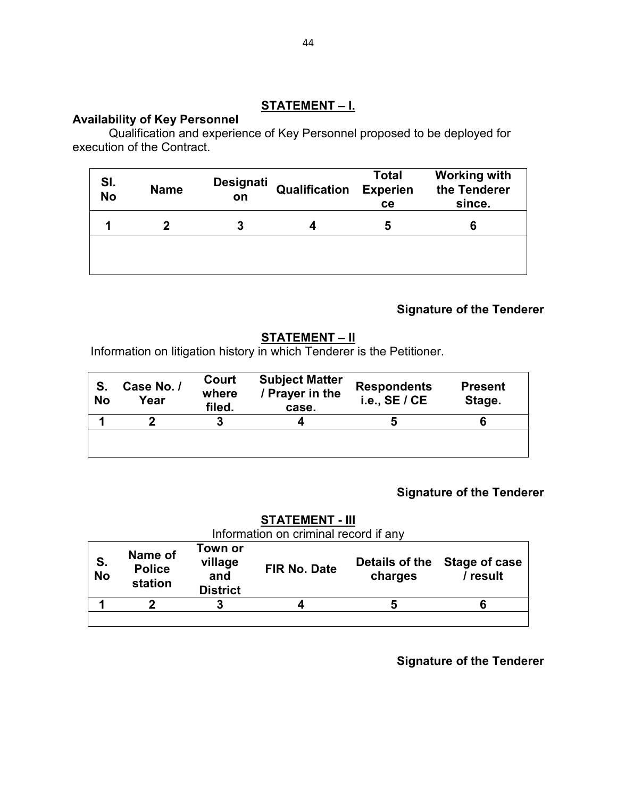## **STATEMENT – I.**

#### **Availability of Key Personnel**

Qualification and experience of Key Personnel proposed to be deployed for execution of the Contract.

| SI.<br><b>No</b> | <b>Name</b> | Designati<br>on | Qualification | <b>Total</b><br><b>Experien</b><br>ce | <b>Working with</b><br>the Tenderer<br>since. |
|------------------|-------------|-----------------|---------------|---------------------------------------|-----------------------------------------------|
|                  | 7           | 3               |               | 5                                     | 6                                             |
|                  |             |                 |               |                                       |                                               |

# **Signature of the Tenderer**

# **STATEMENT – II**

Information on litigation history in which Tenderer is the Petitioner.

| S.<br><b>No</b> | Case No. /<br>Year | Court<br>where<br>filed. | <b>Subject Matter</b><br>/ Prayer in the<br>case. | <b>Respondents</b><br>i.e., $SE / CE$ | <b>Present</b><br>Stage. |
|-----------------|--------------------|--------------------------|---------------------------------------------------|---------------------------------------|--------------------------|
|                 | ŋ                  | 3                        |                                                   |                                       |                          |
|                 |                    |                          |                                                   |                                       |                          |

# **Signature of the Tenderer**

# **STATEMENT - III** Information on criminal record if any

| S.<br>No | Name of<br><b>Police</b><br>station | Town or<br>village<br>and<br><b>District</b> | <b>FIR No. Date</b> | Details of the<br>charges | Stage of case<br>/ result |
|----------|-------------------------------------|----------------------------------------------|---------------------|---------------------------|---------------------------|
|          |                                     | 3                                            |                     |                           |                           |
|          |                                     |                                              |                     |                           |                           |

**Signature of the Tenderer**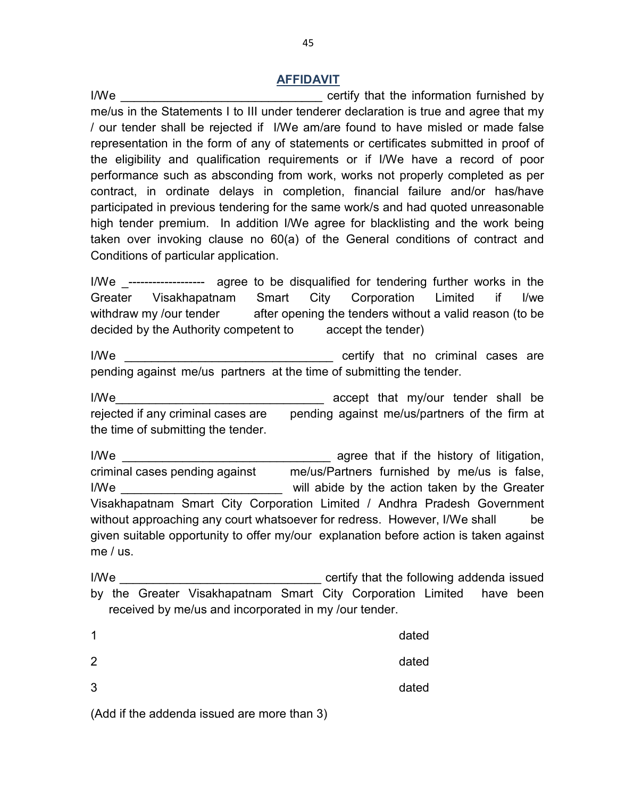#### **AFFIDAVIT**

I/We **I/We I/We** *I/We Certify that the information furnished by* me/us in the Statements I to III under tenderer declaration is true and agree that my / our tender shall be rejected if I/We am/are found to have misled or made false representation in the form of any of statements or certificates submitted in proof of the eligibility and qualification requirements or if I/We have a record of poor performance such as absconding from work, works not properly completed as per contract, in ordinate delays in completion, financial failure and/or has/have participated in previous tendering for the same work/s and had quoted unreasonable high tender premium. In addition I/We agree for blacklisting and the work being taken over invoking clause no 60(a) of the General conditions of contract and Conditions of particular application.

I/We ------------------ agree to be disqualified for tendering further works in the Greater Visakhapatnam Smart City Corporation Limited if I/we withdraw my /our tender after opening the tenders without a valid reason (to be decided by the Authority competent to accept the tender)

 I/We \_\_\_\_\_\_\_\_\_\_\_\_\_\_\_\_\_\_\_\_\_\_\_\_\_\_\_\_\_\_\_ certify that no criminal cases are pending against me/us partners at the time of submitting the tender.

 I/We\_\_\_\_\_\_\_\_\_\_\_\_\_\_\_\_\_\_\_\_\_\_\_\_\_\_\_\_\_\_\_ accept that my/our tender shall be rejected if any criminal cases are pending against me/us/partners of the firm at the time of submitting the tender.

I/We **I/We I/We EXECUTE:**  $\frac{1}{2}$  agree that if the history of litigation, criminal cases pending against me/us/Partners furnished by me/us is false, I/We **I/We I/We EXECUTE:**  $\frac{1}{2}$  will abide by the action taken by the Greater Visakhapatnam Smart City Corporation Limited / Andhra Pradesh Government without approaching any court whatsoever for redress. However, I/We shall be given suitable opportunity to offer my/our explanation before action is taken against me / us.

 I/We \_\_\_\_\_\_\_\_\_\_\_\_\_\_\_\_\_\_\_\_\_\_\_\_\_\_\_\_\_\_ certify that the following addenda issued by the Greater Visakhapatnam Smart City Corporation Limited have been received by me/us and incorporated in my /our tender.

| 1 | dated |
|---|-------|
| 2 | dated |
| 3 | dated |

(Add if the addenda issued are more than 3)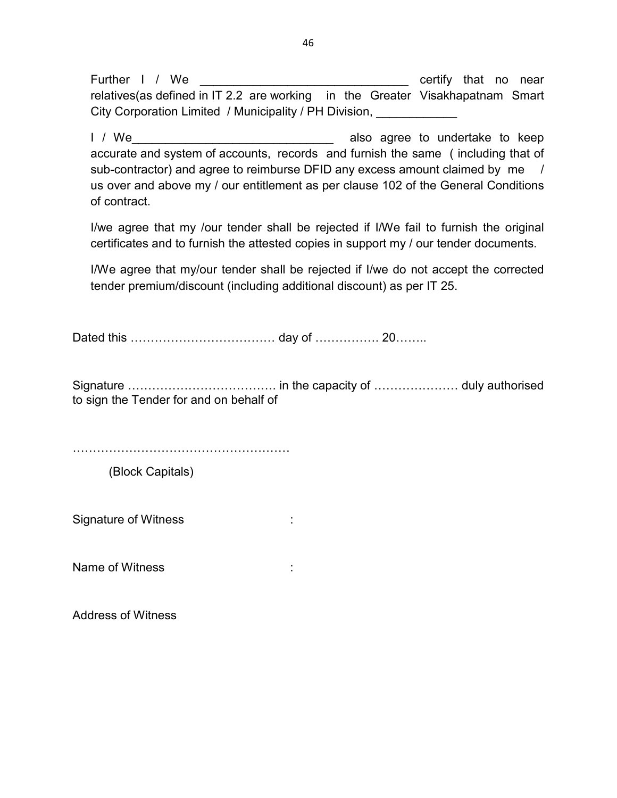Further I / We **Example 20** and the certify that no near relatives(as defined in IT 2.2 are working in the Greater Visakhapatnam Smart City Corporation Limited / Municipality / PH Division, \_\_\_\_\_\_\_\_\_

 I / We\_\_\_\_\_\_\_\_\_\_\_\_\_\_\_\_\_\_\_\_\_\_\_\_\_\_\_\_\_\_ also agree to undertake to keep accurate and system of accounts, records and furnish the same ( including that of sub-contractor) and agree to reimburse DFID any excess amount claimed by me / us over and above my / our entitlement as per clause 102 of the General Conditions of contract.

 I/we agree that my /our tender shall be rejected if I/We fail to furnish the original certificates and to furnish the attested copies in support my / our tender documents.

 I/We agree that my/our tender shall be rejected if I/we do not accept the corrected tender premium/discount (including additional discount) as per IT 25.

Dated this ……………………………… day of ……………. 20……..

Signature ………………………………. in the capacity of ………………… duly authorised to sign the Tender for and on behalf of

………………………………………………

(Block Capitals)

Signature of Witness in the state of the state of  $\sim$ 

Name of Witness is a set of the set of  $\sim$  1.

Address of Witness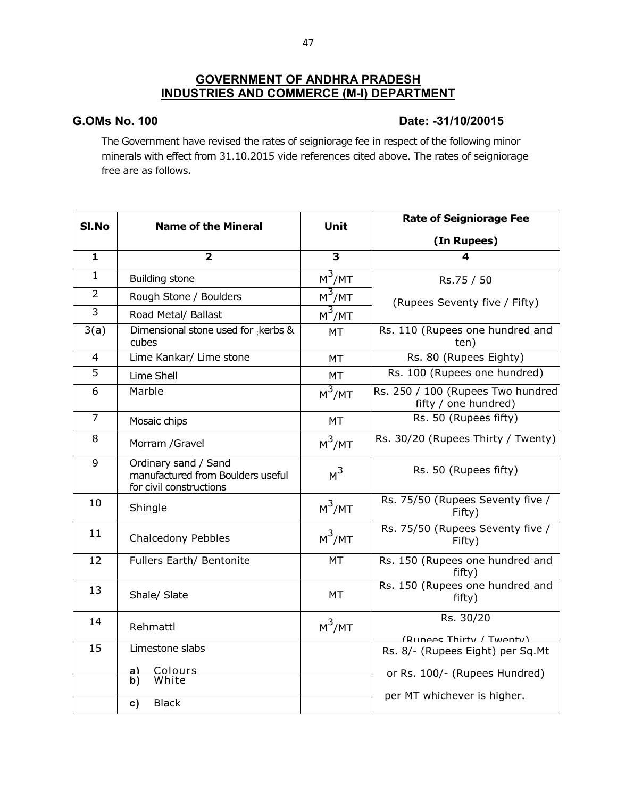#### **GOVERNMENT OF ANDHRA PRADESH INDUSTRIES AND COMMERCE (M-I) DEPARTMENT**

#### **G.OMs No. 100 Date: -31/10/20015**

The Government have revised the rates of seigniorage fee in respect of the following minor minerals with effect from 31.10.2015 vide references cited above. The rates of seigniorage free are as follows.

| Sl.No          | <b>Name of the Mineral</b>                                                           | Unit                | <b>Rate of Seigniorage Fee</b>                               |
|----------------|--------------------------------------------------------------------------------------|---------------------|--------------------------------------------------------------|
|                |                                                                                      |                     | (In Rupees)                                                  |
| $\mathbf{1}$   | $\overline{\mathbf{2}}$                                                              | 3                   | 4                                                            |
| $\mathbf{1}$   | <b>Building stone</b>                                                                | $\overline{M^3/MT}$ | Rs.75 / 50                                                   |
| $\overline{2}$ | Rough Stone / Boulders                                                               | $M^3$ /MT           | (Rupees Seventy five / Fifty)                                |
| 3              | Road Metal/ Ballast                                                                  | $M^3$ /MT           |                                                              |
| 3(a)           | Dimensional stone used for kerbs &<br>cubes                                          | <b>MT</b>           | Rs. 110 (Rupees one hundred and<br>ten)                      |
| $\overline{4}$ | Lime Kankar/ Lime stone                                                              | <b>MT</b>           | Rs. 80 (Rupees Eighty)                                       |
| 5              | Lime Shell                                                                           | MT                  | Rs. 100 (Rupees one hundred)                                 |
| 6              | Marble                                                                               | $M^3$ /MT           | Rs. 250 / 100 (Rupees Two hundred<br>fifty / one hundred)    |
| $\overline{7}$ | Mosaic chips                                                                         | <b>MT</b>           | Rs. 50 (Rupees fifty)                                        |
| 8              | Morram /Gravel                                                                       | $M^3/MT$            | Rs. 30/20 (Rupees Thirty / Twenty)                           |
| 9              | Ordinary sand / Sand<br>manufactured from Boulders useful<br>for civil constructions | M <sup>3</sup>      | Rs. 50 (Rupees fifty)                                        |
| 10             | Shingle                                                                              | $M^3$ /MT           | Rs. 75/50 (Rupees Seventy five /<br>Fifty)                   |
| 11             | Chalcedony Pebbles                                                                   | $M^3$ /MT           | Rs. 75/50 (Rupees Seventy five /<br>Fifty)                   |
| 12             | Fullers Earth/ Bentonite                                                             | MT                  | Rs. 150 (Rupees one hundred and<br>fifty)                    |
| 13             | Shale/ Slate                                                                         | <b>MT</b>           | Rs. 150 (Rupees one hundred and<br>fifty)                    |
| 14             | Rehmattl                                                                             | $M^3$ /MT           | Rs. 30/20                                                    |
| 15             | Limestone slabs                                                                      |                     | (Runees Thirty / Twenty)<br>Rs. 8/- (Rupees Eight) per Sq.Mt |
|                | Colours<br>a)                                                                        |                     |                                                              |
|                | White<br>b)                                                                          |                     | or Rs. 100/- (Rupees Hundred)                                |
|                | <b>Black</b><br>c)                                                                   |                     | per MT whichever is higher.                                  |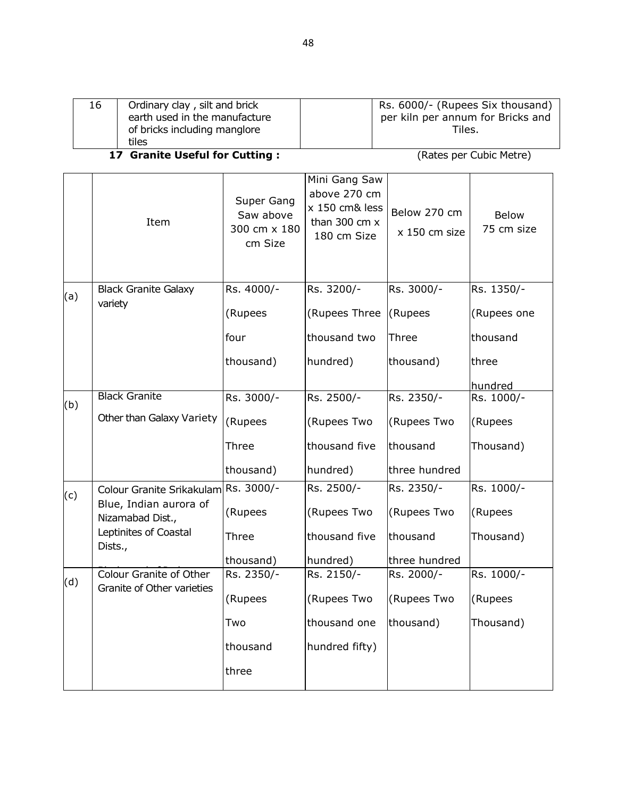| 16 | Ordinary clay, silt and brick<br>earth used in the manufacture<br>of bricks including manglore | Rs. 6000/- (Rupees Six thousand)<br>per kiln per annum for Bricks and<br>Tiles. |
|----|------------------------------------------------------------------------------------------------|---------------------------------------------------------------------------------|
|    | tiles                                                                                          |                                                                                 |

#### **17 Granite Useful for Cutting :** (Rates per Cubic Metre)

|     | Item                                       | Super Gang<br>Saw above<br>300 cm x 180<br>cm Size | Mini Gang Saw<br>above 270 cm<br>x 150 cm& less<br>than 300 cm $x$<br>180 cm Size | Below 270 cm<br>x 150 cm size | Below<br>75 cm size |
|-----|--------------------------------------------|----------------------------------------------------|-----------------------------------------------------------------------------------|-------------------------------|---------------------|
| (a) | <b>Black Granite Galaxy</b>                | Rs. 4000/-                                         | Rs. 3200/-                                                                        | Rs. 3000/-                    | Rs. 1350/-          |
|     | variety                                    | (Rupees                                            | (Rupees Three                                                                     | (Rupees                       | (Rupees one         |
|     |                                            | four                                               | thousand two                                                                      | Three                         | thousand            |
|     |                                            | thousand)                                          | hundred)                                                                          | thousand)                     | three               |
|     |                                            |                                                    |                                                                                   |                               | hundred             |
| (b) | <b>Black Granite</b>                       | Rs. 3000/-                                         | Rs. 2500/-                                                                        | Rs. 2350/-                    | Rs. 1000/-          |
|     | Other than Galaxy Variety                  | (Rupees                                            | (Rupees Two                                                                       | (Rupees Two                   | (Rupees             |
|     |                                            | Three                                              | thousand five                                                                     | thousand                      | Thousand)           |
|     |                                            | thousand)                                          | hundred)                                                                          | three hundred                 |                     |
| (c) | Colour Granite Srikakulam Rs. 3000/-       |                                                    | Rs. 2500/-                                                                        | Rs. 2350/-                    | Rs. 1000/-          |
|     | Blue, Indian aurora of<br>Nizamabad Dist., | (Rupees                                            | (Rupees Two                                                                       | (Rupees Two                   | (Rupees             |
|     | Leptinites of Coastal<br>Dists.,           | Three                                              | thousand five                                                                     | thousand                      | Thousand)           |
|     |                                            | thousand)                                          | hundred)                                                                          | three hundred                 |                     |
| (d) | Colour Granite of Other                    | Rs. 2350/-                                         | Rs. 2150/-                                                                        | Rs. 2000/-                    | Rs. 1000/-          |
|     | Granite of Other varieties                 | (Rupees                                            | (Rupees Two                                                                       | (Rupees Two                   | (Rupees             |
|     |                                            | Two                                                | thousand one                                                                      | thousand)                     | Thousand)           |
|     |                                            | thousand                                           | hundred fifty)                                                                    |                               |                     |
|     |                                            | three                                              |                                                                                   |                               |                     |
|     |                                            |                                                    |                                                                                   |                               |                     |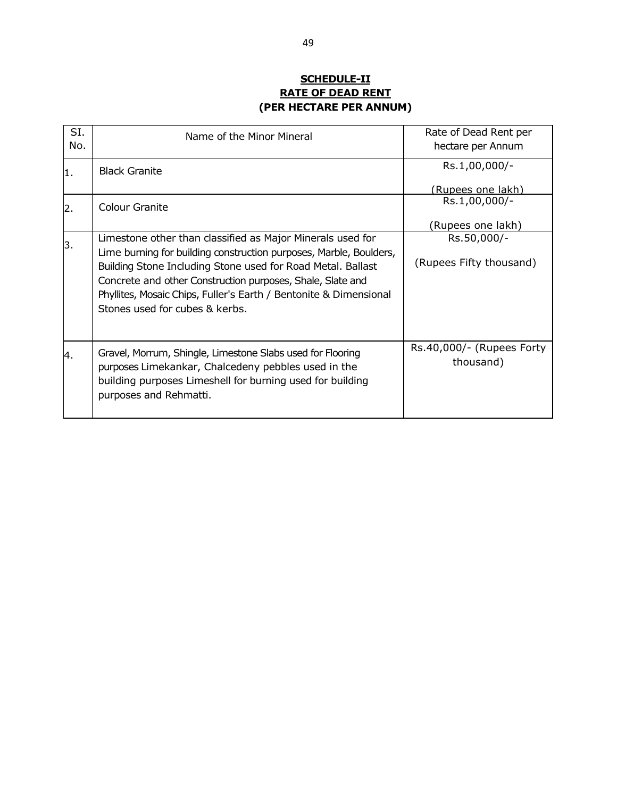#### **SCHEDULE-II RATE OF DEAD RENT (PER HECTARE PER ANNUM)**

| SI.<br>No. | Name of the Minor Mineral                                                                                                                                                                                                                                                                                                                                            | Rate of Dead Rent per<br>hectare per Annum |
|------------|----------------------------------------------------------------------------------------------------------------------------------------------------------------------------------------------------------------------------------------------------------------------------------------------------------------------------------------------------------------------|--------------------------------------------|
| 1.         | <b>Black Granite</b>                                                                                                                                                                                                                                                                                                                                                 | Rs.1,00,000/-<br>(Rupees one lakh)         |
| 2.         | <b>Colour Granite</b>                                                                                                                                                                                                                                                                                                                                                | Rs.1,00,000/-<br>(Rupees one lakh)         |
| 3.         | Limestone other than classified as Major Minerals used for<br>Lime burning for building construction purposes, Marble, Boulders,<br>Building Stone Including Stone used for Road Metal. Ballast<br>Concrete and other Construction purposes, Shale, Slate and<br>Phyllites, Mosaic Chips, Fuller's Earth / Bentonite & Dimensional<br>Stones used for cubes & kerbs. | Rs.50,000/-<br>(Rupees Fifty thousand)     |
| 4.         | Gravel, Morrum, Shingle, Limestone Slabs used for Flooring<br>purposes Limekankar, Chalcedeny pebbles used in the<br>building purposes Limeshell for burning used for building<br>purposes and Rehmatti.                                                                                                                                                             | Rs.40,000/- (Rupees Forty<br>thousand)     |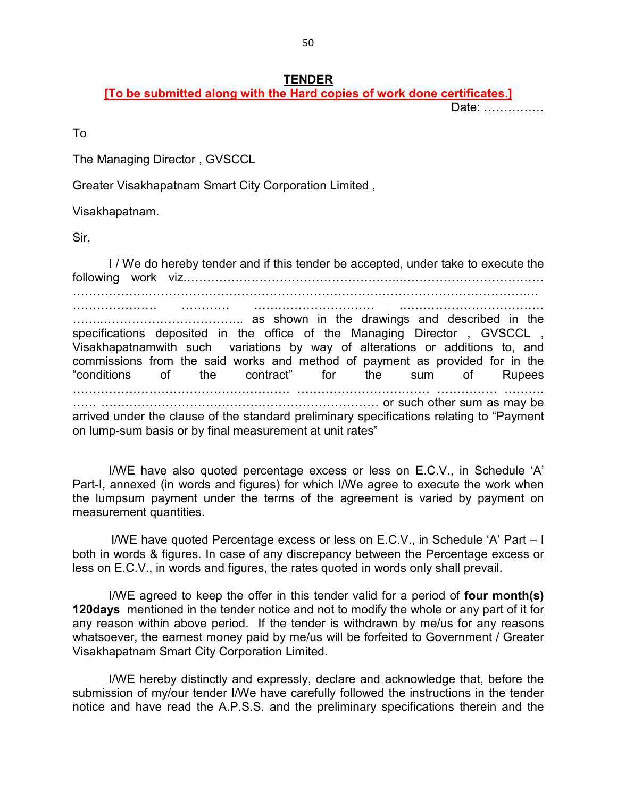#### **TENDER**

**[To be submitted along with the Hard copies of work done certificates.]**

Date: ……………

To

The Managing Director , GVSCCL

Greater Visakhapatnam Smart City Corporation Limited ,

Visakhapatnam.

Sir,

 I / We do hereby tender and if this tender be accepted, under take to execute the following work viz.……………………………………………..……………………………… ……………….………………………………………………………………………………….… ………………… ………… ………………………… ………………………………

……..…………………………….. as shown in the drawings and described in the specifications deposited in the office of the Managing Director, GVSCCL, Visakhapatnamwith such variations by way of alterations or additions to, and commissions from the said works and method of payment as provided for in the "conditions of the contract" for the sum of Rupees ……………………………………………… …………………………… …………… ………. …… …………………………………………………………… or such other sum as may be arrived under the clause of the standard preliminary specifications relating to "Payment on lump-sum basis or by final measurement at unit rates"

I/WE have also quoted percentage excess or less on E.C.V., in Schedule 'A' Part-I, annexed (in words and figures) for which I/We agree to execute the work when the lumpsum payment under the terms of the agreement is varied by payment on measurement quantities.

 I/WE have quoted Percentage excess or less on E.C.V., in Schedule 'A' Part – I both in words & figures. In case of any discrepancy between the Percentage excess or less on E.C.V., in words and figures, the rates quoted in words only shall prevail.

I/WE agreed to keep the offer in this tender valid for a period of **four month(s) 120days** mentioned in the tender notice and not to modify the whole or any part of it for any reason within above period. If the tender is withdrawn by me/us for any reasons whatsoever, the earnest money paid by me/us will be forfeited to Government / Greater Visakhapatnam Smart City Corporation Limited.

I/WE hereby distinctly and expressly, declare and acknowledge that, before the submission of my/our tender I/We have carefully followed the instructions in the tender notice and have read the A.P.S.S. and the preliminary specifications therein and the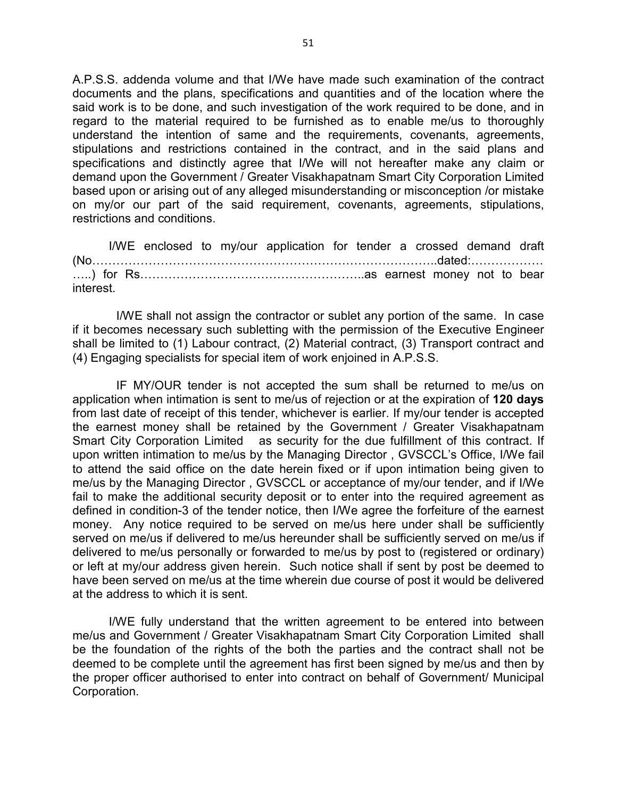A.P.S.S. addenda volume and that I/We have made such examination of the contract documents and the plans, specifications and quantities and of the location where the said work is to be done, and such investigation of the work required to be done, and in regard to the material required to be furnished as to enable me/us to thoroughly understand the intention of same and the requirements, covenants, agreements, stipulations and restrictions contained in the contract, and in the said plans and specifications and distinctly agree that I/We will not hereafter make any claim or demand upon the Government / Greater Visakhapatnam Smart City Corporation Limited based upon or arising out of any alleged misunderstanding or misconception /or mistake on my/or our part of the said requirement, covenants, agreements, stipulations, restrictions and conditions.

I/WE enclosed to my/our application for tender a crossed demand draft (No…………………………………………………………………………..dated:……………… …..) for Rs………………………………………………..as earnest money not to bear interest.

 I/WE shall not assign the contractor or sublet any portion of the same. In case if it becomes necessary such subletting with the permission of the Executive Engineer shall be limited to (1) Labour contract, (2) Material contract, (3) Transport contract and (4) Engaging specialists for special item of work enjoined in A.P.S.S.

 IF MY/OUR tender is not accepted the sum shall be returned to me/us on application when intimation is sent to me/us of rejection or at the expiration of **120 days**  from last date of receipt of this tender, whichever is earlier. If my/our tender is accepted the earnest money shall be retained by the Government / Greater Visakhapatnam Smart City Corporation Limited as security for the due fulfillment of this contract. If upon written intimation to me/us by the Managing Director , GVSCCL's Office, I/We fail to attend the said office on the date herein fixed or if upon intimation being given to me/us by the Managing Director , GVSCCL or acceptance of my/our tender, and if I/We fail to make the additional security deposit or to enter into the required agreement as defined in condition-3 of the tender notice, then I/We agree the forfeiture of the earnest money. Any notice required to be served on me/us here under shall be sufficiently served on me/us if delivered to me/us hereunder shall be sufficiently served on me/us if delivered to me/us personally or forwarded to me/us by post to (registered or ordinary) or left at my/our address given herein. Such notice shall if sent by post be deemed to have been served on me/us at the time wherein due course of post it would be delivered at the address to which it is sent.

I/WE fully understand that the written agreement to be entered into between me/us and Government / Greater Visakhapatnam Smart City Corporation Limited shall be the foundation of the rights of the both the parties and the contract shall not be deemed to be complete until the agreement has first been signed by me/us and then by the proper officer authorised to enter into contract on behalf of Government/ Municipal Corporation.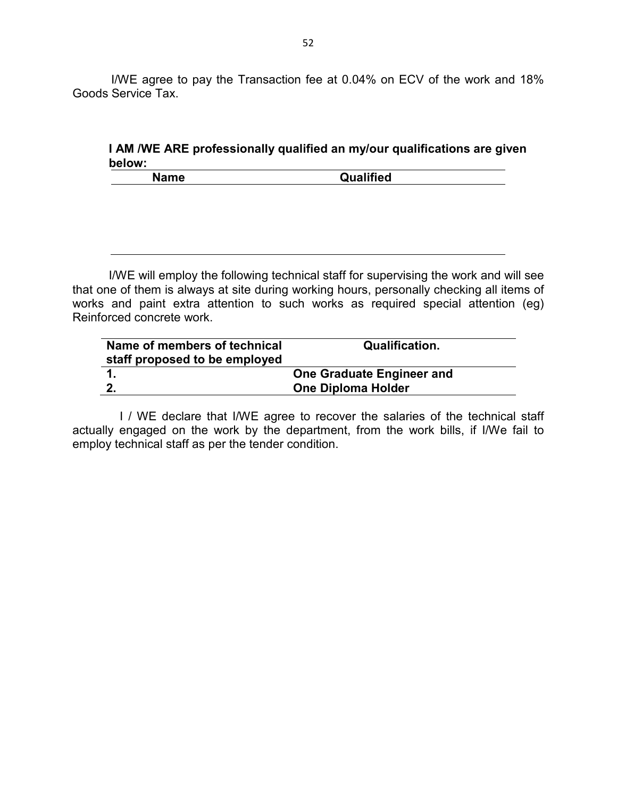I/WE agree to pay the Transaction fee at 0.04% on ECV of the work and 18% Goods Service Tax.

**I AM /WE ARE professionally qualified an my/our qualifications are given below:** 

| $\mathbf{m}$<br>Name | Qualified |
|----------------------|-----------|
|                      |           |

I/WE will employ the following technical staff for supervising the work and will see that one of them is always at site during working hours, personally checking all items of works and paint extra attention to such works as required special attention (eg) Reinforced concrete work.

| Name of members of technical<br>staff proposed to be employed | <b>Qualification.</b>     |
|---------------------------------------------------------------|---------------------------|
|                                                               | One Graduate Engineer and |
| 2.                                                            | <b>One Diploma Holder</b> |

I / WE declare that I/WE agree to recover the salaries of the technical staff actually engaged on the work by the department, from the work bills, if I/We fail to employ technical staff as per the tender condition.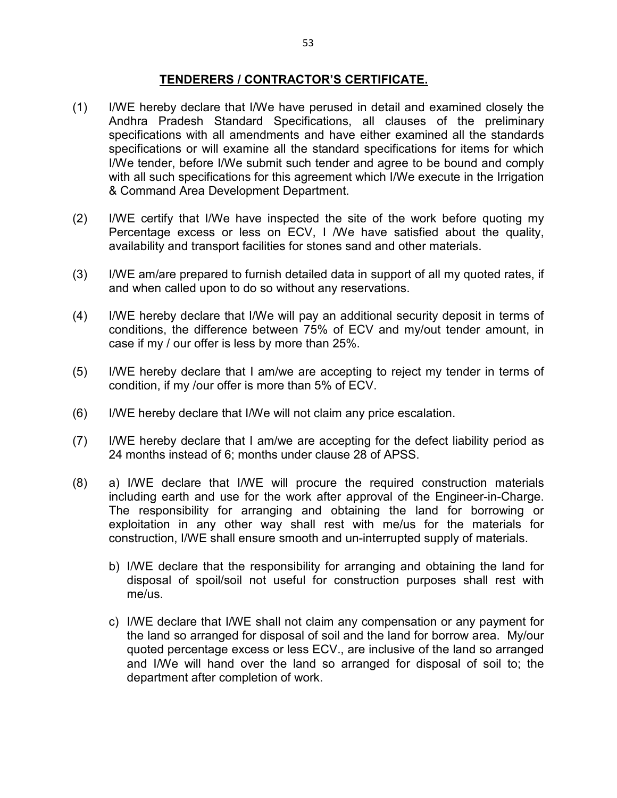#### **TENDERERS / CONTRACTOR'S CERTIFICATE.**

- (1) I/WE hereby declare that I/We have perused in detail and examined closely the Andhra Pradesh Standard Specifications, all clauses of the preliminary specifications with all amendments and have either examined all the standards specifications or will examine all the standard specifications for items for which I/We tender, before I/We submit such tender and agree to be bound and comply with all such specifications for this agreement which I/We execute in the Irrigation & Command Area Development Department.
- (2) I/WE certify that I/We have inspected the site of the work before quoting my Percentage excess or less on ECV, I /We have satisfied about the quality, availability and transport facilities for stones sand and other materials.
- (3) I/WE am/are prepared to furnish detailed data in support of all my quoted rates, if and when called upon to do so without any reservations.
- (4) I/WE hereby declare that I/We will pay an additional security deposit in terms of conditions, the difference between 75% of ECV and my/out tender amount, in case if my / our offer is less by more than 25%.
- (5) I/WE hereby declare that I am/we are accepting to reject my tender in terms of condition, if my /our offer is more than 5% of ECV.
- (6) I/WE hereby declare that I/We will not claim any price escalation.
- (7) I/WE hereby declare that I am/we are accepting for the defect liability period as 24 months instead of 6; months under clause 28 of APSS.
- (8) a) I/WE declare that I/WE will procure the required construction materials including earth and use for the work after approval of the Engineer-in-Charge. The responsibility for arranging and obtaining the land for borrowing or exploitation in any other way shall rest with me/us for the materials for construction, I/WE shall ensure smooth and un-interrupted supply of materials.
	- b) I/WE declare that the responsibility for arranging and obtaining the land for disposal of spoil/soil not useful for construction purposes shall rest with me/us.
	- c) I/WE declare that I/WE shall not claim any compensation or any payment for the land so arranged for disposal of soil and the land for borrow area. My/our quoted percentage excess or less ECV., are inclusive of the land so arranged and I/We will hand over the land so arranged for disposal of soil to; the department after completion of work.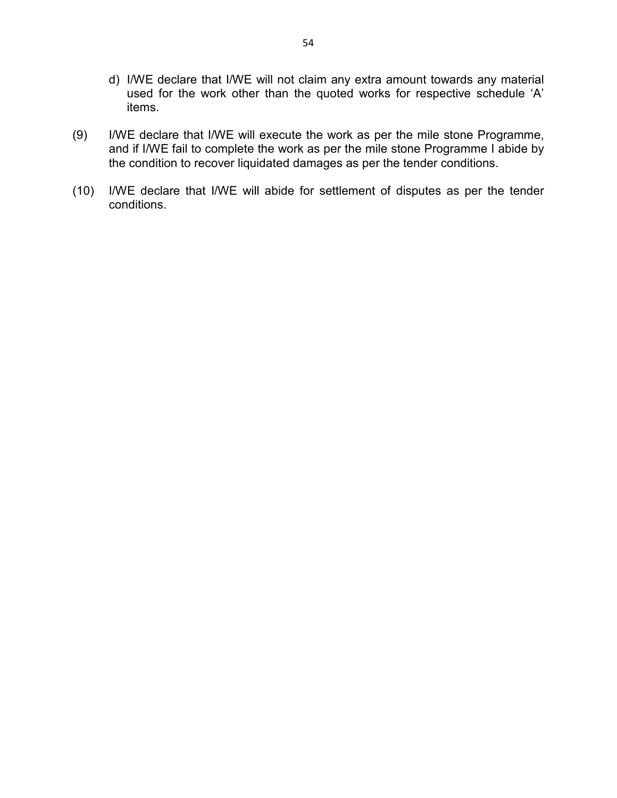- d) I/WE declare that I/WE will not claim any extra amount towards any material used for the work other than the quoted works for respective schedule 'A' items.
- (9) I/WE declare that I/WE will execute the work as per the mile stone Programme, and if I/WE fail to complete the work as per the mile stone Programme I abide by the condition to recover liquidated damages as per the tender conditions.
- (10) I/WE declare that I/WE will abide for settlement of disputes as per the tender conditions.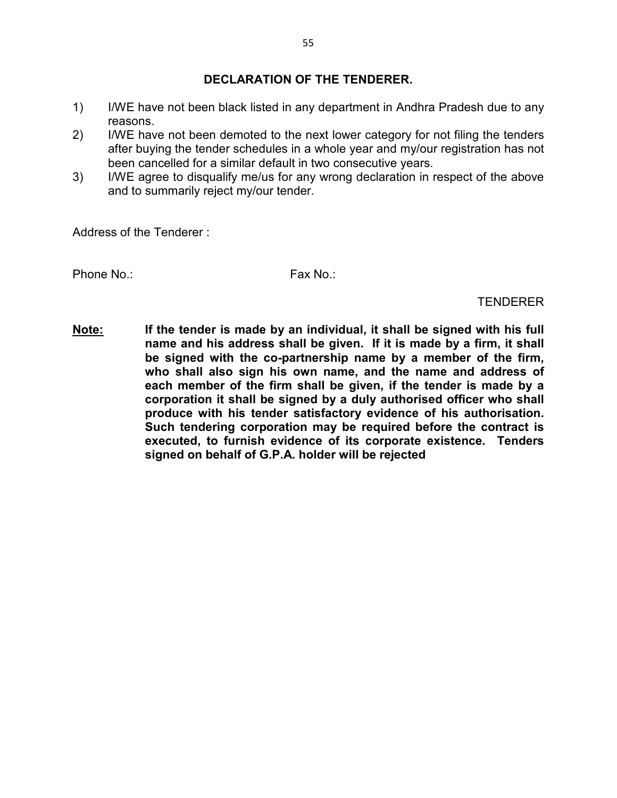#### **DECLARATION OF THE TENDERER.**

- 1) I/WE have not been black listed in any department in Andhra Pradesh due to any reasons.
- 2) I/WE have not been demoted to the next lower category for not filing the tenders after buying the tender schedules in a whole year and my/our registration has not been cancelled for a similar default in two consecutive years.
- 3) I/WE agree to disqualify me/us for any wrong declaration in respect of the above and to summarily reject my/our tender.

Address of the Tenderer :

Phone No.: The Contract of the Fax No.: Fax No.: Fax No.: Fax No.: Fax No.: Fax No.: Fax No.: Fax No.: Fax No.: Fax No.: Fax No.: Fax No.: Fax No.: Fax No.: Fax No.: Fax No.: Fax No.: Fax No.: Fax No.: Fax No.: Fax No.: Fa

TENDERER

**Note: If the tender is made by an individual, it shall be signed with his full name and his address shall be given. If it is made by a firm, it shall be signed with the co-partnership name by a member of the firm, who shall also sign his own name, and the name and address of each member of the firm shall be given, if the tender is made by a corporation it shall be signed by a duly authorised officer who shall produce with his tender satisfactory evidence of his authorisation. Such tendering corporation may be required before the contract is executed, to furnish evidence of its corporate existence. Tenders signed on behalf of G.P.A. holder will be rejected**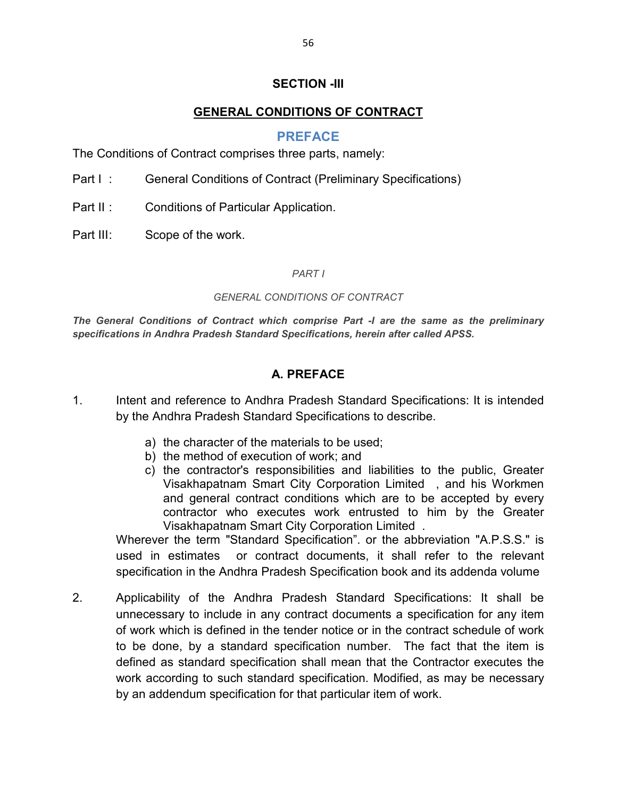#### **SECTION -III**

#### **GENERAL CONDITIONS OF CONTRACT**

#### **PREFACE**

The Conditions of Contract comprises three parts, namely:

- Part I : General Conditions of Contract (Preliminary Specifications)
- Part II: Conditions of Particular Application.
- Part III: Scope of the work.

#### *PART I*

#### *GENERAL CONDITIONS OF CONTRACT*

*The General Conditions of Contract which comprise Part -I are the same as the preliminary specifications in Andhra Pradesh Standard Specifications, herein after called APSS.*

#### **A. PREFACE**

- 1. Intent and reference to Andhra Pradesh Standard Specifications: It is intended by the Andhra Pradesh Standard Specifications to describe.
	- a) the character of the materials to be used;
	- b) the method of execution of work; and
	- c) the contractor's responsibilities and liabilities to the public, Greater Visakhapatnam Smart City Corporation Limited , and his Workmen and general contract conditions which are to be accepted by every contractor who executes work entrusted to him by the Greater Visakhapatnam Smart City Corporation Limited .

Wherever the term "Standard Specification". or the abbreviation "A.P.S.S." is used in estimates or contract documents, it shall refer to the relevant specification in the Andhra Pradesh Specification book and its addenda volume

2. Applicability of the Andhra Pradesh Standard Specifications: It shall be unnecessary to include in any contract documents a specification for any item of work which is defined in the tender notice or in the contract schedule of work to be done, by a standard specification number. The fact that the item is defined as standard specification shall mean that the Contractor executes the work according to such standard specification. Modified, as may be necessary by an addendum specification for that particular item of work.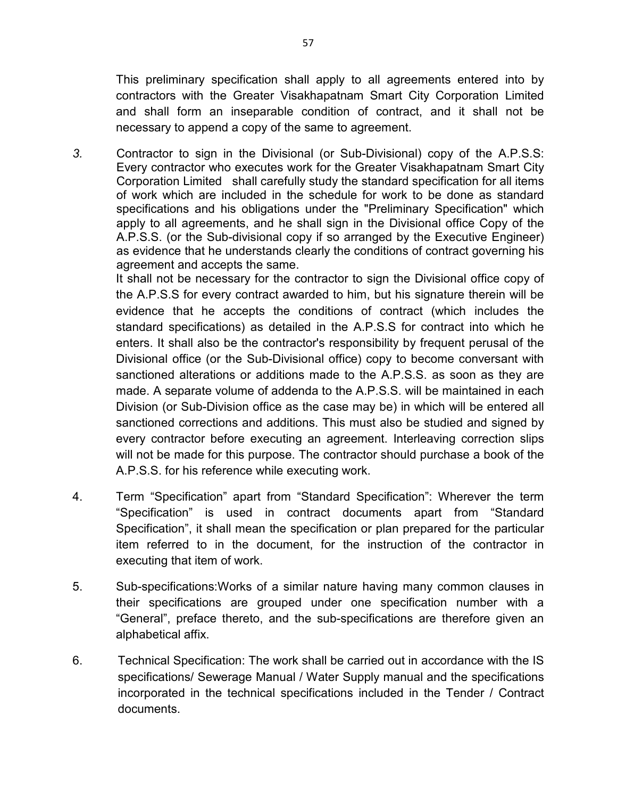This preliminary specification shall apply to all agreements entered into by contractors with the Greater Visakhapatnam Smart City Corporation Limited and shall form an inseparable condition of contract, and it shall not be necessary to append a copy of the same to agreement.

*3.* Contractor to sign in the Divisional (or Sub-Divisional) copy of the A.P.S.S: Every contractor who executes work for the Greater Visakhapatnam Smart City Corporation Limited shall carefully study the standard specification for all items of work which are included in the schedule for work to be done as standard specifications and his obligations under the "Preliminary Specification" which apply to all agreements, and he shall sign in the Divisional office Copy of the A.P.S.S. (or the Sub-divisional copy if so arranged by the Executive Engineer) as evidence that he understands clearly the conditions of contract governing his agreement and accepts the same.

It shall not be necessary for the contractor to sign the Divisional office copy of the A.P.S.S for every contract awarded to him, but his signature therein will be evidence that he accepts the conditions of contract (which includes the standard specifications) as detailed in the A.P.S.S for contract into which he enters. It shall also be the contractor's responsibility by frequent perusal of the Divisional office (or the Sub-Divisional office) copy to become conversant with sanctioned alterations or additions made to the A.P.S.S. as soon as they are made. A separate volume of addenda to the A.P.S.S. will be maintained in each Division (or Sub-Division office as the case may be) in which will be entered all sanctioned corrections and additions. This must also be studied and signed by every contractor before executing an agreement. Interleaving correction slips will not be made for this purpose. The contractor should purchase a book of the A.P.S.S. for his reference while executing work.

- 4. Term "Specification" apart from "Standard Specification": Wherever the term "Specification" is used in contract documents apart from "Standard Specification", it shall mean the specification or plan prepared for the particular item referred to in the document, for the instruction of the contractor in executing that item of work.
- 5. Sub-specifications: Works of a similar nature having many common clauses in their specifications are grouped under one specification number with a "General", preface thereto, and the sub-specifications are therefore given an alphabetical affix.
- 6. Technical Specification: The work shall be carried out in accordance with the IS specifications/ Sewerage Manual / Water Supply manual and the specifications incorporated in the technical specifications included in the Tender / Contract documents.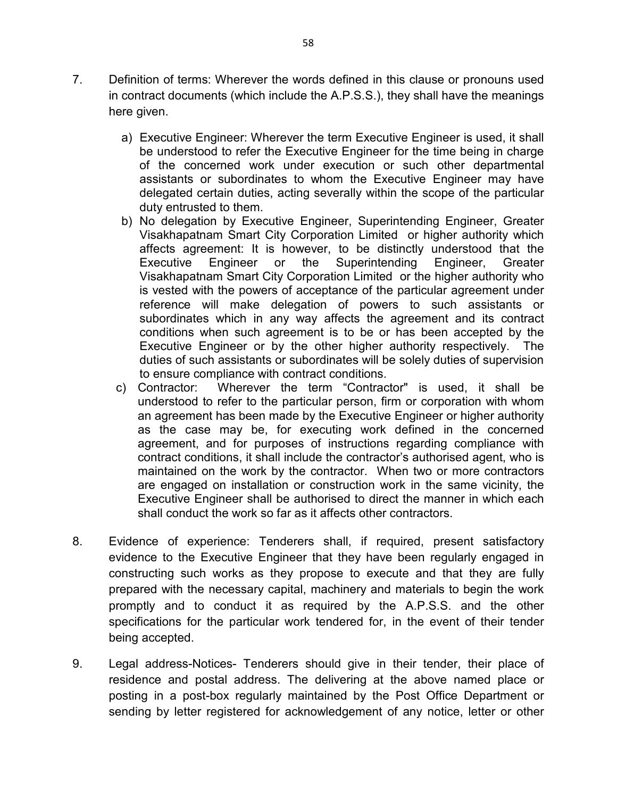- 7. Definition of terms: Wherever the words defined in this clause or pronouns used in contract documents (which include the A.P.S.S.), they shall have the meanings here given.
	- a) Executive Engineer: Wherever the term Executive Engineer is used, it shall be understood to refer the Executive Engineer for the time being in charge of the concerned work under execution or such other departmental assistants or subordinates to whom the Executive Engineer may have delegated certain duties, acting severally within the scope of the particular duty entrusted to them.
	- b) No delegation by Executive Engineer, Superintending Engineer, Greater Visakhapatnam Smart City Corporation Limited or higher authority which affects agreement: It is however, to be distinctly understood that the Executive Engineer or the Superintending Engineer, Greater Visakhapatnam Smart City Corporation Limited or the higher authority who is vested with the powers of acceptance of the particular agreement under reference will make delegation of powers to such assistants or subordinates which in any way affects the agreement and its contract conditions when such agreement is to be or has been accepted by the Executive Engineer or by the other higher authority respectively. The duties of such assistants or subordinates will be solely duties of supervision to ensure compliance with contract conditions.
	- c) Contractor: Wherever the term "Contractor" is used, it shall be understood to refer to the particular person, firm or corporation with whom an agreement has been made by the Executive Engineer or higher authority as the case may be, for executing work defined in the concerned agreement, and for purposes of instructions regarding compliance with contract conditions, it shall include the contractor's authorised agent, who is maintained on the work by the contractor. When two or more contractors are engaged on installation or construction work in the same vicinity, the Executive Engineer shall be authorised to direct the manner in which each shall conduct the work so far as it affects other contractors.
- 8. Evidence of experience: Tenderers shall, if required, present satisfactory evidence to the Executive Engineer that they have been regularly engaged in constructing such works as they propose to execute and that they are fully prepared with the necessary capital, machinery and materials to begin the work promptly and to conduct it as required by the A.P.S.S. and the other specifications for the particular work tendered for, in the event of their tender being accepted.
- 9. Legal address-Notices- Tenderers should give in their tender, their place of residence and postal address. The delivering at the above named place or posting in a post-box regularly maintained by the Post Office Department or sending by letter registered for acknowledgement of any notice, letter or other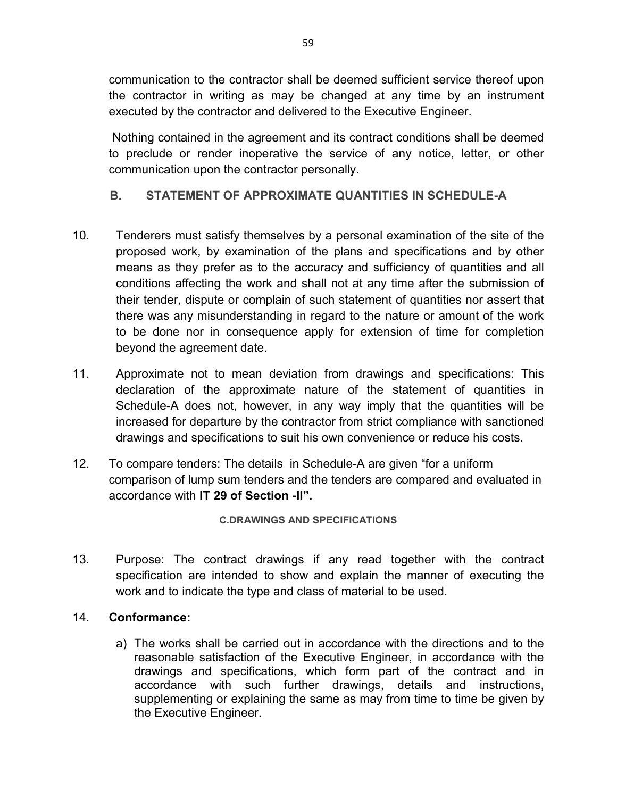communication to the contractor shall be deemed sufficient service thereof upon the contractor in writing as may be changed at any time by an instrument executed by the contractor and delivered to the Executive Engineer.

Nothing contained in the agreement and its contract conditions shall be deemed to preclude or render inoperative the service of any notice, letter, or other communication upon the contractor personally.

# **B. STATEMENT OF APPROXIMATE QUANTITIES IN SCHEDULE-A**

- 10. Tenderers must satisfy themselves by a personal examination of the site of the proposed work, by examination of the plans and specifications and by other means as they prefer as to the accuracy and sufficiency of quantities and all conditions affecting the work and shall not at any time after the submission of their tender, dispute or complain of such statement of quantities nor assert that there was any misunderstanding in regard to the nature or amount of the work to be done nor in consequence apply for extension of time for completion beyond the agreement date.
- 11. Approximate not to mean deviation from drawings and specifications: This declaration of the approximate nature of the statement of quantities in Schedule-A does not, however, in any way imply that the quantities will be increased for departure by the contractor from strict compliance with sanctioned drawings and specifications to suit his own convenience or reduce his costs.
- 12. To compare tenders: The details in Schedule-A are given "for a uniform comparison of lump sum tenders and the tenders are compared and evaluated in accordance with **IT 29 of Section -II".**

**C.DRAWINGS AND SPECIFICATIONS** 

13. Purpose: The contract drawings if any read together with the contract specification are intended to show and explain the manner of executing the work and to indicate the type and class of material to be used.

## 14. **Conformance:**

a) The works shall be carried out in accordance with the directions and to the reasonable satisfaction of the Executive Engineer, in accordance with the drawings and specifications, which form part of the contract and in accordance with such further drawings, details and instructions, supplementing or explaining the same as may from time to time be given by the Executive Engineer.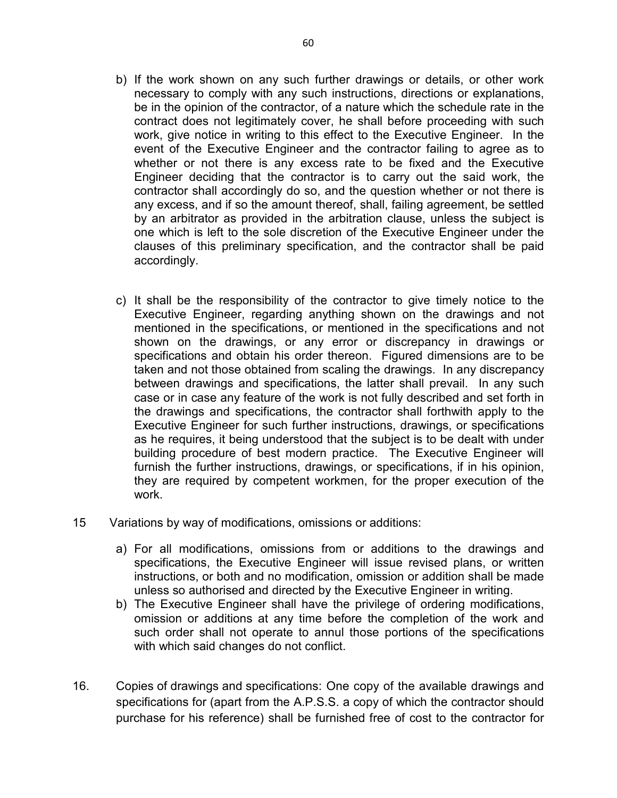- b) If the work shown on any such further drawings or details, or other work necessary to comply with any such instructions, directions or explanations, be in the opinion of the contractor, of a nature which the schedule rate in the contract does not legitimately cover, he shall before proceeding with such work, give notice in writing to this effect to the Executive Engineer. In the event of the Executive Engineer and the contractor failing to agree as to whether or not there is any excess rate to be fixed and the Executive Engineer deciding that the contractor is to carry out the said work, the contractor shall accordingly do so, and the question whether or not there is any excess, and if so the amount thereof, shall, failing agreement, be settled by an arbitrator as provided in the arbitration clause, unless the subject is one which is left to the sole discretion of the Executive Engineer under the clauses of this preliminary specification, and the contractor shall be paid accordingly.
- c) It shall be the responsibility of the contractor to give timely notice to the Executive Engineer, regarding anything shown on the drawings and not mentioned in the specifications, or mentioned in the specifications and not shown on the drawings, or any error or discrepancy in drawings or specifications and obtain his order thereon. Figured dimensions are to be taken and not those obtained from scaling the drawings. In any discrepancy between drawings and specifications, the latter shall prevail. In any such case or in case any feature of the work is not fully described and set forth in the drawings and specifications, the contractor shall forthwith apply to the Executive Engineer for such further instructions, drawings, or specifications as he requires, it being understood that the subject is to be dealt with under building procedure of best modern practice. The Executive Engineer will furnish the further instructions, drawings, or specifications, if in his opinion, they are required by competent workmen, for the proper execution of the work.
- 15 Variations by way of modifications, omissions or additions:
	- a) For all modifications, omissions from or additions to the drawings and specifications, the Executive Engineer will issue revised plans, or written instructions, or both and no modification, omission or addition shall be made unless so authorised and directed by the Executive Engineer in writing.
	- b) The Executive Engineer shall have the privilege of ordering modifications, omission or additions at any time before the completion of the work and such order shall not operate to annul those portions of the specifications with which said changes do not conflict.
- 16. Copies of drawings and specifications: One copy of the available drawings and specifications for (apart from the A.P.S.S. a copy of which the contractor should purchase for his reference) shall be furnished free of cost to the contractor for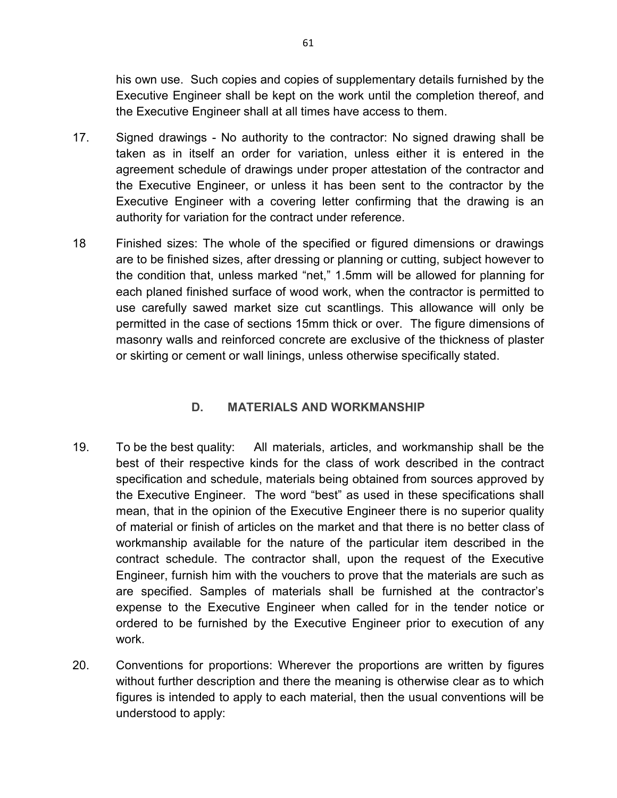his own use. Such copies and copies of supplementary details furnished by the Executive Engineer shall be kept on the work until the completion thereof, and the Executive Engineer shall at all times have access to them.

- 17. Signed drawings No authority to the contractor: No signed drawing shall be taken as in itself an order for variation, unless either it is entered in the agreement schedule of drawings under proper attestation of the contractor and the Executive Engineer, or unless it has been sent to the contractor by the Executive Engineer with a covering letter confirming that the drawing is an authority for variation for the contract under reference.
- 18 Finished sizes: The whole of the specified or figured dimensions or drawings are to be finished sizes, after dressing or planning or cutting, subject however to the condition that, unless marked "net," 1.5mm will be allowed for planning for each planed finished surface of wood work, when the contractor is permitted to use carefully sawed market size cut scantlings. This allowance will only be permitted in the case of sections 15mm thick or over. The figure dimensions of masonry walls and reinforced concrete are exclusive of the thickness of plaster or skirting or cement or wall linings, unless otherwise specifically stated.

# **D. MATERIALS AND WORKMANSHIP**

- 19. To be the best quality: All materials, articles, and workmanship shall be the best of their respective kinds for the class of work described in the contract specification and schedule, materials being obtained from sources approved by the Executive Engineer. The word "best" as used in these specifications shall mean, that in the opinion of the Executive Engineer there is no superior quality of material or finish of articles on the market and that there is no better class of workmanship available for the nature of the particular item described in the contract schedule. The contractor shall, upon the request of the Executive Engineer, furnish him with the vouchers to prove that the materials are such as are specified. Samples of materials shall be furnished at the contractor's expense to the Executive Engineer when called for in the tender notice or ordered to be furnished by the Executive Engineer prior to execution of any work.
- 20. Conventions for proportions: Wherever the proportions are written by figures without further description and there the meaning is otherwise clear as to which figures is intended to apply to each material, then the usual conventions will be understood to apply: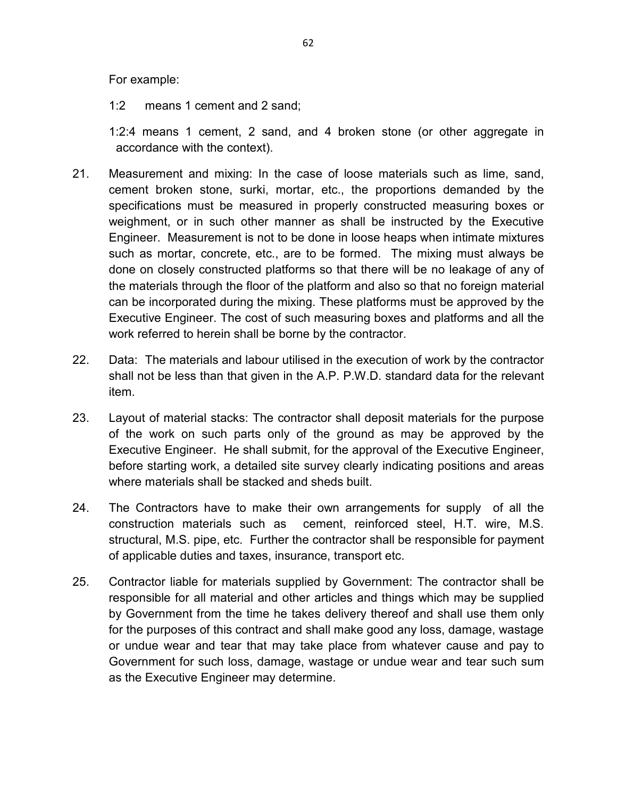For example:

1:2 means 1 cement and 2 sand;

1:2:4 means 1 cement, 2 sand, and 4 broken stone (or other aggregate in accordance with the context).

- 21. Measurement and mixing: In the case of loose materials such as lime, sand, cement broken stone, surki, mortar, etc., the proportions demanded by the specifications must be measured in properly constructed measuring boxes or weighment, or in such other manner as shall be instructed by the Executive Engineer. Measurement is not to be done in loose heaps when intimate mixtures such as mortar, concrete, etc., are to be formed. The mixing must always be done on closely constructed platforms so that there will be no leakage of any of the materials through the floor of the platform and also so that no foreign material can be incorporated during the mixing. These platforms must be approved by the Executive Engineer. The cost of such measuring boxes and platforms and all the work referred to herein shall be borne by the contractor.
- 22. Data: The materials and labour utilised in the execution of work by the contractor shall not be less than that given in the A.P. P.W.D. standard data for the relevant item.
- 23. Layout of material stacks: The contractor shall deposit materials for the purpose of the work on such parts only of the ground as may be approved by the Executive Engineer. He shall submit, for the approval of the Executive Engineer, before starting work, a detailed site survey clearly indicating positions and areas where materials shall be stacked and sheds built.
- 24. The Contractors have to make their own arrangements for supply of all the construction materials such as cement, reinforced steel, H.T. wire, M.S. structural, M.S. pipe, etc. Further the contractor shall be responsible for payment of applicable duties and taxes, insurance, transport etc.
- 25. Contractor liable for materials supplied by Government: The contractor shall be responsible for all material and other articles and things which may be supplied by Government from the time he takes delivery thereof and shall use them only for the purposes of this contract and shall make good any loss, damage, wastage or undue wear and tear that may take place from whatever cause and pay to Government for such loss, damage, wastage or undue wear and tear such sum as the Executive Engineer may determine.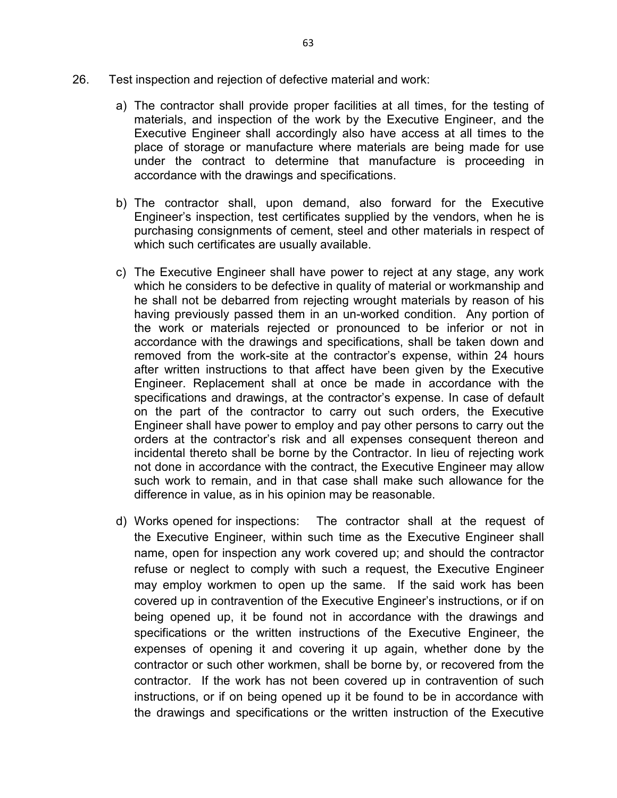- 26. Test inspection and rejection of defective material and work:
	- a) The contractor shall provide proper facilities at all times, for the testing of materials, and inspection of the work by the Executive Engineer, and the Executive Engineer shall accordingly also have access at all times to the place of storage or manufacture where materials are being made for use under the contract to determine that manufacture is proceeding in accordance with the drawings and specifications.
	- b) The contractor shall, upon demand, also forward for the Executive Engineer's inspection, test certificates supplied by the vendors, when he is purchasing consignments of cement, steel and other materials in respect of which such certificates are usually available.
	- c) The Executive Engineer shall have power to reject at any stage, any work which he considers to be defective in quality of material or workmanship and he shall not be debarred from rejecting wrought materials by reason of his having previously passed them in an un-worked condition. Any portion of the work or materials rejected or pronounced to be inferior or not in accordance with the drawings and specifications, shall be taken down and removed from the work-site at the contractor's expense, within 24 hours after written instructions to that affect have been given by the Executive Engineer. Replacement shall at once be made in accordance with the specifications and drawings, at the contractor's expense. In case of default on the part of the contractor to carry out such orders, the Executive Engineer shall have power to employ and pay other persons to carry out the orders at the contractor's risk and all expenses consequent thereon and incidental thereto shall be borne by the Contractor. In lieu of rejecting work not done in accordance with the contract, the Executive Engineer may allow such work to remain, and in that case shall make such allowance for the difference in value, as in his opinion may be reasonable.
	- d) Works opened for inspections: The contractor shall at the request of the Executive Engineer, within such time as the Executive Engineer shall name, open for inspection any work covered up; and should the contractor refuse or neglect to comply with such a request, the Executive Engineer may employ workmen to open up the same. If the said work has been covered up in contravention of the Executive Engineer's instructions, or if on being opened up, it be found not in accordance with the drawings and specifications or the written instructions of the Executive Engineer, the expenses of opening it and covering it up again, whether done by the contractor or such other workmen, shall be borne by, or recovered from the contractor. If the work has not been covered up in contravention of such instructions, or if on being opened up it be found to be in accordance with the drawings and specifications or the written instruction of the Executive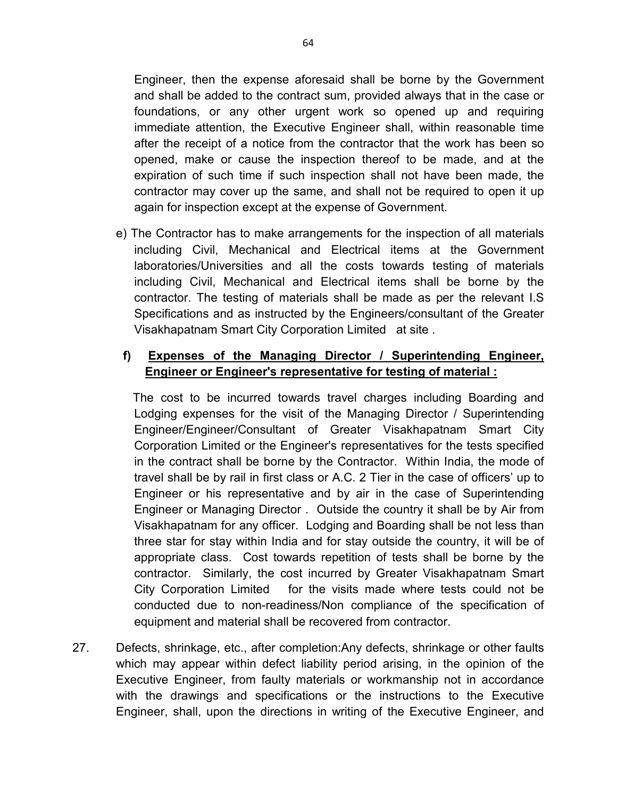Engineer, then the expense aforesaid shall be borne by the Government and shall be added to the contract sum, provided always that in the case or foundations, or any other urgent work so opened up and requiring immediate attention, the Executive Engineer shall, within reasonable time after the receipt of a notice from the contractor that the work has been so opened, make or cause the inspection thereof to be made, and at the expiration of such time if such inspection shall not have been made, the contractor may cover up the same, and shall not be required to open it up again for inspection except at the expense of Government.

e) The Contractor has to make arrangements for the inspection of all materials including Civil, Mechanical and Electrical items at the Government laboratories/Universities and all the costs towards testing of materials including Civil, Mechanical and Electrical items shall be borne by the contractor. The testing of materials shall be made as per the relevant I.S Specifications and as instructed by the Engineers/consultant of the Greater Visakhapatnam Smart City Corporation Limited at site .

# **f) Expenses of the Managing Director / Superintending Engineer, Engineer or Engineer's representative for testing of material :**

 The cost to be incurred towards travel charges including Boarding and Lodging expenses for the visit of the Managing Director / Superintending Engineer/Engineer/Consultant of Greater Visakhapatnam Smart City Corporation Limited or the Engineer's representatives for the tests specified in the contract shall be borne by the Contractor. Within India, the mode of travel shall be by rail in first class or A.C. 2 Tier in the case of officers' up to Engineer or his representative and by air in the case of Superintending Engineer or Managing Director . Outside the country it shall be by Air from Visakhapatnam for any officer. Lodging and Boarding shall be not less than three star for stay within India and for stay outside the country, it will be of appropriate class. Cost towards repetition of tests shall be borne by the contractor. Similarly, the cost incurred by Greater Visakhapatnam Smart City Corporation Limited for the visits made where tests could not be conducted due to non-readiness/Non compliance of the specification of equipment and material shall be recovered from contractor.

27. Defects, shrinkage, etc., after completion:Any defects, shrinkage or other faults which may appear within defect liability period arising, in the opinion of the Executive Engineer, from faulty materials or workmanship not in accordance with the drawings and specifications or the instructions to the Executive Engineer, shall, upon the directions in writing of the Executive Engineer, and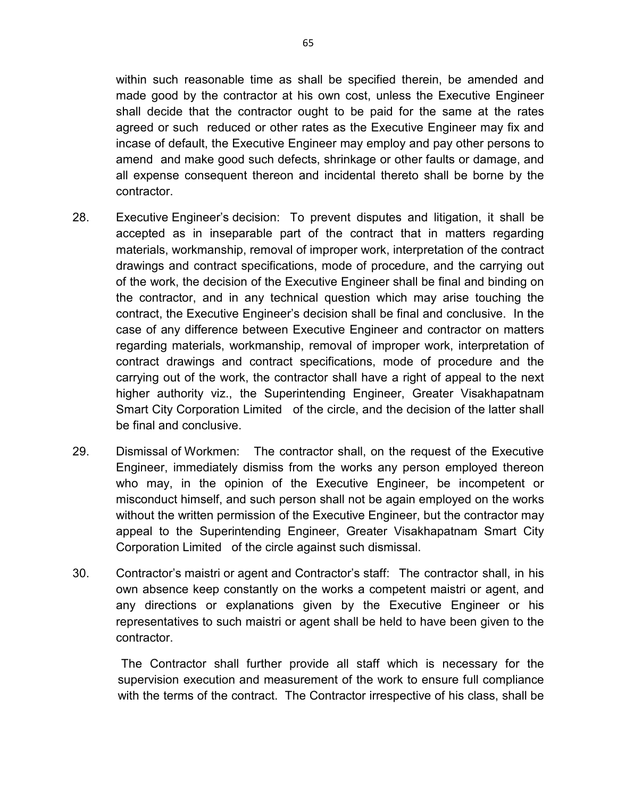within such reasonable time as shall be specified therein, be amended and made good by the contractor at his own cost, unless the Executive Engineer shall decide that the contractor ought to be paid for the same at the rates agreed or such reduced or other rates as the Executive Engineer may fix and incase of default, the Executive Engineer may employ and pay other persons to amend and make good such defects, shrinkage or other faults or damage, and all expense consequent thereon and incidental thereto shall be borne by the contractor.

- 28. Executive Engineer's decision: To prevent disputes and litigation, it shall be accepted as in inseparable part of the contract that in matters regarding materials, workmanship, removal of improper work, interpretation of the contract drawings and contract specifications, mode of procedure, and the carrying out of the work, the decision of the Executive Engineer shall be final and binding on the contractor, and in any technical question which may arise touching the contract, the Executive Engineer's decision shall be final and conclusive. In the case of any difference between Executive Engineer and contractor on matters regarding materials, workmanship, removal of improper work, interpretation of contract drawings and contract specifications, mode of procedure and the carrying out of the work, the contractor shall have a right of appeal to the next higher authority viz., the Superintending Engineer, Greater Visakhapatnam Smart City Corporation Limited of the circle, and the decision of the latter shall be final and conclusive.
- 29. Dismissal of Workmen: The contractor shall, on the request of the Executive Engineer, immediately dismiss from the works any person employed thereon who may, in the opinion of the Executive Engineer, be incompetent or misconduct himself, and such person shall not be again employed on the works without the written permission of the Executive Engineer, but the contractor may appeal to the Superintending Engineer, Greater Visakhapatnam Smart City Corporation Limited of the circle against such dismissal.
- 30. Contractor's maistri or agent and Contractor's staff: The contractor shall, in his own absence keep constantly on the works a competent maistri or agent, and any directions or explanations given by the Executive Engineer or his representatives to such maistri or agent shall be held to have been given to the contractor.

 The Contractor shall further provide all staff which is necessary for the supervision execution and measurement of the work to ensure full compliance with the terms of the contract. The Contractor irrespective of his class, shall be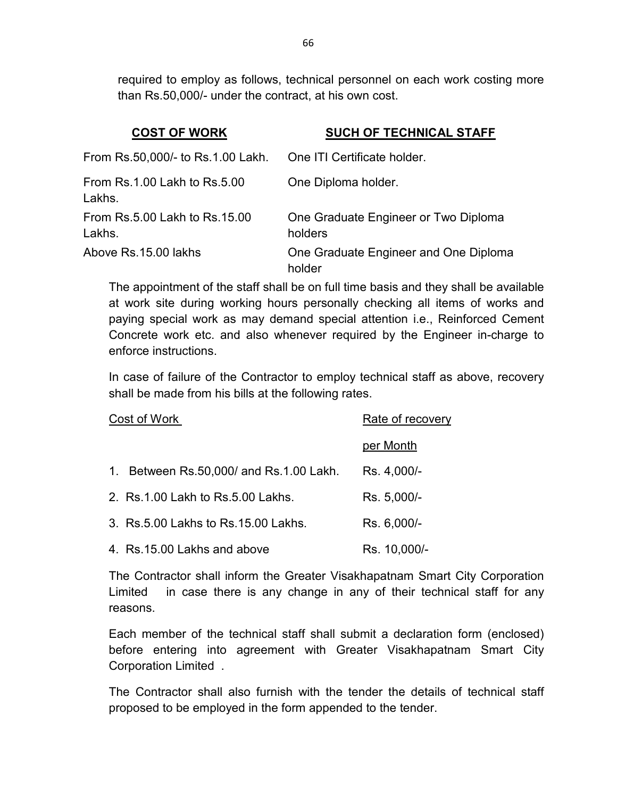required to employ as follows, technical personnel on each work costing more than Rs.50,000/- under the contract, at his own cost.

| <b>COST OF WORK</b>                     | <b>SUCH OF TECHNICAL STAFF</b>                  |
|-----------------------------------------|-------------------------------------------------|
| From Rs.50,000/- to Rs.1.00 Lakh.       | One ITI Certificate holder.                     |
| From Rs.1.00 Lakh to Rs.5.00<br>Lakhs.  | One Diploma holder.                             |
| From Rs.5.00 Lakh to Rs.15.00<br>Lakhs. | One Graduate Engineer or Two Diploma<br>holders |
| Above Rs.15.00 lakhs                    | One Graduate Engineer and One Diploma<br>holder |

The appointment of the staff shall be on full time basis and they shall be available at work site during working hours personally checking all items of works and paying special work as may demand special attention i.e., Reinforced Cement Concrete work etc. and also whenever required by the Engineer in-charge to enforce instructions.

In case of failure of the Contractor to employ technical staff as above, recovery shall be made from his bills at the following rates.

| Cost of Work                                        | Rate of recovery |
|-----------------------------------------------------|------------------|
|                                                     | per Month        |
| Between Rs.50,000/ and Rs.1.00 Lakh.<br>$1_{\cdot}$ | Rs. 4,000/-      |
| 2. Rs. 1.00 Lakh to Rs. 5.00 Lakhs.                 | Rs. 5,000/-      |
| 3. Rs. 5.00 Lakhs to Rs. 15.00 Lakhs.               | Rs. 6,000/-      |
| 4. Rs.15.00 Lakhs and above                         | Rs. 10,000/-     |

The Contractor shall inform the Greater Visakhapatnam Smart City Corporation Limited in case there is any change in any of their technical staff for any reasons.

Each member of the technical staff shall submit a declaration form (enclosed) before entering into agreement with Greater Visakhapatnam Smart City Corporation Limited .

The Contractor shall also furnish with the tender the details of technical staff proposed to be employed in the form appended to the tender.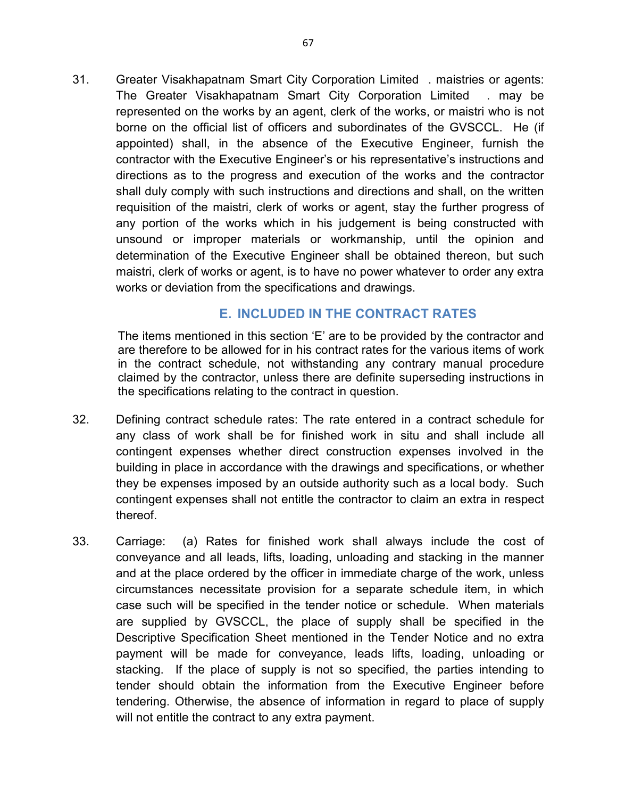31. Greater Visakhapatnam Smart City Corporation Limited . maistries or agents: The Greater Visakhapatnam Smart City Corporation Limited . may be represented on the works by an agent, clerk of the works, or maistri who is not borne on the official list of officers and subordinates of the GVSCCL. He (if appointed) shall, in the absence of the Executive Engineer, furnish the contractor with the Executive Engineer's or his representative's instructions and directions as to the progress and execution of the works and the contractor shall duly comply with such instructions and directions and shall, on the written requisition of the maistri, clerk of works or agent, stay the further progress of any portion of the works which in his judgement is being constructed with unsound or improper materials or workmanship, until the opinion and determination of the Executive Engineer shall be obtained thereon, but such maistri, clerk of works or agent, is to have no power whatever to order any extra works or deviation from the specifications and drawings.

#### **E. INCLUDED IN THE CONTRACT RATES**

The items mentioned in this section 'E' are to be provided by the contractor and are therefore to be allowed for in his contract rates for the various items of work in the contract schedule, not withstanding any contrary manual procedure claimed by the contractor, unless there are definite superseding instructions in the specifications relating to the contract in question.

- 32. Defining contract schedule rates: The rate entered in a contract schedule for any class of work shall be for finished work in situ and shall include all contingent expenses whether direct construction expenses involved in the building in place in accordance with the drawings and specifications, or whether they be expenses imposed by an outside authority such as a local body. Such contingent expenses shall not entitle the contractor to claim an extra in respect thereof.
- 33. Carriage: (a) Rates for finished work shall always include the cost of conveyance and all leads, lifts, loading, unloading and stacking in the manner and at the place ordered by the officer in immediate charge of the work, unless circumstances necessitate provision for a separate schedule item, in which case such will be specified in the tender notice or schedule. When materials are supplied by GVSCCL, the place of supply shall be specified in the Descriptive Specification Sheet mentioned in the Tender Notice and no extra payment will be made for conveyance, leads lifts, loading, unloading or stacking. If the place of supply is not so specified, the parties intending to tender should obtain the information from the Executive Engineer before tendering. Otherwise, the absence of information in regard to place of supply will not entitle the contract to any extra payment.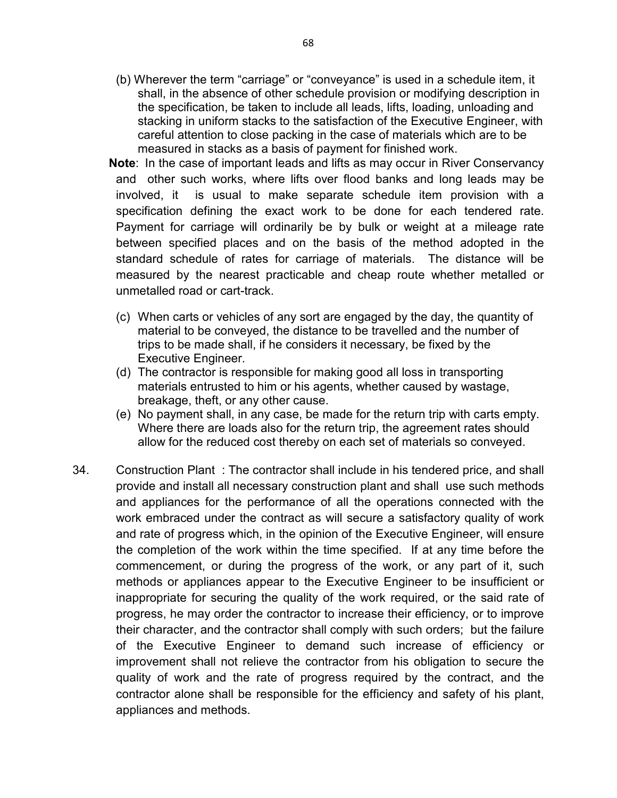- (b) Wherever the term "carriage" or "conveyance" is used in a schedule item, it shall, in the absence of other schedule provision or modifying description in the specification, be taken to include all leads, lifts, loading, unloading and stacking in uniform stacks to the satisfaction of the Executive Engineer, with careful attention to close packing in the case of materials which are to be measured in stacks as a basis of payment for finished work.
- **Note**: In the case of important leads and lifts as may occur in River Conservancy and other such works, where lifts over flood banks and long leads may be involved, it is usual to make separate schedule item provision with a specification defining the exact work to be done for each tendered rate. Payment for carriage will ordinarily be by bulk or weight at a mileage rate between specified places and on the basis of the method adopted in the standard schedule of rates for carriage of materials. The distance will be measured by the nearest practicable and cheap route whether metalled or unmetalled road or cart-track.
- (c) When carts or vehicles of any sort are engaged by the day, the quantity of material to be conveyed, the distance to be travelled and the number of trips to be made shall, if he considers it necessary, be fixed by the Executive Engineer.
- (d) The contractor is responsible for making good all loss in transporting materials entrusted to him or his agents, whether caused by wastage, breakage, theft, or any other cause.
- (e) No payment shall, in any case, be made for the return trip with carts empty. Where there are loads also for the return trip, the agreement rates should allow for the reduced cost thereby on each set of materials so conveyed.
- 34. Construction Plant : The contractor shall include in his tendered price, and shall provide and install all necessary construction plant and shall use such methods and appliances for the performance of all the operations connected with the work embraced under the contract as will secure a satisfactory quality of work and rate of progress which, in the opinion of the Executive Engineer, will ensure the completion of the work within the time specified. If at any time before the commencement, or during the progress of the work, or any part of it, such methods or appliances appear to the Executive Engineer to be insufficient or inappropriate for securing the quality of the work required, or the said rate of progress, he may order the contractor to increase their efficiency, or to improve their character, and the contractor shall comply with such orders; but the failure of the Executive Engineer to demand such increase of efficiency or improvement shall not relieve the contractor from his obligation to secure the quality of work and the rate of progress required by the contract, and the contractor alone shall be responsible for the efficiency and safety of his plant, appliances and methods.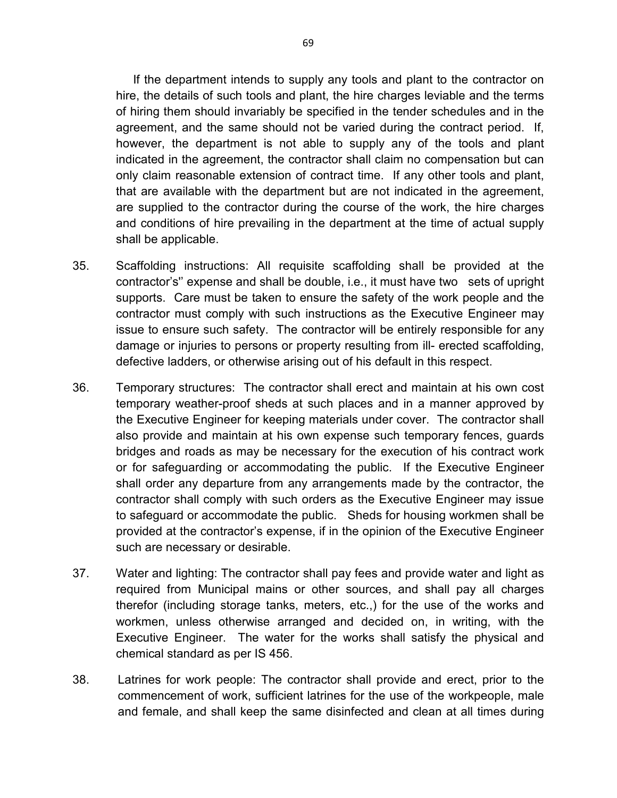If the department intends to supply any tools and plant to the contractor on hire, the details of such tools and plant, the hire charges leviable and the terms of hiring them should invariably be specified in the tender schedules and in the agreement, and the same should not be varied during the contract period. If, however, the department is not able to supply any of the tools and plant indicated in the agreement, the contractor shall claim no compensation but can only claim reasonable extension of contract time. If any other tools and plant, that are available with the department but are not indicated in the agreement, are supplied to the contractor during the course of the work, the hire charges and conditions of hire prevailing in the department at the time of actual supply shall be applicable.

- 35. Scaffolding instructions: All requisite scaffolding shall be provided at the contractor's'' expense and shall be double, i.e., it must have two sets of upright supports. Care must be taken to ensure the safety of the work people and the contractor must comply with such instructions as the Executive Engineer may issue to ensure such safety. The contractor will be entirely responsible for any damage or injuries to persons or property resulting from ill- erected scaffolding, defective ladders, or otherwise arising out of his default in this respect.
- 36. Temporary structures: The contractor shall erect and maintain at his own cost temporary weather-proof sheds at such places and in a manner approved by the Executive Engineer for keeping materials under cover. The contractor shall also provide and maintain at his own expense such temporary fences, guards bridges and roads as may be necessary for the execution of his contract work or for safeguarding or accommodating the public. If the Executive Engineer shall order any departure from any arrangements made by the contractor, the contractor shall comply with such orders as the Executive Engineer may issue to safeguard or accommodate the public. Sheds for housing workmen shall be provided at the contractor's expense, if in the opinion of the Executive Engineer such are necessary or desirable.
- 37. Water and lighting: The contractor shall pay fees and provide water and light as required from Municipal mains or other sources, and shall pay all charges therefor (including storage tanks, meters, etc.,) for the use of the works and workmen, unless otherwise arranged and decided on, in writing, with the Executive Engineer. The water for the works shall satisfy the physical and chemical standard as per IS 456.
- 38. Latrines for work people: The contractor shall provide and erect, prior to the commencement of work, sufficient latrines for the use of the workpeople, male and female, and shall keep the same disinfected and clean at all times during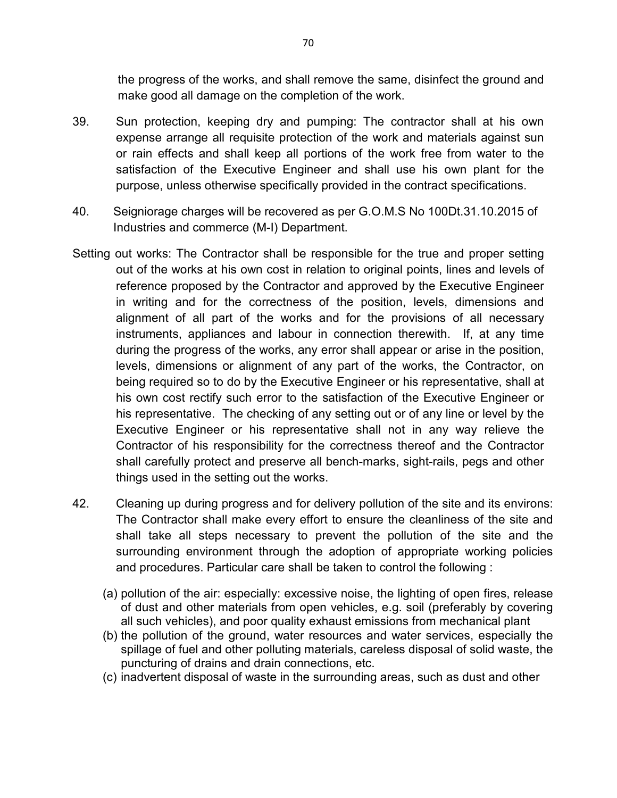the progress of the works, and shall remove the same, disinfect the ground and make good all damage on the completion of the work.

- 39. Sun protection, keeping dry and pumping: The contractor shall at his own expense arrange all requisite protection of the work and materials against sun or rain effects and shall keep all portions of the work free from water to the satisfaction of the Executive Engineer and shall use his own plant for the purpose, unless otherwise specifically provided in the contract specifications.
- 40. Seigniorage charges will be recovered as per G.O.M.S No 100Dt.31.10.2015 of Industries and commerce (M-I) Department.
- Setting out works: The Contractor shall be responsible for the true and proper setting out of the works at his own cost in relation to original points, lines and levels of reference proposed by the Contractor and approved by the Executive Engineer in writing and for the correctness of the position, levels, dimensions and alignment of all part of the works and for the provisions of all necessary instruments, appliances and labour in connection therewith. If, at any time during the progress of the works, any error shall appear or arise in the position, levels, dimensions or alignment of any part of the works, the Contractor, on being required so to do by the Executive Engineer or his representative, shall at his own cost rectify such error to the satisfaction of the Executive Engineer or his representative. The checking of any setting out or of any line or level by the Executive Engineer or his representative shall not in any way relieve the Contractor of his responsibility for the correctness thereof and the Contractor shall carefully protect and preserve all bench-marks, sight-rails, pegs and other things used in the setting out the works.
- 42. Cleaning up during progress and for delivery pollution of the site and its environs: The Contractor shall make every effort to ensure the cleanliness of the site and shall take all steps necessary to prevent the pollution of the site and the surrounding environment through the adoption of appropriate working policies and procedures. Particular care shall be taken to control the following :
	- (a) pollution of the air: especially: excessive noise, the lighting of open fires, release of dust and other materials from open vehicles, e.g. soil (preferably by covering all such vehicles), and poor quality exhaust emissions from mechanical plant
	- (b) the pollution of the ground, water resources and water services, especially the spillage of fuel and other polluting materials, careless disposal of solid waste, the puncturing of drains and drain connections, etc.
	- (c) inadvertent disposal of waste in the surrounding areas, such as dust and other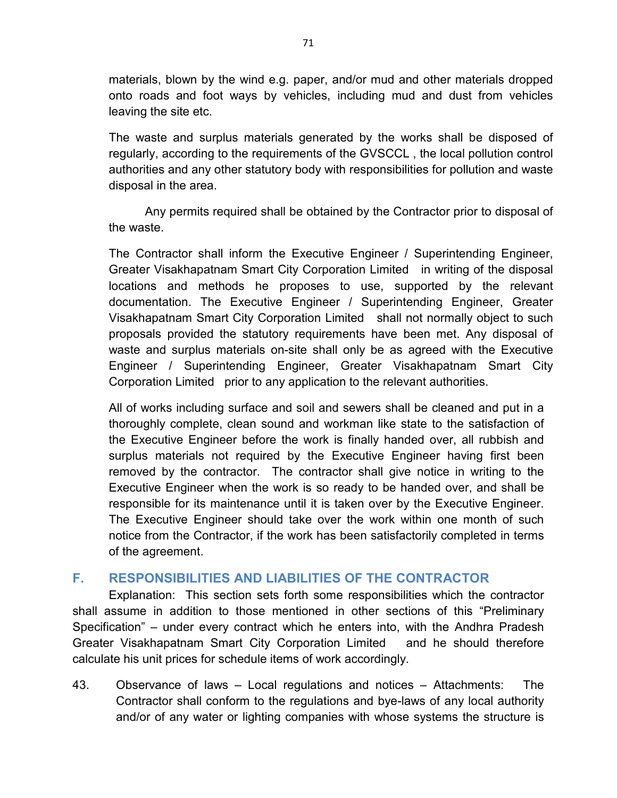materials, blown by the wind e.g. paper, and/or mud and other materials dropped onto roads and foot ways by vehicles, including mud and dust from vehicles leaving the site etc.

The waste and surplus materials generated by the works shall be disposed of regularly, according to the requirements of the GVSCCL , the local pollution control authorities and any other statutory body with responsibilities for pollution and waste disposal in the area.

Any permits required shall be obtained by the Contractor prior to disposal of the waste.

The Contractor shall inform the Executive Engineer / Superintending Engineer, Greater Visakhapatnam Smart City Corporation Limited in writing of the disposal locations and methods he proposes to use, supported by the relevant documentation. The Executive Engineer / Superintending Engineer, Greater Visakhapatnam Smart City Corporation Limited shall not normally object to such proposals provided the statutory requirements have been met. Any disposal of waste and surplus materials on-site shall only be as agreed with the Executive Engineer / Superintending Engineer, Greater Visakhapatnam Smart City Corporation Limited prior to any application to the relevant authorities.

All of works including surface and soil and sewers shall be cleaned and put in a thoroughly complete, clean sound and workman like state to the satisfaction of the Executive Engineer before the work is finally handed over, all rubbish and surplus materials not required by the Executive Engineer having first been removed by the contractor. The contractor shall give notice in writing to the Executive Engineer when the work is so ready to be handed over, and shall be responsible for its maintenance until it is taken over by the Executive Engineer. The Executive Engineer should take over the work within one month of such notice from the Contractor, if the work has been satisfactorily completed in terms of the agreement.

# **F. RESPONSIBILITIES AND LIABILITIES OF THE CONTRACTOR**

Explanation: This section sets forth some responsibilities which the contractor shall assume in addition to those mentioned in other sections of this "Preliminary Specification" – under every contract which he enters into, with the Andhra Pradesh Greater Visakhapatnam Smart City Corporation Limited and he should therefore calculate his unit prices for schedule items of work accordingly.

43. Observance of laws – Local regulations and notices – Attachments: The Contractor shall conform to the regulations and bye-laws of any local authority and/or of any water or lighting companies with whose systems the structure is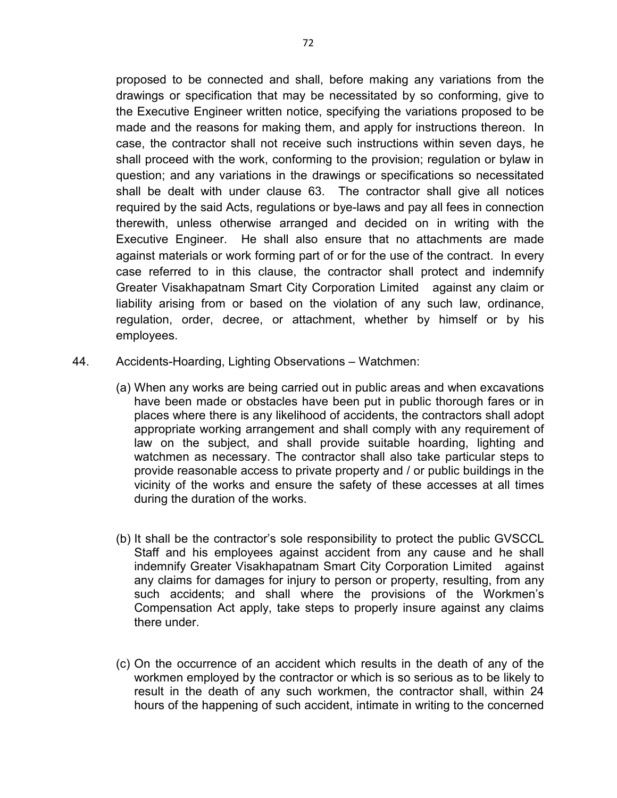proposed to be connected and shall, before making any variations from the drawings or specification that may be necessitated by so conforming, give to the Executive Engineer written notice, specifying the variations proposed to be made and the reasons for making them, and apply for instructions thereon. In case, the contractor shall not receive such instructions within seven days, he shall proceed with the work, conforming to the provision; regulation or bylaw in question; and any variations in the drawings or specifications so necessitated shall be dealt with under clause 63. The contractor shall give all notices required by the said Acts, regulations or bye-laws and pay all fees in connection therewith, unless otherwise arranged and decided on in writing with the Executive Engineer. He shall also ensure that no attachments are made against materials or work forming part of or for the use of the contract. In every case referred to in this clause, the contractor shall protect and indemnify Greater Visakhapatnam Smart City Corporation Limited against any claim or liability arising from or based on the violation of any such law, ordinance, regulation, order, decree, or attachment, whether by himself or by his employees.

- 44. Accidents-Hoarding, Lighting Observations Watchmen:
	- (a) When any works are being carried out in public areas and when excavations have been made or obstacles have been put in public thorough fares or in places where there is any likelihood of accidents, the contractors shall adopt appropriate working arrangement and shall comply with any requirement of law on the subject, and shall provide suitable hoarding, lighting and watchmen as necessary. The contractor shall also take particular steps to provide reasonable access to private property and / or public buildings in the vicinity of the works and ensure the safety of these accesses at all times during the duration of the works.
	- (b) It shall be the contractor's sole responsibility to protect the public GVSCCL Staff and his employees against accident from any cause and he shall indemnify Greater Visakhapatnam Smart City Corporation Limited against any claims for damages for injury to person or property, resulting, from any such accidents; and shall where the provisions of the Workmen's Compensation Act apply, take steps to properly insure against any claims there under.
	- (c) On the occurrence of an accident which results in the death of any of the workmen employed by the contractor or which is so serious as to be likely to result in the death of any such workmen, the contractor shall, within 24 hours of the happening of such accident, intimate in writing to the concerned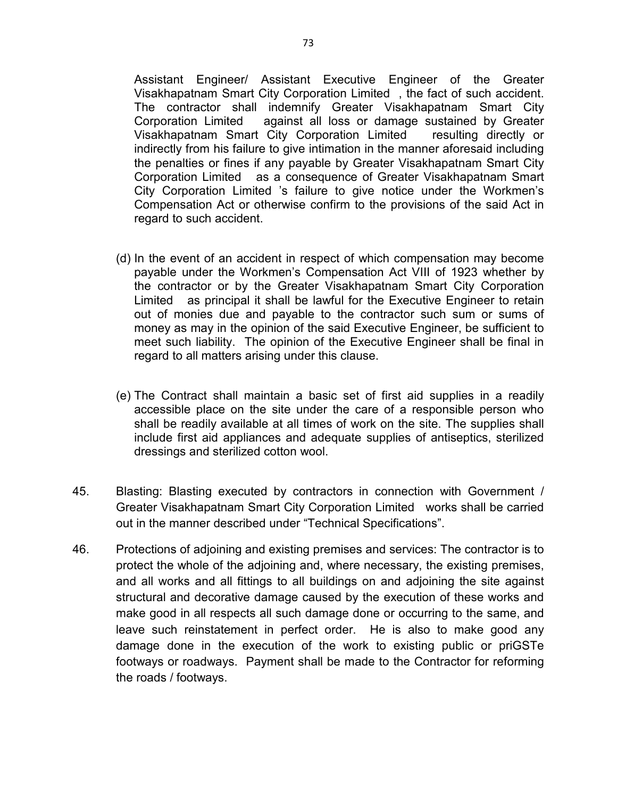Assistant Engineer/ Assistant Executive Engineer of the Greater Visakhapatnam Smart City Corporation Limited , the fact of such accident. The contractor shall indemnify Greater Visakhapatnam Smart City Corporation Limited against all loss or damage sustained by Greater Visakhapatnam Smart City Corporation Limited resulting directly or indirectly from his failure to give intimation in the manner aforesaid including the penalties or fines if any payable by Greater Visakhapatnam Smart City Corporation Limited as a consequence of Greater Visakhapatnam Smart City Corporation Limited 's failure to give notice under the Workmen's Compensation Act or otherwise confirm to the provisions of the said Act in regard to such accident.

- (d) In the event of an accident in respect of which compensation may become payable under the Workmen's Compensation Act VIII of 1923 whether by the contractor or by the Greater Visakhapatnam Smart City Corporation Limited as principal it shall be lawful for the Executive Engineer to retain out of monies due and payable to the contractor such sum or sums of money as may in the opinion of the said Executive Engineer, be sufficient to meet such liability. The opinion of the Executive Engineer shall be final in regard to all matters arising under this clause.
- (e) The Contract shall maintain a basic set of first aid supplies in a readily accessible place on the site under the care of a responsible person who shall be readily available at all times of work on the site. The supplies shall include first aid appliances and adequate supplies of antiseptics, sterilized dressings and sterilized cotton wool.
- 45. Blasting: Blasting executed by contractors in connection with Government / Greater Visakhapatnam Smart City Corporation Limited works shall be carried out in the manner described under "Technical Specifications".
- 46. Protections of adjoining and existing premises and services: The contractor is to protect the whole of the adjoining and, where necessary, the existing premises, and all works and all fittings to all buildings on and adjoining the site against structural and decorative damage caused by the execution of these works and make good in all respects all such damage done or occurring to the same, and leave such reinstatement in perfect order. He is also to make good any damage done in the execution of the work to existing public or priGSTe footways or roadways. Payment shall be made to the Contractor for reforming the roads / footways.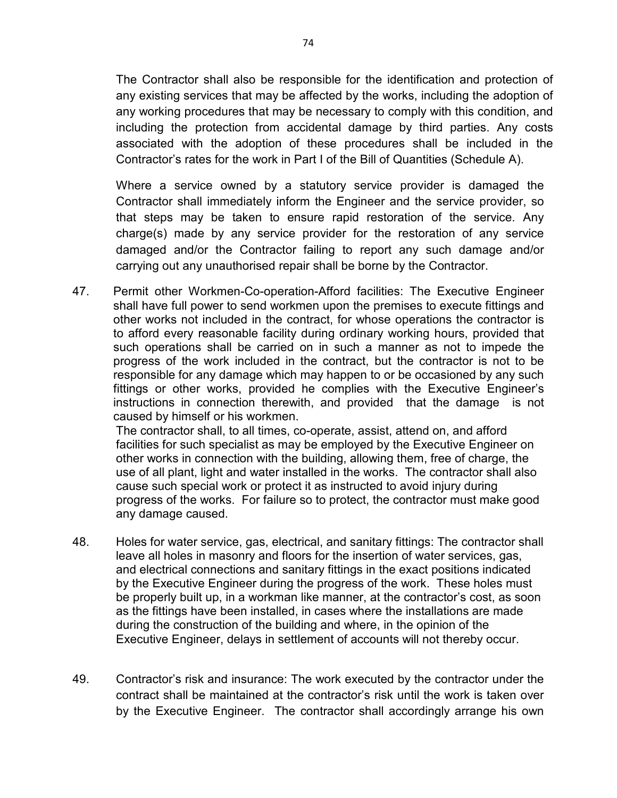The Contractor shall also be responsible for the identification and protection of any existing services that may be affected by the works, including the adoption of any working procedures that may be necessary to comply with this condition, and including the protection from accidental damage by third parties. Any costs associated with the adoption of these procedures shall be included in the Contractor's rates for the work in Part I of the Bill of Quantities (Schedule A).

Where a service owned by a statutory service provider is damaged the Contractor shall immediately inform the Engineer and the service provider, so that steps may be taken to ensure rapid restoration of the service. Any charge(s) made by any service provider for the restoration of any service damaged and/or the Contractor failing to report any such damage and/or carrying out any unauthorised repair shall be borne by the Contractor.

47. Permit other Workmen-Co-operation-Afford facilities: The Executive Engineer shall have full power to send workmen upon the premises to execute fittings and other works not included in the contract, for whose operations the contractor is to afford every reasonable facility during ordinary working hours, provided that such operations shall be carried on in such a manner as not to impede the progress of the work included in the contract, but the contractor is not to be responsible for any damage which may happen to or be occasioned by any such fittings or other works, provided he complies with the Executive Engineer's instructions in connection therewith, and provided that the damage is not caused by himself or his workmen.

The contractor shall, to all times, co-operate, assist, attend on, and afford facilities for such specialist as may be employed by the Executive Engineer on other works in connection with the building, allowing them, free of charge, the use of all plant, light and water installed in the works. The contractor shall also cause such special work or protect it as instructed to avoid injury during progress of the works. For failure so to protect, the contractor must make good any damage caused.

- 48. Holes for water service, gas, electrical, and sanitary fittings: The contractor shall leave all holes in masonry and floors for the insertion of water services, gas, and electrical connections and sanitary fittings in the exact positions indicated by the Executive Engineer during the progress of the work. These holes must be properly built up, in a workman like manner, at the contractor's cost, as soon as the fittings have been installed, in cases where the installations are made during the construction of the building and where, in the opinion of the Executive Engineer, delays in settlement of accounts will not thereby occur.
- 49. Contractor's risk and insurance: The work executed by the contractor under the contract shall be maintained at the contractor's risk until the work is taken over by the Executive Engineer. The contractor shall accordingly arrange his own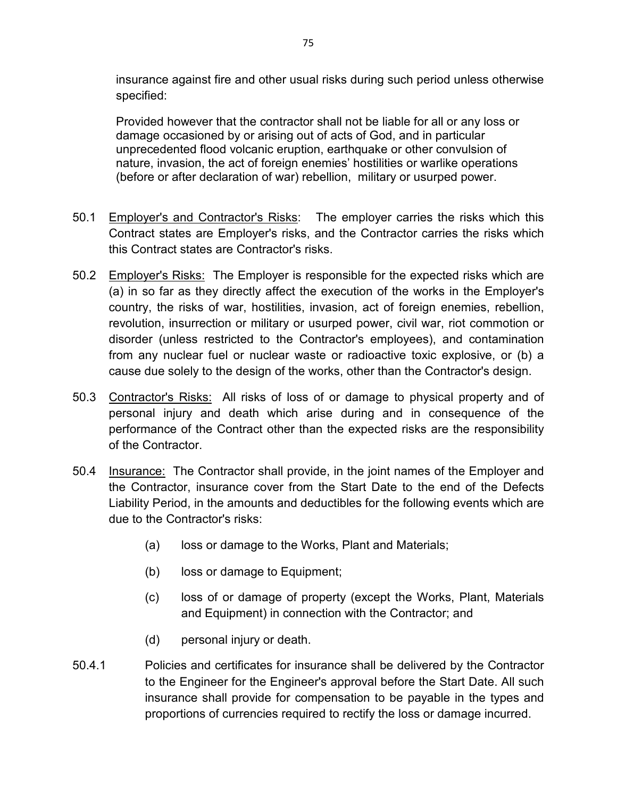insurance against fire and other usual risks during such period unless otherwise specified:

Provided however that the contractor shall not be liable for all or any loss or damage occasioned by or arising out of acts of God, and in particular unprecedented flood volcanic eruption, earthquake or other convulsion of nature, invasion, the act of foreign enemies' hostilities or warlike operations (before or after declaration of war) rebellion, military or usurped power.

- 50.1 Employer's and Contractor's Risks: The employer carries the risks which this Contract states are Employer's risks, and the Contractor carries the risks which this Contract states are Contractor's risks.
- 50.2 Employer's Risks: The Employer is responsible for the expected risks which are (a) in so far as they directly affect the execution of the works in the Employer's country, the risks of war, hostilities, invasion, act of foreign enemies, rebellion, revolution, insurrection or military or usurped power, civil war, riot commotion or disorder (unless restricted to the Contractor's employees), and contamination from any nuclear fuel or nuclear waste or radioactive toxic explosive, or (b) a cause due solely to the design of the works, other than the Contractor's design.
- 50.3 Contractor's Risks: All risks of loss of or damage to physical property and of personal injury and death which arise during and in consequence of the performance of the Contract other than the expected risks are the responsibility of the Contractor.
- 50.4 Insurance: The Contractor shall provide, in the joint names of the Employer and the Contractor, insurance cover from the Start Date to the end of the Defects Liability Period, in the amounts and deductibles for the following events which are due to the Contractor's risks:
	- (a) loss or damage to the Works, Plant and Materials;
	- (b) loss or damage to Equipment;
	- (c) loss of or damage of property (except the Works, Plant, Materials and Equipment) in connection with the Contractor; and
	- (d) personal injury or death.
- 50.4.1 Policies and certificates for insurance shall be delivered by the Contractor to the Engineer for the Engineer's approval before the Start Date. All such insurance shall provide for compensation to be payable in the types and proportions of currencies required to rectify the loss or damage incurred.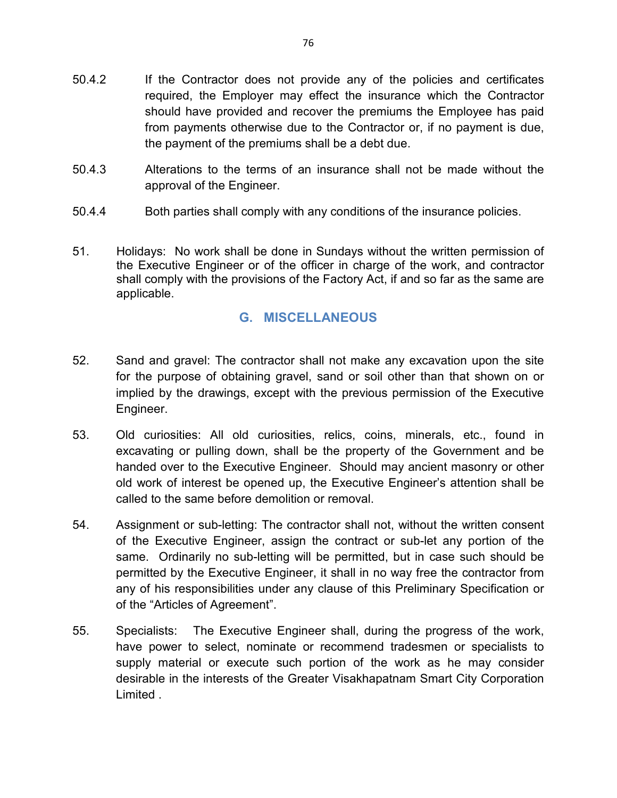- 50.4.2 If the Contractor does not provide any of the policies and certificates required, the Employer may effect the insurance which the Contractor should have provided and recover the premiums the Employee has paid from payments otherwise due to the Contractor or, if no payment is due, the payment of the premiums shall be a debt due.
- 50.4.3 Alterations to the terms of an insurance shall not be made without the approval of the Engineer.
- 50.4.4 Both parties shall comply with any conditions of the insurance policies.
- 51. Holidays: No work shall be done in Sundays without the written permission of the Executive Engineer or of the officer in charge of the work, and contractor shall comply with the provisions of the Factory Act, if and so far as the same are applicable.

## **G. MISCELLANEOUS**

- 52. Sand and gravel: The contractor shall not make any excavation upon the site for the purpose of obtaining gravel, sand or soil other than that shown on or implied by the drawings, except with the previous permission of the Executive Engineer.
- 53. Old curiosities: All old curiosities, relics, coins, minerals, etc., found in excavating or pulling down, shall be the property of the Government and be handed over to the Executive Engineer. Should may ancient masonry or other old work of interest be opened up, the Executive Engineer's attention shall be called to the same before demolition or removal.
- 54. Assignment or sub-letting: The contractor shall not, without the written consent of the Executive Engineer, assign the contract or sub-let any portion of the same. Ordinarily no sub-letting will be permitted, but in case such should be permitted by the Executive Engineer, it shall in no way free the contractor from any of his responsibilities under any clause of this Preliminary Specification or of the "Articles of Agreement".
- 55. Specialists: The Executive Engineer shall, during the progress of the work, have power to select, nominate or recommend tradesmen or specialists to supply material or execute such portion of the work as he may consider desirable in the interests of the Greater Visakhapatnam Smart City Corporation Limited .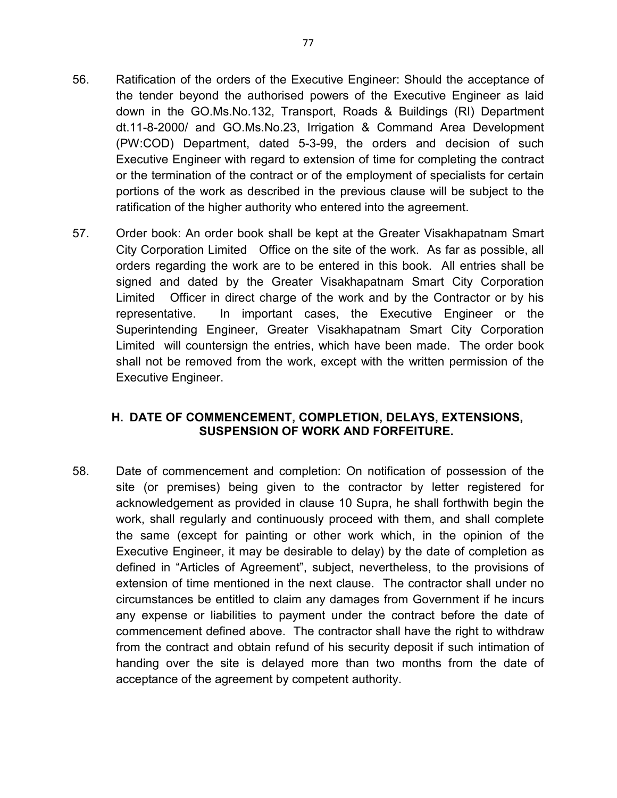- 56. Ratification of the orders of the Executive Engineer: Should the acceptance of the tender beyond the authorised powers of the Executive Engineer as laid down in the GO.Ms.No.132, Transport, Roads & Buildings (RI) Department dt.11-8-2000/ and GO.Ms.No.23, Irrigation & Command Area Development (PW:COD) Department, dated 5-3-99, the orders and decision of such Executive Engineer with regard to extension of time for completing the contract or the termination of the contract or of the employment of specialists for certain portions of the work as described in the previous clause will be subject to the ratification of the higher authority who entered into the agreement.
- 57. Order book: An order book shall be kept at the Greater Visakhapatnam Smart City Corporation Limited Office on the site of the work. As far as possible, all orders regarding the work are to be entered in this book. All entries shall be signed and dated by the Greater Visakhapatnam Smart City Corporation Limited Officer in direct charge of the work and by the Contractor or by his representative. In important cases, the Executive Engineer or the Superintending Engineer, Greater Visakhapatnam Smart City Corporation Limited will countersign the entries, which have been made. The order book shall not be removed from the work, except with the written permission of the Executive Engineer.

## **H. DATE OF COMMENCEMENT, COMPLETION, DELAYS, EXTENSIONS, SUSPENSION OF WORK AND FORFEITURE.**

58. Date of commencement and completion: On notification of possession of the site (or premises) being given to the contractor by letter registered for acknowledgement as provided in clause 10 Supra, he shall forthwith begin the work, shall regularly and continuously proceed with them, and shall complete the same (except for painting or other work which, in the opinion of the Executive Engineer, it may be desirable to delay) by the date of completion as defined in "Articles of Agreement", subject, nevertheless, to the provisions of extension of time mentioned in the next clause. The contractor shall under no circumstances be entitled to claim any damages from Government if he incurs any expense or liabilities to payment under the contract before the date of commencement defined above. The contractor shall have the right to withdraw from the contract and obtain refund of his security deposit if such intimation of handing over the site is delayed more than two months from the date of acceptance of the agreement by competent authority.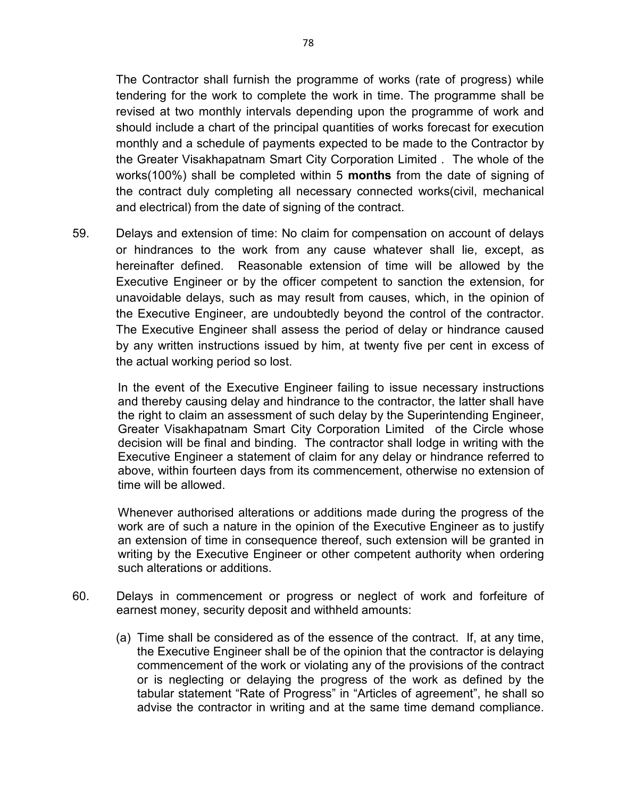The Contractor shall furnish the programme of works (rate of progress) while tendering for the work to complete the work in time. The programme shall be revised at two monthly intervals depending upon the programme of work and should include a chart of the principal quantities of works forecast for execution monthly and a schedule of payments expected to be made to the Contractor by the Greater Visakhapatnam Smart City Corporation Limited . The whole of the works(100%) shall be completed within 5 **months** from the date of signing of the contract duly completing all necessary connected works(civil, mechanical and electrical) from the date of signing of the contract.

59. Delays and extension of time: No claim for compensation on account of delays or hindrances to the work from any cause whatever shall lie, except, as hereinafter defined. Reasonable extension of time will be allowed by the Executive Engineer or by the officer competent to sanction the extension, for unavoidable delays, such as may result from causes, which, in the opinion of the Executive Engineer, are undoubtedly beyond the control of the contractor. The Executive Engineer shall assess the period of delay or hindrance caused by any written instructions issued by him, at twenty five per cent in excess of the actual working period so lost.

In the event of the Executive Engineer failing to issue necessary instructions and thereby causing delay and hindrance to the contractor, the latter shall have the right to claim an assessment of such delay by the Superintending Engineer, Greater Visakhapatnam Smart City Corporation Limited of the Circle whose decision will be final and binding. The contractor shall lodge in writing with the Executive Engineer a statement of claim for any delay or hindrance referred to above, within fourteen days from its commencement, otherwise no extension of time will be allowed.

Whenever authorised alterations or additions made during the progress of the work are of such a nature in the opinion of the Executive Engineer as to justify an extension of time in consequence thereof, such extension will be granted in writing by the Executive Engineer or other competent authority when ordering such alterations or additions.

- 60. Delays in commencement or progress or neglect of work and forfeiture of earnest money, security deposit and withheld amounts:
	- (a) Time shall be considered as of the essence of the contract. If, at any time, the Executive Engineer shall be of the opinion that the contractor is delaying commencement of the work or violating any of the provisions of the contract or is neglecting or delaying the progress of the work as defined by the tabular statement "Rate of Progress" in "Articles of agreement", he shall so advise the contractor in writing and at the same time demand compliance.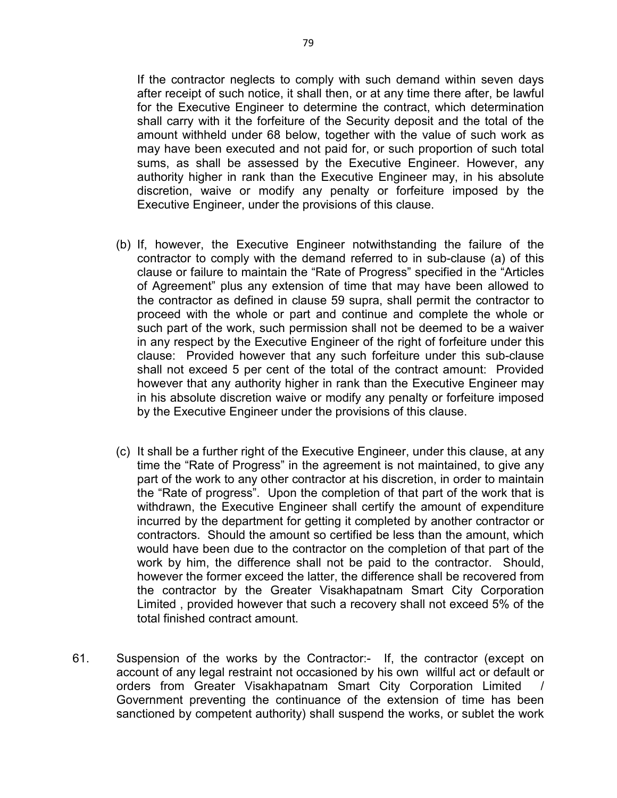If the contractor neglects to comply with such demand within seven days after receipt of such notice, it shall then, or at any time there after, be lawful for the Executive Engineer to determine the contract, which determination shall carry with it the forfeiture of the Security deposit and the total of the amount withheld under 68 below, together with the value of such work as may have been executed and not paid for, or such proportion of such total sums, as shall be assessed by the Executive Engineer. However, any authority higher in rank than the Executive Engineer may, in his absolute discretion, waive or modify any penalty or forfeiture imposed by the Executive Engineer, under the provisions of this clause.

- (b) If, however, the Executive Engineer notwithstanding the failure of the contractor to comply with the demand referred to in sub-clause (a) of this clause or failure to maintain the "Rate of Progress" specified in the "Articles of Agreement" plus any extension of time that may have been allowed to the contractor as defined in clause 59 supra, shall permit the contractor to proceed with the whole or part and continue and complete the whole or such part of the work, such permission shall not be deemed to be a waiver in any respect by the Executive Engineer of the right of forfeiture under this clause: Provided however that any such forfeiture under this sub-clause shall not exceed 5 per cent of the total of the contract amount: Provided however that any authority higher in rank than the Executive Engineer may in his absolute discretion waive or modify any penalty or forfeiture imposed by the Executive Engineer under the provisions of this clause.
- (c) It shall be a further right of the Executive Engineer, under this clause, at any time the "Rate of Progress" in the agreement is not maintained, to give any part of the work to any other contractor at his discretion, in order to maintain the "Rate of progress". Upon the completion of that part of the work that is withdrawn, the Executive Engineer shall certify the amount of expenditure incurred by the department for getting it completed by another contractor or contractors. Should the amount so certified be less than the amount, which would have been due to the contractor on the completion of that part of the work by him, the difference shall not be paid to the contractor. Should, however the former exceed the latter, the difference shall be recovered from the contractor by the Greater Visakhapatnam Smart City Corporation Limited , provided however that such a recovery shall not exceed 5% of the total finished contract amount.
- 61. Suspension of the works by the Contractor:- If, the contractor (except on account of any legal restraint not occasioned by his own willful act or default or orders from Greater Visakhapatnam Smart City Corporation Limited Government preventing the continuance of the extension of time has been sanctioned by competent authority) shall suspend the works, or sublet the work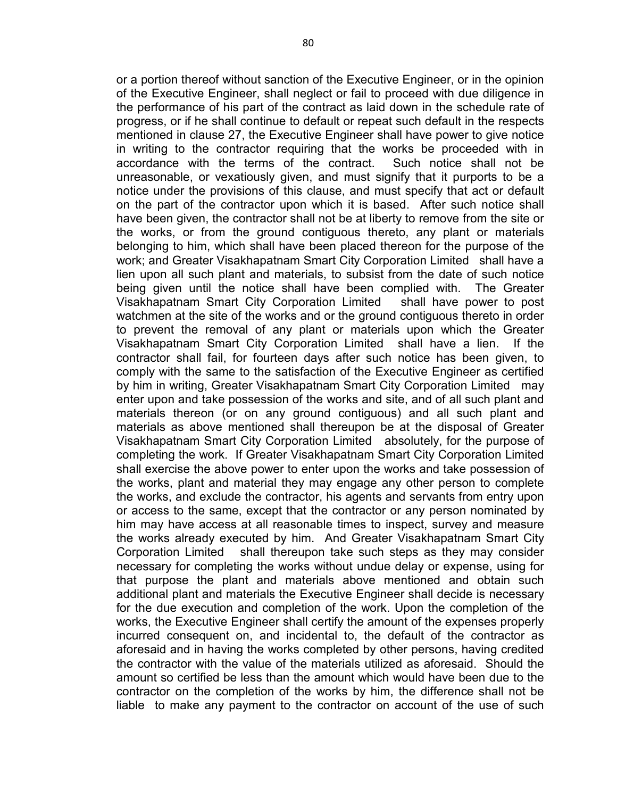or a portion thereof without sanction of the Executive Engineer, or in the opinion of the Executive Engineer, shall neglect or fail to proceed with due diligence in the performance of his part of the contract as laid down in the schedule rate of progress, or if he shall continue to default or repeat such default in the respects mentioned in clause 27, the Executive Engineer shall have power to give notice in writing to the contractor requiring that the works be proceeded with in accordance with the terms of the contract. Such notice shall not be unreasonable, or vexatiously given, and must signify that it purports to be a notice under the provisions of this clause, and must specify that act or default on the part of the contractor upon which it is based. After such notice shall have been given, the contractor shall not be at liberty to remove from the site or the works, or from the ground contiguous thereto, any plant or materials belonging to him, which shall have been placed thereon for the purpose of the work; and Greater Visakhapatnam Smart City Corporation Limited shall have a lien upon all such plant and materials, to subsist from the date of such notice being given until the notice shall have been complied with. The Greater Visakhapatnam Smart City Corporation Limited shall have power to post watchmen at the site of the works and or the ground contiguous thereto in order to prevent the removal of any plant or materials upon which the Greater Visakhapatnam Smart City Corporation Limited shall have a lien. If the contractor shall fail, for fourteen days after such notice has been given, to comply with the same to the satisfaction of the Executive Engineer as certified by him in writing, Greater Visakhapatnam Smart City Corporation Limited may enter upon and take possession of the works and site, and of all such plant and materials thereon (or on any ground contiguous) and all such plant and materials as above mentioned shall thereupon be at the disposal of Greater Visakhapatnam Smart City Corporation Limited absolutely, for the purpose of completing the work. If Greater Visakhapatnam Smart City Corporation Limited shall exercise the above power to enter upon the works and take possession of the works, plant and material they may engage any other person to complete the works, and exclude the contractor, his agents and servants from entry upon or access to the same, except that the contractor or any person nominated by him may have access at all reasonable times to inspect, survey and measure the works already executed by him. And Greater Visakhapatnam Smart City Corporation Limited shall thereupon take such steps as they may consider necessary for completing the works without undue delay or expense, using for that purpose the plant and materials above mentioned and obtain such additional plant and materials the Executive Engineer shall decide is necessary for the due execution and completion of the work. Upon the completion of the works, the Executive Engineer shall certify the amount of the expenses properly incurred consequent on, and incidental to, the default of the contractor as aforesaid and in having the works completed by other persons, having credited the contractor with the value of the materials utilized as aforesaid. Should the amount so certified be less than the amount which would have been due to the contractor on the completion of the works by him, the difference shall not be liable to make any payment to the contractor on account of the use of such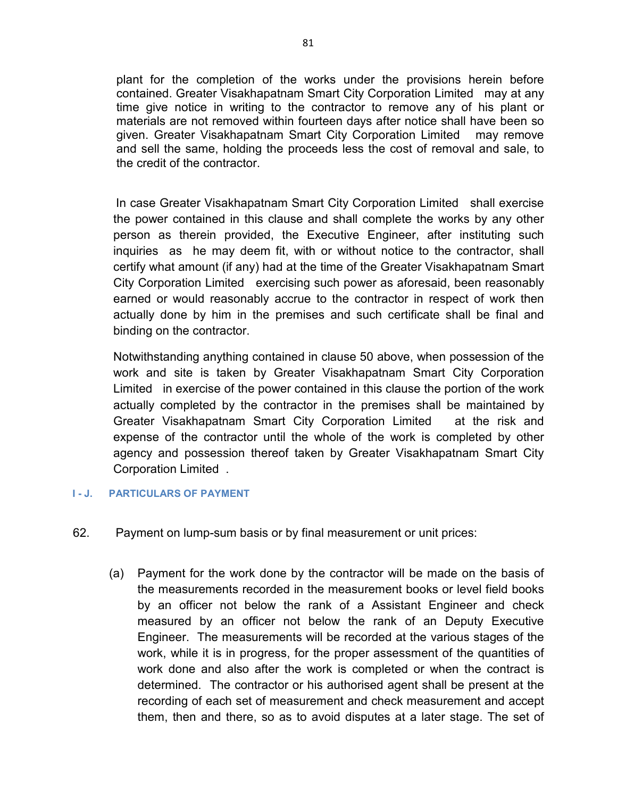plant for the completion of the works under the provisions herein before contained. Greater Visakhapatnam Smart City Corporation Limited may at any time give notice in writing to the contractor to remove any of his plant or materials are not removed within fourteen days after notice shall have been so given. Greater Visakhapatnam Smart City Corporation Limited may remove and sell the same, holding the proceeds less the cost of removal and sale, to the credit of the contractor.

In case Greater Visakhapatnam Smart City Corporation Limited shall exercise the power contained in this clause and shall complete the works by any other person as therein provided, the Executive Engineer, after instituting such inquiries as he may deem fit, with or without notice to the contractor, shall certify what amount (if any) had at the time of the Greater Visakhapatnam Smart City Corporation Limited exercising such power as aforesaid, been reasonably earned or would reasonably accrue to the contractor in respect of work then actually done by him in the premises and such certificate shall be final and binding on the contractor.

Notwithstanding anything contained in clause 50 above, when possession of the work and site is taken by Greater Visakhapatnam Smart City Corporation Limited in exercise of the power contained in this clause the portion of the work actually completed by the contractor in the premises shall be maintained by Greater Visakhapatnam Smart City Corporation Limited at the risk and expense of the contractor until the whole of the work is completed by other agency and possession thereof taken by Greater Visakhapatnam Smart City Corporation Limited .

#### **I - J. PARTICULARS OF PAYMENT**

- 62. Payment on lump-sum basis or by final measurement or unit prices:
	- (a) Payment for the work done by the contractor will be made on the basis of the measurements recorded in the measurement books or level field books by an officer not below the rank of a Assistant Engineer and check measured by an officer not below the rank of an Deputy Executive Engineer. The measurements will be recorded at the various stages of the work, while it is in progress, for the proper assessment of the quantities of work done and also after the work is completed or when the contract is determined. The contractor or his authorised agent shall be present at the recording of each set of measurement and check measurement and accept them, then and there, so as to avoid disputes at a later stage. The set of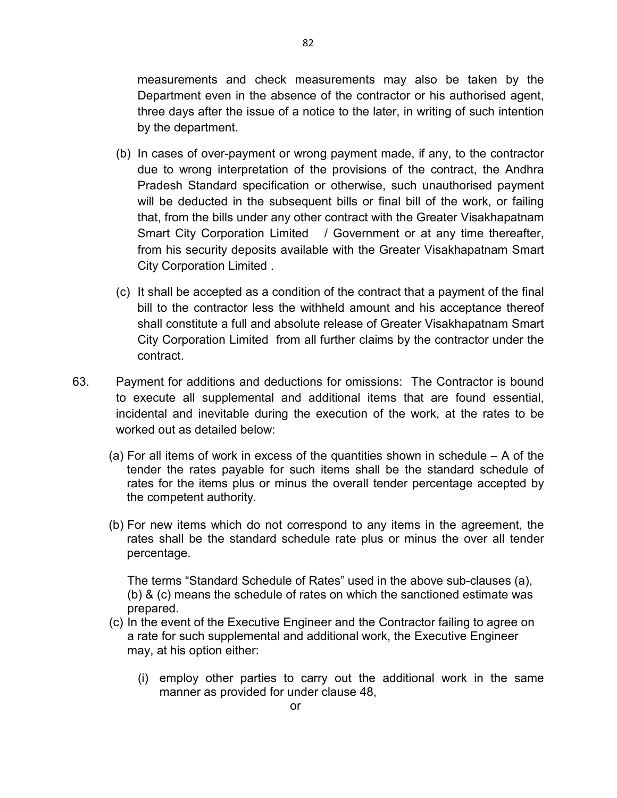measurements and check measurements may also be taken by the Department even in the absence of the contractor or his authorised agent, three days after the issue of a notice to the later, in writing of such intention by the department.

- (b) In cases of over-payment or wrong payment made, if any, to the contractor due to wrong interpretation of the provisions of the contract, the Andhra Pradesh Standard specification or otherwise, such unauthorised payment will be deducted in the subsequent bills or final bill of the work, or failing that, from the bills under any other contract with the Greater Visakhapatnam Smart City Corporation Limited / Government or at any time thereafter, from his security deposits available with the Greater Visakhapatnam Smart City Corporation Limited .
- (c) It shall be accepted as a condition of the contract that a payment of the final bill to the contractor less the withheld amount and his acceptance thereof shall constitute a full and absolute release of Greater Visakhapatnam Smart City Corporation Limited from all further claims by the contractor under the contract.
- 63. Payment for additions and deductions for omissions: The Contractor is bound to execute all supplemental and additional items that are found essential, incidental and inevitable during the execution of the work, at the rates to be worked out as detailed below:
	- (a) For all items of work in excess of the quantities shown in schedule A of the tender the rates payable for such items shall be the standard schedule of rates for the items plus or minus the overall tender percentage accepted by the competent authority.
	- (b) For new items which do not correspond to any items in the agreement, the rates shall be the standard schedule rate plus or minus the over all tender percentage.

The terms "Standard Schedule of Rates" used in the above sub-clauses (a), (b) & (c) means the schedule of rates on which the sanctioned estimate was prepared.

- (c) In the event of the Executive Engineer and the Contractor failing to agree on a rate for such supplemental and additional work, the Executive Engineer may, at his option either:
	- (i) employ other parties to carry out the additional work in the same manner as provided for under clause 48,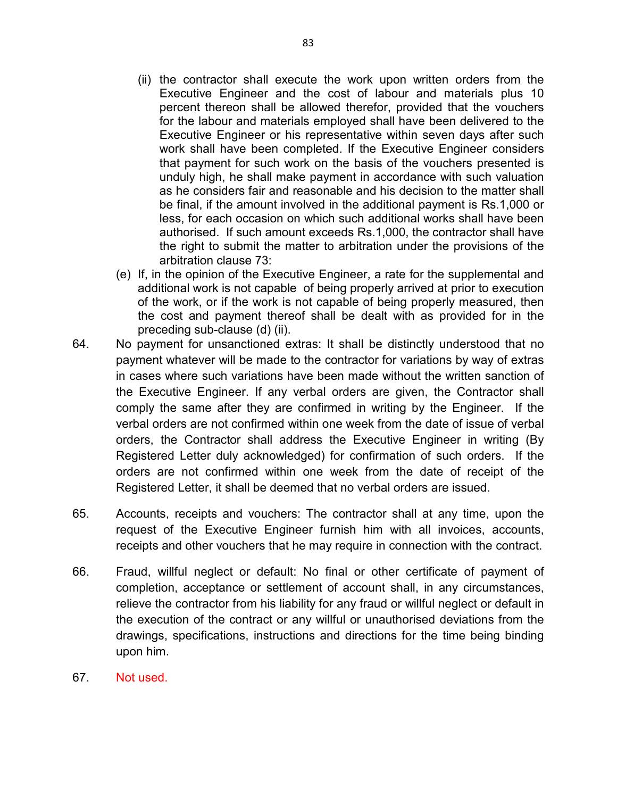- (ii) the contractor shall execute the work upon written orders from the Executive Engineer and the cost of labour and materials plus 10 percent thereon shall be allowed therefor, provided that the vouchers for the labour and materials employed shall have been delivered to the Executive Engineer or his representative within seven days after such work shall have been completed. If the Executive Engineer considers that payment for such work on the basis of the vouchers presented is unduly high, he shall make payment in accordance with such valuation as he considers fair and reasonable and his decision to the matter shall be final, if the amount involved in the additional payment is Rs.1,000 or less, for each occasion on which such additional works shall have been authorised. If such amount exceeds Rs.1,000, the contractor shall have the right to submit the matter to arbitration under the provisions of the arbitration clause 73:
- (e) If, in the opinion of the Executive Engineer, a rate for the supplemental and additional work is not capable of being properly arrived at prior to execution of the work, or if the work is not capable of being properly measured, then the cost and payment thereof shall be dealt with as provided for in the preceding sub-clause (d) (ii).
- 64. No payment for unsanctioned extras: It shall be distinctly understood that no payment whatever will be made to the contractor for variations by way of extras in cases where such variations have been made without the written sanction of the Executive Engineer. If any verbal orders are given, the Contractor shall comply the same after they are confirmed in writing by the Engineer. If the verbal orders are not confirmed within one week from the date of issue of verbal orders, the Contractor shall address the Executive Engineer in writing (By Registered Letter duly acknowledged) for confirmation of such orders. If the orders are not confirmed within one week from the date of receipt of the Registered Letter, it shall be deemed that no verbal orders are issued.
- 65. Accounts, receipts and vouchers: The contractor shall at any time, upon the request of the Executive Engineer furnish him with all invoices, accounts, receipts and other vouchers that he may require in connection with the contract.
- 66. Fraud, willful neglect or default: No final or other certificate of payment of completion, acceptance or settlement of account shall, in any circumstances, relieve the contractor from his liability for any fraud or willful neglect or default in the execution of the contract or any willful or unauthorised deviations from the drawings, specifications, instructions and directions for the time being binding upon him.
- 67. Not used.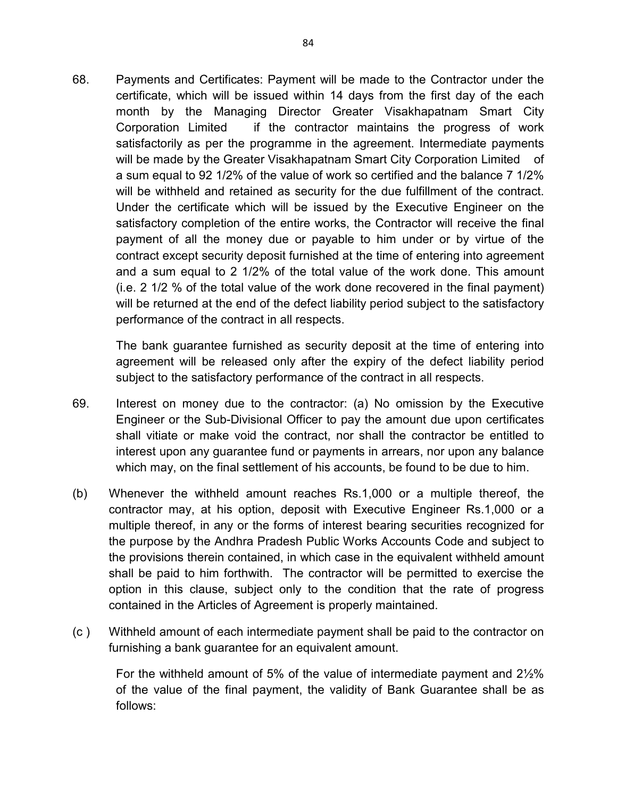68. Payments and Certificates: Payment will be made to the Contractor under the certificate, which will be issued within 14 days from the first day of the each month by the Managing Director Greater Visakhapatnam Smart City Corporation Limited if the contractor maintains the progress of work satisfactorily as per the programme in the agreement. Intermediate payments will be made by the Greater Visakhapatnam Smart City Corporation Limited of a sum equal to 92 1/2% of the value of work so certified and the balance 7 1/2% will be withheld and retained as security for the due fulfillment of the contract. Under the certificate which will be issued by the Executive Engineer on the satisfactory completion of the entire works, the Contractor will receive the final payment of all the money due or payable to him under or by virtue of the contract except security deposit furnished at the time of entering into agreement and a sum equal to 2 1/2% of the total value of the work done. This amount (i.e. 2 1/2 % of the total value of the work done recovered in the final payment) will be returned at the end of the defect liability period subject to the satisfactory performance of the contract in all respects.

The bank guarantee furnished as security deposit at the time of entering into agreement will be released only after the expiry of the defect liability period subject to the satisfactory performance of the contract in all respects.

- 69. Interest on money due to the contractor: (a) No omission by the Executive Engineer or the Sub-Divisional Officer to pay the amount due upon certificates shall vitiate or make void the contract, nor shall the contractor be entitled to interest upon any guarantee fund or payments in arrears, nor upon any balance which may, on the final settlement of his accounts, be found to be due to him.
- (b) Whenever the withheld amount reaches Rs.1,000 or a multiple thereof, the contractor may, at his option, deposit with Executive Engineer Rs.1,000 or a multiple thereof, in any or the forms of interest bearing securities recognized for the purpose by the Andhra Pradesh Public Works Accounts Code and subject to the provisions therein contained, in which case in the equivalent withheld amount shall be paid to him forthwith. The contractor will be permitted to exercise the option in this clause, subject only to the condition that the rate of progress contained in the Articles of Agreement is properly maintained.
- (c ) Withheld amount of each intermediate payment shall be paid to the contractor on furnishing a bank guarantee for an equivalent amount.

For the withheld amount of 5% of the value of intermediate payment and 2½% of the value of the final payment, the validity of Bank Guarantee shall be as follows: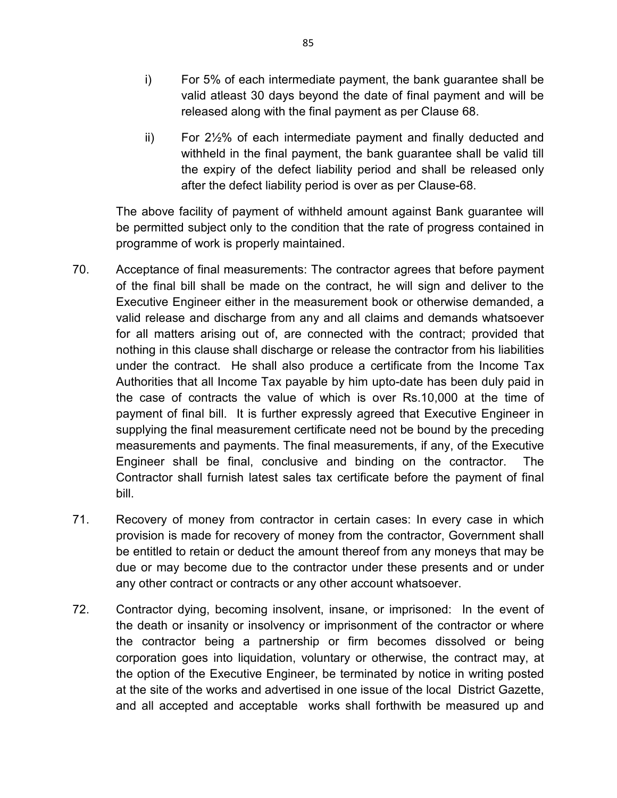- i) For 5% of each intermediate payment, the bank guarantee shall be valid atleast 30 days beyond the date of final payment and will be released along with the final payment as per Clause 68.
- ii) For 2½% of each intermediate payment and finally deducted and withheld in the final payment, the bank guarantee shall be valid till the expiry of the defect liability period and shall be released only after the defect liability period is over as per Clause-68.

The above facility of payment of withheld amount against Bank guarantee will be permitted subject only to the condition that the rate of progress contained in programme of work is properly maintained.

- 70. Acceptance of final measurements: The contractor agrees that before payment of the final bill shall be made on the contract, he will sign and deliver to the Executive Engineer either in the measurement book or otherwise demanded, a valid release and discharge from any and all claims and demands whatsoever for all matters arising out of, are connected with the contract; provided that nothing in this clause shall discharge or release the contractor from his liabilities under the contract. He shall also produce a certificate from the Income Tax Authorities that all Income Tax payable by him upto-date has been duly paid in the case of contracts the value of which is over Rs.10,000 at the time of payment of final bill. It is further expressly agreed that Executive Engineer in supplying the final measurement certificate need not be bound by the preceding measurements and payments. The final measurements, if any, of the Executive Engineer shall be final, conclusive and binding on the contractor. The Contractor shall furnish latest sales tax certificate before the payment of final bill.
- 71. Recovery of money from contractor in certain cases: In every case in which provision is made for recovery of money from the contractor, Government shall be entitled to retain or deduct the amount thereof from any moneys that may be due or may become due to the contractor under these presents and or under any other contract or contracts or any other account whatsoever.
- 72. Contractor dying, becoming insolvent, insane, or imprisoned: In the event of the death or insanity or insolvency or imprisonment of the contractor or where the contractor being a partnership or firm becomes dissolved or being corporation goes into liquidation, voluntary or otherwise, the contract may, at the option of the Executive Engineer, be terminated by notice in writing posted at the site of the works and advertised in one issue of the local District Gazette, and all accepted and acceptable works shall forthwith be measured up and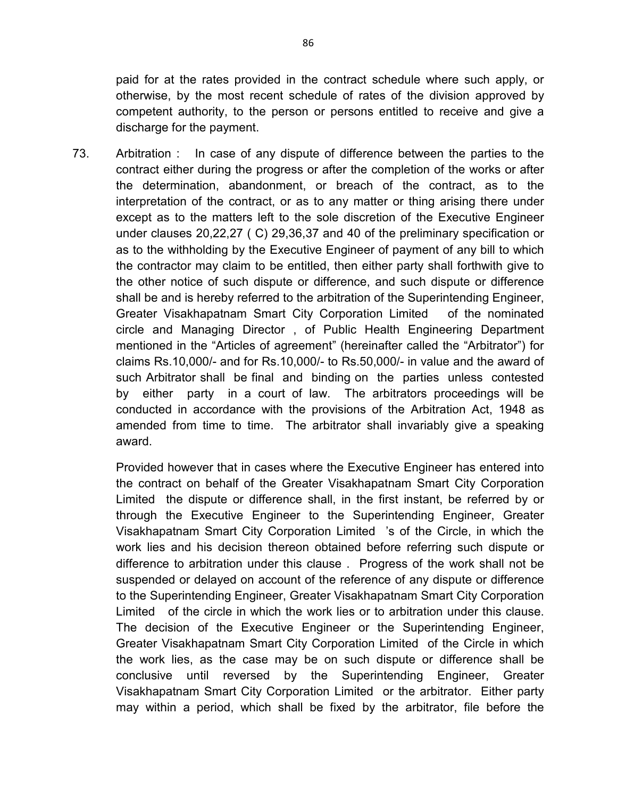paid for at the rates provided in the contract schedule where such apply, or otherwise, by the most recent schedule of rates of the division approved by competent authority, to the person or persons entitled to receive and give a discharge for the payment.

73. Arbitration : In case of any dispute of difference between the parties to the contract either during the progress or after the completion of the works or after the determination, abandonment, or breach of the contract, as to the interpretation of the contract, or as to any matter or thing arising there under except as to the matters left to the sole discretion of the Executive Engineer under clauses 20,22,27 ( C) 29,36,37 and 40 of the preliminary specification or as to the withholding by the Executive Engineer of payment of any bill to which the contractor may claim to be entitled, then either party shall forthwith give to the other notice of such dispute or difference, and such dispute or difference shall be and is hereby referred to the arbitration of the Superintending Engineer, Greater Visakhapatnam Smart City Corporation Limited of the nominated circle and Managing Director , of Public Health Engineering Department mentioned in the "Articles of agreement" (hereinafter called the "Arbitrator") for claims Rs.10,000/- and for Rs.10,000/- to Rs.50,000/- in value and the award of such Arbitrator shall be final and binding on the parties unless contested by either party in a court of law. The arbitrators proceedings will be conducted in accordance with the provisions of the Arbitration Act, 1948 as amended from time to time. The arbitrator shall invariably give a speaking award.

Provided however that in cases where the Executive Engineer has entered into the contract on behalf of the Greater Visakhapatnam Smart City Corporation Limited the dispute or difference shall, in the first instant, be referred by or through the Executive Engineer to the Superintending Engineer, Greater Visakhapatnam Smart City Corporation Limited 's of the Circle, in which the work lies and his decision thereon obtained before referring such dispute or difference to arbitration under this clause . Progress of the work shall not be suspended or delayed on account of the reference of any dispute or difference to the Superintending Engineer, Greater Visakhapatnam Smart City Corporation Limited of the circle in which the work lies or to arbitration under this clause. The decision of the Executive Engineer or the Superintending Engineer, Greater Visakhapatnam Smart City Corporation Limited of the Circle in which the work lies, as the case may be on such dispute or difference shall be conclusive until reversed by the Superintending Engineer, Greater Visakhapatnam Smart City Corporation Limited or the arbitrator. Either party may within a period, which shall be fixed by the arbitrator, file before the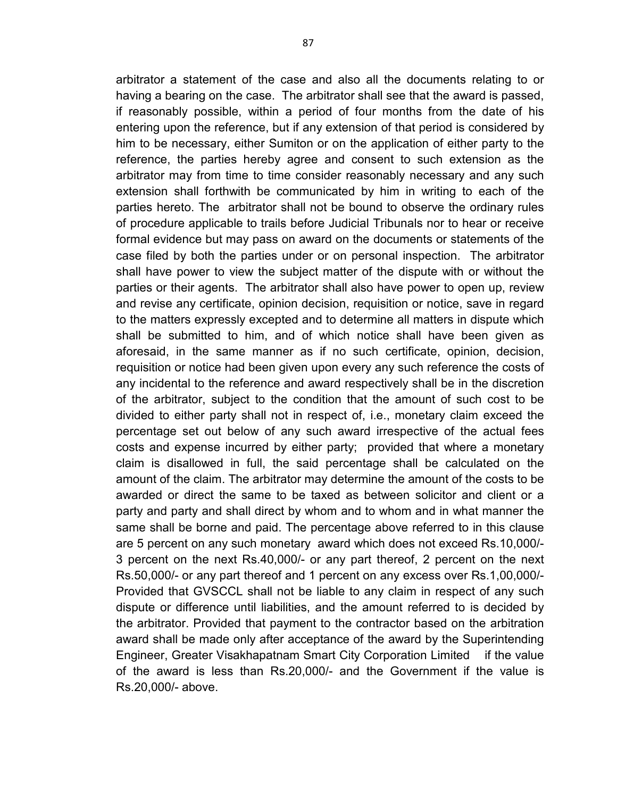arbitrator a statement of the case and also all the documents relating to or having a bearing on the case. The arbitrator shall see that the award is passed, if reasonably possible, within a period of four months from the date of his entering upon the reference, but if any extension of that period is considered by him to be necessary, either Sumiton or on the application of either party to the reference, the parties hereby agree and consent to such extension as the arbitrator may from time to time consider reasonably necessary and any such extension shall forthwith be communicated by him in writing to each of the parties hereto. The arbitrator shall not be bound to observe the ordinary rules of procedure applicable to trails before Judicial Tribunals nor to hear or receive formal evidence but may pass on award on the documents or statements of the case filed by both the parties under or on personal inspection. The arbitrator shall have power to view the subject matter of the dispute with or without the parties or their agents. The arbitrator shall also have power to open up, review and revise any certificate, opinion decision, requisition or notice, save in regard to the matters expressly excepted and to determine all matters in dispute which shall be submitted to him, and of which notice shall have been given as aforesaid, in the same manner as if no such certificate, opinion, decision, requisition or notice had been given upon every any such reference the costs of any incidental to the reference and award respectively shall be in the discretion of the arbitrator, subject to the condition that the amount of such cost to be divided to either party shall not in respect of, i.e., monetary claim exceed the percentage set out below of any such award irrespective of the actual fees costs and expense incurred by either party; provided that where a monetary claim is disallowed in full, the said percentage shall be calculated on the amount of the claim. The arbitrator may determine the amount of the costs to be awarded or direct the same to be taxed as between solicitor and client or a party and party and shall direct by whom and to whom and in what manner the same shall be borne and paid. The percentage above referred to in this clause are 5 percent on any such monetary award which does not exceed Rs.10,000/- 3 percent on the next Rs.40,000/- or any part thereof, 2 percent on the next Rs.50,000/- or any part thereof and 1 percent on any excess over Rs.1,00,000/- Provided that GVSCCL shall not be liable to any claim in respect of any such dispute or difference until liabilities, and the amount referred to is decided by the arbitrator. Provided that payment to the contractor based on the arbitration award shall be made only after acceptance of the award by the Superintending Engineer, Greater Visakhapatnam Smart City Corporation Limited if the value of the award is less than Rs.20,000/- and the Government if the value is Rs.20,000/- above.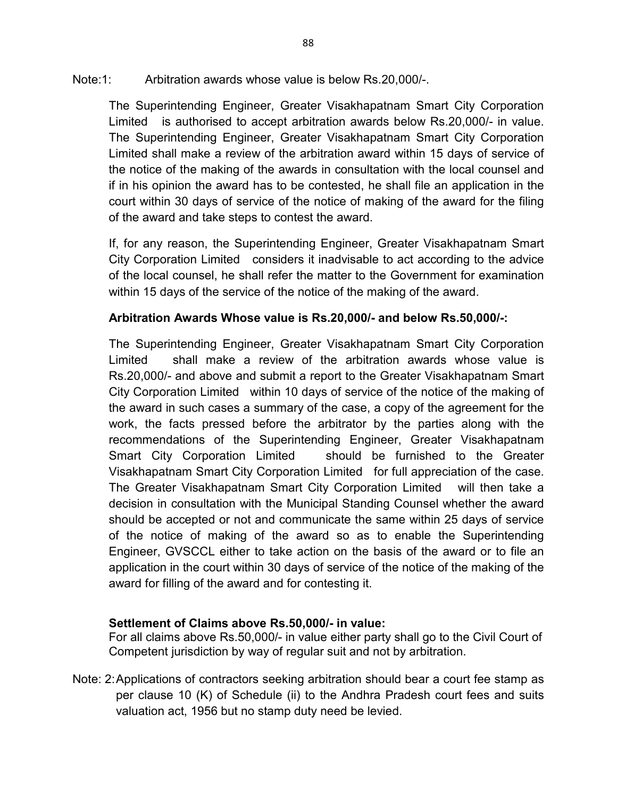Note:1: Arbitration awards whose value is below Rs.20,000/-.

The Superintending Engineer, Greater Visakhapatnam Smart City Corporation Limited is authorised to accept arbitration awards below Rs.20,000/- in value. The Superintending Engineer, Greater Visakhapatnam Smart City Corporation Limited shall make a review of the arbitration award within 15 days of service of the notice of the making of the awards in consultation with the local counsel and if in his opinion the award has to be contested, he shall file an application in the court within 30 days of service of the notice of making of the award for the filing of the award and take steps to contest the award.

If, for any reason, the Superintending Engineer, Greater Visakhapatnam Smart City Corporation Limited considers it inadvisable to act according to the advice of the local counsel, he shall refer the matter to the Government for examination within 15 days of the service of the notice of the making of the award.

## **Arbitration Awards Whose value is Rs.20,000/- and below Rs.50,000/-:**

The Superintending Engineer, Greater Visakhapatnam Smart City Corporation Limited shall make a review of the arbitration awards whose value is Rs.20,000/- and above and submit a report to the Greater Visakhapatnam Smart City Corporation Limited within 10 days of service of the notice of the making of the award in such cases a summary of the case, a copy of the agreement for the work, the facts pressed before the arbitrator by the parties along with the recommendations of the Superintending Engineer, Greater Visakhapatnam Smart City Corporation Limited should be furnished to the Greater Visakhapatnam Smart City Corporation Limited for full appreciation of the case. The Greater Visakhapatnam Smart City Corporation Limited will then take a decision in consultation with the Municipal Standing Counsel whether the award should be accepted or not and communicate the same within 25 days of service of the notice of making of the award so as to enable the Superintending Engineer, GVSCCL either to take action on the basis of the award or to file an application in the court within 30 days of service of the notice of the making of the award for filling of the award and for contesting it.

## **Settlement of Claims above Rs.50,000/- in value:**

For all claims above Rs.50,000/- in value either party shall go to the Civil Court of Competent jurisdiction by way of regular suit and not by arbitration.

Note: 2: Applications of contractors seeking arbitration should bear a court fee stamp as per clause 10 (K) of Schedule (ii) to the Andhra Pradesh court fees and suits valuation act, 1956 but no stamp duty need be levied.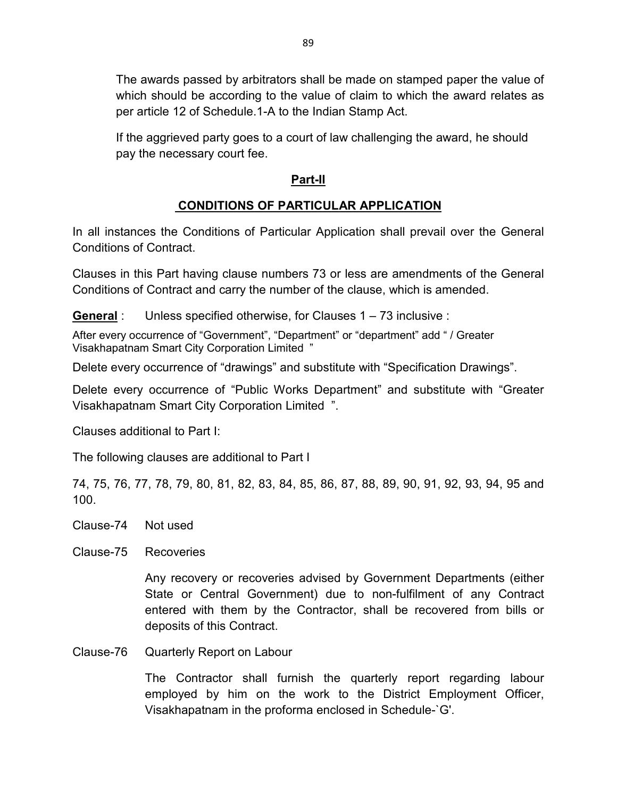The awards passed by arbitrators shall be made on stamped paper the value of which should be according to the value of claim to which the award relates as per article 12 of Schedule.1-A to the Indian Stamp Act.

If the aggrieved party goes to a court of law challenging the award, he should pay the necessary court fee.

## **Part-II**

# **CONDITIONS OF PARTICULAR APPLICATION**

In all instances the Conditions of Particular Application shall prevail over the General Conditions of Contract.

Clauses in this Part having clause numbers 73 or less are amendments of the General Conditions of Contract and carry the number of the clause, which is amended.

**General** : Unless specified otherwise, for Clauses 1 – 73 inclusive :

After every occurrence of "Government", "Department" or "department" add " / Greater Visakhapatnam Smart City Corporation Limited "

Delete every occurrence of "drawings" and substitute with "Specification Drawings".

Delete every occurrence of "Public Works Department" and substitute with "Greater Visakhapatnam Smart City Corporation Limited ".

Clauses additional to Part I:

The following clauses are additional to Part I

74, 75, 76, 77, 78, 79, 80, 81, 82, 83, 84, 85, 86, 87, 88, 89, 90, 91, 92, 93, 94, 95 and 100.

- Clause-74 Not used
- Clause-75 Recoveries

Any recovery or recoveries advised by Government Departments (either State or Central Government) due to non-fulfilment of any Contract entered with them by the Contractor, shall be recovered from bills or deposits of this Contract.

Clause-76 Quarterly Report on Labour

The Contractor shall furnish the quarterly report regarding labour employed by him on the work to the District Employment Officer, Visakhapatnam in the proforma enclosed in Schedule-`G'.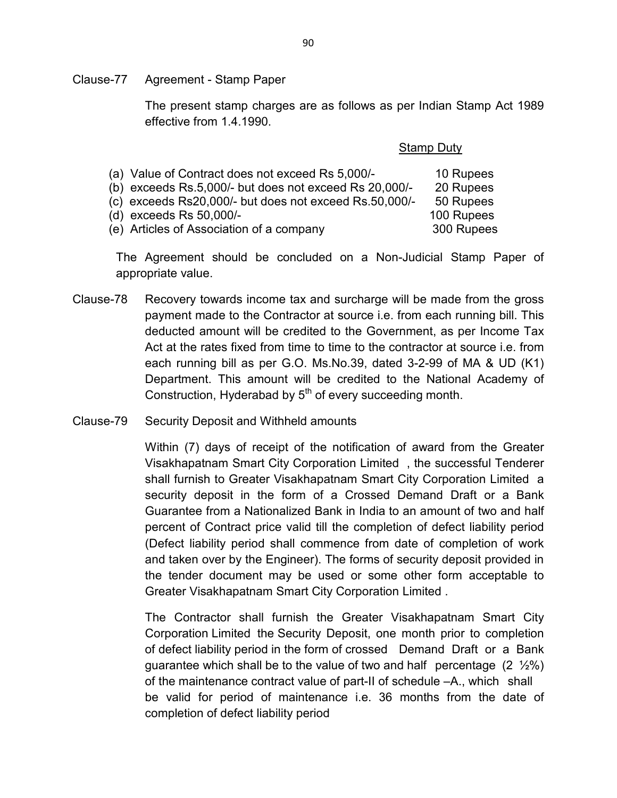Clause-77 Agreement - Stamp Paper

The present stamp charges are as follows as per Indian Stamp Act 1989 effective from 1.4.1990.

|                                                            | <b>Stamp Duty</b> |  |  |
|------------------------------------------------------------|-------------------|--|--|
| (a) Value of Contract does not exceed Rs 5,000/-           | 10 Rupees         |  |  |
| (b) exceeds $Rs.5,000/-$ but does not exceed $Rs.20,000/-$ | 20 Rupees         |  |  |
| (c) exceeds Rs20,000/- but does not exceed Rs.50,000/-     | 50 Rupees         |  |  |
| (d) exceeds Rs 50,000/-                                    | 100 Rupees        |  |  |
| (e) Articles of Association of a company                   | 300 Rupees        |  |  |

The Agreement should be concluded on a Non-Judicial Stamp Paper of appropriate value.

- Clause-78 Recovery towards income tax and surcharge will be made from the gross payment made to the Contractor at source i.e. from each running bill. This deducted amount will be credited to the Government, as per Income Tax Act at the rates fixed from time to time to the contractor at source i.e. from each running bill as per G.O. Ms.No.39, dated 3-2-99 of MA & UD (K1) Department. This amount will be credited to the National Academy of Construction, Hyderabad by  $5<sup>th</sup>$  of every succeeding month.
- Clause-79 Security Deposit and Withheld amounts

Within (7) days of receipt of the notification of award from the Greater Visakhapatnam Smart City Corporation Limited , the successful Tenderer shall furnish to Greater Visakhapatnam Smart City Corporation Limited a security deposit in the form of a Crossed Demand Draft or a Bank Guarantee from a Nationalized Bank in India to an amount of two and half percent of Contract price valid till the completion of defect liability period (Defect liability period shall commence from date of completion of work and taken over by the Engineer). The forms of security deposit provided in the tender document may be used or some other form acceptable to Greater Visakhapatnam Smart City Corporation Limited .

The Contractor shall furnish the Greater Visakhapatnam Smart City Corporation Limited the Security Deposit, one month prior to completion of defect liability period in the form of crossed Demand Draft or a Bank guarantee which shall be to the value of two and half percentage  $(2 \frac{1}{2}\%)$ of the maintenance contract value of part-II of schedule –A., which shall be valid for period of maintenance i.e. 36 months from the date of completion of defect liability period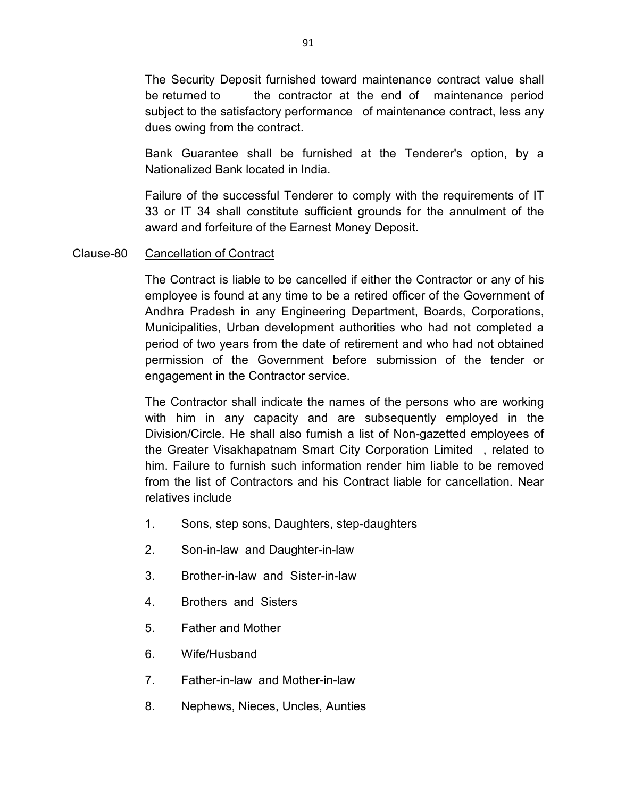The Security Deposit furnished toward maintenance contract value shall be returned to the contractor at the end of maintenance period subject to the satisfactory performance of maintenance contract, less any dues owing from the contract.

Bank Guarantee shall be furnished at the Tenderer's option, by a Nationalized Bank located in India.

Failure of the successful Tenderer to comply with the requirements of IT 33 or IT 34 shall constitute sufficient grounds for the annulment of the award and forfeiture of the Earnest Money Deposit.

### Clause-80 Cancellation of Contract

The Contract is liable to be cancelled if either the Contractor or any of his employee is found at any time to be a retired officer of the Government of Andhra Pradesh in any Engineering Department, Boards, Corporations, Municipalities, Urban development authorities who had not completed a period of two years from the date of retirement and who had not obtained permission of the Government before submission of the tender or engagement in the Contractor service.

The Contractor shall indicate the names of the persons who are working with him in any capacity and are subsequently employed in the Division/Circle. He shall also furnish a list of Non-gazetted employees of the Greater Visakhapatnam Smart City Corporation Limited , related to him. Failure to furnish such information render him liable to be removed from the list of Contractors and his Contract liable for cancellation. Near relatives include

- 1. Sons, step sons, Daughters, step-daughters
- 2. Son-in-law and Daughter-in-law
- 3. Brother-in-law and Sister-in-law
- 4. Brothers and Sisters
- 5. Father and Mother
- 6. Wife/Husband
- 7. Father-in-law and Mother-in-law
- 8. Nephews, Nieces, Uncles, Aunties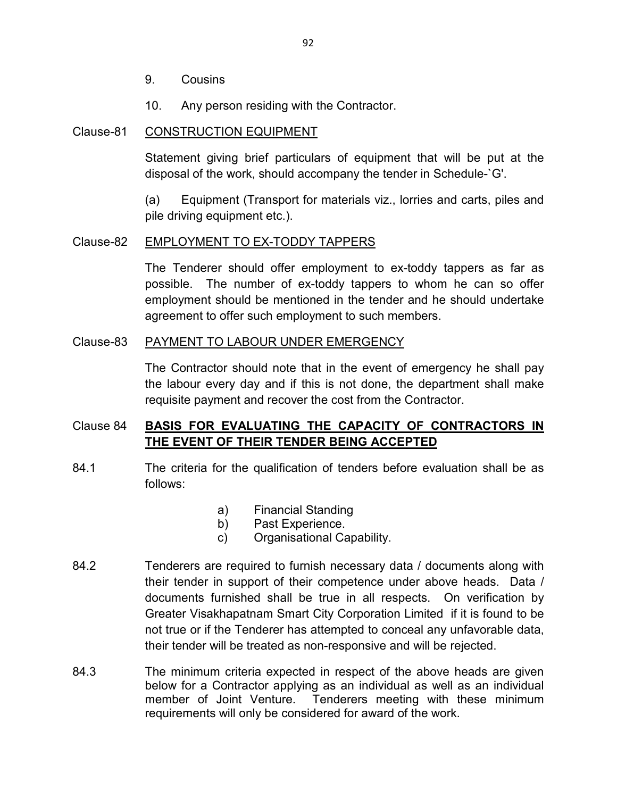- 9. Cousins
- 10. Any person residing with the Contractor.

### Clause-81 CONSTRUCTION EQUIPMENT

Statement giving brief particulars of equipment that will be put at the disposal of the work, should accompany the tender in Schedule-`G'.

 (a) Equipment (Transport for materials viz., lorries and carts, piles and pile driving equipment etc.).

#### Clause-82 EMPLOYMENT TO EX-TODDY TAPPERS

The Tenderer should offer employment to ex-toddy tappers as far as possible. The number of ex-toddy tappers to whom he can so offer employment should be mentioned in the tender and he should undertake agreement to offer such employment to such members.

#### Clause-83 PAYMENT TO LABOUR UNDER EMERGENCY

The Contractor should note that in the event of emergency he shall pay the labour every day and if this is not done, the department shall make requisite payment and recover the cost from the Contractor.

## Clause 84 **BASIS FOR EVALUATING THE CAPACITY OF CONTRACTORS IN THE EVENT OF THEIR TENDER BEING ACCEPTED**

- 84.1 The criteria for the qualification of tenders before evaluation shall be as follows:
	- a) Financial Standing
	- b) Past Experience.
	- c) Organisational Capability.
- 84.2 Tenderers are required to furnish necessary data / documents along with their tender in support of their competence under above heads. Data / documents furnished shall be true in all respects. On verification by Greater Visakhapatnam Smart City Corporation Limited if it is found to be not true or if the Tenderer has attempted to conceal any unfavorable data, their tender will be treated as non-responsive and will be rejected.
- 84.3 The minimum criteria expected in respect of the above heads are given below for a Contractor applying as an individual as well as an individual member of Joint Venture. Tenderers meeting with these minimum requirements will only be considered for award of the work.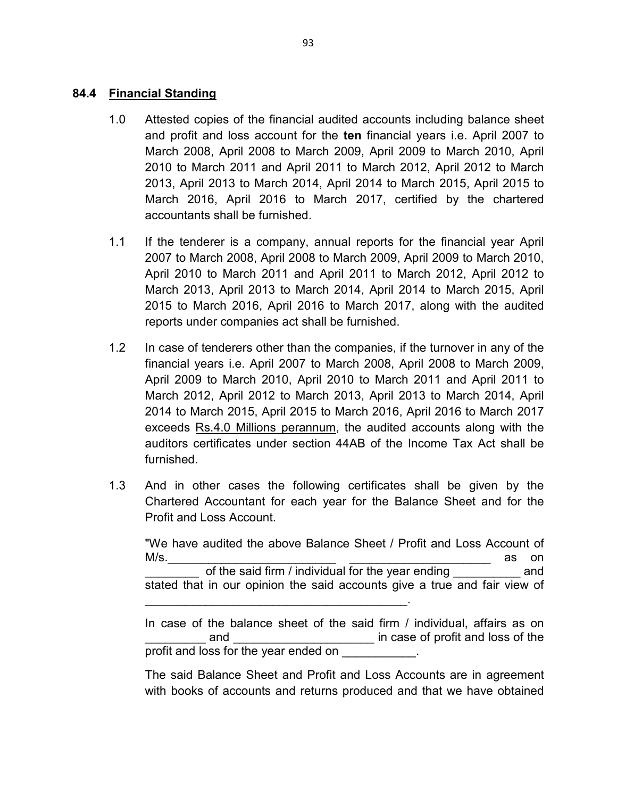### **84.4 Financial Standing**

- 1.0 Attested copies of the financial audited accounts including balance sheet and profit and loss account for the **ten** financial years i.e. April 2007 to March 2008, April 2008 to March 2009, April 2009 to March 2010, April 2010 to March 2011 and April 2011 to March 2012, April 2012 to March 2013, April 2013 to March 2014, April 2014 to March 2015, April 2015 to March 2016, April 2016 to March 2017, certified by the chartered accountants shall be furnished.
- 1.1 If the tenderer is a company, annual reports for the financial year April 2007 to March 2008, April 2008 to March 2009, April 2009 to March 2010, April 2010 to March 2011 and April 2011 to March 2012, April 2012 to March 2013, April 2013 to March 2014, April 2014 to March 2015, April 2015 to March 2016, April 2016 to March 2017, along with the audited reports under companies act shall be furnished.
- 1.2 In case of tenderers other than the companies, if the turnover in any of the financial years i.e. April 2007 to March 2008, April 2008 to March 2009, April 2009 to March 2010, April 2010 to March 2011 and April 2011 to March 2012, April 2012 to March 2013, April 2013 to March 2014, April 2014 to March 2015, April 2015 to March 2016, April 2016 to March 2017 exceeds Rs.4.0 Millions perannum, the audited accounts along with the auditors certificates under section 44AB of the Income Tax Act shall be furnished.
- 1.3 And in other cases the following certificates shall be given by the Chartered Accountant for each year for the Balance Sheet and for the Profit and Loss Account.

\_\_\_\_\_\_\_\_\_\_\_\_\_\_\_\_\_\_\_\_\_\_\_\_\_\_\_\_\_\_\_\_\_\_\_\_\_\_\_.

"We have audited the above Balance Sheet / Profit and Loss Account of M/s.\_\_\_\_\_\_\_\_\_\_\_\_\_\_\_\_\_\_\_\_\_\_\_\_\_ \_\_\_\_\_\_\_\_\_\_\_\_\_\_\_\_\_\_\_\_\_ as on of the said firm / individual for the year ending ending and stated that in our opinion the said accounts give a true and fair view of

In case of the balance sheet of the said firm / individual, affairs as on and and  $\frac{1}{2}$  in case of profit and loss of the profit and loss for the year ended on

The said Balance Sheet and Profit and Loss Accounts are in agreement with books of accounts and returns produced and that we have obtained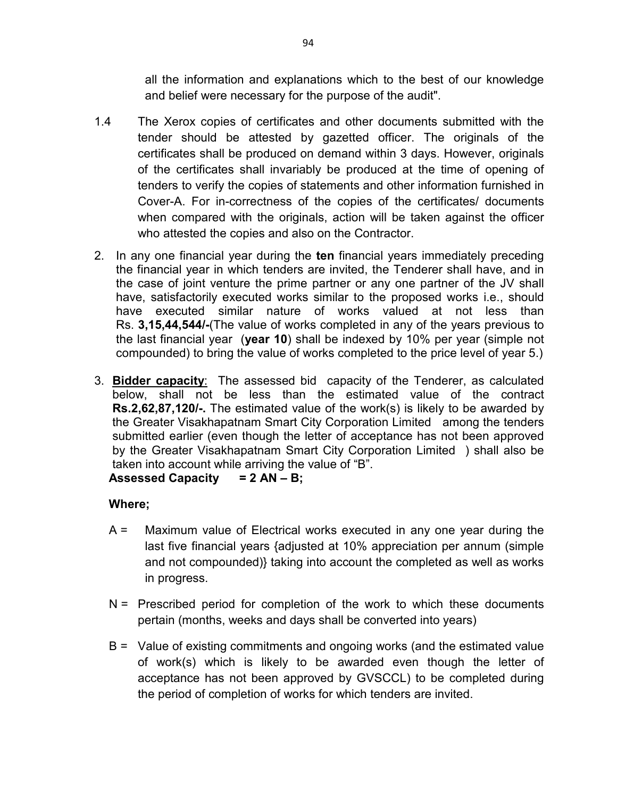all the information and explanations which to the best of our knowledge and belief were necessary for the purpose of the audit".

- 1.4 The Xerox copies of certificates and other documents submitted with the tender should be attested by gazetted officer. The originals of the certificates shall be produced on demand within 3 days. However, originals of the certificates shall invariably be produced at the time of opening of tenders to verify the copies of statements and other information furnished in Cover-A. For in-correctness of the copies of the certificates/ documents when compared with the originals, action will be taken against the officer who attested the copies and also on the Contractor.
- 2. In any one financial year during the **ten** financial years immediately preceding the financial year in which tenders are invited, the Tenderer shall have, and in the case of joint venture the prime partner or any one partner of the JV shall have, satisfactorily executed works similar to the proposed works i.e., should have executed similar nature of works valued at not less than Rs. **3,15,44,544/-**(The value of works completed in any of the years previous to the last financial year (**year 10**) shall be indexed by 10% per year (simple not compounded) to bring the value of works completed to the price level of year 5.)
- 3. **Bidder capacity**: The assessed bid capacity of the Tenderer, as calculated below, shall not be less than the estimated value of the contract **Rs.2,62,87,120/-.** The estimated value of the work(s) is likely to be awarded by the Greater Visakhapatnam Smart City Corporation Limited among the tenders submitted earlier (even though the letter of acceptance has not been approved by the Greater Visakhapatnam Smart City Corporation Limited ) shall also be taken into account while arriving the value of "B". **Assessed Capacity = 2 AN – B;**

## **Where;**

- A = Maximum value of Electrical works executed in any one year during the last five financial years {adjusted at 10% appreciation per annum (simple and not compounded)} taking into account the completed as well as works in progress.
- $N =$  Prescribed period for completion of the work to which these documents pertain (months, weeks and days shall be converted into years)
- B = Value of existing commitments and ongoing works (and the estimated value of work(s) which is likely to be awarded even though the letter of acceptance has not been approved by GVSCCL) to be completed during the period of completion of works for which tenders are invited.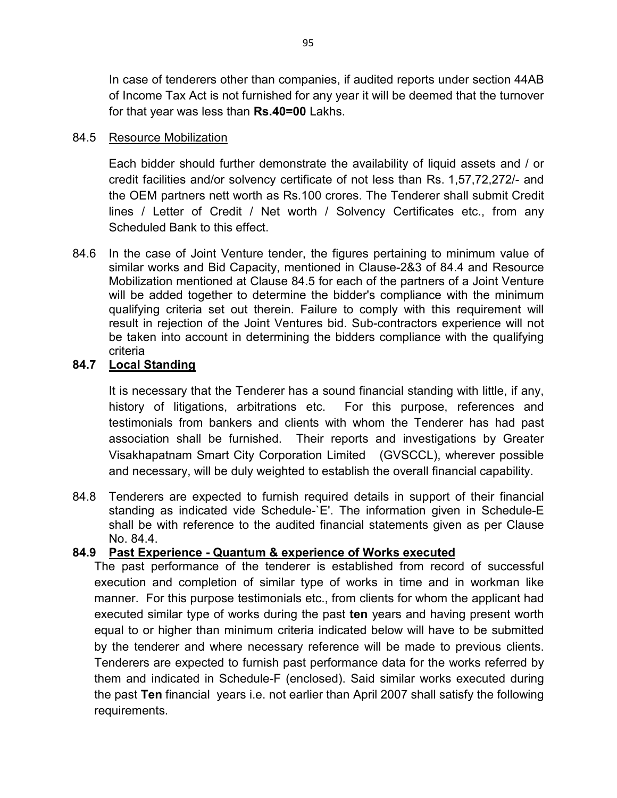In case of tenderers other than companies, if audited reports under section 44AB of Income Tax Act is not furnished for any year it will be deemed that the turnover for that year was less than **Rs.40=00** Lakhs.

## 84.5 Resource Mobilization

Each bidder should further demonstrate the availability of liquid assets and / or credit facilities and/or solvency certificate of not less than Rs. 1,57,72,272/- and the OEM partners nett worth as Rs.100 crores. The Tenderer shall submit Credit lines / Letter of Credit / Net worth / Solvency Certificates etc., from any Scheduled Bank to this effect.

84.6 In the case of Joint Venture tender, the figures pertaining to minimum value of similar works and Bid Capacity, mentioned in Clause-2&3 of 84.4 and Resource Mobilization mentioned at Clause 84.5 for each of the partners of a Joint Venture will be added together to determine the bidder's compliance with the minimum qualifying criteria set out therein. Failure to comply with this requirement will result in rejection of the Joint Ventures bid. Sub-contractors experience will not be taken into account in determining the bidders compliance with the qualifying criteria

## **84.7 Local Standing**

It is necessary that the Tenderer has a sound financial standing with little, if any, history of litigations, arbitrations etc. For this purpose, references and testimonials from bankers and clients with whom the Tenderer has had past association shall be furnished. Their reports and investigations by Greater Visakhapatnam Smart City Corporation Limited (GVSCCL), wherever possible and necessary, will be duly weighted to establish the overall financial capability.

84.8 Tenderers are expected to furnish required details in support of their financial standing as indicated vide Schedule-`E'. The information given in Schedule-E shall be with reference to the audited financial statements given as per Clause No. 84.4.

## **84.9 Past Experience - Quantum & experience of Works executed**

The past performance of the tenderer is established from record of successful execution and completion of similar type of works in time and in workman like manner. For this purpose testimonials etc., from clients for whom the applicant had executed similar type of works during the past **ten** years and having present worth equal to or higher than minimum criteria indicated below will have to be submitted by the tenderer and where necessary reference will be made to previous clients. Tenderers are expected to furnish past performance data for the works referred by them and indicated in Schedule-F (enclosed). Said similar works executed during the past **Ten** financial years i.e. not earlier than April 2007 shall satisfy the following requirements.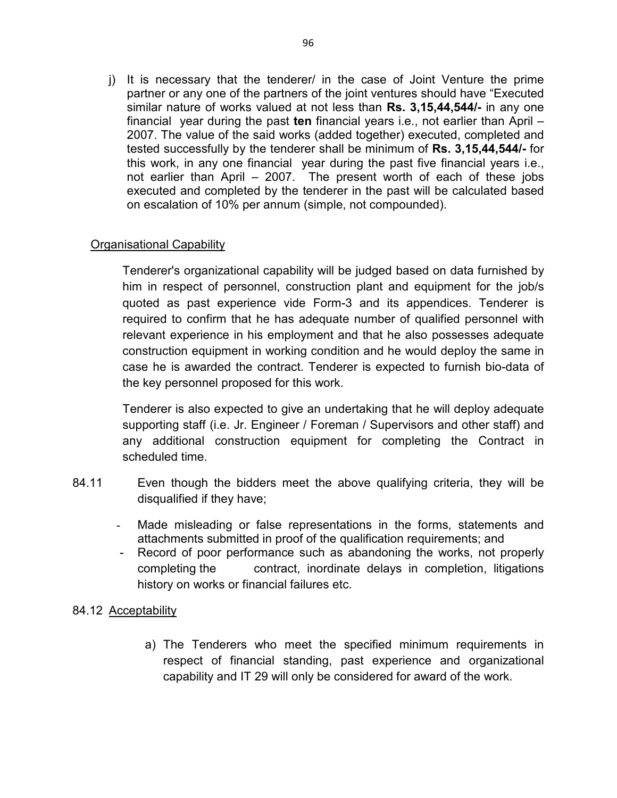j) It is necessary that the tenderer/ in the case of Joint Venture the prime partner or any one of the partners of the joint ventures should have "Executed similar nature of works valued at not less than **Rs. 3,15,44,544/-** in any one financial year during the past **ten** financial years i.e., not earlier than April – 2007. The value of the said works (added together) executed, completed and tested successfully by the tenderer shall be minimum of **Rs. 3,15,44,544/-** for this work, in any one financial year during the past five financial years i.e., not earlier than April – 2007. The present worth of each of these jobs executed and completed by the tenderer in the past will be calculated based on escalation of 10% per annum (simple, not compounded).

## Organisational Capability

Tenderer's organizational capability will be judged based on data furnished by him in respect of personnel, construction plant and equipment for the job/s quoted as past experience vide Form-3 and its appendices. Tenderer is required to confirm that he has adequate number of qualified personnel with relevant experience in his employment and that he also possesses adequate construction equipment in working condition and he would deploy the same in case he is awarded the contract. Tenderer is expected to furnish bio-data of the key personnel proposed for this work.

Tenderer is also expected to give an undertaking that he will deploy adequate supporting staff (i.e. Jr. Engineer / Foreman / Supervisors and other staff) and any additional construction equipment for completing the Contract in scheduled time.

- 84.11 Even though the bidders meet the above qualifying criteria, they will be disqualified if they have;
	- Made misleading or false representations in the forms, statements and attachments submitted in proof of the qualification requirements; and
	- Record of poor performance such as abandoning the works, not properly completing the contract, inordinate delays in completion, litigations history on works or financial failures etc.

### 84.12 Acceptability

a) The Tenderers who meet the specified minimum requirements in respect of financial standing, past experience and organizational capability and IT 29 will only be considered for award of the work.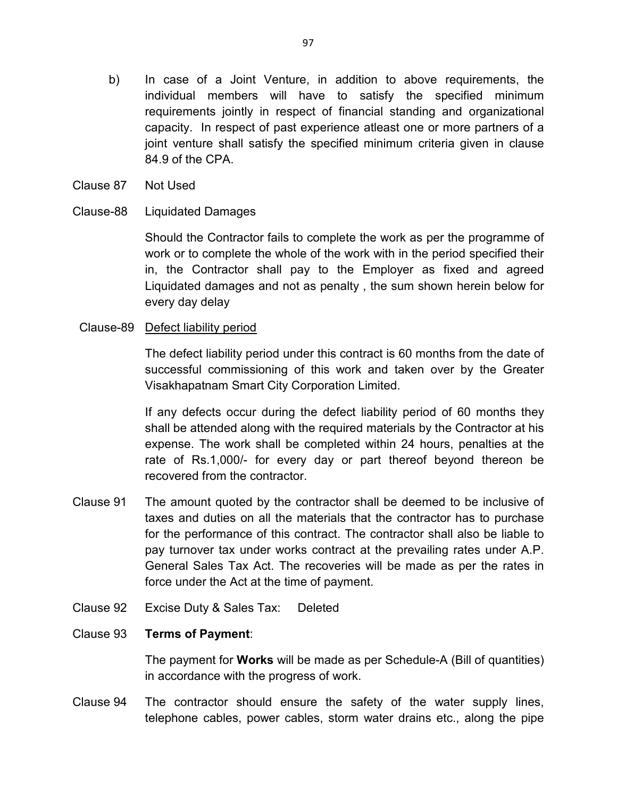- b) In case of a Joint Venture, in addition to above requirements, the individual members will have to satisfy the specified minimum requirements jointly in respect of financial standing and organizational capacity. In respect of past experience atleast one or more partners of a joint venture shall satisfy the specified minimum criteria given in clause 84.9 of the CPA.
- Clause 87 Not Used

### Clause-88 Liquidated Damages

Should the Contractor fails to complete the work as per the programme of work or to complete the whole of the work with in the period specified their in, the Contractor shall pay to the Employer as fixed and agreed Liquidated damages and not as penalty , the sum shown herein below for every day delay

### Clause-89 Defect liability period

The defect liability period under this contract is 60 months from the date of successful commissioning of this work and taken over by the Greater Visakhapatnam Smart City Corporation Limited.

If any defects occur during the defect liability period of 60 months they shall be attended along with the required materials by the Contractor at his expense. The work shall be completed within 24 hours, penalties at the rate of Rs.1,000/- for every day or part thereof beyond thereon be recovered from the contractor.

- Clause 91 The amount quoted by the contractor shall be deemed to be inclusive of taxes and duties on all the materials that the contractor has to purchase for the performance of this contract. The contractor shall also be liable to pay turnover tax under works contract at the prevailing rates under A.P. General Sales Tax Act. The recoveries will be made as per the rates in force under the Act at the time of payment.
- Clause 92 Excise Duty & Sales Tax: Deleted

### Clause 93 **Terms of Payment**:

The payment for **Works** will be made as per Schedule-A (Bill of quantities) in accordance with the progress of work.

Clause 94 The contractor should ensure the safety of the water supply lines, telephone cables, power cables, storm water drains etc., along the pipe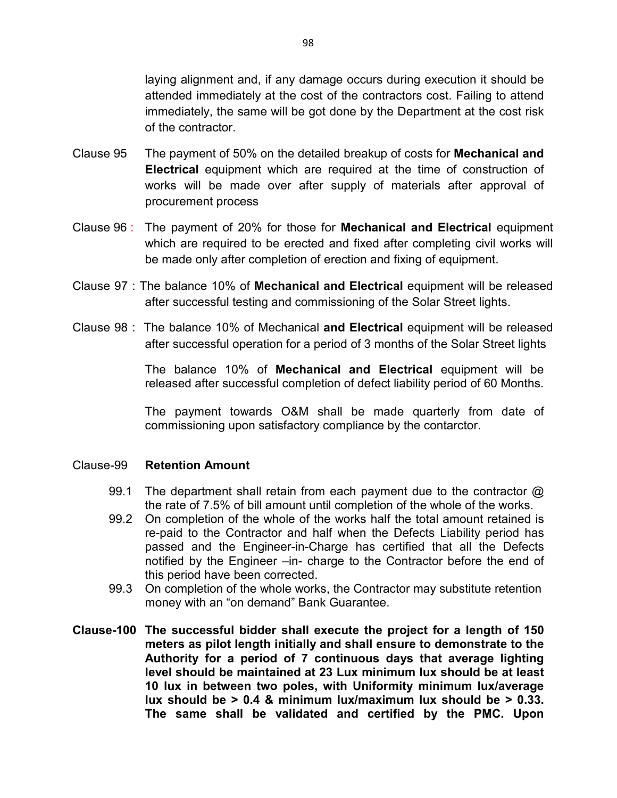laying alignment and, if any damage occurs during execution it should be attended immediately at the cost of the contractors cost. Failing to attend immediately, the same will be got done by the Department at the cost risk of the contractor.

- Clause 95 The payment of 50% on the detailed breakup of costs for **Mechanical and Electrical** equipment which are required at the time of construction of works will be made over after supply of materials after approval of procurement process
- Clause 96 : The payment of 20% for those for **Mechanical and Electrical** equipment which are required to be erected and fixed after completing civil works will be made only after completion of erection and fixing of equipment.
- Clause 97 : The balance 10% of **Mechanical and Electrical** equipment will be released after successful testing and commissioning of the Solar Street lights.
- Clause 98 : The balance 10% of Mechanical **and Electrical** equipment will be released after successful operation for a period of 3 months of the Solar Street lights

The balance 10% of **Mechanical and Electrical** equipment will be released after successful completion of defect liability period of 60 Months.

The payment towards O&M shall be made quarterly from date of commissioning upon satisfactory compliance by the contarctor.

#### Clause-99 **Retention Amount**

- 99.1 The department shall retain from each payment due to the contractor @ the rate of 7.5% of bill amount until completion of the whole of the works.
- 99.2 On completion of the whole of the works half the total amount retained is re-paid to the Contractor and half when the Defects Liability period has passed and the Engineer-in-Charge has certified that all the Defects notified by the Engineer –in- charge to the Contractor before the end of this period have been corrected.
- 99.3 On completion of the whole works, the Contractor may substitute retention money with an "on demand" Bank Guarantee.
- **Clause-100 The successful bidder shall execute the project for a length of 150 meters as pilot length initially and shall ensure to demonstrate to the Authority for a period of 7 continuous days that average lighting level should be maintained at 23 Lux minimum lux should be at least 10 lux in between two poles, with Uniformity minimum lux/average lux should be > 0.4 & minimum lux/maximum lux should be > 0.33. The same shall be validated and certified by the PMC. Upon**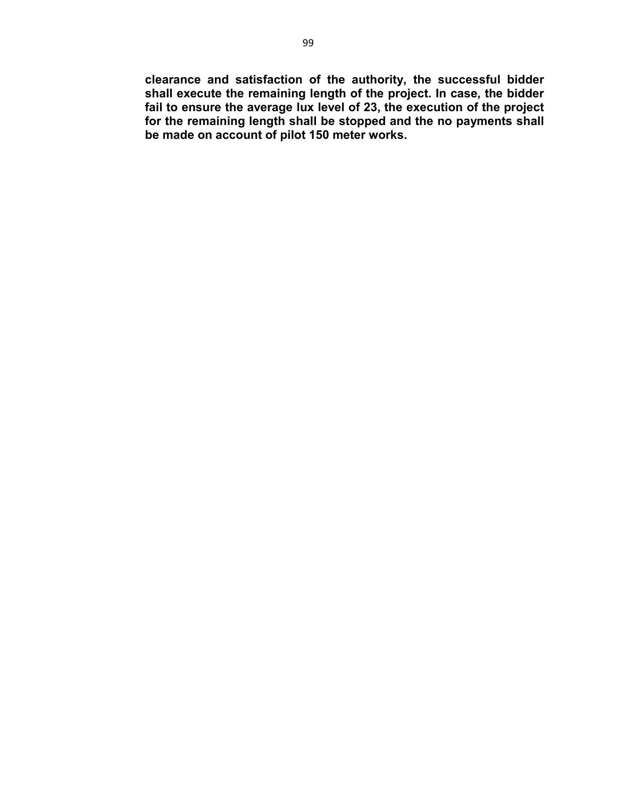**clearance and satisfaction of the authority, the successful bidder shall execute the remaining length of the project. In case, the bidder fail to ensure the average lux level of 23, the execution of the project for the remaining length shall be stopped and the no payments shall be made on account of pilot 150 meter works.**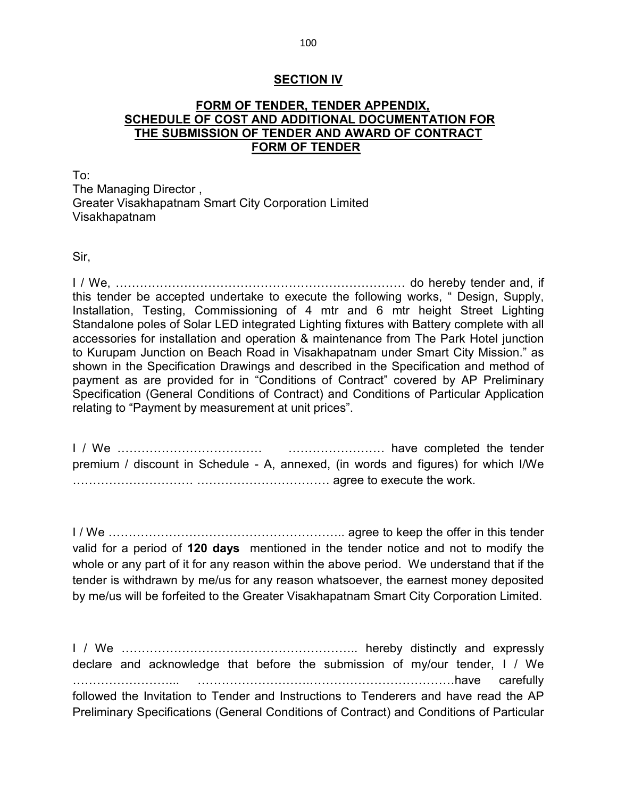#### **SECTION IV**

### **FORM OF TENDER, TENDER APPENDIX, SCHEDULE OF COST AND ADDITIONAL DOCUMENTATION FOR THE SUBMISSION OF TENDER AND AWARD OF CONTRACT FORM OF TENDER**

To: The Managing Director , Greater Visakhapatnam Smart City Corporation Limited Visakhapatnam

Sir,

I / We, ……………………………………………………………… do hereby tender and, if this tender be accepted undertake to execute the following works, " Design, Supply, Installation, Testing, Commissioning of 4 mtr and 6 mtr height Street Lighting Standalone poles of Solar LED integrated Lighting fixtures with Battery complete with all accessories for installation and operation & maintenance from The Park Hotel junction to Kurupam Junction on Beach Road in Visakhapatnam under Smart City Mission." as shown in the Specification Drawings and described in the Specification and method of payment as are provided for in "Conditions of Contract" covered by AP Preliminary Specification (General Conditions of Contract) and Conditions of Particular Application relating to "Payment by measurement at unit prices".

I / We ……………………………… …………………… have completed the tender premium / discount in Schedule - A, annexed, (in words and figures) for which I/We ………………………… …………………………… agree to execute the work.

I / We ………………………………………………….. agree to keep the offer in this tender valid for a period of **120 days** mentioned in the tender notice and not to modify the whole or any part of it for any reason within the above period. We understand that if the tender is withdrawn by me/us for any reason whatsoever, the earnest money deposited by me/us will be forfeited to the Greater Visakhapatnam Smart City Corporation Limited.

I / We ………………………………………………….. hereby distinctly and expressly declare and acknowledge that before the submission of my/our tender, I / We ……………………... ……………………….………………………………have carefully followed the Invitation to Tender and Instructions to Tenderers and have read the AP Preliminary Specifications (General Conditions of Contract) and Conditions of Particular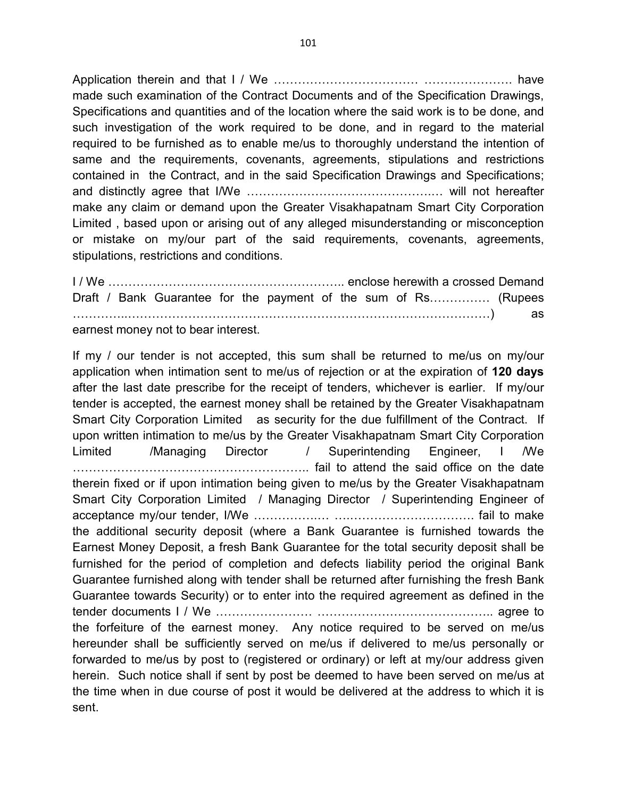Application therein and that I / We ……………………………… …………………. have made such examination of the Contract Documents and of the Specification Drawings, Specifications and quantities and of the location where the said work is to be done, and such investigation of the work required to be done, and in regard to the material required to be furnished as to enable me/us to thoroughly understand the intention of same and the requirements, covenants, agreements, stipulations and restrictions contained in the Contract, and in the said Specification Drawings and Specifications; and distinctly agree that I/We ……………………………………….… will not hereafter make any claim or demand upon the Greater Visakhapatnam Smart City Corporation Limited , based upon or arising out of any alleged misunderstanding or misconception or mistake on my/our part of the said requirements, covenants, agreements, stipulations, restrictions and conditions.

I / We ………………………………………………….. enclose herewith a crossed Demand Draft / Bank Guarantee for the payment of the sum of Rs…………… (Rupees …………..………………………………………………………………………………) as earnest money not to bear interest.

If my / our tender is not accepted, this sum shall be returned to me/us on my/our application when intimation sent to me/us of rejection or at the expiration of **120 days**  after the last date prescribe for the receipt of tenders, whichever is earlier. If my/our tender is accepted, the earnest money shall be retained by the Greater Visakhapatnam Smart City Corporation Limited as security for the due fulfillment of the Contract. If upon written intimation to me/us by the Greater Visakhapatnam Smart City Corporation Limited /Managing Director / Superintending Engineer, I /We ………………………………………………….. fail to attend the said office on the date therein fixed or if upon intimation being given to me/us by the Greater Visakhapatnam Smart City Corporation Limited / Managing Director / Superintending Engineer of acceptance my/our tender, I/We …………….… ….…………………………. fail to make the additional security deposit (where a Bank Guarantee is furnished towards the Earnest Money Deposit, a fresh Bank Guarantee for the total security deposit shall be furnished for the period of completion and defects liability period the original Bank Guarantee furnished along with tender shall be returned after furnishing the fresh Bank Guarantee towards Security) or to enter into the required agreement as defined in the tender documents I / We …………………… …………………………………….. agree to the forfeiture of the earnest money. Any notice required to be served on me/us hereunder shall be sufficiently served on me/us if delivered to me/us personally or forwarded to me/us by post to (registered or ordinary) or left at my/our address given herein. Such notice shall if sent by post be deemed to have been served on me/us at the time when in due course of post it would be delivered at the address to which it is sent.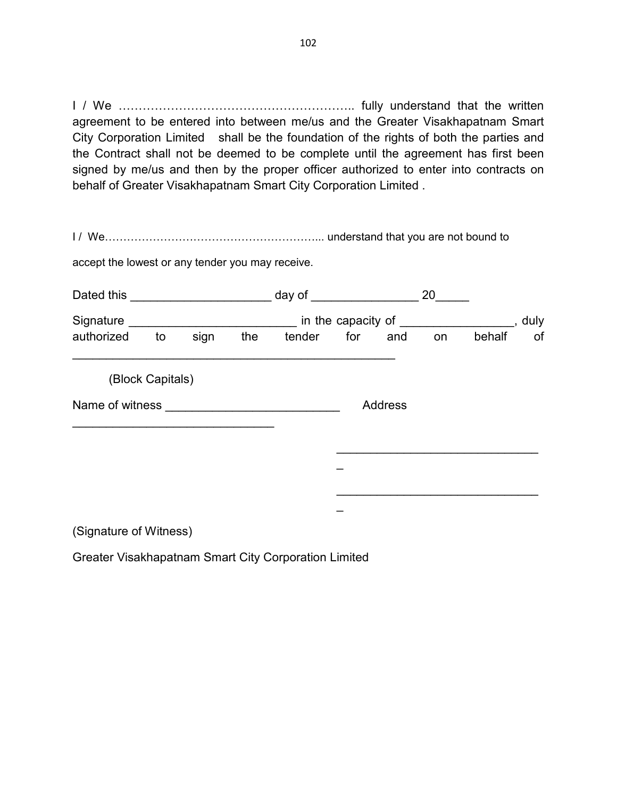I / We ………………………………………………….. fully understand that the written agreement to be entered into between me/us and the Greater Visakhapatnam Smart City Corporation Limited shall be the foundation of the rights of both the parties and the Contract shall not be deemed to be complete until the agreement has first been signed by me/us and then by the proper officer authorized to enter into contracts on behalf of Greater Visakhapatnam Smart City Corporation Limited .

I / We…………………………………………………... understand that you are not bound to

accept the lowest or any tender you may receive.

| Dated this <b>National Property Report Follows</b> |                  |      |     | 20<br>day of $\_\_$ |         |         |    |        |    |
|----------------------------------------------------|------------------|------|-----|---------------------|---------|---------|----|--------|----|
|                                                    |                  |      |     |                     |         | , duly  |    |        |    |
| authorized                                         | to               | sign | the | tender              |         | for and | on | behalf | of |
|                                                    | (Block Capitals) |      |     |                     |         |         |    |        |    |
| Name of witness                                    |                  |      |     |                     | Address |         |    |        |    |
|                                                    |                  |      |     |                     |         |         |    |        |    |
|                                                    |                  |      |     |                     |         |         |    |        |    |
|                                                    |                  |      |     |                     |         |         |    |        |    |
|                                                    |                  |      |     |                     |         |         |    |        |    |

(Signature of Witness)

Greater Visakhapatnam Smart City Corporation Limited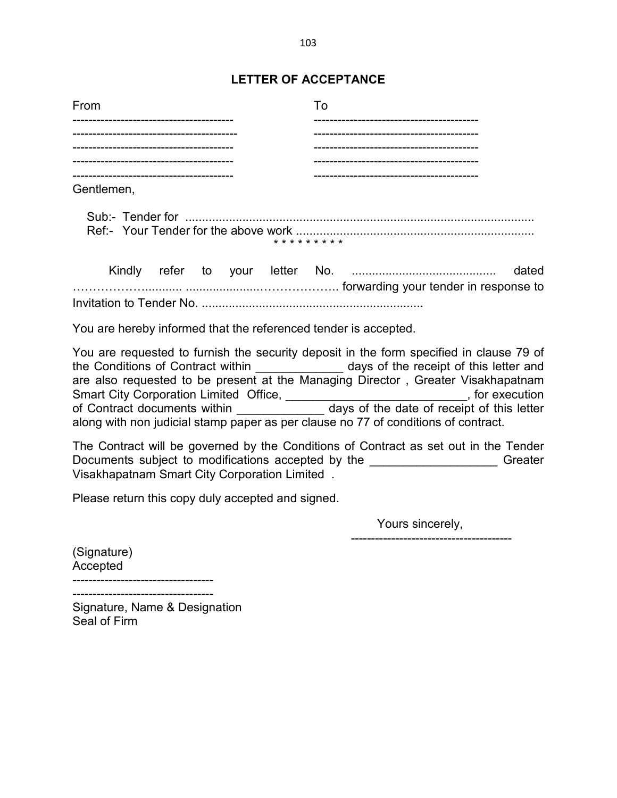## **LETTER OF ACCEPTANCE**

| From               |                       |
|--------------------|-----------------------|
|                    |                       |
|                    |                       |
|                    |                       |
| ------------------ | --------------------- |
| Gentlemen,         |                       |
|                    |                       |

 Kindly refer to your letter No. ........................................... dated ………………........... ......................……………….. forwarding your tender in response to Invitation to Tender No. ..................................................................

\* \* \* \* \* \* \* \* \*

You are hereby informed that the referenced tender is accepted.

You are requested to furnish the security deposit in the form specified in clause 79 of the Conditions of Contract within \_\_\_\_\_\_\_\_\_\_\_\_\_\_\_ days of the receipt of this letter and are also requested to be present at the Managing Director , Greater Visakhapatnam Smart City Corporation Limited Office, \_\_\_\_\_\_\_\_\_\_\_\_\_\_\_\_\_\_\_\_\_\_\_\_\_\_\_\_\_, for execution of Contract documents within \_\_\_\_\_\_\_\_\_\_\_\_\_\_\_\_ days of the date of receipt of this letter along with non judicial stamp paper as per clause no 77 of conditions of contract.

The Contract will be governed by the Conditions of Contract as set out in the Tender Documents subject to modifications accepted by the \_\_\_\_\_\_\_\_\_\_\_\_\_\_\_\_\_\_\_\_\_\_\_ Greater Visakhapatnam Smart City Corporation Limited .

Please return this copy duly accepted and signed.

Yours sincerely,

----------------------------------------

(Signature) Accepted

----------------------------------- -----------------------------------

Signature, Name & Designation Seal of Firm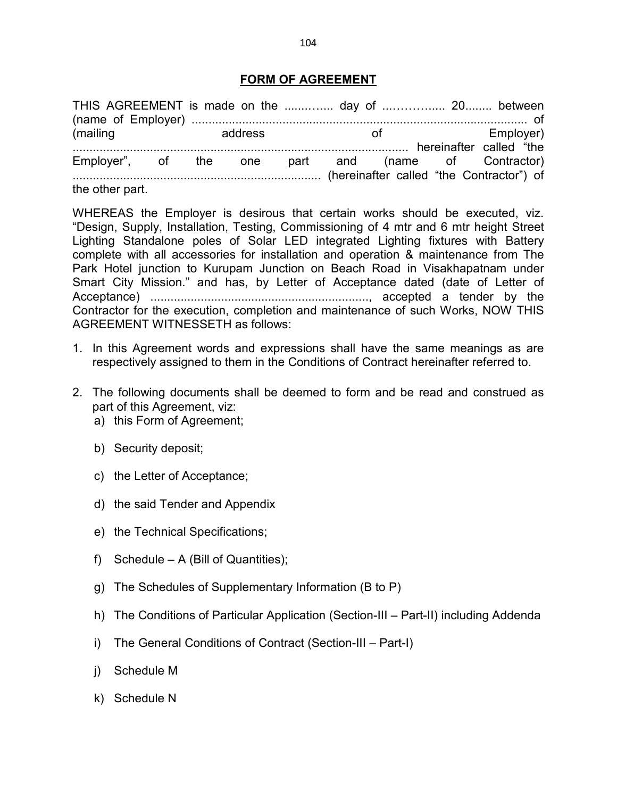### **FORM OF AGREEMENT**

| THIS AGREEMENT is made on the  day of  20 between   |  |                             |  |                  |  |  |
|-----------------------------------------------------|--|-----------------------------|--|------------------|--|--|
| (mailing                                            |  | <b>Example 2018</b> address |  | of the Employer) |  |  |
| Employer", of the one part and (name of Contractor) |  |                             |  |                  |  |  |
| the other part.                                     |  |                             |  |                  |  |  |

WHEREAS the Employer is desirous that certain works should be executed, viz. "Design, Supply, Installation, Testing, Commissioning of 4 mtr and 6 mtr height Street Lighting Standalone poles of Solar LED integrated Lighting fixtures with Battery complete with all accessories for installation and operation & maintenance from The Park Hotel junction to Kurupam Junction on Beach Road in Visakhapatnam under Smart City Mission." and has, by Letter of Acceptance dated (date of Letter of Acceptance) ................................................................., accepted a tender by the Contractor for the execution, completion and maintenance of such Works, NOW THIS AGREEMENT WITNESSETH as follows:

- 1. In this Agreement words and expressions shall have the same meanings as are respectively assigned to them in the Conditions of Contract hereinafter referred to.
- 2. The following documents shall be deemed to form and be read and construed as part of this Agreement, viz:
	- a) this Form of Agreement;
	- b) Security deposit;
	- c) the Letter of Acceptance;
	- d) the said Tender and Appendix
	- e) the Technical Specifications;
	- f) Schedule A (Bill of Quantities);
	- g) The Schedules of Supplementary Information (B to P)
	- h) The Conditions of Particular Application (Section-III Part-II) including Addenda
	- i) The General Conditions of Contract (Section-III Part-I)
	- j) Schedule M
	- k) Schedule N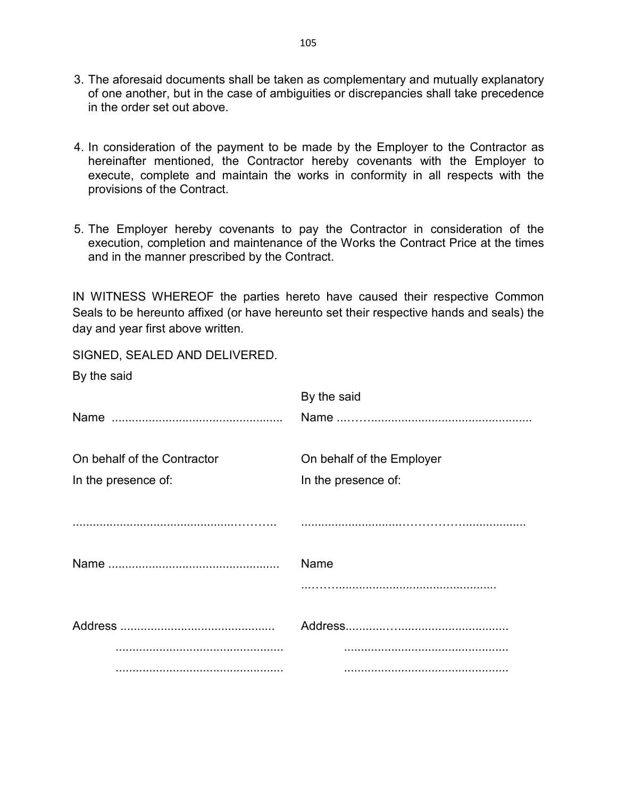- 3. The aforesaid documents shall be taken as complementary and mutually explanatory of one another, but in the case of ambiguities or discrepancies shall take precedence in the order set out above.
- 4. In consideration of the payment to be made by the Employer to the Contractor as hereinafter mentioned, the Contractor hereby covenants with the Employer to execute, complete and maintain the works in conformity in all respects with the provisions of the Contract.
- 5. The Employer hereby covenants to pay the Contractor in consideration of the execution, completion and maintenance of the Works the Contract Price at the times and in the manner prescribed by the Contract.

IN WITNESS WHEREOF the parties hereto have caused their respective Common Seals to be hereunto affixed (or have hereunto set their respective hands and seals) the day and year first above written.

SIGNED, SEALED AND DELIVERED.

|  |  | By the said |
|--|--|-------------|
|--|--|-------------|

|                             | By the said               |
|-----------------------------|---------------------------|
|                             |                           |
| On behalf of the Contractor | On behalf of the Employer |
| In the presence of:         | In the presence of:       |
|                             |                           |
|                             |                           |
|                             |                           |
|                             | Name                      |
|                             |                           |
|                             |                           |
|                             |                           |
|                             |                           |
|                             |                           |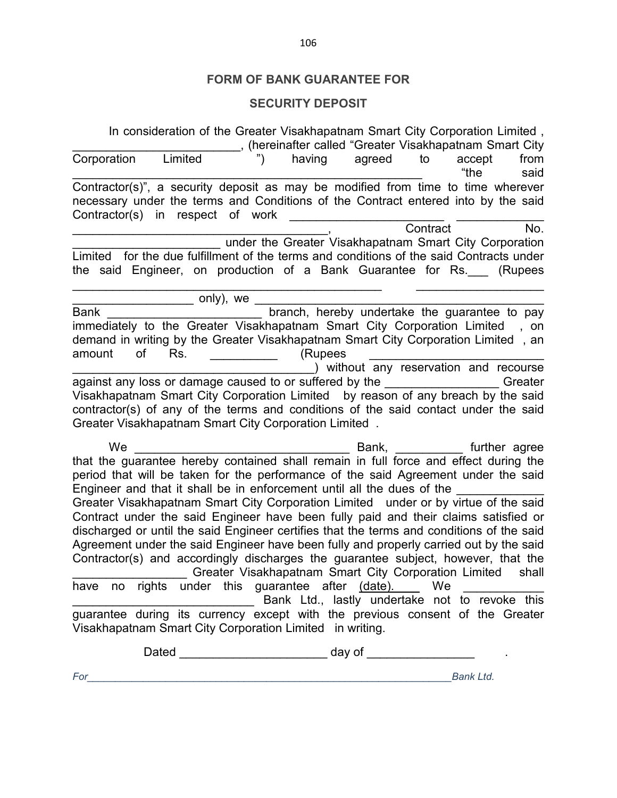# **FORM OF BANK GUARANTEE FOR**

## **SECURITY DEPOSIT**

|              | In consideration of the Greater Visakhapatnam Smart City Corporation Limited,             | hereinafter called "Greater Visakhapatnam Smart City   |                                        |          |                                |         |
|--------------|-------------------------------------------------------------------------------------------|--------------------------------------------------------|----------------------------------------|----------|--------------------------------|---------|
| Corporation  | Limited                                                                                   |                                                        | having agreed                          | to       | accept                         | from    |
|              |                                                                                           |                                                        |                                        |          | "the                           | said    |
|              | Contractor(s)", a security deposit as may be modified from time to time wherever          |                                                        |                                        |          |                                |         |
|              | necessary under the terms and Conditions of the Contract entered into by the said         |                                                        |                                        |          |                                |         |
|              | Contractor(s) in respect of work                                                          |                                                        |                                        |          |                                |         |
|              |                                                                                           |                                                        |                                        | Contract |                                | No.     |
|              |                                                                                           | under the Greater Visakhapatnam Smart City Corporation |                                        |          |                                |         |
|              | Limited for the due fulfillment of the terms and conditions of the said Contracts under   |                                                        |                                        |          |                                |         |
|              | the said Engineer, on production of a Bank Guarantee for Rs. __ (Rupees                   |                                                        |                                        |          |                                |         |
|              |                                                                                           |                                                        |                                        |          |                                |         |
|              | only), we $\overline{\phantom{a}}$                                                        |                                                        |                                        |          |                                |         |
| <b>Bank</b>  |                                                                                           | branch, hereby undertake the guarantee to pay          |                                        |          |                                |         |
|              | immediately to the Greater Visakhapatnam Smart City Corporation Limited                   |                                                        |                                        |          |                                | , on    |
|              | demand in writing by the Greater Visakhapatnam Smart City Corporation Limited, an         |                                                        |                                        |          |                                |         |
| amount<br>οf | Rs.                                                                                       | (Rupees                                                |                                        |          |                                |         |
|              |                                                                                           |                                                        | ) without any reservation and recourse |          |                                |         |
|              | against any loss or damage caused to or suffered by the ________________________          |                                                        |                                        |          |                                | Greater |
|              | Visakhapatnam Smart City Corporation Limited by reason of any breach by the said          |                                                        |                                        |          |                                |         |
|              | contractor(s) of any of the terms and conditions of the said contact under the said       |                                                        |                                        |          |                                |         |
|              | Greater Visakhapatnam Smart City Corporation Limited.                                     |                                                        |                                        |          |                                |         |
|              |                                                                                           |                                                        |                                        |          |                                |         |
| We           |                                                                                           |                                                        | Bank,                                  |          | <b>Example 1</b> Further agree |         |
|              | that the guarantee hereby contained shall remain in full force and effect during the      |                                                        |                                        |          |                                |         |
|              | period that will be taken for the performance of the said Agreement under the said        |                                                        |                                        |          |                                |         |
|              | Engineer and that it shall be in enforcement until all the dues of the                    |                                                        |                                        |          |                                |         |
|              | Greater Visakhapatnam Smart City Corporation Limited under or by virtue of the said       |                                                        |                                        |          |                                |         |
|              | Contract under the said Engineer have been fully paid and their claims satisfied or       |                                                        |                                        |          |                                |         |
|              | discharged or until the said Engineer certifies that the terms and conditions of the said |                                                        |                                        |          |                                |         |
|              | Agreement under the said Engineer have been fully and properly carried out by the said    |                                                        |                                        |          |                                |         |
|              | Contractor(s) and accordingly discharges the guarantee subject, however, that the         |                                                        |                                        |          |                                |         |
|              |                                                                                           | Greater Visakhapatnam Smart City Corporation Limited   |                                        |          |                                | shall   |
|              | have no rights under this guarantee after (date). __ We                                   |                                                        |                                        |          |                                |         |
|              |                                                                                           | Bank Ltd., lastly undertake not to revoke this         |                                        |          |                                |         |
|              |                                                                                           |                                                        |                                        |          |                                |         |
|              | guarantee during its currency except with the previous consent of the Greater             |                                                        |                                        |          |                                |         |
|              | Visakhapatnam Smart City Corporation Limited in writing.                                  |                                                        |                                        |          |                                |         |
|              |                                                                                           |                                                        |                                        |          |                                |         |
|              |                                                                                           |                                                        |                                        |          |                                |         |
| For          |                                                                                           |                                                        |                                        |          | <b>Bank Ltd.</b>               |         |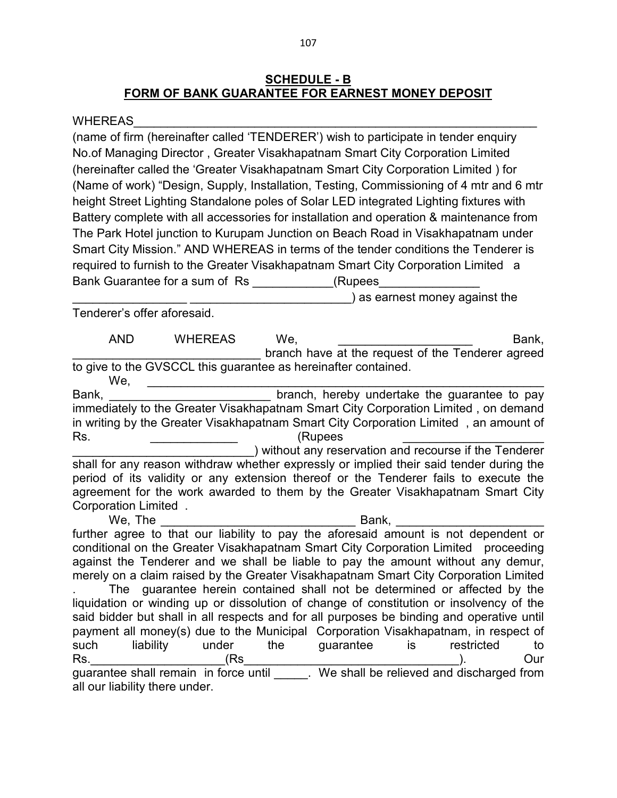## **SCHEDULE - B FORM OF BANK GUARANTEE FOR EARNEST MONEY DEPOSIT**

#### WHEREAS

(name of firm (hereinafter called 'TENDERER') wish to participate in tender enquiry No.of Managing Director , Greater Visakhapatnam Smart City Corporation Limited (hereinafter called the 'Greater Visakhapatnam Smart City Corporation Limited ) for (Name of work) "Design, Supply, Installation, Testing, Commissioning of 4 mtr and 6 mtr height Street Lighting Standalone poles of Solar LED integrated Lighting fixtures with Battery complete with all accessories for installation and operation & maintenance from The Park Hotel junction to Kurupam Junction on Beach Road in Visakhapatnam under Smart City Mission." AND WHEREAS in terms of the tender conditions the Tenderer is required to furnish to the Greater Visakhapatnam Smart City Corporation Limited a Bank Guarantee for a sum of Rs \_\_\_\_\_\_\_\_\_\_\_\_(Rupees\_

) as earnest money against the

Tenderer's offer aforesaid.

AND WHEREAS We, the contract of the Bank, branch have at the request of the Tenderer agreed to give to the GVSCCL this guarantee as hereinafter contained.

We, \_\_\_\_\_\_\_\_\_\_\_\_\_\_\_\_\_\_\_\_\_\_\_\_\_\_\_\_\_\_\_\_\_\_\_\_\_\_\_\_\_\_\_\_\_\_\_\_\_\_\_\_\_\_\_\_\_\_\_ Bank, **Bank**, **Bank**, **Bank**, **Bank**, **Bank**, **Bank**, **Bank**, **Bank**, **Bank**, **Bank**, **Bank**, **Bank**, **Bank**, **Bank**, **Bank**, **Bank**, **Bank**, **Bank**, **Bank**, **Bank**, **Bank**, **Bank**, **Bank**, **Bank**, **Bank**, **Bank**, **Bank**, immediately to the Greater Visakhapatnam Smart City Corporation Limited , on demand in writing by the Greater Visakhapatnam Smart City Corporation Limited , an amount of Rs. \_\_\_\_\_\_\_\_\_\_\_\_\_ (Rupees \_\_\_\_\_\_\_\_\_\_\_\_\_\_\_\_\_\_\_\_\_

) without any reservation and recourse if the Tenderer shall for any reason withdraw whether expressly or implied their said tender during the period of its validity or any extension thereof or the Tenderer fails to execute the agreement for the work awarded to them by the Greater Visakhapatnam Smart City Corporation Limited .

We, The **Example 20** and  $\mathbf{B}$  Bank,  $\mathbf{B}$ further agree to that our liability to pay the aforesaid amount is not dependent or conditional on the Greater Visakhapatnam Smart City Corporation Limited proceeding against the Tenderer and we shall be liable to pay the amount without any demur, merely on a claim raised by the Greater Visakhapatnam Smart City Corporation Limited . The guarantee herein contained shall not be determined or affected by the liquidation or winding up or dissolution of change of constitution or insolvency of the said bidder but shall in all respects and for all purposes be binding and operative until payment all money(s) due to the Municipal Corporation Visakhapatnam, in respect of such liability under the guarantee is restricted to Rs.\_\_\_\_\_\_\_\_\_\_\_\_\_\_\_\_\_\_\_\_(Rs\_\_\_\_\_\_\_\_\_\_\_\_\_\_\_\_\_\_\_\_\_\_\_\_\_\_\_\_\_\_\_\_). Our guarantee shall remain in force until \_\_\_\_\_. We shall be relieved and discharged from all our liability there under.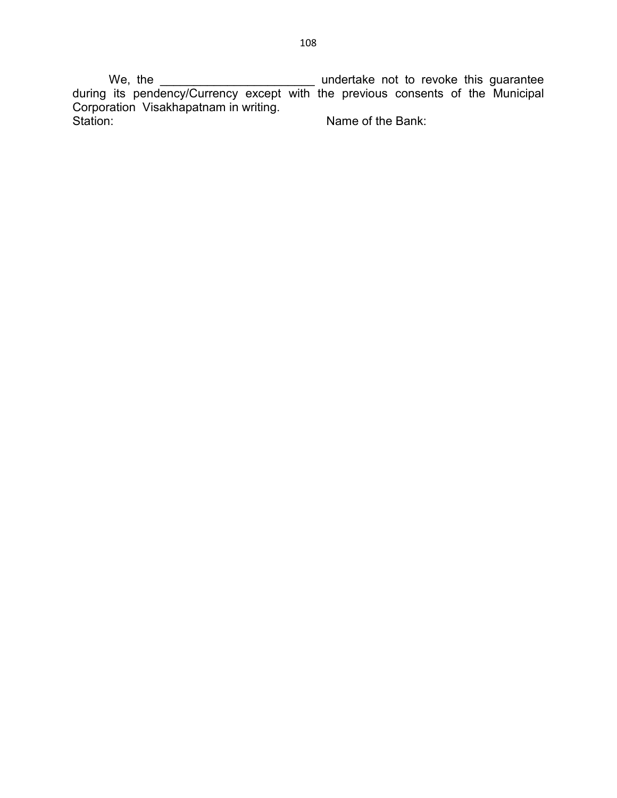We, the \_\_\_\_\_\_\_\_\_\_\_\_\_\_\_\_\_\_\_\_\_\_\_ undertake not to revoke this guarantee during its pendency/Currency except with the previous consents of the Municipal Corporation Visakhapatnam in writing. Name of the Bank: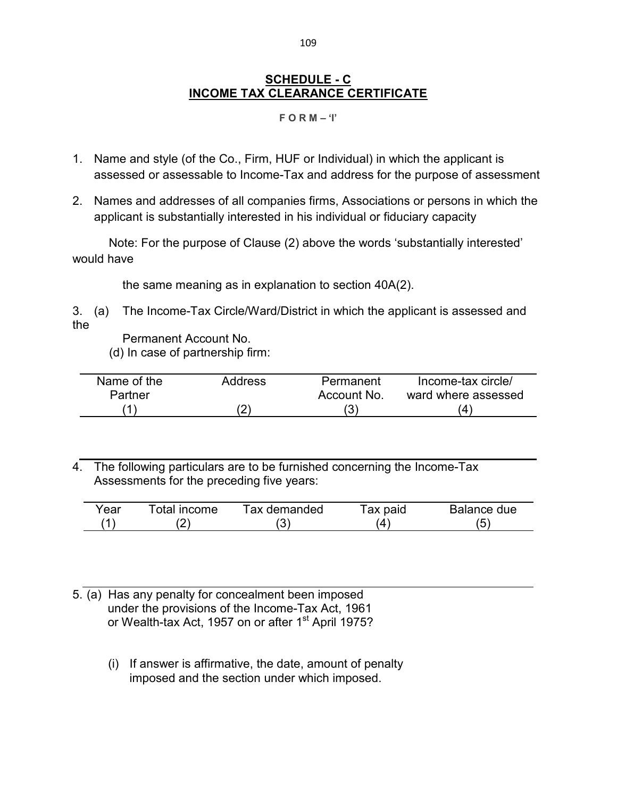# **SCHEDULE - C INCOME TAX CLEARANCE CERTIFICATE**

#### **F O R M – 'I'**

- 1. Name and style (of the Co., Firm, HUF or Individual) in which the applicant is assessed or assessable to Income-Tax and address for the purpose of assessment
- 2. Names and addresses of all companies firms, Associations or persons in which the applicant is substantially interested in his individual or fiduciary capacity

 Note: For the purpose of Clause (2) above the words 'substantially interested' would have

the same meaning as in explanation to section 40A(2).

3. (a) The Income-Tax Circle/Ward/District in which the applicant is assessed and the

Permanent Account No. (d) In case of partnership firm:

| Name of the | Address | Permanent   | Income-tax circle/  |
|-------------|---------|-------------|---------------------|
| Partner     |         | Account No. | ward where assessed |
|             |         | ت ∙         |                     |

4. The following particulars are to be furnished concerning the Income-Tax Assessments for the preceding five years:

| Year | Total income | Tax demanded | Tax paid | Balance due |
|------|--------------|--------------|----------|-------------|
|      |              |              |          |             |

- 5. (a) Has any penalty for concealment been imposed under the provisions of the Income-Tax Act, 1961 or Wealth-tax Act, 1957 on or after 1<sup>st</sup> April 1975?
	- (i) If answer is affirmative, the date, amount of penalty imposed and the section under which imposed.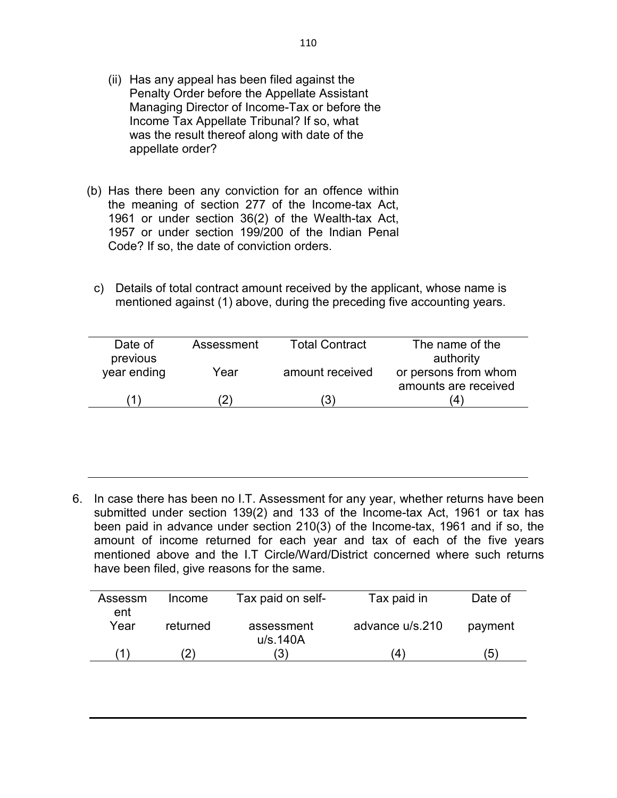- (ii) Has any appeal has been filed against the Penalty Order before the Appellate Assistant Managing Director of Income-Tax or before the Income Tax Appellate Tribunal? If so, what was the result thereof along with date of the appellate order?
- (b) Has there been any conviction for an offence within the meaning of section 277 of the Income-tax Act, 1961 or under section 36(2) of the Wealth-tax Act, 1957 or under section 199/200 of the Indian Penal Code? If so, the date of conviction orders.
	- c) Details of total contract amount received by the applicant, whose name is mentioned against (1) above, during the preceding five accounting years.

| Date of<br>previous | Assessment | <b>Total Contract</b> | The name of the<br>authority                 |
|---------------------|------------|-----------------------|----------------------------------------------|
| year ending         | Year       | amount received       | or persons from whom<br>amounts are received |
|                     |            | ΄3                    | (4                                           |

6. In case there has been no I.T. Assessment for any year, whether returns have been submitted under section 139(2) and 133 of the Income-tax Act, 1961 or tax has been paid in advance under section 210(3) of the Income-tax, 1961 and if so, the amount of income returned for each year and tax of each of the five years mentioned above and the I.T Circle/Ward/District concerned where such returns have been filed, give reasons for the same.

| Assessm | Income   | Tax paid on self- | Tax paid in     | Date of |
|---------|----------|-------------------|-----------------|---------|
| ent     |          |                   |                 |         |
| Year    | returned | assessment        | advance u/s.210 | payment |
|         |          | u/s.140A          |                 |         |
|         | 2        | $\left(3\right)$  | $\overline{4}$  | '5)     |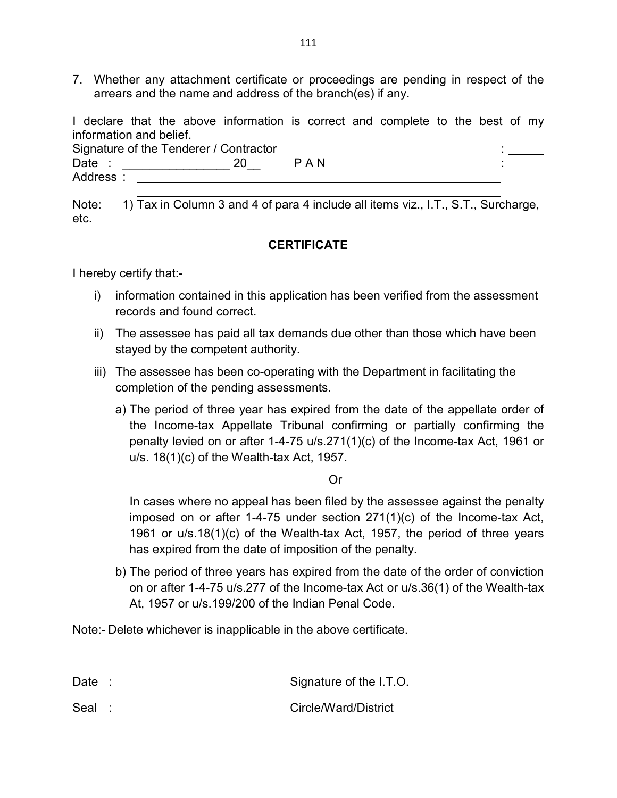7. Whether any attachment certificate or proceedings are pending in respect of the arrears and the name and address of the branch(es) if any.

I declare that the above information is correct and complete to the best of my information and belief.

Signature of the Tenderer / Contractor Date : \_\_\_\_\_\_\_\_\_\_\_\_\_\_\_\_ 20\_\_ P A N : Address :

Note: 1) Tax in Column 3 and 4 of para 4 include all items viz., I.T., S.T., Surcharge, etc.

# **CERTIFICATE**

I hereby certify that:-

- i) information contained in this application has been verified from the assessment records and found correct.
- ii) The assessee has paid all tax demands due other than those which have been stayed by the competent authority.
- iii) The assessee has been co-operating with the Department in facilitating the completion of the pending assessments.
	- a) The period of three year has expired from the date of the appellate order of the Income-tax Appellate Tribunal confirming or partially confirming the penalty levied on or after 1-4-75 u/s.271(1)(c) of the Income-tax Act, 1961 or u/s. 18(1)(c) of the Wealth-tax Act, 1957.

Or

In cases where no appeal has been filed by the assessee against the penalty imposed on or after 1-4-75 under section 271(1)(c) of the Income-tax Act, 1961 or u/s.18(1)(c) of the Wealth-tax Act, 1957, the period of three years has expired from the date of imposition of the penalty.

b) The period of three years has expired from the date of the order of conviction on or after 1-4-75 u/s.277 of the Income-tax Act or u/s.36(1) of the Wealth-tax At, 1957 or u/s.199/200 of the Indian Penal Code.

Note:- Delete whichever is inapplicable in the above certificate.

| Date : | Signature of the I.T.O. |
|--------|-------------------------|
| Seal : | Circle/Ward/District    |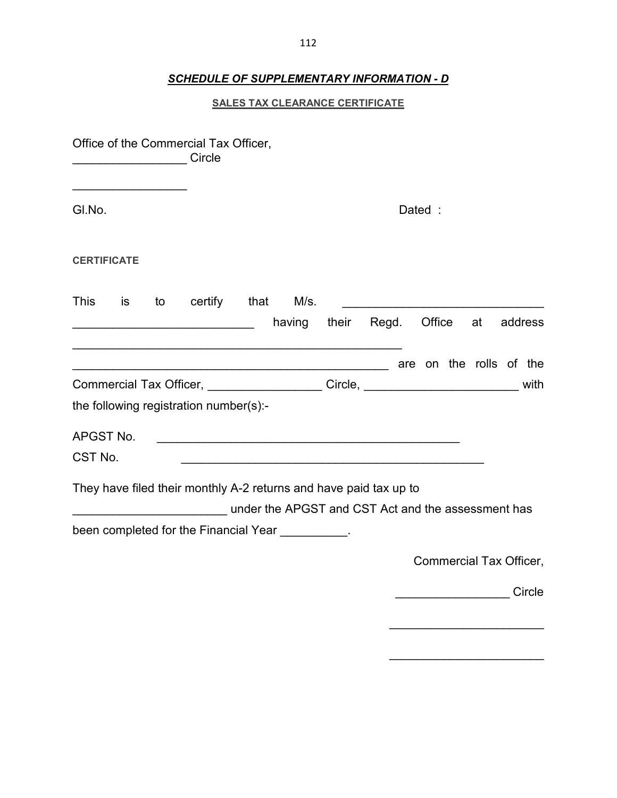#### *SCHEDULE OF SUPPLEMENTARY INFORMATION - D*

#### **SALES TAX CLEARANCE CERTIFICATE**

Office of the Commercial Tax Officer, \_\_\_\_\_\_\_\_\_\_\_\_\_\_\_\_\_ Circle  $\overline{\phantom{a}}$  , where  $\overline{\phantom{a}}$ Gl.No. Dated : **CERTIFICATE**  This is to certify that M/s. extending their Regd. Office at address \_\_\_\_\_\_\_\_\_\_\_\_\_\_\_\_\_\_\_\_\_\_\_\_\_\_\_\_\_\_\_\_\_\_\_\_\_\_\_\_\_\_\_\_\_\_\_\_\_ \_\_\_\_\_\_\_\_\_\_\_\_\_\_\_\_\_\_\_\_\_\_\_\_\_\_\_\_\_\_\_\_\_\_\_\_\_\_\_\_\_\_\_\_\_\_\_ are on the rolls of the Commercial Tax Officer, \_\_\_\_\_\_\_\_\_\_\_\_\_\_\_\_\_\_\_\_\_Circle, \_\_\_\_\_\_\_\_\_\_\_\_\_\_\_\_\_\_\_\_\_\_\_\_\_\_\_\_ with the following registration number(s):- APGST No. \_\_\_\_\_\_\_\_\_\_\_\_\_\_\_\_\_\_\_\_\_\_\_\_\_\_\_\_\_\_\_\_\_\_\_\_\_\_\_\_\_\_\_\_\_ CST No. \_\_\_\_\_\_\_\_\_\_\_\_\_\_\_\_\_\_\_\_\_\_\_\_\_\_\_\_\_\_\_\_\_\_\_\_\_\_\_\_\_\_\_\_\_ They have filed their monthly A-2 returns and have paid tax up to \_\_\_\_\_\_\_\_\_\_\_\_\_\_\_\_\_\_\_\_\_\_\_ under the APGST and CST Act and the assessment has been completed for the Financial Year \_\_\_\_\_\_\_\_\_. Commercial Tax Officer, \_\_\_\_\_\_\_\_\_\_\_\_\_\_\_\_\_ Circle

 $\overline{\phantom{a}}$  , we can assume that the contract of  $\overline{\phantom{a}}$ 

 $\overline{\phantom{a}}$  , we can assume that the contract of  $\overline{\phantom{a}}$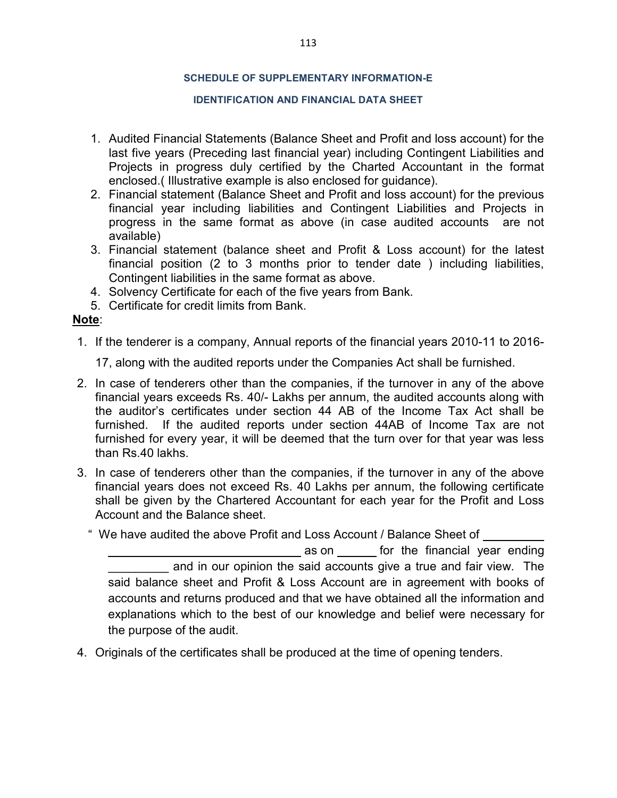#### **SCHEDULE OF SUPPLEMENTARY INFORMATION-E**

#### **IDENTIFICATION AND FINANCIAL DATA SHEET**

- 1. Audited Financial Statements (Balance Sheet and Profit and loss account) for the last five years (Preceding last financial year) including Contingent Liabilities and Projects in progress duly certified by the Charted Accountant in the format enclosed.( Illustrative example is also enclosed for guidance).
- 2. Financial statement (Balance Sheet and Profit and loss account) for the previous financial year including liabilities and Contingent Liabilities and Projects in progress in the same format as above (in case audited accounts are not available)
- 3. Financial statement (balance sheet and Profit & Loss account) for the latest financial position (2 to 3 months prior to tender date ) including liabilities, Contingent liabilities in the same format as above.
- 4. Solvency Certificate for each of the five years from Bank.
- 5. Certificate for credit limits from Bank.

#### **Note**:

1. If the tenderer is a company, Annual reports of the financial years 2010-11 to 2016-

17, along with the audited reports under the Companies Act shall be furnished.

- 2. In case of tenderers other than the companies, if the turnover in any of the above financial years exceeds Rs. 40/- Lakhs per annum, the audited accounts along with the auditor's certificates under section 44 AB of the Income Tax Act shall be furnished. If the audited reports under section 44AB of Income Tax are not furnished for every year, it will be deemed that the turn over for that year was less than Rs.40 lakhs.
- 3. In case of tenderers other than the companies, if the turnover in any of the above financial years does not exceed Rs. 40 Lakhs per annum, the following certificate shall be given by the Chartered Accountant for each year for the Profit and Loss Account and the Balance sheet.

" We have audited the above Profit and Loss Account / Balance Sheet of

as on for the financial year ending and in our opinion the said accounts give a true and fair view. The said balance sheet and Profit & Loss Account are in agreement with books of accounts and returns produced and that we have obtained all the information and explanations which to the best of our knowledge and belief were necessary for the purpose of the audit.

4. Originals of the certificates shall be produced at the time of opening tenders.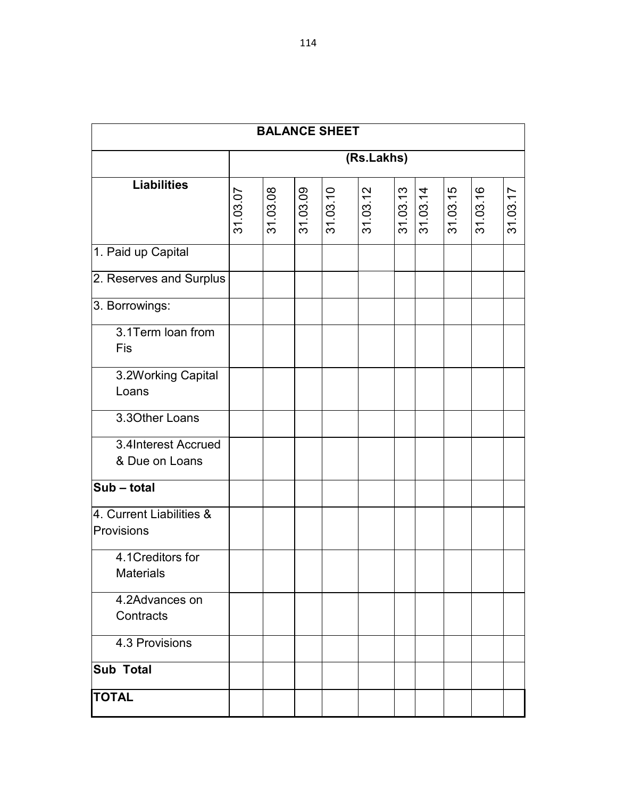|                                        |          |            |          | <b>BALANCE SHEET</b> |          |  |          |          |          |          |
|----------------------------------------|----------|------------|----------|----------------------|----------|--|----------|----------|----------|----------|
|                                        |          | (Rs.Lakhs) |          |                      |          |  |          |          |          |          |
| <b>Liabilities</b>                     | 31.03.07 | 31.03.08   | 31.03.09 | 31.03.10             | 31.03.12 |  | 31.03.13 | 31.03.15 | 31.03.16 | 31.03.17 |
| 1. Paid up Capital                     |          |            |          |                      |          |  |          |          |          |          |
| 2. Reserves and Surplus                |          |            |          |                      |          |  |          |          |          |          |
| 3. Borrowings:                         |          |            |          |                      |          |  |          |          |          |          |
| 3.1Term loan from<br>Fis               |          |            |          |                      |          |  |          |          |          |          |
| 3.2Working Capital<br>Loans            |          |            |          |                      |          |  |          |          |          |          |
| 3.30ther Loans                         |          |            |          |                      |          |  |          |          |          |          |
| 3.4Interest Accrued<br>& Due on Loans  |          |            |          |                      |          |  |          |          |          |          |
| Sub - total                            |          |            |          |                      |          |  |          |          |          |          |
| 4. Current Liabilities &<br>Provisions |          |            |          |                      |          |  |          |          |          |          |
| 4.1Creditors for<br><b>Materials</b>   |          |            |          |                      |          |  |          |          |          |          |
| 4.2Advances on<br>Contracts            |          |            |          |                      |          |  |          |          |          |          |
| 4.3 Provisions                         |          |            |          |                      |          |  |          |          |          |          |
| <b>Sub Total</b>                       |          |            |          |                      |          |  |          |          |          |          |
| <b>TOTAL</b>                           |          |            |          |                      |          |  |          |          |          |          |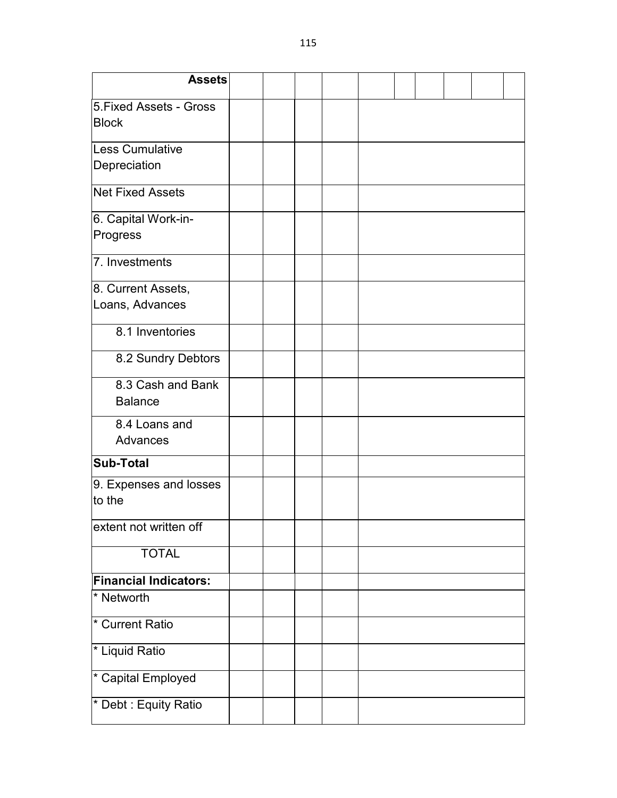| <b>Assets</b>                           |  |  |  |  |  |
|-----------------------------------------|--|--|--|--|--|
| 5. Fixed Assets - Gross<br><b>Block</b> |  |  |  |  |  |
| Less Cumulative                         |  |  |  |  |  |
| Depreciation                            |  |  |  |  |  |
| <b>Net Fixed Assets</b>                 |  |  |  |  |  |
| 6. Capital Work-in-<br>Progress         |  |  |  |  |  |
| 7. Investments                          |  |  |  |  |  |
| 8. Current Assets,<br>Loans, Advances   |  |  |  |  |  |
| 8.1 Inventories                         |  |  |  |  |  |
| 8.2 Sundry Debtors                      |  |  |  |  |  |
| 8.3 Cash and Bank<br><b>Balance</b>     |  |  |  |  |  |
| 8.4 Loans and<br>Advances               |  |  |  |  |  |
| <b>Sub-Total</b>                        |  |  |  |  |  |
| 9. Expenses and losses<br>to the        |  |  |  |  |  |
| extent not written off                  |  |  |  |  |  |
| <b>TOTAL</b>                            |  |  |  |  |  |
| <b>Financial Indicators:</b>            |  |  |  |  |  |
| * Networth                              |  |  |  |  |  |
| * Current Ratio                         |  |  |  |  |  |
| * Liquid Ratio                          |  |  |  |  |  |
| * Capital Employed                      |  |  |  |  |  |
| * Debt : Equity Ratio                   |  |  |  |  |  |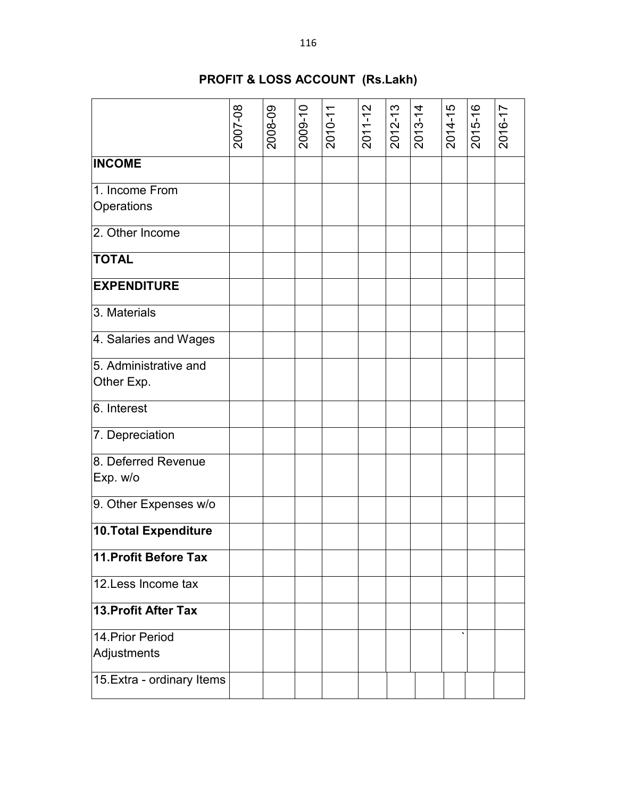# **PROFIT & LOSS ACCOUNT (Rs.Lakh)**

|                              | 2007-08 | 2008-09 | 2009-10 | $2010-11$ | $2011 - 12$ | 2012-13 | $2013 - 14$ | 2014-15 | 2015-16 | 2016-17 |
|------------------------------|---------|---------|---------|-----------|-------------|---------|-------------|---------|---------|---------|
| <b>INCOME</b>                |         |         |         |           |             |         |             |         |         |         |
| 1. Income From               |         |         |         |           |             |         |             |         |         |         |
| Operations                   |         |         |         |           |             |         |             |         |         |         |
| 2. Other Income              |         |         |         |           |             |         |             |         |         |         |
| <b>TOTAL</b>                 |         |         |         |           |             |         |             |         |         |         |
| <b>EXPENDITURE</b>           |         |         |         |           |             |         |             |         |         |         |
| 3. Materials                 |         |         |         |           |             |         |             |         |         |         |
| 4. Salaries and Wages        |         |         |         |           |             |         |             |         |         |         |
| 5. Administrative and        |         |         |         |           |             |         |             |         |         |         |
| Other Exp.                   |         |         |         |           |             |         |             |         |         |         |
| 6. Interest                  |         |         |         |           |             |         |             |         |         |         |
| 7. Depreciation              |         |         |         |           |             |         |             |         |         |         |
| 8. Deferred Revenue          |         |         |         |           |             |         |             |         |         |         |
| Exp. w/o                     |         |         |         |           |             |         |             |         |         |         |
| 9. Other Expenses w/o        |         |         |         |           |             |         |             |         |         |         |
| <b>10. Total Expenditure</b> |         |         |         |           |             |         |             |         |         |         |
| 11. Profit Before Tax        |         |         |         |           |             |         |             |         |         |         |
| 12. Less Income tax          |         |         |         |           |             |         |             |         |         |         |
| 13. Profit After Tax         |         |         |         |           |             |         |             |         |         |         |
| 14 Prior Period              |         |         |         |           |             |         |             |         |         |         |
| Adjustments                  |         |         |         |           |             |         |             |         |         |         |
| 15. Extra - ordinary Items   |         |         |         |           |             |         |             |         |         |         |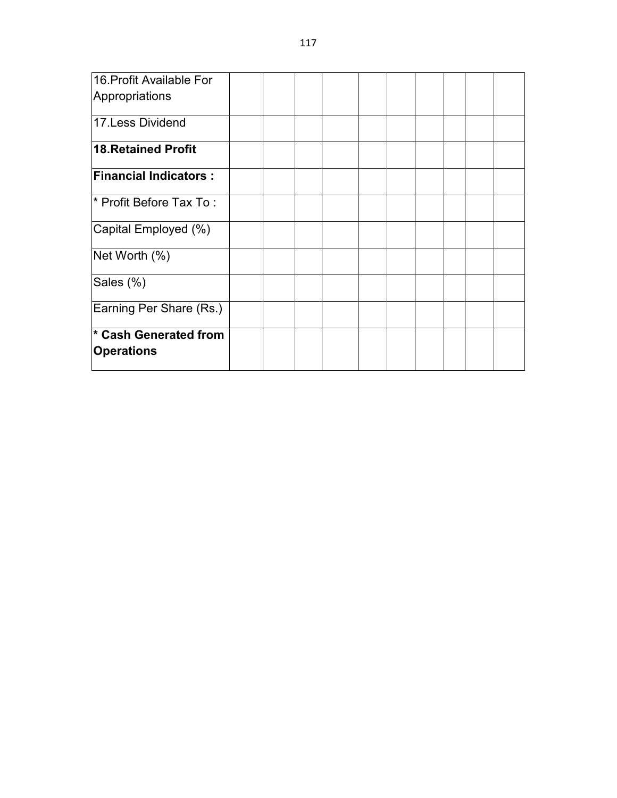| 16. Profit Available For         |  |  |  |  |  |
|----------------------------------|--|--|--|--|--|
| Appropriations                   |  |  |  |  |  |
| 17. Less Dividend                |  |  |  |  |  |
| 18. Retained Profit              |  |  |  |  |  |
| <b>Financial Indicators:</b>     |  |  |  |  |  |
| * Profit Before Tax To:          |  |  |  |  |  |
| Capital Employed (%)             |  |  |  |  |  |
| Net Worth (%)                    |  |  |  |  |  |
| Sales (%)                        |  |  |  |  |  |
| Earning Per Share (Rs.)          |  |  |  |  |  |
| <sup>*</sup> Cash Generated from |  |  |  |  |  |
| Operations                       |  |  |  |  |  |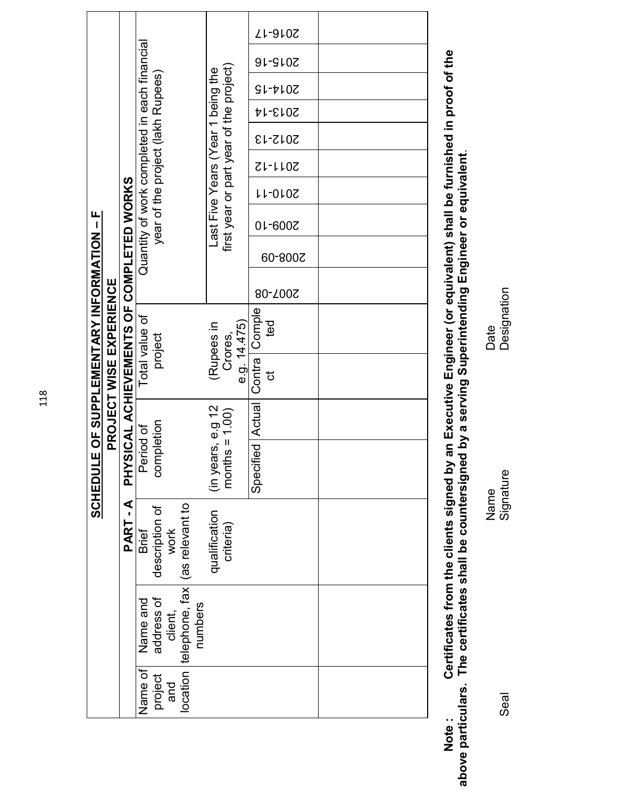|                                                  |                                |                                          |                           |                                                                                   |                                                    |                                         |                    |                  | ZL-910Z        |  |  |
|--------------------------------------------------|--------------------------------|------------------------------------------|---------------------------|-----------------------------------------------------------------------------------|----------------------------------------------------|-----------------------------------------|--------------------|------------------|----------------|--|--|
|                                                  |                                |                                          |                           |                                                                                   |                                                    |                                         |                    |                  | <b>2015-16</b> |  |  |
|                                                  |                                |                                          |                           |                                                                                   |                                                    |                                         |                    |                  | 2014-15        |  |  |
|                                                  |                                |                                          |                           |                                                                                   |                                                    | first year or part year of the project) |                    |                  | 2013-14        |  |  |
|                                                  |                                |                                          |                           | Quantity of work completed in each financial<br>year of the project (lakh Rupees) |                                                    |                                         |                    |                  | 2012-13        |  |  |
| <b>SCHEDULE OF SUPPLEMENTARY INFORMATION - F</b> |                                |                                          |                           |                                                                                   |                                                    |                                         |                    | 2011-12          |                |  |  |
|                                                  |                                |                                          |                           |                                                                                   |                                                    |                                         |                    | LL-010Z          |                |  |  |
|                                                  | <b>PROJECT WISE EXPERIENCE</b> | PHYSICAL ACHIEVEMENTS OF COMPLETED WORKS |                           |                                                                                   |                                                    | Last Five Years (Year 1 being the       |                    |                  | 2009-10        |  |  |
|                                                  |                                |                                          |                           |                                                                                   |                                                    |                                         |                    | 60-800Z          |                |  |  |
|                                                  |                                |                                          |                           |                                                                                   |                                                    |                                         |                    |                  | 80-700S        |  |  |
|                                                  |                                |                                          | Total value of<br>project |                                                                                   | e.g. 14.475)<br>(Rupees in<br>Crores,              |                                         | ted                |                  |                |  |  |
|                                                  |                                |                                          |                           |                                                                                   |                                                    |                                         | Contra Comple<br>ಕ |                  |                |  |  |
|                                                  |                                |                                          |                           | completion<br>Period of                                                           |                                                    | (in years, e.g 12<br>months = $1.00$ )  |                    | Specified Actual |                |  |  |
|                                                  |                                |                                          |                           |                                                                                   |                                                    |                                         |                    |                  |                |  |  |
|                                                  |                                |                                          |                           |                                                                                   |                                                    |                                         |                    |                  |                |  |  |
|                                                  |                                | PART-A                                   | <b>Brief</b>              | description of<br>work                                                            |                                                    | qualification<br>criteria)              |                    |                  |                |  |  |
|                                                  |                                |                                          | Name and                  | address of<br>client,                                                             | location telephone, fax (as relevant to<br>numbers |                                         |                    |                  |                |  |  |
|                                                  |                                |                                          | Name of                   | project<br>and                                                                    |                                                    |                                         |                    |                  |                |  |  |

Note : Certificates from the clients signed by an Executive Engineer (or equivalent) shall be furnished in proof of the<br>above particulars. The certificates shall be countersigned by a serving Superintending **Note : Certificates from the clients signed by an Executive Engineer (or equivalent) shall be furnished in proof of the above particulars. The certificates shall be countersigned by a serving Superintending Engineer or equivalent**.

Seal Designature Signature Name **Date** Name<br>Signature

Date<br>Designation

Seal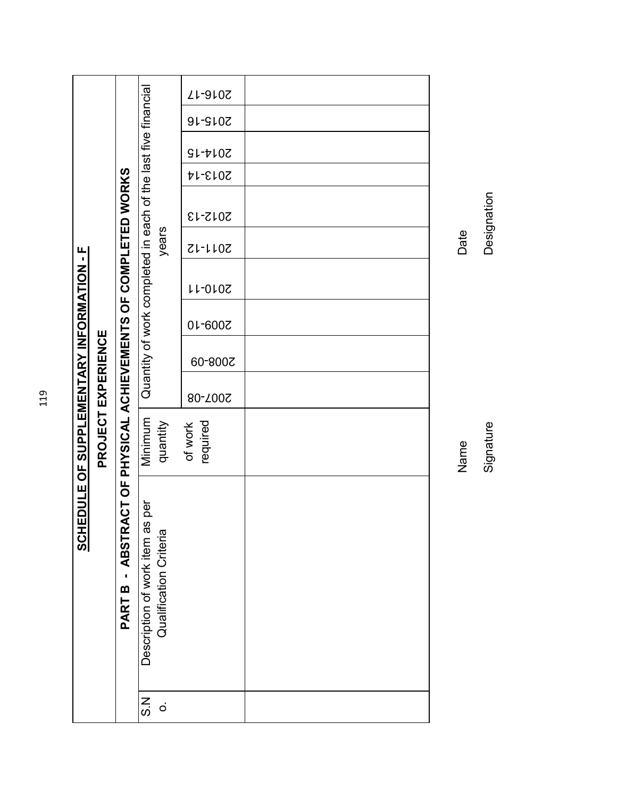|                                                  |                                                                           |                                                           |                                                              | ZL-910Z             |      |
|--------------------------------------------------|---------------------------------------------------------------------------|-----------------------------------------------------------|--------------------------------------------------------------|---------------------|------|
|                                                  |                                                                           |                                                           |                                                              | <b>2015-16</b>      |      |
|                                                  |                                                                           |                                                           |                                                              | $S1-t10Z$           |      |
|                                                  |                                                                           |                                                           |                                                              | 2013-14             |      |
|                                                  |                                                                           |                                                           |                                                              | 2012-13             |      |
|                                                  |                                                                           |                                                           | years                                                        | <b>SU-1102</b>      | Date |
|                                                  |                                                                           |                                                           | Quantity of work completed in each of the last five financia | <b>11-0107</b>      |      |
|                                                  |                                                                           |                                                           |                                                              | 01-600Z             |      |
|                                                  |                                                                           |                                                           |                                                              | 60-800Z             |      |
|                                                  |                                                                           |                                                           |                                                              | 80-700S             |      |
|                                                  | PROJECT EXPERIENCE                                                        |                                                           | Minimum<br>quantity                                          | required<br>of work | Name |
| <b>SCHEDULE OF SUPPLEMENTARY INFORMATION - F</b> | ABSTRACT OF PHYSICAL ACHIEVEMENTS OF COMPLETED WORKS<br>ï<br><b>PARTB</b> | Description of work item as per<br>Qualification Criteria |                                                              |                     |      |
|                                                  |                                                                           |                                                           | N<br>S<br>$\dot{\circ}$                                      |                     |      |

Signature

Designation Signature Designation

119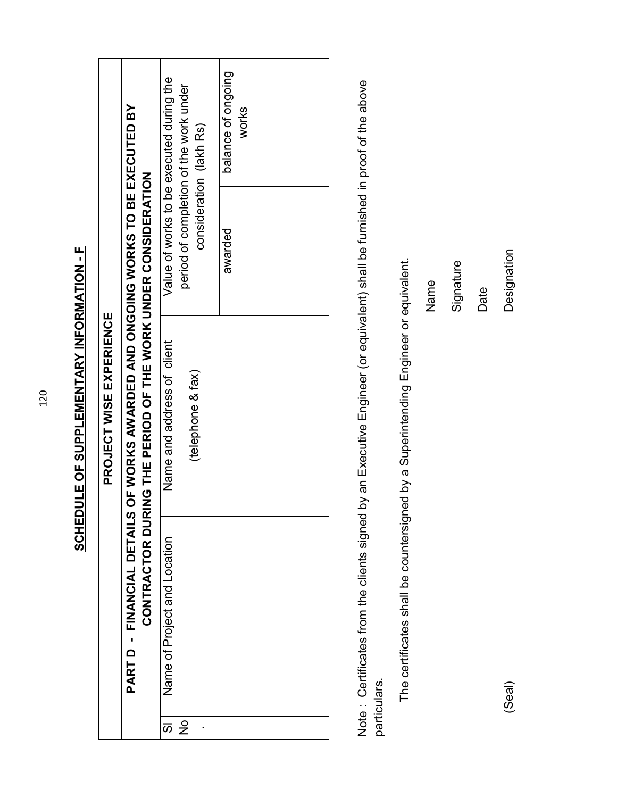| <b>SCHEDULE OF SUPPLEMENTARY INFORMATION - F</b> |                         |                                                                                                                                                 | Value of works to be executed during the<br>period of completion of the work under<br>consideration (lakh Rs) | balance of ongoing<br>works |  |
|--------------------------------------------------|-------------------------|-------------------------------------------------------------------------------------------------------------------------------------------------|---------------------------------------------------------------------------------------------------------------|-----------------------------|--|
|                                                  | PROJECT WISE EXPERIENCE |                                                                                                                                                 |                                                                                                               | peplewa                     |  |
|                                                  |                         | PART D - FINANCIAL DETAILS OF WORKS AWARDED AND ONGOING WORKS TO BE EXECUTED BY<br>CONTRACTOR DURING THE PERIOD OF THE WORK UNDER CONSIDERATION | Name and address of client<br>(telephone & fax)                                                               |                             |  |
|                                                  |                         |                                                                                                                                                 | Name of Project and Location                                                                                  |                             |  |
|                                                  |                         |                                                                                                                                                 | あ                                                                                                             |                             |  |

Note: Certificates from the clients signed by an Executive Engineer (or equivalent) shall be furnished in proof of the above Note : Certificates from the clients signed by an Executive Engineer (or equivalent) shall be furnished in proof of the above particulars. particulars.

The certificates shall be countersigned by a Superintending Engineer or equivalent. The certificates shall be countersigned by a Superintending Engineer or equivalent.

Name

Signature

Date

Designation (Seal) Designation

120

(Seal)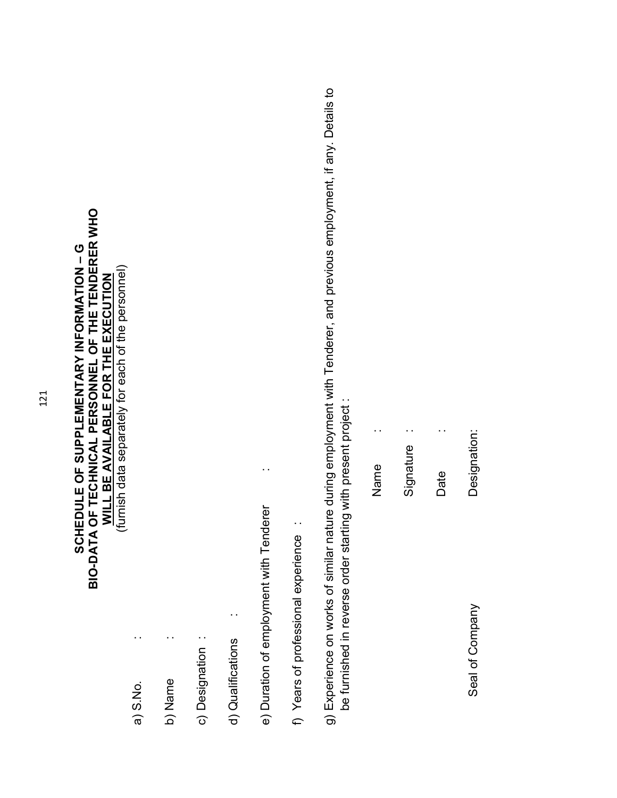# **BIO-DATA OF TECHNICAL PERSONNEL OF THE TENDERER WHO SCHEDULE OF SUPPLEMENTARY INFORMATION – G**  SCHEDULE OF SUPPLEMENTARY INFORMATION - G **WILL BE AVAILABLE FOR THE EXECUTION**

(furnish data separately for each of the personnel) (furnish data separately for each of the personnel)

> a) S.No. : a) S.No.

b) Name : b) Name

 $\ddot{\phantom{1}}$  .

c) Designation : c) Designation :

d) Qualifications : d) Qualifications

e) Duration of employment with Tenderer : e) Duration of employment with Tenderer

 $\ddot{\phantom{0}}$ 

f) Years of professional experience : f) Years of professional experience :

g) Experience on works of similar nature during employment with Tenderer, and previous employment, if any. Details to g) Experience on works of similar nature during employment with Tenderer, and previous employment, if any. Details to be furnished in reverse order starting with present project : be furnished in reverse order starting with present project :

 $\ddot{\phantom{0}}$ Name :  $\ddot{\phantom{0}}$ Signature : Date<br>Date  $\ddot{\phantom{1}}$ Designation: Signature Name Date

Seal of Company Designation: Seal of Company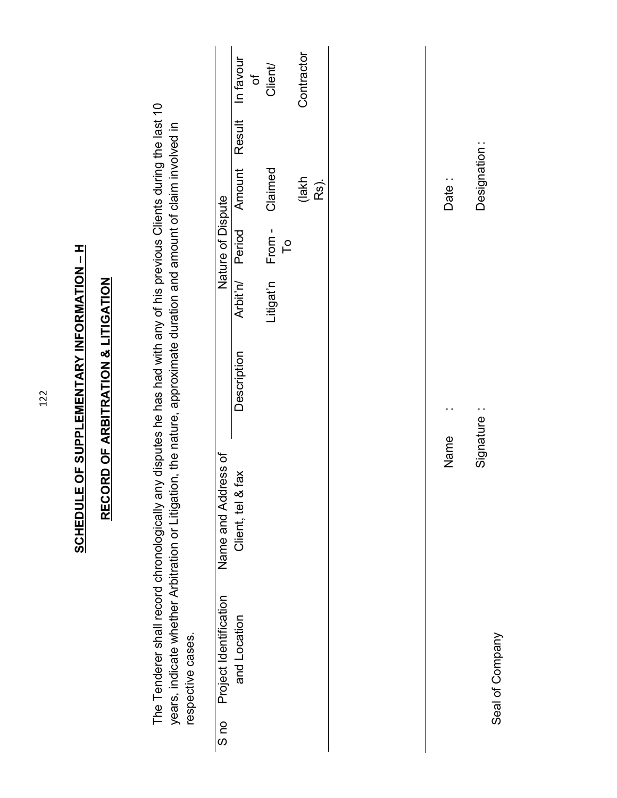**SCHEDULE OF SUPPLEMENTARY INFORMATION - H SCHEDULE OF SUPPLEMENTARY INFORMATION – H**

# **RECORD OF ARBITRATION & LITIGATION RECORD OF ARBITRATION & LITIGATION**

The Tenderer shall record chronologically any disputes he has had with any of his previous Clients during the last 10 The Tenderer shall record chronologically any disputes he has had with any of his previous Clients during the last 10 years, indicate whether Arbitration or Litigation, the nature, approximate duration and amount of claim involved in years, indicate whether Arbitration or Litigation, the nature, approximate duration and amount of claim involved in respective cases. respective cases.

|                             | of                                      | Client          | Contractor    |  |
|-----------------------------|-----------------------------------------|-----------------|---------------|--|
|                             |                                         |                 |               |  |
|                             | Arbit'n/ Period Amount Result In favour | Claimed         | (lakh<br>Rs). |  |
| Nature of Dispute           |                                         | Po              |               |  |
|                             |                                         | Litigat'n From- |               |  |
|                             | Description                             |                 |               |  |
| Name and Address of         | & fax<br>Client, tel &                  |                 |               |  |
| S no Project Identification | and Location                            |                 |               |  |
|                             |                                         |                 |               |  |

Date: Name : Date : Designation:

Signature : Designation : Signature:

 $\ddot{\phantom{0}}$ 

Name

Seal of Company Seal of Company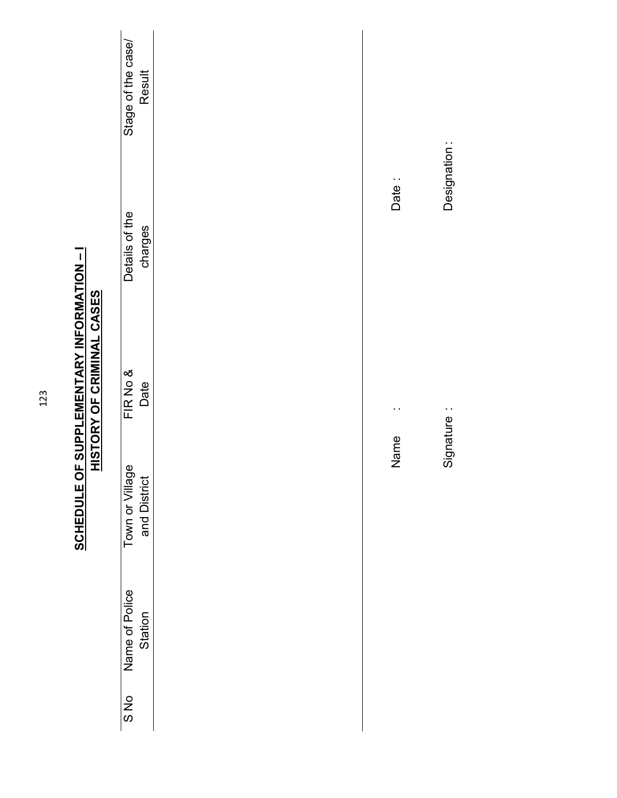|                                  | Stage of the case/<br><b>Result</b> |       |              |  |
|----------------------------------|-------------------------------------|-------|--------------|--|
|                                  | Details of the<br>charges           | Date: | Designation: |  |
| <u>HISTORY OF CRIMINAL CASES</u> | FIR No &<br>Date                    |       | Signature:   |  |
|                                  | Town or Village<br>and District     | Name  |              |  |
|                                  | Name of Police<br>Station           |       |              |  |
|                                  | S No                                |       |              |  |

**SCHEDULE OF SUPPLEMENTARY INFORMATION - I**<br>HISTORY OF CRIMINAL CASES **SCHEDULE OF SUPPLEMENTARY INFORMATION – I**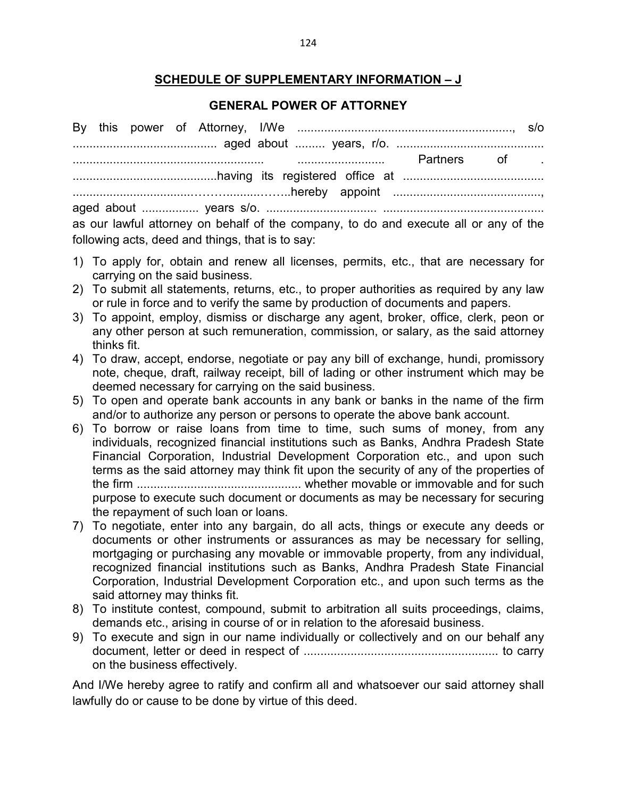# **SCHEDULE OF SUPPLEMENTARY INFORMATION – J**

# **GENERAL POWER OF ATTORNEY**

|    | as our lawful attorney on behalf of the company, to do and execute all or any of the                                                                                    |
|----|-------------------------------------------------------------------------------------------------------------------------------------------------------------------------|
|    | following acts, deed and things, that is to say:                                                                                                                        |
|    | 1) To apply for, obtain and renew all licenses, permits, etc., that are necessary for<br>carrying on the said business.                                                 |
| 2) | To submit all statements, returns, etc., to proper authorities as required by any law<br>or rule in force and to verify the same by production of documents and papers. |
| 3) | To appoint, employ, dismiss or discharge any agent, broker, office, clerk, peon or                                                                                      |
|    | any other person at such remuneration, commission, or salary, as the said attorney                                                                                      |
|    | thinks fit.                                                                                                                                                             |
| 4) | To draw, accept, endorse, negotiate or pay any bill of exchange, hundi, promissory                                                                                      |
|    | note, cheque, draft, railway receipt, bill of lading or other instrument which may be                                                                                   |
|    | deemed necessary for carrying on the said business.                                                                                                                     |
| 5) | To open and operate bank accounts in any bank or banks in the name of the firm                                                                                          |
|    | and/or to authorize any person or persons to operate the above bank account.                                                                                            |
| 6) | To borrow or raise loans from time to time, such sums of money, from any                                                                                                |
|    | individuals, recognized financial institutions such as Banks, Andhra Pradesh State                                                                                      |
|    | Financial Corporation, Industrial Development Corporation etc., and upon such                                                                                           |
|    | terms as the said attorney may think fit upon the security of any of the properties of                                                                                  |
|    |                                                                                                                                                                         |
|    | purpose to execute such document or documents as may be necessary for securing                                                                                          |
|    | the repayment of such loan or loans.                                                                                                                                    |
| 7) | To negotiate, enter into any bargain, do all acts, things or execute any deeds or<br>documents or other instruments or assurances as may be necessary for selling,      |
|    | mortgaging or purchasing any movable or immovable property, from any individual,                                                                                        |
|    | recognized financial institutions such as Banks, Andhra Pradesh State Financial                                                                                         |
|    | Corporation, Industrial Development Corporation etc., and upon such terms as the                                                                                        |
|    | said attorney may thinks fit.                                                                                                                                           |
| 8) | To institute contest, compound, submit to arbitration all suits proceedings, claims,                                                                                    |
|    | demands etc., arising in course of or in relation to the aforesaid business.                                                                                            |
| 9) | To execute and sign in our name individually or collectively and on our behalf any                                                                                      |
|    |                                                                                                                                                                         |
|    | on the business effectively.                                                                                                                                            |

And I/We hereby agree to ratify and confirm all and whatsoever our said attorney shall lawfully do or cause to be done by virtue of this deed.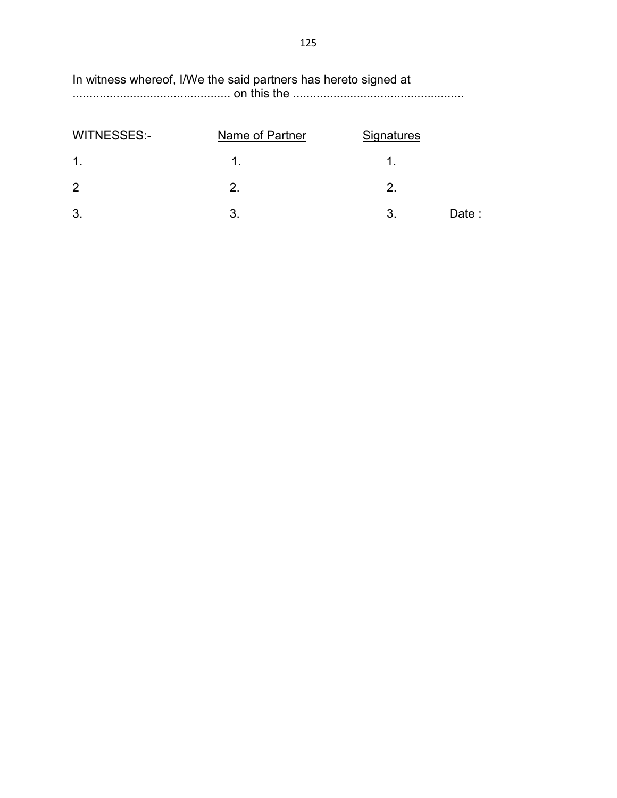# In witness whereof, I/We the said partners has hereto signed at ............................................... on this the ...................................................

| <b>WITNESSES:-</b> | Name of Partner | <b>Signatures</b> |        |
|--------------------|-----------------|-------------------|--------|
| $\mathbf 1$ .      |                 |                   |        |
| $\overline{2}$     | 2.              | 2.                |        |
| 3.                 |                 | 3.                | Date : |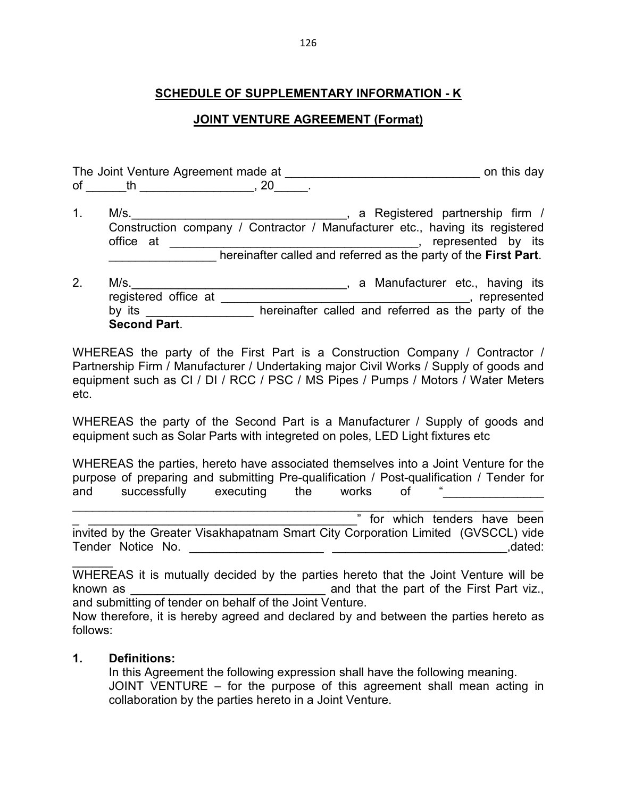# **SCHEDULE OF SUPPLEMENTARY INFORMATION - K**

#### **JOINT VENTURE AGREEMENT (Format)**

|               | The Joint Venture Agreement made at                                                                                                                                                                                                                                             |                                                       | on this day                                                                                                                                                                                              |
|---------------|---------------------------------------------------------------------------------------------------------------------------------------------------------------------------------------------------------------------------------------------------------------------------------|-------------------------------------------------------|----------------------------------------------------------------------------------------------------------------------------------------------------------------------------------------------------------|
| of            | $th$ and $\sim$ $th$ and $\sim$ $th$ and $\sim$ $th$ and $\sim$ $th$ and $\sim$ $th$ and $\sim$ $th$ and $\sim$ $th$ and $\sim$ $th$ and $\sim$ $th$ and $\sim$ $th$ and $\sim$ $th$ and $\sim$ $th$ and $\sim$ $th$ and $\sim$ $th$ and $\sim$ $th$ and $\sim$ $th$ and $\sim$ | 20                                                    |                                                                                                                                                                                                          |
| $\mathbf 1$ . | M/s.<br>office at                                                                                                                                                                                                                                                               | <u> 1989 - Johann Stein, frysk politiker (* 1958)</u> | a Registered partnership firm /<br>Construction company / Contractor / Manufacturer etc., having its registered<br>represented by its<br>hereinafter called and referred as the party of the First Part. |
| 2.            | M/s.<br>registered office at<br>by its                                                                                                                                                                                                                                          |                                                       | a Manufacturer etc., having its<br>represented<br>example of the represented<br>hereinafter called and referred as the party of the                                                                      |

WHEREAS the party of the First Part is a Construction Company / Contractor / Partnership Firm / Manufacturer / Undertaking major Civil Works / Supply of goods and equipment such as CI / DI / RCC / PSC / MS Pipes / Pumps / Motors / Water Meters etc.

WHEREAS the party of the Second Part is a Manufacturer / Supply of goods and equipment such as Solar Parts with integreted on poles, LED Light fixtures etc

WHEREAS the parties, hereto have associated themselves into a Joint Venture for the purpose of preparing and submitting Pre-qualification / Post-qualification / Tender for and successfully executing the works of

\_\_\_\_\_\_\_\_\_\_\_\_\_\_\_\_\_\_\_\_\_\_\_\_\_\_\_\_\_\_\_\_\_\_\_\_\_\_\_\_\_\_\_\_\_\_\_\_\_\_\_\_\_\_\_\_\_\_\_\_\_\_\_\_\_\_\_\_\_\_ **The Transform which tenders have been** invited by the Greater Visakhapatnam Smart City Corporation Limited (GVSCCL) vide Tender Notice No. \_\_\_\_\_\_\_\_\_\_\_\_\_\_\_\_\_\_\_\_ \_\_\_\_\_\_\_\_\_\_\_\_\_\_\_\_\_\_\_\_\_\_\_\_\_\_,dated:

WHEREAS it is mutually decided by the parties hereto that the Joint Venture will be known as **Example 2** and that the part of the First Part viz., and submitting of tender on behalf of the Joint Venture.

Now therefore, it is hereby agreed and declared by and between the parties hereto as follows:

#### **1. Definitions:**

 $\overline{\phantom{a}}$ 

**Second Part**.

In this Agreement the following expression shall have the following meaning. JOINT VENTURE – for the purpose of this agreement shall mean acting in collaboration by the parties hereto in a Joint Venture.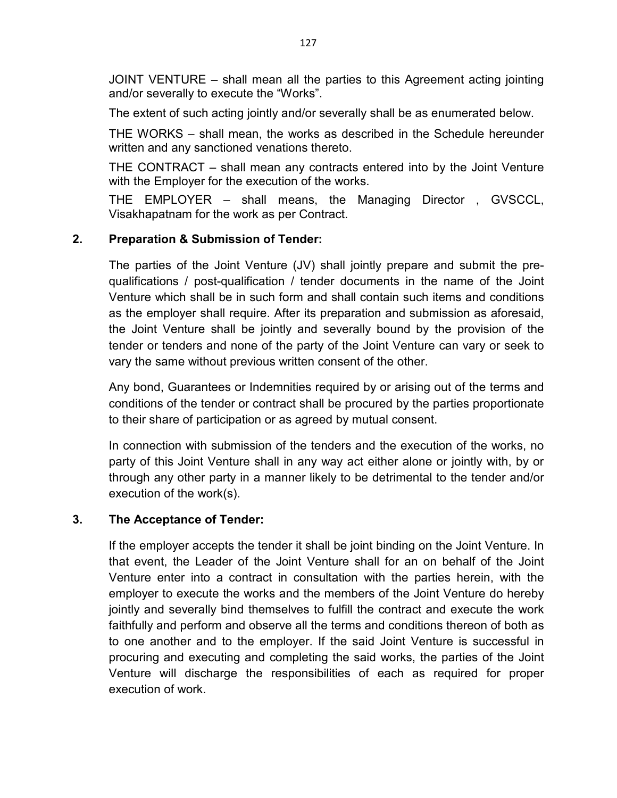JOINT VENTURE – shall mean all the parties to this Agreement acting jointing and/or severally to execute the "Works".

The extent of such acting jointly and/or severally shall be as enumerated below.

THE WORKS – shall mean, the works as described in the Schedule hereunder written and any sanctioned venations thereto.

THE CONTRACT – shall mean any contracts entered into by the Joint Venture with the Employer for the execution of the works.

THE EMPLOYER – shall means, the Managing Director , GVSCCL, Visakhapatnam for the work as per Contract.

# **2. Preparation & Submission of Tender:**

The parties of the Joint Venture (JV) shall jointly prepare and submit the prequalifications / post-qualification / tender documents in the name of the Joint Venture which shall be in such form and shall contain such items and conditions as the employer shall require. After its preparation and submission as aforesaid, the Joint Venture shall be jointly and severally bound by the provision of the tender or tenders and none of the party of the Joint Venture can vary or seek to vary the same without previous written consent of the other.

Any bond, Guarantees or Indemnities required by or arising out of the terms and conditions of the tender or contract shall be procured by the parties proportionate to their share of participation or as agreed by mutual consent.

In connection with submission of the tenders and the execution of the works, no party of this Joint Venture shall in any way act either alone or jointly with, by or through any other party in a manner likely to be detrimental to the tender and/or execution of the work(s).

# **3. The Acceptance of Tender:**

If the employer accepts the tender it shall be joint binding on the Joint Venture. In that event, the Leader of the Joint Venture shall for an on behalf of the Joint Venture enter into a contract in consultation with the parties herein, with the employer to execute the works and the members of the Joint Venture do hereby jointly and severally bind themselves to fulfill the contract and execute the work faithfully and perform and observe all the terms and conditions thereon of both as to one another and to the employer. If the said Joint Venture is successful in procuring and executing and completing the said works, the parties of the Joint Venture will discharge the responsibilities of each as required for proper execution of work.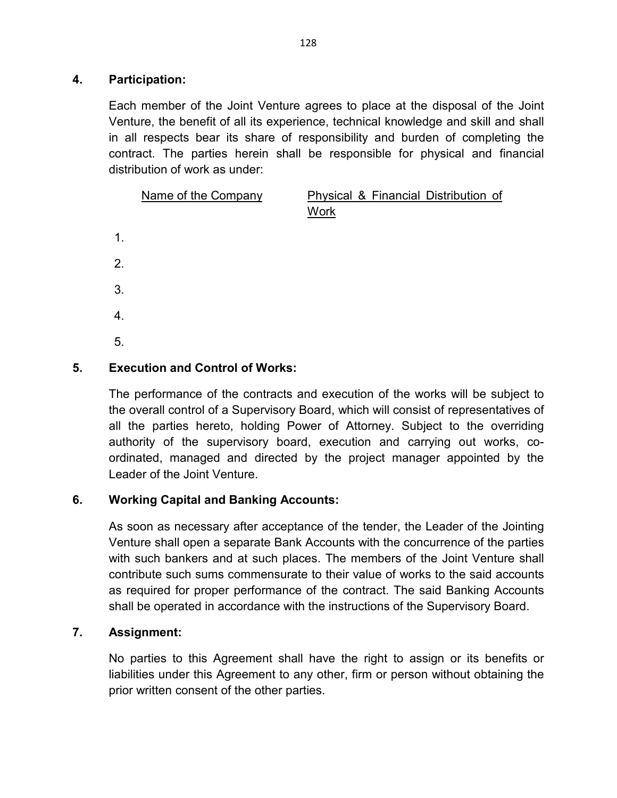# **4. Participation:**

Each member of the Joint Venture agrees to place at the disposal of the Joint Venture, the benefit of all its experience, technical knowledge and skill and shall in all respects bear its share of responsibility and burden of completing the contract. The parties herein shall be responsible for physical and financial distribution of work as under:

|    | Name of the Company | Physical & Financial Distribution of<br><b>Work</b> |
|----|---------------------|-----------------------------------------------------|
| 1. |                     |                                                     |
| 2. |                     |                                                     |
| 3. |                     |                                                     |
| 4. |                     |                                                     |
| 5. |                     |                                                     |

# **5. Execution and Control of Works:**

The performance of the contracts and execution of the works will be subject to the overall control of a Supervisory Board, which will consist of representatives of all the parties hereto, holding Power of Attorney. Subject to the overriding authority of the supervisory board, execution and carrying out works, coordinated, managed and directed by the project manager appointed by the Leader of the Joint Venture.

#### **6. Working Capital and Banking Accounts:**

As soon as necessary after acceptance of the tender, the Leader of the Jointing Venture shall open a separate Bank Accounts with the concurrence of the parties with such bankers and at such places. The members of the Joint Venture shall contribute such sums commensurate to their value of works to the said accounts as required for proper performance of the contract. The said Banking Accounts shall be operated in accordance with the instructions of the Supervisory Board.

#### **7. Assignment:**

No parties to this Agreement shall have the right to assign or its benefits or liabilities under this Agreement to any other, firm or person without obtaining the prior written consent of the other parties.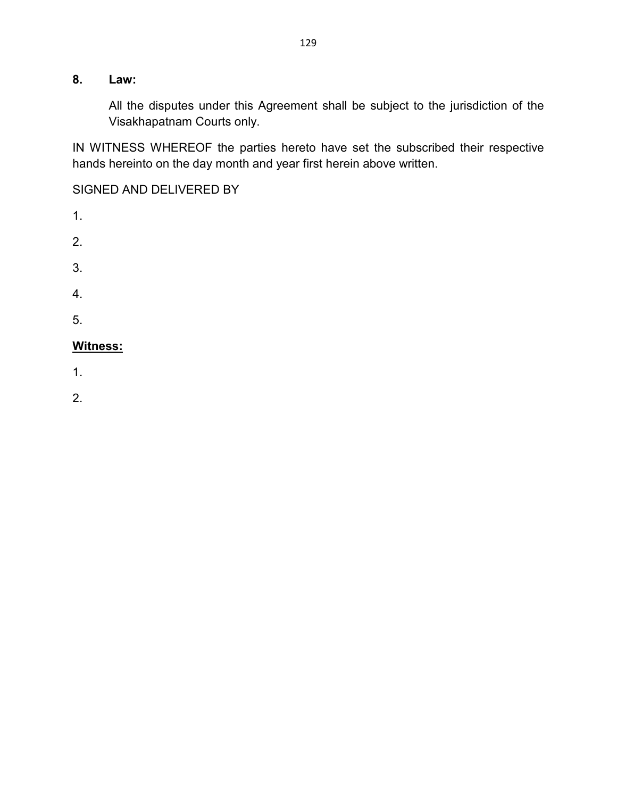# **8. Law:**

All the disputes under this Agreement shall be subject to the jurisdiction of the Visakhapatnam Courts only.

IN WITNESS WHEREOF the parties hereto have set the subscribed their respective hands hereinto on the day month and year first herein above written.

SIGNED AND DELIVERED BY

- 1. 2. 3. 4.
- 5.

# **Witness:**

1.

2.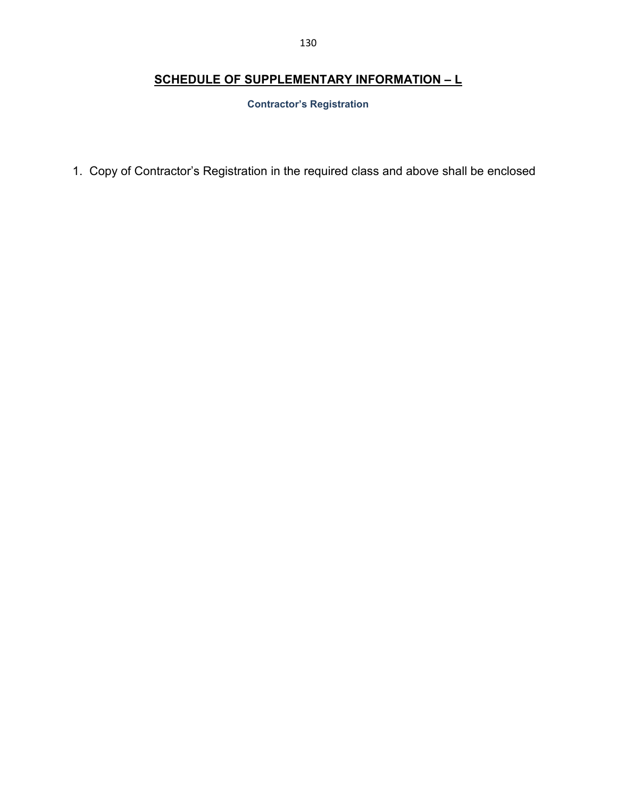#### 130

# **SCHEDULE OF SUPPLEMENTARY INFORMATION – L**

**Contractor's Registration** 

1. Copy of Contractor's Registration in the required class and above shall be enclosed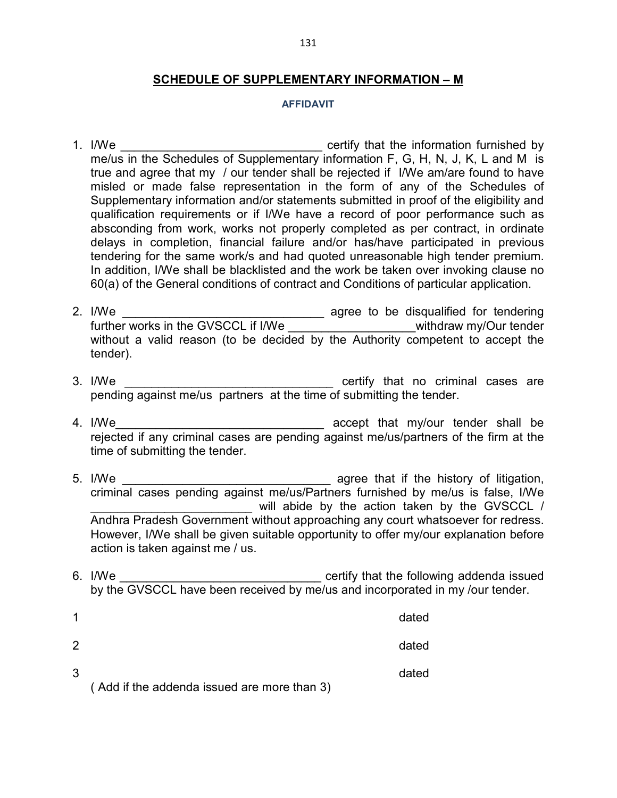#### **SCHEDULE OF SUPPLEMENTARY INFORMATION – M**

#### **AFFIDAVIT**

- 1. I/We **EXECUTE:** 1. I/We certify that the information furnished by me/us in the Schedules of Supplementary information F, G, H, N, J, K, L and M is true and agree that my / our tender shall be rejected if I/We am/are found to have misled or made false representation in the form of any of the Schedules of Supplementary information and/or statements submitted in proof of the eligibility and qualification requirements or if I/We have a record of poor performance such as absconding from work, works not properly completed as per contract, in ordinate delays in completion, financial failure and/or has/have participated in previous tendering for the same work/s and had quoted unreasonable high tender premium. In addition, I/We shall be blacklisted and the work be taken over invoking clause no 60(a) of the General conditions of contract and Conditions of particular application.
- 2. I/We \_\_\_\_\_\_\_\_\_\_\_\_\_\_\_\_\_\_\_\_\_\_\_\_\_\_\_\_\_\_ agree to be disqualified for tendering further works in the GVSCCL if I/We \_\_\_\_\_\_\_\_\_\_\_\_\_\_\_\_\_\_\_\_\_\_withdraw my/Our tender without a valid reason (to be decided by the Authority competent to accept the tender).
- 3. I/We \_\_\_\_\_\_\_\_\_\_\_\_\_\_\_\_\_\_\_\_\_\_\_\_\_\_\_\_\_\_\_ certify that no criminal cases are pending against me/us partners at the time of submitting the tender.
- 4. I/We accept that my/our tender shall be rejected if any criminal cases are pending against me/us/partners of the firm at the time of submitting the tender.
- 5. I/We \_\_\_\_\_\_\_\_\_\_\_\_\_\_\_\_\_\_\_\_\_\_\_\_\_\_\_\_\_\_\_ agree that if the history of litigation, criminal cases pending against me/us/Partners furnished by me/us is false, I/We will abide by the action taken by the GVSCCL / Andhra Pradesh Government without approaching any court whatsoever for redress. However, I/We shall be given suitable opportunity to offer my/our explanation before action is taken against me / us.
- 6. I/We \_\_\_\_\_\_\_\_\_\_\_\_\_\_\_\_\_\_\_\_\_\_\_\_\_\_\_\_\_\_ certify that the following addenda issued by the GVSCCL have been received by me/us and incorporated in my /our tender.

|              |                                             | dated |
|--------------|---------------------------------------------|-------|
| -2           |                                             | dated |
| $\mathbf{3}$ | (Add if the addenda issued are more than 3) | dated |
|              |                                             |       |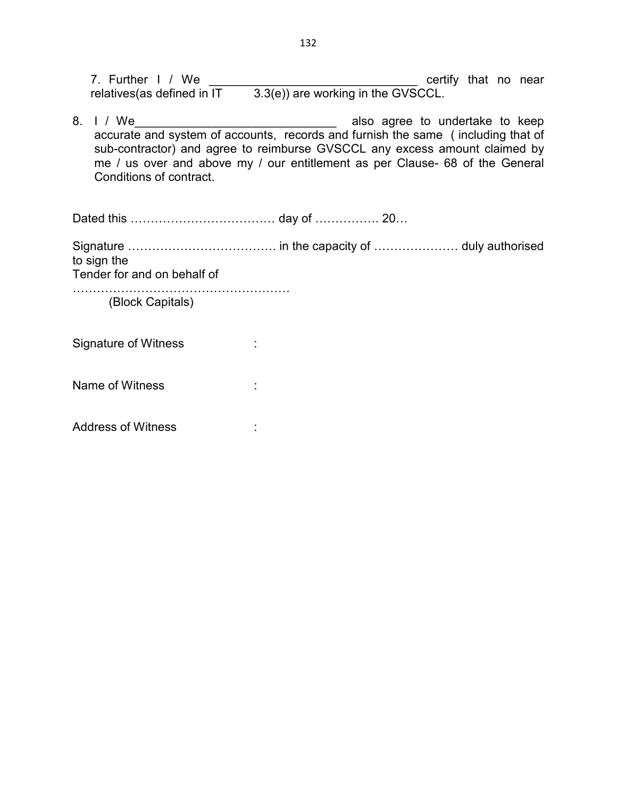7. Further I / We \_\_\_\_\_\_\_\_\_\_\_\_\_\_\_\_\_\_\_\_\_\_\_\_\_\_\_\_\_\_\_ certify that no near relatives(as defined in  $IT = 3.3(e)$ ) are working in the GVSCCL.

8. I / We accurate and system of accounts, records and furnish the same ( including that of sub-contractor) and agree to reimburse GVSCCL any excess amount claimed by me / us over and above my / our entitlement as per Clause- 68 of the General Conditions of contract.

Dated this ……………………………… day of ……………. 20…

Signature ………………………………. in the capacity of ………………… duly authorised to sign the

Tender for and on behalf of

……………………………………………… (Block Capitals)

Signature of Witness : The Signature of Witness and the Signature of Witness and Signal Signal Signal Signal S

Name of Witness : The state of Witness in the state of  $\sim$ 

Address of Witness in the state of the state of  $\sim$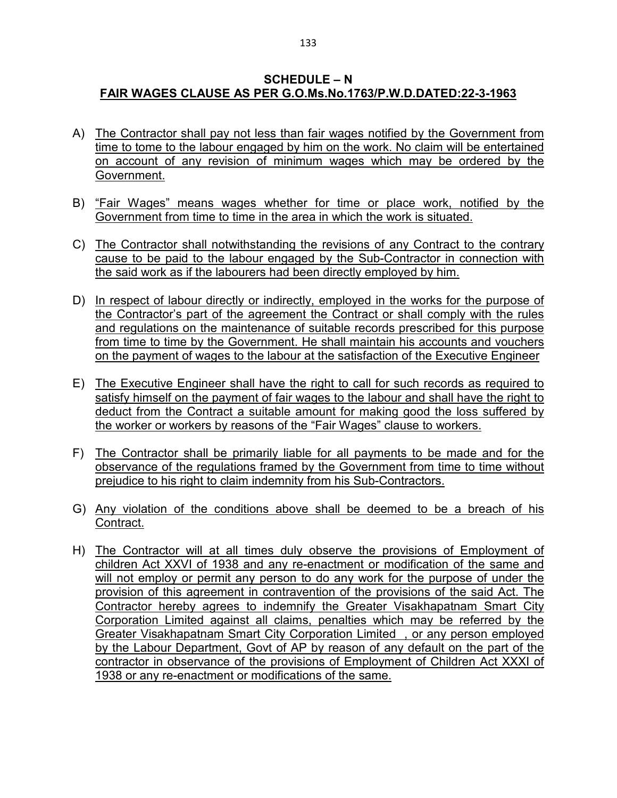#### **SCHEDULE – N FAIR WAGES CLAUSE AS PER G.O.Ms.No.1763/P.W.D.DATED:22-3-1963**

- A) The Contractor shall pay not less than fair wages notified by the Government from time to tome to the labour engaged by him on the work. No claim will be entertained on account of any revision of minimum wages which may be ordered by the Government.
- B) "Fair Wages" means wages whether for time or place work, notified by the Government from time to time in the area in which the work is situated.
- C) The Contractor shall notwithstanding the revisions of any Contract to the contrary cause to be paid to the labour engaged by the Sub-Contractor in connection with the said work as if the labourers had been directly employed by him.
- D) In respect of labour directly or indirectly, employed in the works for the purpose of the Contractor's part of the agreement the Contract or shall comply with the rules and regulations on the maintenance of suitable records prescribed for this purpose from time to time by the Government. He shall maintain his accounts and vouchers on the payment of wages to the labour at the satisfaction of the Executive Engineer
- E) The Executive Engineer shall have the right to call for such records as required to satisfy himself on the payment of fair wages to the labour and shall have the right to deduct from the Contract a suitable amount for making good the loss suffered by the worker or workers by reasons of the "Fair Wages" clause to workers.
- F) The Contractor shall be primarily liable for all payments to be made and for the observance of the regulations framed by the Government from time to time without prejudice to his right to claim indemnity from his Sub-Contractors.
- G) Any violation of the conditions above shall be deemed to be a breach of his Contract.
- H) The Contractor will at all times duly observe the provisions of Employment of children Act XXVI of 1938 and any re-enactment or modification of the same and will not employ or permit any person to do any work for the purpose of under the provision of this agreement in contravention of the provisions of the said Act. The Contractor hereby agrees to indemnify the Greater Visakhapatnam Smart City Corporation Limited against all claims, penalties which may be referred by the Greater Visakhapatnam Smart City Corporation Limited , or any person employed by the Labour Department, Govt of AP by reason of any default on the part of the contractor in observance of the provisions of Employment of Children Act XXXI of 1938 or any re-enactment or modifications of the same.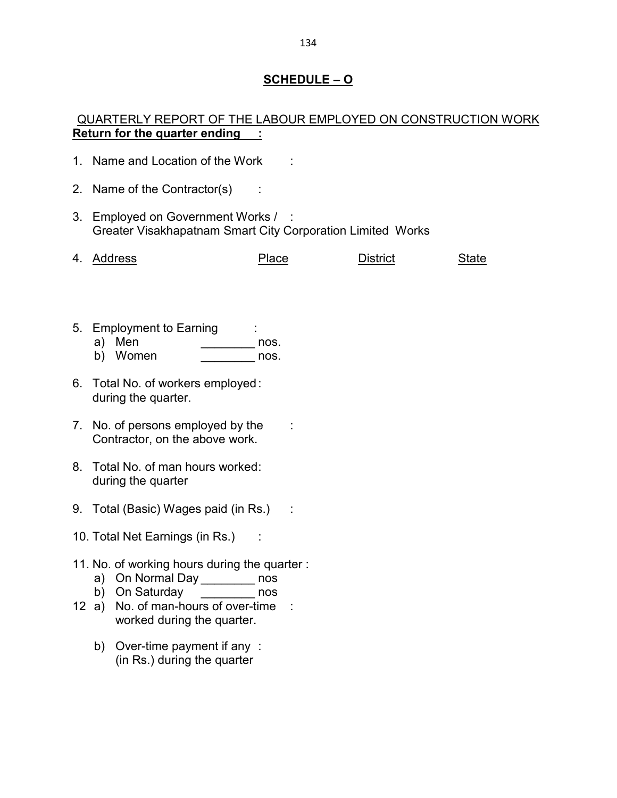# **SCHEDULE – O**

# QUARTERLY REPORT OF THE LABOUR EMPLOYED ON CONSTRUCTION WORK **Return for the quarter ending :**

- 1. Name and Location of the Work :
- 2. Name of the Contractor(s)
- 3. Employed on Government Works / : Greater Visakhapatnam Smart City Corporation Limited Works

|  | 4. Address | Place | District | State |
|--|------------|-------|----------|-------|
|--|------------|-------|----------|-------|

- 5. Employment to Earning :
	- a) Men nos.
	- b) Women nos.
- 6. Total No. of workers employed : during the quarter.
- 7. No. of persons employed by the : Contractor, on the above work.
- 8. Total No. of man hours worked : during the quarter
- 9. Total (Basic) Wages paid (in Rs.) :
- 10. Total Net Earnings (in Rs.) :
- 11. No. of working hours during the quarter :
	- a) On Normal Day \_\_\_\_\_\_\_\_\_ nos
	- b) On Saturday \_\_\_\_\_\_\_\_ nos
- 12 a) No. of man-hours of over-time : worked during the quarter.
	- b) Over-time payment if any : (in Rs.) during the quarter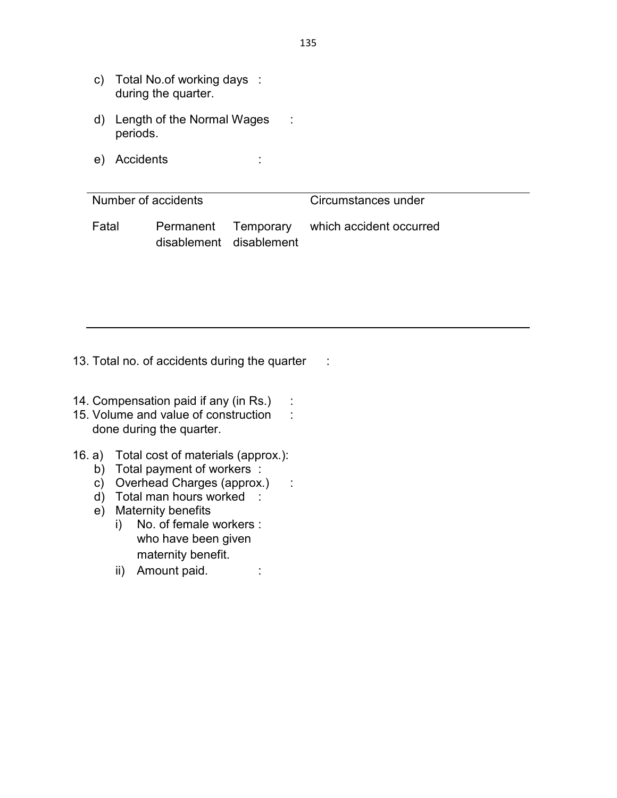- c) Total No.of working days : during the quarter.
- d) Length of the Normal Wages : periods.
- e) Accidents :

| Number of accidents |                         |  | Circumstances under                         |  |  |
|---------------------|-------------------------|--|---------------------------------------------|--|--|
| Fatal               | disablement disablement |  | Permanent Temporary which accident occurred |  |  |

13. Total no. of accidents during the quarter :

- 14. Compensation paid if any (in Rs.) :
- 15. Volume and value of construction : done during the quarter.
- 16. a) Total cost of materials (approx.):
	- b) Total payment of workers :
	- c) Overhead Charges (approx.) :
	- d) Total man hours worked :
	- e) Maternity benefits
		- i) No. of female workers : who have been given maternity benefit.
		- ii) Amount paid. :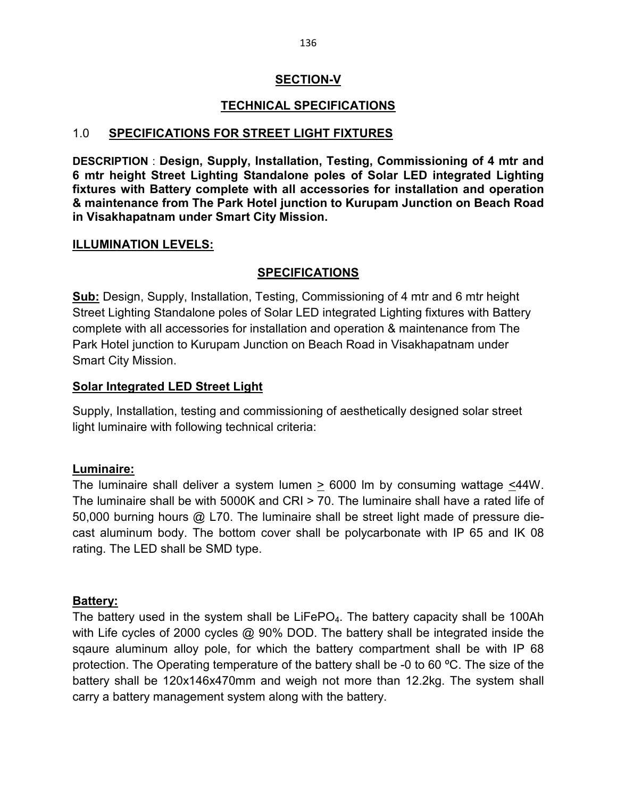### **SECTION-V**

# **TECHNICAL SPECIFICATIONS**

#### 1.0 **SPECIFICATIONS FOR STREET LIGHT FIXTURES**

**DESCRIPTION** : **Design, Supply, Installation, Testing, Commissioning of 4 mtr and 6 mtr height Street Lighting Standalone poles of Solar LED integrated Lighting fixtures with Battery complete with all accessories for installation and operation & maintenance from The Park Hotel junction to Kurupam Junction on Beach Road in Visakhapatnam under Smart City Mission.**

#### **ILLUMINATION LEVELS:**

#### **SPECIFICATIONS**

**Sub:** Design, Supply, Installation, Testing, Commissioning of 4 mtr and 6 mtr height Street Lighting Standalone poles of Solar LED integrated Lighting fixtures with Battery complete with all accessories for installation and operation & maintenance from The Park Hotel junction to Kurupam Junction on Beach Road in Visakhapatnam under Smart City Mission.

#### **Solar Integrated LED Street Light**

Supply, Installation, testing and commissioning of aesthetically designed solar street light luminaire with following technical criteria:

#### **Luminaire:**

The luminaire shall deliver a system lumen  $\geq$  6000 lm by consuming wattage  $\leq$ 44W. The luminaire shall be with 5000K and CRI > 70. The luminaire shall have a rated life of 50,000 burning hours @ L70. The luminaire shall be street light made of pressure diecast aluminum body. The bottom cover shall be polycarbonate with IP 65 and IK 08 rating. The LED shall be SMD type.

#### **Battery:**

The battery used in the system shall be  $LiFePO<sub>4</sub>$ . The battery capacity shall be 100Ah with Life cycles of 2000 cycles @ 90% DOD. The battery shall be integrated inside the sqaure aluminum alloy pole, for which the battery compartment shall be with IP 68 protection. The Operating temperature of the battery shall be -0 to 60 °C. The size of the battery shall be 120x146x470mm and weigh not more than 12.2kg. The system shall carry a battery management system along with the battery.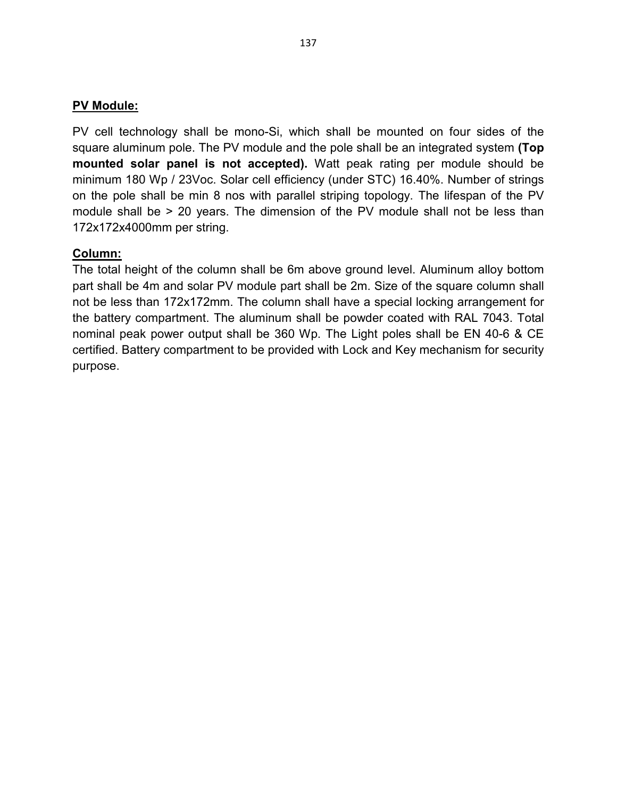#### **PV Module:**

PV cell technology shall be mono-Si, which shall be mounted on four sides of the square aluminum pole. The PV module and the pole shall be an integrated system **(Top mounted solar panel is not accepted).** Watt peak rating per module should be minimum 180 Wp / 23Voc. Solar cell efficiency (under STC) 16.40%. Number of strings on the pole shall be min 8 nos with parallel striping topology. The lifespan of the PV module shall be > 20 years. The dimension of the PV module shall not be less than 172x172x4000mm per string.

#### **Column:**

The total height of the column shall be 6m above ground level. Aluminum alloy bottom part shall be 4m and solar PV module part shall be 2m. Size of the square column shall not be less than 172x172mm. The column shall have a special locking arrangement for the battery compartment. The aluminum shall be powder coated with RAL 7043. Total nominal peak power output shall be 360 Wp. The Light poles shall be EN 40-6 & CE certified. Battery compartment to be provided with Lock and Key mechanism for security purpose.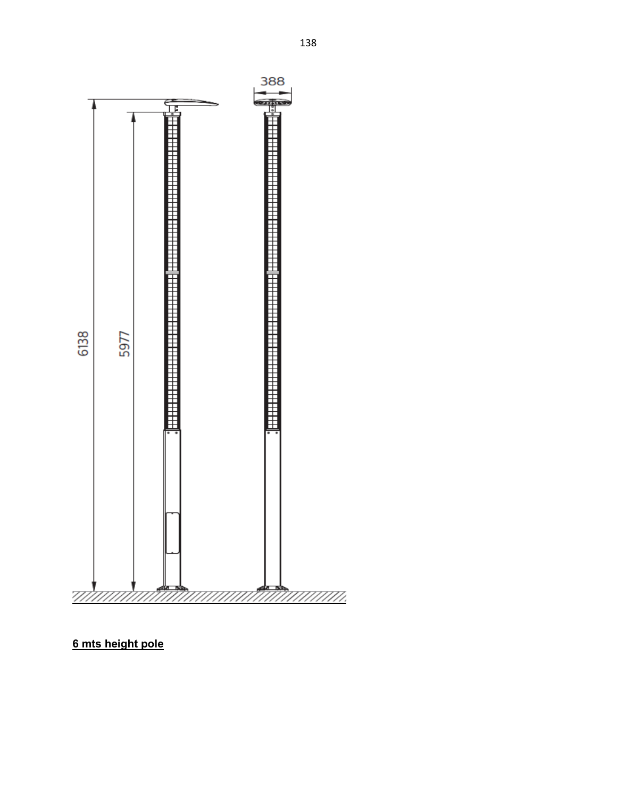

**6 mts height pole**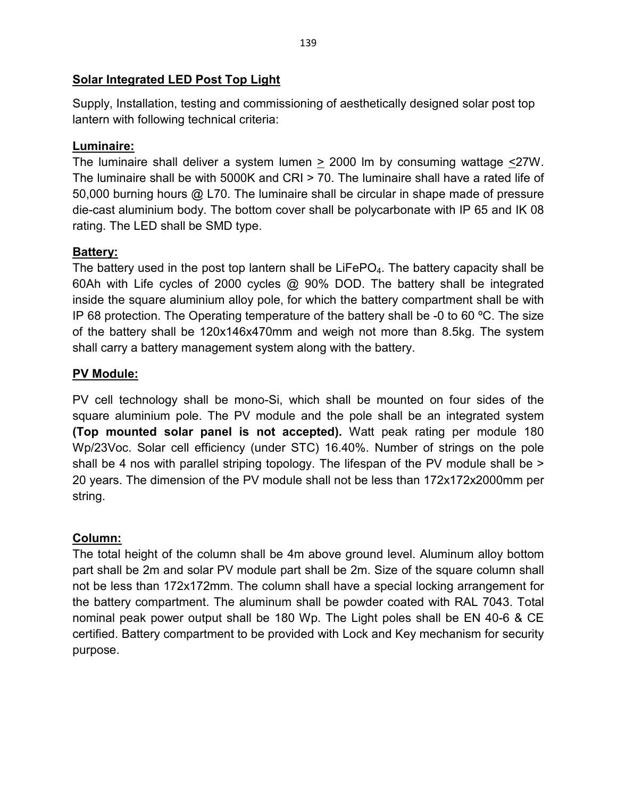# **Solar Integrated LED Post Top Light**

Supply, Installation, testing and commissioning of aesthetically designed solar post top lantern with following technical criteria:

# **Luminaire:**

The luminaire shall deliver a system lumen > 2000 lm by consuming wattage <27W. The luminaire shall be with 5000K and CRI > 70. The luminaire shall have a rated life of 50,000 burning hours @ L70. The luminaire shall be circular in shape made of pressure die-cast aluminium body. The bottom cover shall be polycarbonate with IP 65 and IK 08 rating. The LED shall be SMD type.

# **Battery:**

The battery used in the post top lantern shall be  $LiFePO<sub>4</sub>$ . The battery capacity shall be 60Ah with Life cycles of 2000 cycles @ 90% DOD. The battery shall be integrated inside the square aluminium alloy pole, for which the battery compartment shall be with IP 68 protection. The Operating temperature of the battery shall be -0 to 60 ºC. The size of the battery shall be 120x146x470mm and weigh not more than 8.5kg. The system shall carry a battery management system along with the battery.

# **PV Module:**

PV cell technology shall be mono-Si, which shall be mounted on four sides of the square aluminium pole. The PV module and the pole shall be an integrated system **(Top mounted solar panel is not accepted).** Watt peak rating per module 180 Wp/23Voc. Solar cell efficiency (under STC) 16.40%. Number of strings on the pole shall be 4 nos with parallel striping topology. The lifespan of the PV module shall be > 20 years. The dimension of the PV module shall not be less than 172x172x2000mm per string.

# **Column:**

The total height of the column shall be 4m above ground level. Aluminum alloy bottom part shall be 2m and solar PV module part shall be 2m. Size of the square column shall not be less than 172x172mm. The column shall have a special locking arrangement for the battery compartment. The aluminum shall be powder coated with RAL 7043. Total nominal peak power output shall be 180 Wp. The Light poles shall be EN 40-6 & CE certified. Battery compartment to be provided with Lock and Key mechanism for security purpose.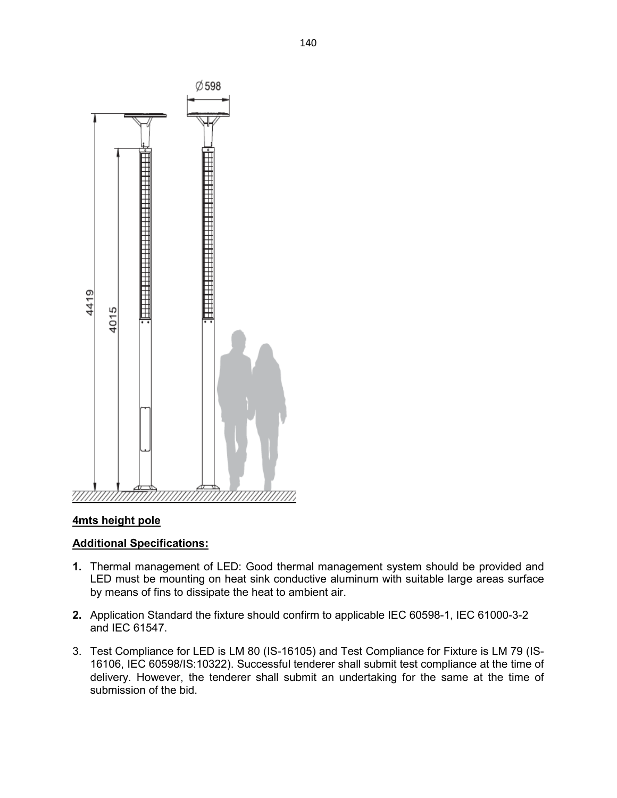

#### **4mts height pole**

#### **Additional Specifications:**

- **1.** Thermal management of LED: Good thermal management system should be provided and LED must be mounting on heat sink conductive aluminum with suitable large areas surface by means of fins to dissipate the heat to ambient air.
- **2.** Application Standard the fixture should confirm to applicable IEC 60598-1, IEC 61000-3-2 and IEC 61547.
- 3. Test Compliance for LED is LM 80 (IS-16105) and Test Compliance for Fixture is LM 79 (IS-16106, IEC 60598/IS:10322). Successful tenderer shall submit test compliance at the time of delivery. However, the tenderer shall submit an undertaking for the same at the time of submission of the bid.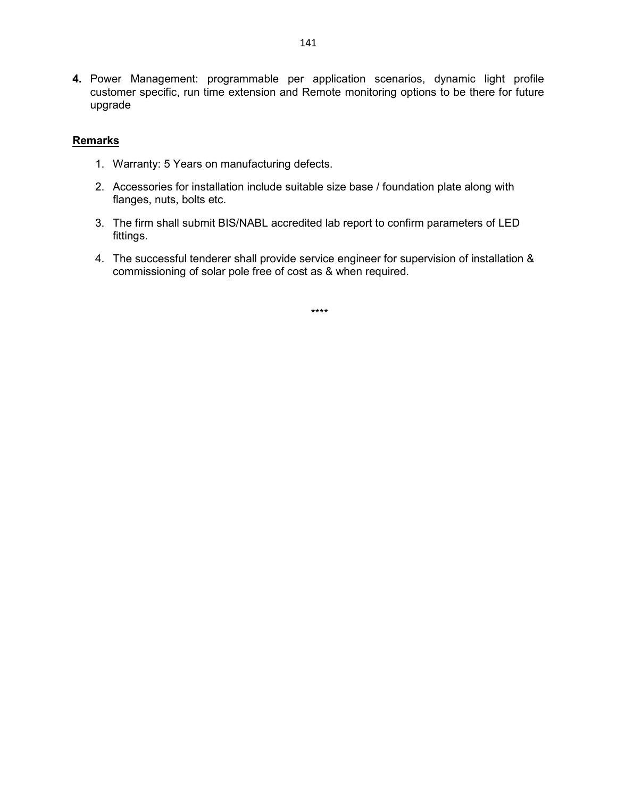**4.** Power Management: programmable per application scenarios, dynamic light profile customer specific, run time extension and Remote monitoring options to be there for future upgrade

#### **Remarks**

- 1. Warranty: 5 Years on manufacturing defects.
- 2. Accessories for installation include suitable size base / foundation plate along with flanges, nuts, bolts etc.
- 3. The firm shall submit BIS/NABL accredited lab report to confirm parameters of LED fittings.
- 4. The successful tenderer shall provide service engineer for supervision of installation & commissioning of solar pole free of cost as & when required.

\*\*\*\*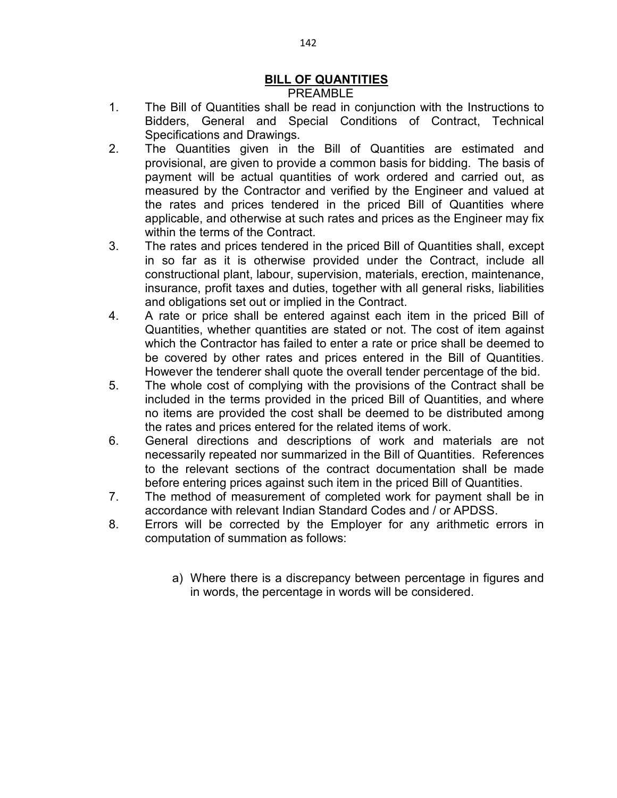# **BILL OF QUANTITIES**

#### PREAMBLE

- 1. The Bill of Quantities shall be read in conjunction with the Instructions to Bidders, General and Special Conditions of Contract, Technical Specifications and Drawings.
- 2. The Quantities given in the Bill of Quantities are estimated and provisional, are given to provide a common basis for bidding. The basis of payment will be actual quantities of work ordered and carried out, as measured by the Contractor and verified by the Engineer and valued at the rates and prices tendered in the priced Bill of Quantities where applicable, and otherwise at such rates and prices as the Engineer may fix within the terms of the Contract.
- 3. The rates and prices tendered in the priced Bill of Quantities shall, except in so far as it is otherwise provided under the Contract, include all constructional plant, labour, supervision, materials, erection, maintenance, insurance, profit taxes and duties, together with all general risks, liabilities and obligations set out or implied in the Contract.
- 4. A rate or price shall be entered against each item in the priced Bill of Quantities, whether quantities are stated or not. The cost of item against which the Contractor has failed to enter a rate or price shall be deemed to be covered by other rates and prices entered in the Bill of Quantities. However the tenderer shall quote the overall tender percentage of the bid.
- 5. The whole cost of complying with the provisions of the Contract shall be included in the terms provided in the priced Bill of Quantities, and where no items are provided the cost shall be deemed to be distributed among the rates and prices entered for the related items of work.
- 6. General directions and descriptions of work and materials are not necessarily repeated nor summarized in the Bill of Quantities. References to the relevant sections of the contract documentation shall be made before entering prices against such item in the priced Bill of Quantities.
- 7. The method of measurement of completed work for payment shall be in accordance with relevant Indian Standard Codes and / or APDSS.
- 8. Errors will be corrected by the Employer for any arithmetic errors in computation of summation as follows:
	- a) Where there is a discrepancy between percentage in figures and in words, the percentage in words will be considered.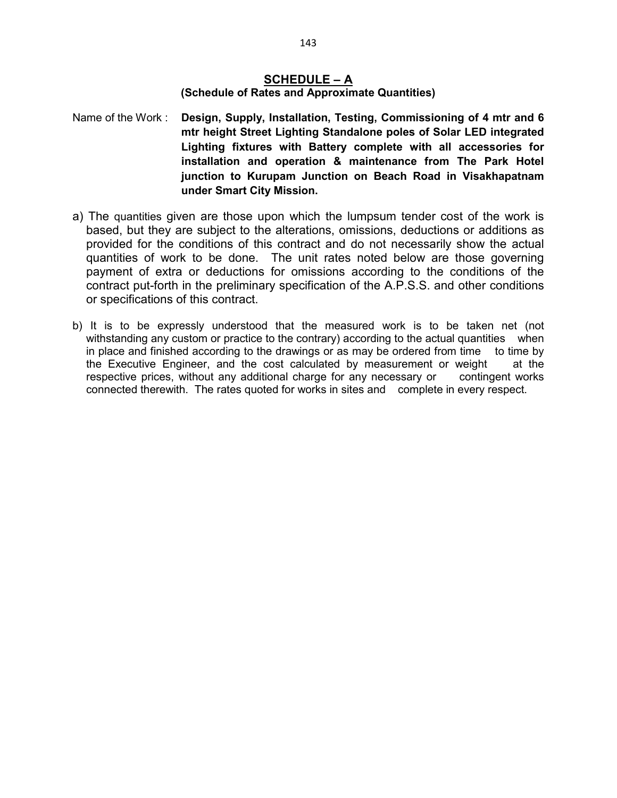# **SCHEDULE – A**

#### **(Schedule of Rates and Approximate Quantities)**

Name of the Work : **Design, Supply, Installation, Testing, Commissioning of 4 mtr and 6 mtr height Street Lighting Standalone poles of Solar LED integrated Lighting fixtures with Battery complete with all accessories for installation and operation & maintenance from The Park Hotel junction to Kurupam Junction on Beach Road in Visakhapatnam under Smart City Mission.** 

- a) The quantities given are those upon which the lumpsum tender cost of the work is based, but they are subject to the alterations, omissions, deductions or additions as provided for the conditions of this contract and do not necessarily show the actual quantities of work to be done. The unit rates noted below are those governing payment of extra or deductions for omissions according to the conditions of the contract put-forth in the preliminary specification of the A.P.S.S. and other conditions or specifications of this contract.
- b) It is to be expressly understood that the measured work is to be taken net (not withstanding any custom or practice to the contrary) according to the actual quantities when in place and finished according to the drawings or as may be ordered from time to time by the Executive Engineer, and the cost calculated by measurement or weight at the respective prices, without any additional charge for any necessary or contingent works connected therewith. The rates quoted for works in sites and complete in every respect.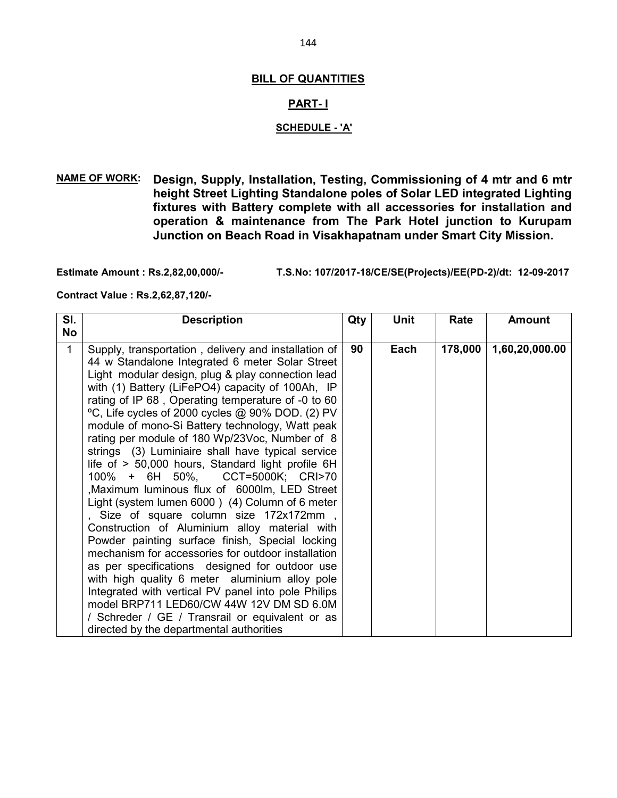#### **BILL OF QUANTITIES**

#### **PART- I**

#### **SCHEDULE - 'A'**

**NAME OF WORK: Design, Supply, Installation, Testing, Commissioning of 4 mtr and 6 mtr height Street Lighting Standalone poles of Solar LED integrated Lighting fixtures with Battery complete with all accessories for installation and operation & maintenance from The Park Hotel junction to Kurupam Junction on Beach Road in Visakhapatnam under Smart City Mission.** 

**Estimate Amount : Rs.2,82,00,000/- T.S.No: 107/2017-18/CE/SE(Projects)/EE(PD-2)/dt: 12-09-2017** 

**Contract Value : Rs.2,62,87,120/-** 

| SI.         | <b>Description</b>                                                                                                                                                                                                                                                                                                                                                                                                                                                                                                                                                                                                                                                                                                                                                                                                                                                                                                                                                                                                                                                                                                                                                                         | Qty | <b>Unit</b> | Rate    | <b>Amount</b>  |
|-------------|--------------------------------------------------------------------------------------------------------------------------------------------------------------------------------------------------------------------------------------------------------------------------------------------------------------------------------------------------------------------------------------------------------------------------------------------------------------------------------------------------------------------------------------------------------------------------------------------------------------------------------------------------------------------------------------------------------------------------------------------------------------------------------------------------------------------------------------------------------------------------------------------------------------------------------------------------------------------------------------------------------------------------------------------------------------------------------------------------------------------------------------------------------------------------------------------|-----|-------------|---------|----------------|
| <b>No</b>   |                                                                                                                                                                                                                                                                                                                                                                                                                                                                                                                                                                                                                                                                                                                                                                                                                                                                                                                                                                                                                                                                                                                                                                                            |     |             |         |                |
| $\mathbf 1$ | Supply, transportation, delivery and installation of<br>44 w Standalone Integrated 6 meter Solar Street<br>Light modular design, plug & play connection lead<br>with (1) Battery (LiFePO4) capacity of 100Ah, IP<br>rating of IP 68, Operating temperature of -0 to 60<br>°C, Life cycles of 2000 cycles @ 90% DOD. (2) PV<br>module of mono-Si Battery technology, Watt peak<br>rating per module of 180 Wp/23Voc, Number of 8<br>strings (3) Luminiaire shall have typical service<br>life of > 50,000 hours, Standard light profile 6H<br>100% + 6H 50%, CCT=5000K; CRI>70<br>Maximum luminous flux of 6000lm, LED Street<br>Light (system lumen 6000) (4) Column of 6 meter<br>, Size of square column size 172x172mm,<br>Construction of Aluminium alloy material with<br>Powder painting surface finish, Special locking<br>mechanism for accessories for outdoor installation<br>as per specifications designed for outdoor use<br>with high quality 6 meter aluminium alloy pole<br>Integrated with vertical PV panel into pole Philips<br>model BRP711 LED60/CW 44W 12V DM SD 6.0M<br>/ Schreder / GE / Transrail or equivalent or as<br>directed by the departmental authorities | 90  | Each        | 178,000 | 1,60,20,000.00 |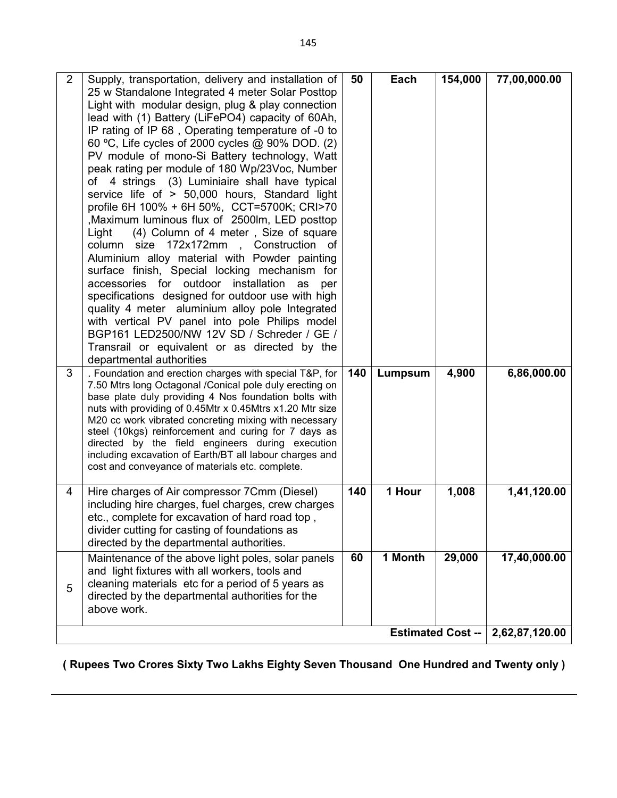| $\overline{2}$ | Supply, transportation, delivery and installation of                                                              | 50  | Each    | 154,000 | 77,00,000.00 |  |
|----------------|-------------------------------------------------------------------------------------------------------------------|-----|---------|---------|--------------|--|
|                | 25 w Standalone Integrated 4 meter Solar Posttop                                                                  |     |         |         |              |  |
|                | Light with modular design, plug & play connection                                                                 |     |         |         |              |  |
|                | lead with (1) Battery (LiFePO4) capacity of 60Ah,                                                                 |     |         |         |              |  |
|                | IP rating of IP 68, Operating temperature of -0 to                                                                |     |         |         |              |  |
|                | 60 °C, Life cycles of 2000 cycles @ 90% DOD. (2)                                                                  |     |         |         |              |  |
|                | PV module of mono-Si Battery technology, Watt                                                                     |     |         |         |              |  |
|                | peak rating per module of 180 Wp/23Voc, Number                                                                    |     |         |         |              |  |
|                | of 4 strings (3) Luminiaire shall have typical                                                                    |     |         |         |              |  |
|                | service life of > 50,000 hours, Standard light                                                                    |     |         |         |              |  |
|                | profile 6H 100% + 6H 50%, CCT=5700K; CRI>70                                                                       |     |         |         |              |  |
|                | Maximum luminous flux of 2500lm, LED posttop                                                                      |     |         |         |              |  |
|                | (4) Column of 4 meter, Size of square<br>Light                                                                    |     |         |         |              |  |
|                | size 172x172mm<br>Construction<br>column<br>of                                                                    |     |         |         |              |  |
|                | Aluminium alloy material with Powder painting                                                                     |     |         |         |              |  |
|                | surface finish, Special locking mechanism for                                                                     |     |         |         |              |  |
|                | accessories for outdoor installation<br>as<br>per                                                                 |     |         |         |              |  |
|                | specifications designed for outdoor use with high                                                                 |     |         |         |              |  |
|                | quality 4 meter aluminium alloy pole Integrated                                                                   |     |         |         |              |  |
|                | with vertical PV panel into pole Philips model                                                                    |     |         |         |              |  |
|                | BGP161 LED2500/NW 12V SD / Schreder / GE /                                                                        |     |         |         |              |  |
|                | Transrail or equivalent or as directed by the                                                                     |     |         |         |              |  |
|                | departmental authorities                                                                                          |     |         |         |              |  |
| 3              | . Foundation and erection charges with special T&P, for                                                           | 140 | Lumpsum | 4,900   | 6,86,000.00  |  |
|                | 7.50 Mtrs long Octagonal /Conical pole duly erecting on                                                           |     |         |         |              |  |
|                | base plate duly providing 4 Nos foundation bolts with                                                             |     |         |         |              |  |
|                | nuts with providing of 0.45Mtr x 0.45Mtrs x1.20 Mtr size<br>M20 cc work vibrated concreting mixing with necessary |     |         |         |              |  |
|                | steel (10kgs) reinforcement and curing for 7 days as                                                              |     |         |         |              |  |
|                | directed by the field engineers during execution                                                                  |     |         |         |              |  |
|                | including excavation of Earth/BT all labour charges and                                                           |     |         |         |              |  |
|                | cost and conveyance of materials etc. complete.                                                                   |     |         |         |              |  |
|                |                                                                                                                   |     |         |         |              |  |
| 4              | Hire charges of Air compressor 7Cmm (Diesel)                                                                      | 140 | 1 Hour  | 1,008   | 1,41,120.00  |  |
|                | including hire charges, fuel charges, crew charges                                                                |     |         |         |              |  |
|                | etc., complete for excavation of hard road top,                                                                   |     |         |         |              |  |
|                | divider cutting for casting of foundations as                                                                     |     |         |         |              |  |
|                | directed by the departmental authorities.                                                                         |     |         |         |              |  |
|                | Maintenance of the above light poles, solar panels                                                                | 60  | 1 Month | 29,000  | 17,40,000.00 |  |
|                | and light fixtures with all workers, tools and                                                                    |     |         |         |              |  |
| 5              | cleaning materials etc for a period of 5 years as                                                                 |     |         |         |              |  |
|                | directed by the departmental authorities for the                                                                  |     |         |         |              |  |
|                | above work.                                                                                                       |     |         |         |              |  |
|                |                                                                                                                   |     |         |         |              |  |
|                | 2,62,87,120.00<br><b>Estimated Cost --</b>                                                                        |     |         |         |              |  |

**( Rupees Two Crores Sixty Two Lakhs Eighty Seven Thousand One Hundred and Twenty only )**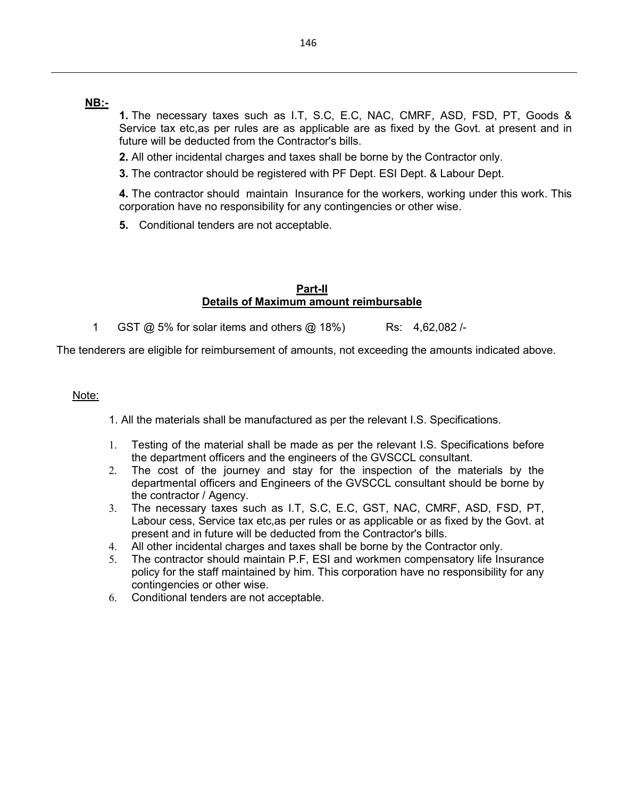## **NB:-**

**1.** The necessary taxes such as I.T, S.C, E.C, NAC, CMRF, ASD, FSD, PT, Goods & Service tax etc,as per rules are as applicable are as fixed by the Govt. at present and in future will be deducted from the Contractor's bills.

**2.** All other incidental charges and taxes shall be borne by the Contractor only.

**3.** The contractor should be registered with PF Dept. ESI Dept. & Labour Dept.

**4.** The contractor should maintain Insurance for the workers, working under this work. This corporation have no responsibility for any contingencies or other wise.

**5.** Conditional tenders are not acceptable.

### **Part-II Details of Maximum amount reimbursable**

1 GST @ 5% for solar items and others @ 18%) Rs: 4,62,082 /-

The tenderers are eligible for reimbursement of amounts, not exceeding the amounts indicated above.

### Note:

1. All the materials shall be manufactured as per the relevant I.S. Specifications.

- 1. Testing of the material shall be made as per the relevant I.S. Specifications before the department officers and the engineers of the GVSCCL consultant.
- 2. The cost of the journey and stay for the inspection of the materials by the departmental officers and Engineers of the GVSCCL consultant should be borne by the contractor / Agency.
- 3. The necessary taxes such as I.T, S.C, E.C, GST, NAC, CMRF, ASD, FSD, PT, Labour cess, Service tax etc,as per rules or as applicable or as fixed by the Govt. at present and in future will be deducted from the Contractor's bills.
- 4. All other incidental charges and taxes shall be borne by the Contractor only.
- 5. The contractor should maintain P.F, ESI and workmen compensatory life Insurance policy for the staff maintained by him. This corporation have no responsibility for any contingencies or other wise.
- 6. Conditional tenders are not acceptable.